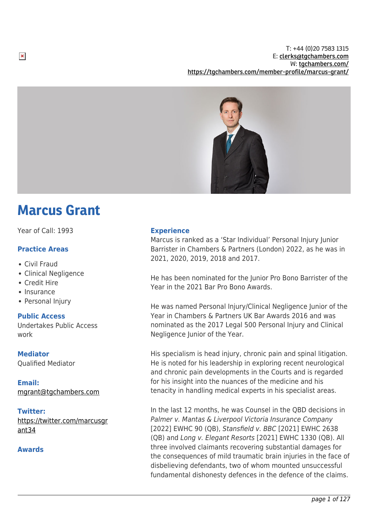T: +44 (0)20 7583 1315 E: [clerks@tgchambers.com](mailto:clerks@tgchambers.com) W: [tgchambers.com/](http://tgchambers.com/) <https://tgchambers.com/member-profile/marcus-grant/>



# Marcus Grant

Year of Call: 1993

# **Practice Areas**

Civil Fraud

 $\pmb{\times}$ 

- Clinical Negligence
- Credit Hire
- Insurance
- Personal Injury

## **Public Access**

Undertakes Public Access work

## **Mediator**

Qualified Mediator

**Email:** [mgrant@tgchambers.com](mailto:mgrant@tgchambers.com)

## **Twitter:**

[https://twitter.com/marcusgr](https://twitter.com/marcusgrant34) [ant34](https://twitter.com/marcusgrant34)

## **Awards**

## **Experience**

Marcus is ranked as a 'Star Individual' Personal Injury Junior Barrister in Chambers & Partners (London) 2022, as he was in 2021, 2020, 2019, 2018 and 2017.

He has been nominated for the Junior Pro Bono Barrister of the Year in the 2021 Bar Pro Bono Awards.

He was named Personal Injury/Clinical Negligence Junior of the Year in Chambers & Partners UK Bar Awards 2016 and was nominated as the 2017 Legal 500 Personal Injury and Clinical Negligence Junior of the Year.

His specialism is head injury, chronic pain and spinal litigation. He is noted for his leadership in exploring recent neurological and chronic pain developments in the Courts and is regarded for his insight into the nuances of the medicine and his tenacity in handling medical experts in his specialist areas.

In the last 12 months, he was Counsel in the QBD decisions in Palmer v. Mantas & Liverpool Victoria Insurance Company [2022] EWHC 90 (QB), Stansfield v. BBC [2021] EWHC 2638 (QB) and Long v. Elegant Resorts [2021] EWHC 1330 (QB). All three involved claimants recovering substantial damages for the consequences of mild traumatic brain injuries in the face of disbelieving defendants, two of whom mounted unsuccessful fundamental dishonesty defences in the defence of the claims.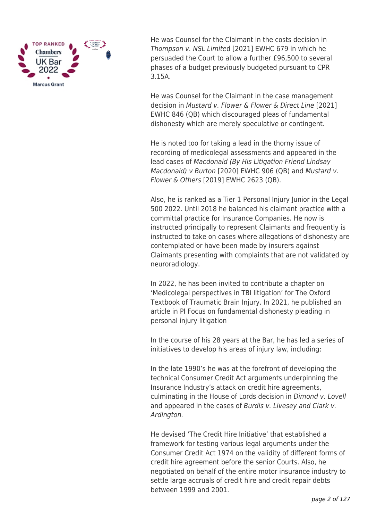

He was Counsel for the Claimant in the costs decision in Thompson v. NSL Limited [2021] EWHC 679 in which he persuaded the Court to allow a further £96,500 to several phases of a budget previously budgeted pursuant to CPR 3.15A.

He was Counsel for the Claimant in the case management decision in Mustard v. Flower & Flower & Direct Line [2021] EWHC 846 (QB) which discouraged pleas of fundamental dishonesty which are merely speculative or contingent.

He is noted too for taking a lead in the thorny issue of recording of medicolegal assessments and appeared in the lead cases of Macdonald (By His Litigation Friend Lindsay Macdonald) v Burton [2020] EWHC 906 (QB) and Mustard v. Flower & Others [2019] EWHC 2623 (QB).

Also, he is ranked as a Tier 1 Personal Injury Junior in the Legal 500 2022. Until 2018 he balanced his claimant practice with a committal practice for Insurance Companies. He now is instructed principally to represent Claimants and frequently is instructed to take on cases where allegations of dishonesty are contemplated or have been made by insurers against Claimants presenting with complaints that are not validated by neuroradiology.

In 2022, he has been invited to contribute a chapter on 'Medicolegal perspectives in TBI litigation' for The Oxford Textbook of Traumatic Brain Injury. In 2021, he published an article in PI Focus on fundamental dishonesty pleading in personal injury litigation

In the course of his 28 years at the Bar, he has led a series of initiatives to develop his areas of injury law, including:

In the late 1990's he was at the forefront of developing the technical Consumer Credit Act arguments underpinning the Insurance Industry's attack on credit hire agreements, culminating in the House of Lords decision in Dimond v. Lovell and appeared in the cases of Burdis v. Livesey and Clark v. Ardington.

He devised 'The Credit Hire Initiative' that established a framework for testing various legal arguments under the Consumer Credit Act 1974 on the validity of different forms of credit hire agreement before the senior Courts. Also, he negotiated on behalf of the entire motor insurance industry to settle large accruals of credit hire and credit repair debts between 1999 and 2001.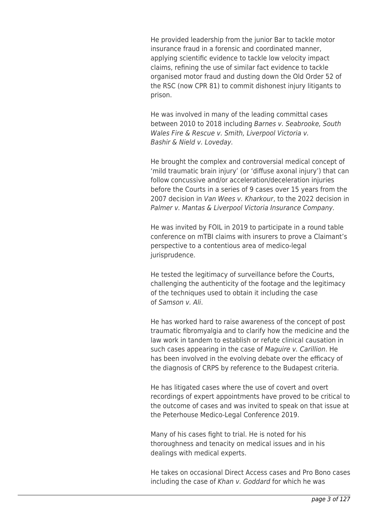He provided leadership from the junior Bar to tackle motor insurance fraud in a forensic and coordinated manner, applying scientific evidence to tackle low velocity impact claims, refining the use of similar fact evidence to tackle organised motor fraud and dusting down the Old Order 52 of the RSC (now CPR 81) to commit dishonest injury litigants to prison.

He was involved in many of the leading committal cases between 2010 to 2018 including Barnes v. Seabrooke, South Wales Fire & Rescue v. Smith, Liverpool Victoria v. Bashir & Nield v. Loveday.

He brought the complex and controversial medical concept of 'mild traumatic brain injury' (or 'diffuse axonal injury') that can follow concussive and/or acceleration/deceleration injuries before the Courts in a series of 9 cases over 15 years from the 2007 decision in Van Wees v. Kharkour, to the 2022 decision in Palmer v. Mantas & Liverpool Victoria Insurance Company.

He was invited by FOIL in 2019 to participate in a round table conference on mTBI claims with insurers to prove a Claimant's perspective to a contentious area of medico-legal jurisprudence.

He tested the legitimacy of surveillance before the Courts, challenging the authenticity of the footage and the legitimacy of the techniques used to obtain it including the case of Samson v. Ali.

He has worked hard to raise awareness of the concept of post traumatic fibromyalgia and to clarify how the medicine and the law work in tandem to establish or refute clinical causation in such cases appearing in the case of Maguire v. Carillion. He has been involved in the evolving debate over the efficacy of the diagnosis of CRPS by reference to the Budapest criteria.

He has litigated cases where the use of covert and overt recordings of expert appointments have proved to be critical to the outcome of cases and was invited to speak on that issue at the Peterhouse Medico-Legal Conference 2019.

Many of his cases fight to trial. He is noted for his thoroughness and tenacity on medical issues and in his dealings with medical experts.

He takes on occasional Direct Access cases and Pro Bono cases including the case of Khan v. Goddard for which he was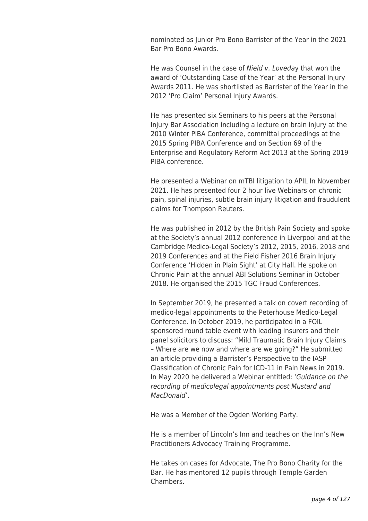nominated as Junior Pro Bono Barrister of the Year in the 2021 Bar Pro Bono Awards.

He was Counsel in the case of Nield v. Loveday that won the award of 'Outstanding Case of the Year' at the Personal Injury Awards 2011. He was shortlisted as Barrister of the Year in the 2012 'Pro Claim' Personal Injury Awards.

He has presented six Seminars to his peers at the Personal Injury Bar Association including a lecture on brain injury at the 2010 Winter PIBA Conference, committal proceedings at the 2015 Spring PIBA Conference and on Section 69 of the Enterprise and Regulatory Reform Act 2013 at the Spring 2019 PIBA conference.

He presented a Webinar on mTBI litigation to APIL In November 2021. He has presented four 2 hour live Webinars on chronic pain, spinal injuries, subtle brain injury litigation and fraudulent claims for Thompson Reuters.

He was published in 2012 by the British Pain Society and spoke at the Society's annual 2012 conference in Liverpool and at the Cambridge Medico-Legal Society's 2012, 2015, 2016, 2018 and 2019 Conferences and at the Field Fisher 2016 Brain Injury Conference 'Hidden in Plain Sight' at City Hall. He spoke on Chronic Pain at the annual ABI Solutions Seminar in October 2018. He organised the 2015 TGC Fraud Conferences.

In September 2019, he presented a talk on covert recording of medico-legal appointments to the Peterhouse Medico-Legal Conference. In October 2019, he participated in a FOIL sponsored round table event with leading insurers and their panel solicitors to discuss: "Mild Traumatic Brain Injury Claims – Where are we now and where are we going?" He submitted an article providing a Barrister's Perspective to the IASP Classification of Chronic Pain for ICD-11 in Pain News in 2019. In May 2020 he delivered a Webinar entitled: 'Guidance on the recording of medicolegal appointments post Mustard and MacDonald'.

He was a Member of the Ogden Working Party.

He is a member of Lincoln's Inn and teaches on the Inn's New Practitioners Advocacy Training Programme.

He takes on cases for Advocate, The Pro Bono Charity for the Bar. He has mentored 12 pupils through Temple Garden **Chambers**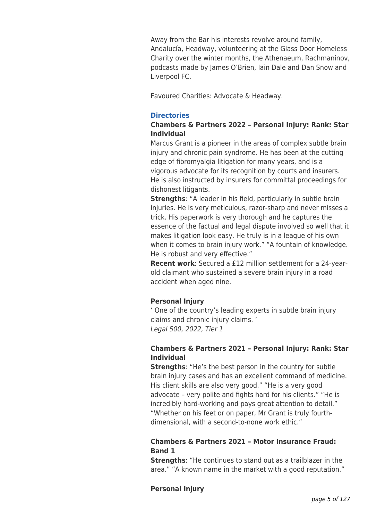Away from the Bar his interests revolve around family, Andalucía, Headway, volunteering at the Glass Door Homeless Charity over the winter months, the Athenaeum, Rachmaninov, podcasts made by James O'Brien, Iain Dale and Dan Snow and Liverpool FC.

Favoured Charities: Advocate & Headway.

# **Directories**

# **Chambers & Partners 2022 – Personal Injury: Rank: Star Individual**

Marcus Grant is a pioneer in the areas of complex subtle brain injury and chronic pain syndrome. He has been at the cutting edge of fibromyalgia litigation for many years, and is a vigorous advocate for its recognition by courts and insurers. He is also instructed by insurers for committal proceedings for dishonest litigants.

**Strengths**: "A leader in his field, particularly in subtle brain injuries. He is very meticulous, razor-sharp and never misses a trick. His paperwork is very thorough and he captures the essence of the factual and legal dispute involved so well that it makes litigation look easy. He truly is in a league of his own when it comes to brain injury work." "A fountain of knowledge. He is robust and very effective."

**Recent work**: Secured a £12 million settlement for a 24-yearold claimant who sustained a severe brain injury in a road accident when aged nine.

# **Personal Injury**

' One of the country's leading experts in subtle brain injury claims and chronic injury claims. ' Legal 500, 2022, Tier 1

# **Chambers & Partners 2021 – Personal Injury: Rank: Star Individual**

**Strengths**: "He's the best person in the country for subtle brain injury cases and has an excellent command of medicine. His client skills are also very good." "He is a very good advocate – very polite and fights hard for his clients." "He is incredibly hard-working and pays great attention to detail." "Whether on his feet or on paper, Mr Grant is truly fourthdimensional, with a second-to-none work ethic."

# **Chambers & Partners 2021 – Motor Insurance Fraud: Band 1**

**Strengths**: "He continues to stand out as a trailblazer in the area." "A known name in the market with a good reputation."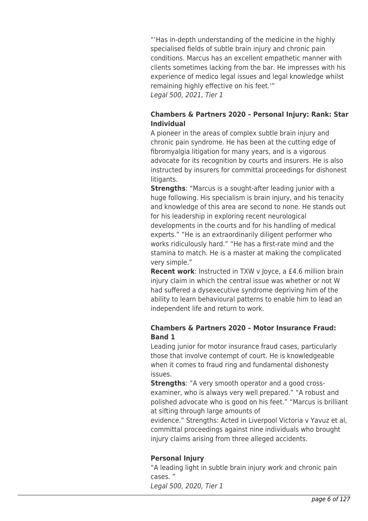"'Has in-depth understanding of the medicine in the highly specialised fields of subtle brain injury and chronic pain conditions. Marcus has an excellent empathetic manner with clients sometimes lacking from the bar. He impresses with his experience of medico legal issues and legal knowledge whilst remaining highly effective on his feet.'" Legal 500, 2021, Tier 1

# **Chambers & Partners 2020 – Personal Injury: Rank: Star Individual**

A pioneer in the areas of complex subtle brain injury and chronic pain syndrome. He has been at the cutting edge of fibromyalgia litigation for many years, and is a vigorous advocate for its recognition by courts and insurers. He is also instructed by insurers for committal proceedings for dishonest litigants.

**Strengths:** "Marcus is a sought-after leading junior with a huge following. His specialism is brain injury, and his tenacity and knowledge of this area are second to none. He stands out for his leadership in exploring recent neurological developments in the courts and for his handling of medical experts." "He is an extraordinarily diligent performer who works ridiculously hard." "He has a first-rate mind and the stamina to match. He is a master at making the complicated very simple."

**Recent work**: Instructed in TXW v Joyce, a £4.6 million brain injury claim in which the central issue was whether or not W had suffered a dysexecutive syndrome depriving him of the ability to learn behavioural patterns to enable him to lead an independent life and return to work.

# **Chambers & Partners 2020 – Motor Insurance Fraud: Band 1**

Leading junior for motor insurance fraud cases, particularly those that involve contempt of court. He is knowledgeable when it comes to fraud ring and fundamental dishonesty issues.

**Strengths:** "A very smooth operator and a good crossexaminer, who is always very well prepared." "A robust and polished advocate who is good on his feet." "Marcus is brilliant at sifting through large amounts of

evidence." Strengths: Acted in Liverpool Victoria v Yavuz et al, committal proceedings against nine individuals who brought injury claims arising from three alleged accidents.

# **Personal Injury**

"A leading light in subtle brain injury work and chronic pain cases. " Legal 500, 2020, Tier 1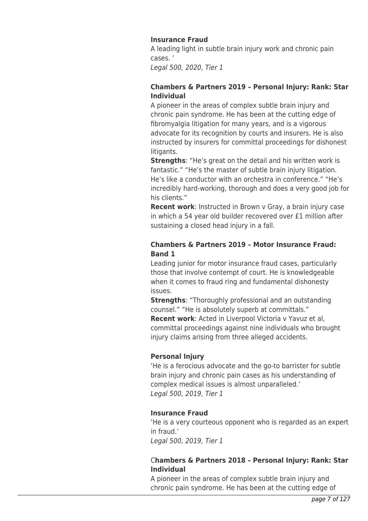# **Insurance Fraud**

A leading light in subtle brain injury work and chronic pain cases. '

Legal 500, 2020, Tier 1

# **Chambers & Partners 2019 – Personal Injury: Rank: Star Individual**

A pioneer in the areas of complex subtle brain injury and chronic pain syndrome. He has been at the cutting edge of fibromyalgia litigation for many years, and is a vigorous advocate for its recognition by courts and insurers. He is also instructed by insurers for committal proceedings for dishonest litigants.

**Strengths**: "He's great on the detail and his written work is fantastic." "He's the master of subtle brain injury litigation. He's like a conductor with an orchestra in conference." "He's incredibly hard-working, thorough and does a very good job for his clients."

**Recent work**: Instructed in Brown v Gray, a brain injury case in which a 54 year old builder recovered over £1 million after sustaining a closed head injury in a fall.

# **Chambers & Partners 2019 – Motor Insurance Fraud: Band 1**

Leading junior for motor insurance fraud cases, particularly those that involve contempt of court. He is knowledgeable when it comes to fraud ring and fundamental dishonesty issues.

**Strengths**: "Thoroughly professional and an outstanding counsel." "He is absolutely superb at committals."

**Recent work**: Acted in Liverpool Victoria v Yavuz et al, committal proceedings against nine individuals who brought injury claims arising from three alleged accidents.

# **Personal Injury**

'He is a ferocious advocate and the go-to barrister for subtle brain injury and chronic pain cases as his understanding of complex medical issues is almost unparalleled.' Legal 500, 2019, Tier 1

## **Insurance Fraud**

'He is a very courteous opponent who is regarded as an expert in fraud.' Legal 500, 2019, Tier 1

# C**hambers & Partners 2018 – Personal Injury: Rank: Star Individual**

A pioneer in the areas of complex subtle brain injury and chronic pain syndrome. He has been at the cutting edge of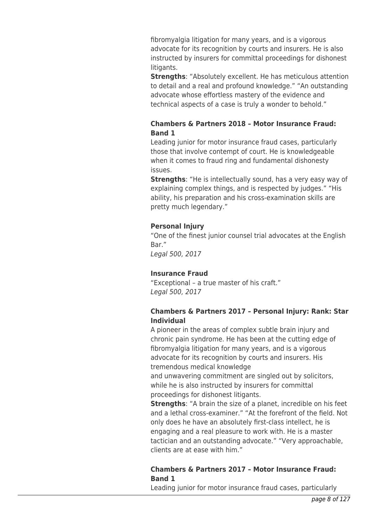fibromyalgia litigation for many years, and is a vigorous advocate for its recognition by courts and insurers. He is also instructed by insurers for committal proceedings for dishonest litigants.

**Strengths**: "Absolutely excellent. He has meticulous attention to detail and a real and profound knowledge." "An outstanding advocate whose effortless mastery of the evidence and technical aspects of a case is truly a wonder to behold."

# **Chambers & Partners 2018 – Motor Insurance Fraud: Band 1**

Leading junior for motor insurance fraud cases, particularly those that involve contempt of court. He is knowledgeable when it comes to fraud ring and fundamental dishonesty issues.

**Strengths**: "He is intellectually sound, has a very easy way of explaining complex things, and is respected by judges." "His ability, his preparation and his cross-examination skills are pretty much legendary."

# **Personal Injury**

"One of the finest junior counsel trial advocates at the English Bar."

Legal 500, 2017

# **Insurance Fraud**

"Exceptional – a true master of his craft." Legal 500, 2017

# **Chambers & Partners 2017 – Personal Injury: Rank: Star Individual**

A pioneer in the areas of complex subtle brain injury and chronic pain syndrome. He has been at the cutting edge of fibromyalgia litigation for many years, and is a vigorous advocate for its recognition by courts and insurers. His tremendous medical knowledge

and unwavering commitment are singled out by solicitors, while he is also instructed by insurers for committal proceedings for dishonest litigants.

**Strengths**: "A brain the size of a planet, incredible on his feet and a lethal cross-examiner." "At the forefront of the field. Not only does he have an absolutely first-class intellect, he is engaging and a real pleasure to work with. He is a master tactician and an outstanding advocate." "Very approachable, clients are at ease with him."

# **Chambers & Partners 2017 – Motor Insurance Fraud: Band 1**

Leading junior for motor insurance fraud cases, particularly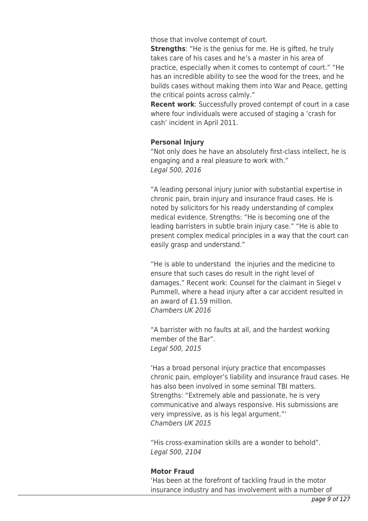those that involve contempt of court.

**Strengths**: "He is the genius for me. He is gifted, he truly takes care of his cases and he's a master in his area of practice, especially when it comes to contempt of court." "He has an incredible ability to see the wood for the trees, and he builds cases without making them into War and Peace, getting the critical points across calmly."

**Recent work**: Successfully proved contempt of court in a case where four individuals were accused of staging a 'crash for cash' incident in April 2011.

## **Personal Injury**

"Not only does he have an absolutely first-class intellect, he is engaging and a real pleasure to work with." Legal 500, 2016

"A leading personal injury junior with substantial expertise in chronic pain, brain injury and insurance fraud cases. He is noted by solicitors for his ready understanding of complex medical evidence. Strengths: "He is becoming one of the leading barristers in subtle brain injury case." "He is able to present complex medical principles in a way that the court can easily grasp and understand."

"He is able to understand the injuries and the medicine to ensure that such cases do result in the right level of damages." Recent work: Counsel for the claimant in Siegel v Pummell, where a head injury after a car accident resulted in an award of £1.59 million. Chambers UK 2016

"A barrister with no faults at all, and the hardest working member of the Bar". Legal 500, 2015

'Has a broad personal injury practice that encompasses chronic pain, employer's liability and insurance fraud cases. He has also been involved in some seminal TBI matters. Strengths: "Extremely able and passionate, he is very communicative and always responsive. His submissions are very impressive, as is his legal argument."' Chambers UK 2015

"His cross-examination skills are a wonder to behold". Legal 500, 2104

## **Motor Fraud**

'Has been at the forefront of tackling fraud in the motor insurance industry and has involvement with a number of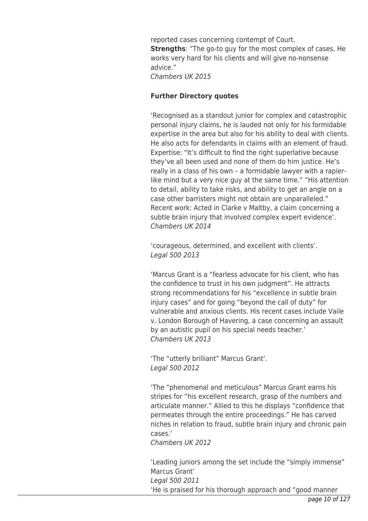reported cases concerning contempt of Court. **Strengths**: "The go-to guy for the most complex of cases. He works very hard for his clients and will give no-nonsense advice." Chambers UK 2015

## **Further Directory quotes**

'Recognised as a standout junior for complex and catastrophic personal injury claims, he is lauded not only for his formidable expertise in the area but also for his ability to deal with clients. He also acts for defendants in claims with an element of fraud. Expertise: "It's difficult to find the right superlative because they've all been used and none of them do him justice. He's really in a class of his own – a formidable lawyer with a rapierlike mind but a very nice guy at the same time." "His attention to detail, ability to take risks, and ability to get an angle on a case other barristers might not obtain are unparalleled." Recent work: Acted in Clarke v Maltby, a claim concerning a subtle brain injury that involved complex expert evidence'. Chambers UK 2014

'courageous, determined, and excellent with clients'. Legal 500 2013

'Marcus Grant is a "fearless advocate for his client, who has the confidence to trust in his own judgment". He attracts strong recommendations for his "excellence in subtle brain injury cases" and for going "beyond the call of duty" for vulnerable and anxious clients. His recent cases include Vaile v. London Borough of Havering, a case concerning an assault by an autistic pupil on his special needs teacher.' Chambers UK 2013

'The "utterly brilliant" Marcus Grant'. Legal 500 2012

'The "phenomenal and meticulous" Marcus Grant earns his stripes for "his excellent research, grasp of the numbers and articulate manner." Allied to this he displays "confidence that permeates through the entire proceedings." He has carved niches in relation to fraud, subtle brain injury and chronic pain cases.'

Chambers UK 2012

'Leading juniors among the set include the "simply immense" Marcus Grant' Legal 500 2011 'He is praised for his thorough approach and "good manner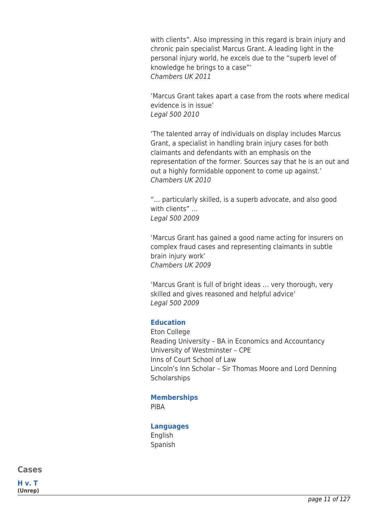with clients". Also impressing in this regard is brain injury and chronic pain specialist Marcus Grant. A leading light in the personal injury world, he excels due to the "superb level of knowledge he brings to a case"' Chambers UK 2011

'Marcus Grant takes apart a case from the roots where medical evidence is in issue' Legal 500 2010

'The talented array of individuals on display includes Marcus Grant, a specialist in handling brain injury cases for both claimants and defendants with an emphasis on the representation of the former. Sources say that he is an out and out a highly formidable opponent to come up against.' Chambers UK 2010

"… particularly skilled, is a superb advocate, and also good with clients" … Legal 500 2009

'Marcus Grant has gained a good name acting for insurers on complex fraud cases and representing claimants in subtle brain injury work' Chambers UK 2009

'Marcus Grant is full of bright ideas … very thorough, very skilled and gives reasoned and helpful advice' Legal 500 2009

## **Education**

Eton College Reading University – BA in Economics and Accountancy University of Westminster – CPE Inns of Court School of Law Lincoln's Inn Scholar – Sir Thomas Moore and Lord Denning **Scholarships** 

# **Memberships**

PIBA

# **Languages**

English Spanish

**Cases**

**H v. T (Unrep)**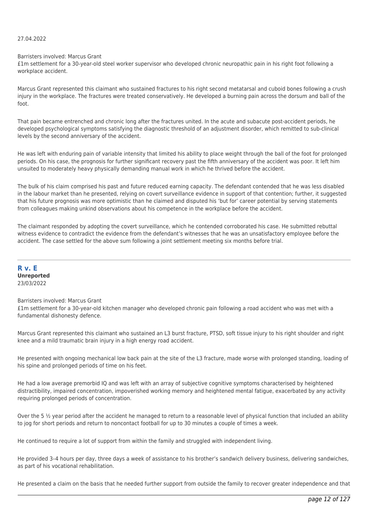## 27.04.2022

Barristers involved: Marcus Grant

£1m settlement for a 30-year-old steel worker supervisor who developed chronic neuropathic pain in his right foot following a workplace accident.

Marcus Grant represented this claimant who sustained fractures to his right second metatarsal and cuboid bones following a crush injury in the workplace. The fractures were treated conservatively. He developed a burning pain across the dorsum and ball of the foot.

That pain became entrenched and chronic long after the fractures united. In the acute and subacute post-accident periods, he developed psychological symptoms satisfying the diagnostic threshold of an adjustment disorder, which remitted to sub-clinical levels by the second anniversary of the accident.

He was left with enduring pain of variable intensity that limited his ability to place weight through the ball of the foot for prolonged periods. On his case, the prognosis for further significant recovery past the fifth anniversary of the accident was poor. It left him unsuited to moderately heavy physically demanding manual work in which he thrived before the accident.

The bulk of his claim comprised his past and future reduced earning capacity. The defendant contended that he was less disabled in the labour market than he presented, relying on covert surveillance evidence in support of that contention; further, it suggested that his future prognosis was more optimistic than he claimed and disputed his 'but for' career potential by serving statements from colleagues making unkind observations about his competence in the workplace before the accident.

The claimant responded by adopting the covert surveillance, which he contended corroborated his case. He submitted rebuttal witness evidence to contradict the evidence from the defendant's witnesses that he was an unsatisfactory employee before the accident. The case settled for the above sum following a joint settlement meeting six months before trial.

**R v. E Unreported** 23/03/2022

## Barristers involved: Marcus Grant

£1m settlement for a 30-year-old kitchen manager who developed chronic pain following a road accident who was met with a fundamental dishonesty defence.

Marcus Grant represented this claimant who sustained an L3 burst fracture, PTSD, soft tissue injury to his right shoulder and right knee and a mild traumatic brain injury in a high energy road accident.

He presented with ongoing mechanical low back pain at the site of the L3 fracture, made worse with prolonged standing, loading of his spine and prolonged periods of time on his feet.

He had a low average premorbid IQ and was left with an array of subjective cognitive symptoms characterised by heightened distractibility, impaired concentration, impoverished working memory and heightened mental fatigue, exacerbated by any activity requiring prolonged periods of concentration.

Over the 5  $\frac{1}{2}$  year period after the accident he managed to return to a reasonable level of physical function that included an ability to jog for short periods and return to noncontact football for up to 30 minutes a couple of times a week.

He continued to require a lot of support from within the family and struggled with independent living.

He provided 3–4 hours per day, three days a week of assistance to his brother's sandwich delivery business, delivering sandwiches, as part of his vocational rehabilitation.

He presented a claim on the basis that he needed further support from outside the family to recover greater independence and that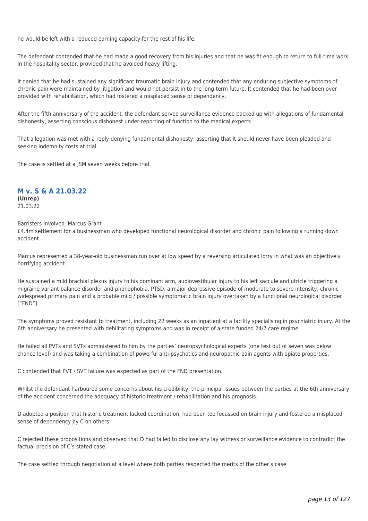he would be left with a reduced earning capacity for the rest of his life.

The defendant contended that he had made a good recovery from his injuries and that he was fit enough to return to full-time work in the hospitality sector, provided that he avoided heavy lifting.

It denied that he had sustained any significant traumatic brain injury and contended that any enduring subjective symptoms of chronic pain were maintained by litigation and would not persist in to the long-term future. It contended that he had been overprovided with rehabilitation, which had fostered a misplaced sense of dependency.

After the fifth anniversary of the accident, the defendant served surveillance evidence backed up with allegations of fundamental dishonesty, asserting conscious dishonest under-reporting of function to the medical experts.

That allegation was met with a reply denying fundamental dishonesty, asserting that it should never have been pleaded and seeking indemnity costs at trial.

The case is settled at a JSM seven weeks before trial.

# **M v. S & A 21.03.22 (Unrep)**

21.03.22

Barristers involved: Marcus Grant

£4.4m settlement for a businessman who developed functional neurological disorder and chronic pain following a running down accident.

Marcus represented a 38-year-old businessman run over at low speed by a reversing articulated lorry in what was an objectively horrifying accident.

He sustained a mild brachial plexus injury to his dominant arm, audiovestibular injury to his left saccule and utricle triggering a migraine variant balance disorder and phonophobia, PTSD, a major depressive episode of moderate to severe intensity, chronic widespread primary pain and a probable mild / possible symptomatic brain injury overtaken by a functional neurological disorder ["FND"].

The symptoms proved resistant to treatment, including 22 weeks as an inpatient at a facility specialising in psychiatric injury. At the 6th anniversary he presented with debilitating symptoms and was in receipt of a state funded 24/7 care regime.

He failed all PVTs and SVTs administered to him by the parties' neuropsychological experts (one test out of seven was below chance level) and was taking a combination of powerful anti-psychotics and neuropathic pain agents with opiate properties.

C contended that PVT / SVT failure was expected as part of the FND presentation.

Whilst the defendant harboured some concerns about his credibility, the principal issues between the parties at the 6th anniversary of the accident concerned the adequacy of historic treatment / rehabilitation and his prognosis.

D adopted a position that historic treatment lacked coordination, had been too focussed on brain injury and fostered a misplaced sense of dependency by C on others.

C rejected these propositions and observed that D had failed to disclose any lay witness or surveillance evidence to contradict the factual precision of C's stated case.

The case settled through negotiation at a level where both parties respected the merits of the other's case.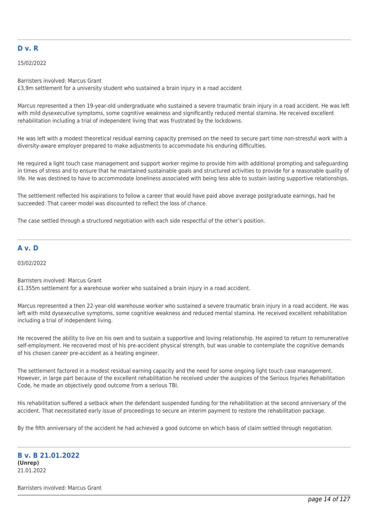## **D v. R**

15/02/2022

Barristers involved: Marcus Grant

£3.9m settlement for a university student who sustained a brain injury in a road accident

Marcus represented a then 19-year-old undergraduate who sustained a severe traumatic brain injury in a road accident. He was left with mild dysexecutive symptoms, some cognitive weakness and significantly reduced mental stamina. He received excellent rehabilitation including a trial of independent living that was frustrated by the lockdowns.

He was left with a modest theoretical residual earning capacity premised on the need to secure part time non-stressful work with a diversity-aware employer prepared to make adjustments to accommodate his enduring difficulties.

He required a light touch case management and support worker regime to provide him with additional prompting and safeguarding in times of stress and to ensure that he maintained sustainable goals and structured activities to provide for a reasonable quality of life. He was destined to have to accommodate loneliness associated with being less able to sustain lasting supportive relationships.

The settlement reflected his aspirations to follow a career that would have paid above average postgraduate earnings, had he succeeded. That career model was discounted to reflect the loss of chance.

The case settled through a structured negotiation with each side respectful of the other's position.

## **A v. D**

03/02/2022

Barristers involved: Marcus Grant £1.355m settlement for a warehouse worker who sustained a brain injury in a road accident.

Marcus represented a then 22-year-old warehouse worker who sustained a severe traumatic brain injury in a road accident. He was left with mild dysexecutive symptoms, some cognitive weakness and reduced mental stamina. He received excellent rehabilitation including a trial of independent living.

He recovered the ability to live on his own and to sustain a supportive and loving relationship. He aspired to return to remunerative self-employment. He recovered most of his pre-accident physical strength, but was unable to contemplate the cognitive demands of his chosen career pre-accident as a heating engineer.

The settlement factored in a modest residual earning capacity and the need for some ongoing light touch case management. However, in large part because of the excellent rehabilitation he received under the auspices of the Serious Injuries Rehabilitation Code, he made an objectively good outcome from a serious TBI.

His rehabilitation suffered a setback when the defendant suspended funding for the rehabilitation at the second anniversary of the accident. That necessitated early issue of proceedings to secure an interim payment to restore the rehabilitation package.

By the fifth anniversary of the accident he had achieved a good outcome on which basis of claim settled through negotiation.

## **B v. B 21.01.2022 (Unrep)** 21.01.2022

Barristers involved: Marcus Grant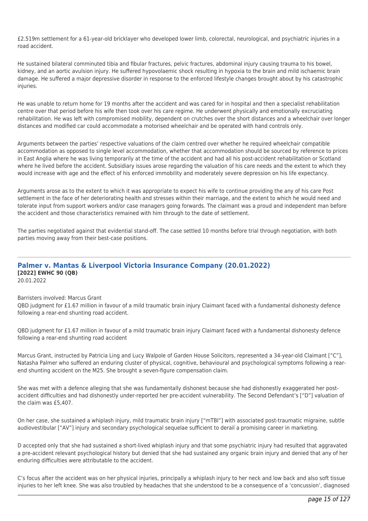£2.519m settlement for a 61-year-old bricklayer who developed lower limb, colorectal, neurological, and psychiatric injuries in a road accident.

He sustained bilateral comminuted tibia and fibular fractures, pelvic fractures, abdominal injury causing trauma to his bowel, kidney, and an aortic avulsion injury. He suffered hypovolaemic shock resulting in hypoxia to the brain and mild ischaemic brain damage. He suffered a major depressive disorder in response to the enforced lifestyle changes brought about by his catastrophic injuries.

He was unable to return home for 19 months after the accident and was cared for in hospital and then a specialist rehabilitation centre over that period before his wife then took over his care regime. He underwent physically and emotionally excruciating rehabilitation. He was left with compromised mobility, dependent on crutches over the short distances and a wheelchair over longer distances and modified car could accommodate a motorised wheelchair and be operated with hand controls only.

Arguments between the parties' respective valuations of the claim centred over whether he required wheelchair compatible accommodation as opposed to single level accommodation, whether that accommodation should be sourced by reference to prices in East Anglia where he was living temporarily at the time of the accident and had all his post-accident rehabilitation or Scotland where he lived before the accident. Subsidiary issues arose regarding the valuation of his care needs and the extent to which they would increase with age and the effect of his enforced immobility and moderately severe depression on his life expectancy.

Arguments arose as to the extent to which it was appropriate to expect his wife to continue providing the any of his care Post settlement in the face of her deteriorating health and stresses within their marriage, and the extent to which he would need and tolerate input from support workers and/or case managers going forwards. The claimant was a proud and independent man before the accident and those characteristics remained with him through to the date of settlement.

The parties negotiated against that evidential stand-off. The case settled 10 months before trial through negotiation, with both parties moving away from their best-case positions.

#### **Palmer v. Mantas & Liverpool Victoria Insurance Company (20.01.2022) [2022] EWHC 90 (QB)** 20.01.2022

Barristers involved: Marcus Grant

QBD judgment for £1.67 million in favour of a mild traumatic brain injury Claimant faced with a fundamental dishonesty defence following a rear-end shunting road accident.

QBD judgment for £1.67 million in favour of a mild traumatic brain injury Claimant faced with a fundamental dishonesty defence following a rear-end shunting road accident

Marcus Grant, instructed by Patricia Ling and Lucy Walpole of Garden House Solicitors, represented a 34-year-old Claimant ["C"], Natasha Palmer who suffered an enduring cluster of physical, cognitive, behavioural and psychological symptoms following a rearend shunting accident on the M25. She brought a seven-figure compensation claim.

She was met with a defence alleging that she was fundamentally dishonest because she had dishonestly exaggerated her postaccident difficulties and had dishonestly under-reported her pre-accident vulnerability. The Second Defendant's ["D"] valuation of the claim was £5,407.

On her case, she sustained a whiplash injury, mild traumatic brain injury ["mTBI"] with associated post-traumatic migraine, subtle audiovestibular ["AV"] injury and secondary psychological sequelae sufficient to derail a promising career in marketing.

D accepted only that she had sustained a short-lived whiplash injury and that some psychiatric injury had resulted that aggravated a pre-accident relevant psychological history but denied that she had sustained any organic brain injury and denied that any of her enduring difficulties were attributable to the accident.

C's focus after the accident was on her physical injuries, principally a whiplash injury to her neck and low back and also soft tissue injuries to her left knee. She was also troubled by headaches that she understood to be a consequence of a 'concussion', diagnosed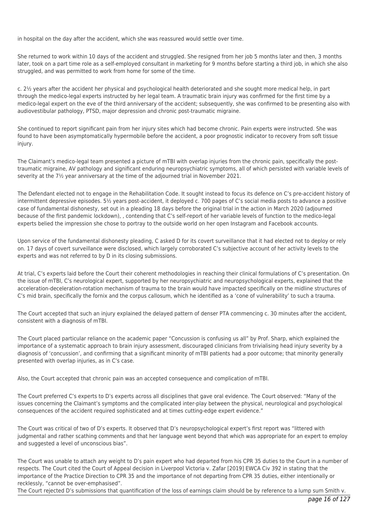in hospital on the day after the accident, which she was reassured would settle over time.

She returned to work within 10 days of the accident and struggled. She resigned from her job 5 months later and then, 3 months later, took on a part time role as a self-employed consultant in marketing for 9 months before starting a third job, in which she also struggled, and was permitted to work from home for some of the time.

c. 2½ years after the accident her physical and psychological health deteriorated and she sought more medical help, in part through the medico-legal experts instructed by her legal team. A traumatic brain injury was confirmed for the first time by a medico-legal expert on the eve of the third anniversary of the accident; subsequently, she was confirmed to be presenting also with audiovestibular pathology, PTSD, major depression and chronic post-traumatic migraine.

She continued to report significant pain from her injury sites which had become chronic. Pain experts were instructed. She was found to have been asymptomatically hypermobile before the accident, a poor prognostic indicator to recovery from soft tissue injury.

The Claimant's medico-legal team presented a picture of mTBI with overlap injuries from the chronic pain, specifically the posttraumatic migraine, AV pathology and significant enduring neuropsychiatric symptoms, all of which persisted with variable levels of severity at the 7½ year anniversary at the time of the adjourned trial in November 2021.

The Defendant elected not to engage in the Rehabilitation Code. It sought instead to focus its defence on C's pre-accident history of intermittent depressive episodes. 5½ years post-accident, it deployed c. 700 pages of C's social media posts to advance a positive case of fundamental dishonesty, set out in a pleading 18 days before the original trial in the action in March 2020 (adjourned because of the first pandemic lockdown), , contending that C's self-report of her variable levels of function to the medico-legal experts belied the impression she chose to portray to the outside world on her open Instagram and Facebook accounts.

Upon service of the fundamental dishonesty pleading, C asked D for its covert surveillance that it had elected not to deploy or rely on. 17 days of covert surveillance were disclosed, which largely corroborated C's subjective account of her activity levels to the experts and was not referred to by D in its closing submissions.

At trial, C's experts laid before the Court their coherent methodologies in reaching their clinical formulations of C's presentation. On the issue of mTBI, C's neurological expert, supported by her neuropsychiatric and neuropsychological experts, explained that the acceleration-deceleration-rotation mechanism of trauma to the brain would have impacted specifically on the midline structures of C's mid brain, specifically the fornix and the corpus callosum, which he identified as a 'cone of vulnerability' to such a trauma.

The Court accepted that such an injury explained the delayed pattern of denser PTA commencing c. 30 minutes after the accident, consistent with a diagnosis of mTBI.

The Court placed particular reliance on the academic paper "Concussion is confusing us all" by Prof. Sharp, which explained the importance of a systematic approach to brain injury assessment, discouraged clinicians from trivialising head injury severity by a diagnosis of 'concussion', and confirming that a significant minority of mTBI patients had a poor outcome; that minority generally presented with overlap injuries, as in C's case.

Also, the Court accepted that chronic pain was an accepted consequence and complication of mTBI.

The Court preferred C's experts to D's experts across all disciplines that gave oral evidence. The Court observed: "Many of the issues concerning the Claimant's symptoms and the complicated inter-play between the physical, neurological and psychological consequences of the accident required sophisticated and at times cutting-edge expert evidence."

The Court was critical of two of D's experts. It observed that D's neuropsychological expert's first report was "littered with judgmental and rather scathing comments and that her language went beyond that which was appropriate for an expert to employ and suggested a level of unconscious bias".

The Court was unable to attach any weight to D's pain expert who had departed from his CPR 35 duties to the Court in a number of respects. The Court cited the Court of Appeal decision in Liverpool Victoria v. Zafar [2019] EWCA Civ 392 in stating that the importance of the Practice Direction to CPR 35 and the importance of not departing from CPR 35 duties, either intentionally or recklessly, "cannot be over-emphasised".

The Court rejected D's submissions that quantification of the loss of earnings claim should be by reference to a lump sum Smith v.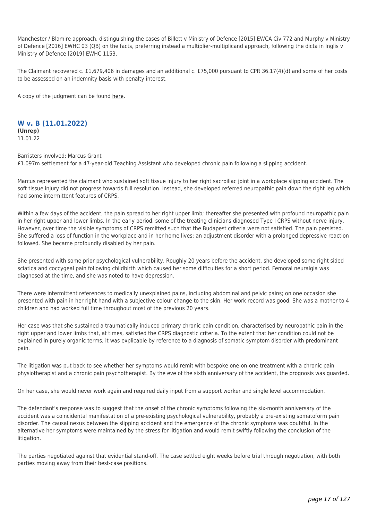Manchester / Blamire approach, distinguishing the cases of Billett v Ministry of Defence [2015] EWCA Civ 772 and Murphy v Ministry of Defence [2016] EWHC 03 (QB) on the facts, preferring instead a multiplier-multiplicand approach, following the dicta in Inglis v Ministry of Defence [2019] EWHC 1153.

The Claimant recovered c. £1,679,406 in damages and an additional c. £75,000 pursuant to CPR 36.17(4)(d) and some of her costs to be assessed on an indemnity basis with penalty interest.

A copy of the judgment can be found [here](https://tgchambers.com/wp-content/uploads/2022/01/Palmer-v.-Mantas-and-Liverpool-Victoria-Insurance-2022-EWHC-90-QB.pdf).

#### **W v. B (11.01.2022) (Unrep)** 11.01.22

Barristers involved: Marcus Grant £1.097m settlement for a 47-year-old Teaching Assistant who developed chronic pain following a slipping accident.

Marcus represented the claimant who sustained soft tissue injury to her right sacroiliac joint in a workplace slipping accident. The soft tissue injury did not progress towards full resolution. Instead, she developed referred neuropathic pain down the right leg which had some intermittent features of CRPS.

Within a few days of the accident, the pain spread to her right upper limb; thereafter she presented with profound neuropathic pain in her right upper and lower limbs. In the early period, some of the treating clinicians diagnosed Type I CRPS without nerve injury. However, over time the visible symptoms of CRPS remitted such that the Budapest criteria were not satisfied. The pain persisted. She suffered a loss of function in the workplace and in her home lives; an adjustment disorder with a prolonged depressive reaction followed. She became profoundly disabled by her pain.

She presented with some prior psychological vulnerability. Roughly 20 years before the accident, she developed some right sided sciatica and coccygeal pain following childbirth which caused her some difficulties for a short period. Femoral neuralgia was diagnosed at the time, and she was noted to have depression.

There were intermittent references to medically unexplained pains, including abdominal and pelvic pains; on one occasion she presented with pain in her right hand with a subjective colour change to the skin. Her work record was good. She was a mother to 4 children and had worked full time throughout most of the previous 20 years.

Her case was that she sustained a traumatically induced primary chronic pain condition, characterised by neuropathic pain in the right upper and lower limbs that, at times, satisfied the CRPS diagnostic criteria. To the extent that her condition could not be explained in purely organic terms, it was explicable by reference to a diagnosis of somatic symptom disorder with predominant pain.

The litigation was put back to see whether her symptoms would remit with bespoke one-on-one treatment with a chronic pain physiotherapist and a chronic pain psychotherapist. By the eve of the sixth anniversary of the accident, the prognosis was guarded.

On her case, she would never work again and required daily input from a support worker and single level accommodation.

The defendant's response was to suggest that the onset of the chronic symptoms following the six-month anniversary of the accident was a coincidental manifestation of a pre-existing psychological vulnerability, probably a pre-existing somatoform pain disorder. The causal nexus between the slipping accident and the emergence of the chronic symptoms was doubtful. In the alternative her symptoms were maintained by the stress for litigation and would remit swiftly following the conclusion of the litigation.

The parties negotiated against that evidential stand-off. The case settled eight weeks before trial through negotiation, with both parties moving away from their best-case positions.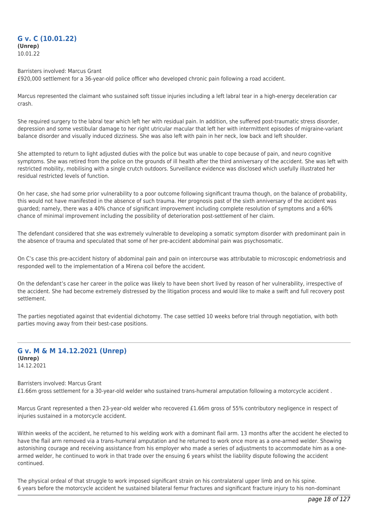## **G v. C (10.01.22) (Unrep)** 10.01.22

#### Barristers involved: Marcus Grant

£920,000 settlement for a 36-year-old police officer who developed chronic pain following a road accident.

Marcus represented the claimant who sustained soft tissue injuries including a left labral tear in a high-energy deceleration car crash.

She required surgery to the labral tear which left her with residual pain. In addition, she suffered post-traumatic stress disorder, depression and some vestibular damage to her right utricular macular that left her with intermittent episodes of migraine-variant balance disorder and visually induced dizziness. She was also left with pain in her neck, low back and left shoulder.

She attempted to return to light adjusted duties with the police but was unable to cope because of pain, and neuro cognitive symptoms. She was retired from the police on the grounds of ill health after the third anniversary of the accident. She was left with restricted mobility, mobilising with a single crutch outdoors. Surveillance evidence was disclosed which usefully illustrated her residual restricted levels of function.

On her case, she had some prior vulnerability to a poor outcome following significant trauma though, on the balance of probability, this would not have manifested in the absence of such trauma. Her prognosis past of the sixth anniversary of the accident was guarded; namely, there was a 40% chance of significant improvement including complete resolution of symptoms and a 60% chance of minimal improvement including the possibility of deterioration post-settlement of her claim.

The defendant considered that she was extremely vulnerable to developing a somatic symptom disorder with predominant pain in the absence of trauma and speculated that some of her pre-accident abdominal pain was psychosomatic.

On C's case this pre-accident history of abdominal pain and pain on intercourse was attributable to microscopic endometriosis and responded well to the implementation of a Mirena coil before the accident.

On the defendant's case her career in the police was likely to have been short lived by reason of her vulnerability, irrespective of the accident. She had become extremely distressed by the litigation process and would like to make a swift and full recovery post settlement.

The parties negotiated against that evidential dichotomy. The case settled 10 weeks before trial through negotiation, with both parties moving away from their best-case positions.

## **G v. M & M 14.12.2021 (Unrep) (Unrep)** 14.12.2021

Barristers involved: Marcus Grant £1.66m gross settlement for a 30-year-old welder who sustained trans-humeral amputation following a motorcycle accident .

Marcus Grant represented a then 23-year-old welder who recovered £1.66m gross of 55% contributory negligence in respect of injuries sustained in a motorcycle accident.

Within weeks of the accident, he returned to his welding work with a dominant flail arm. 13 months after the accident he elected to have the flail arm removed via a trans-humeral amputation and he returned to work once more as a one-armed welder. Showing astonishing courage and receiving assistance from his employer who made a series of adjustments to accommodate him as a onearmed welder, he continued to work in that trade over the ensuing 6 years whilst the liability dispute following the accident continued.

The physical ordeal of that struggle to work imposed significant strain on his contralateral upper limb and on his spine. 6 years before the motorcycle accident he sustained bilateral femur fractures and significant fracture injury to his non-dominant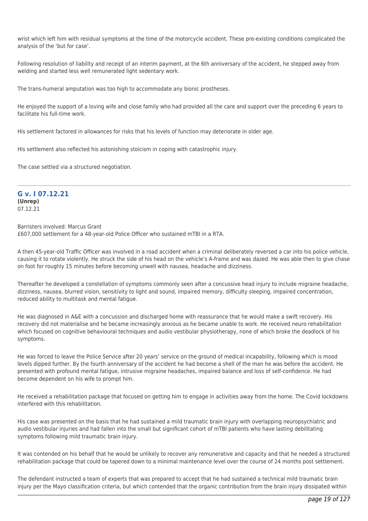wrist which left him with residual symptoms at the time of the motorcycle accident. These pre-existing conditions complicated the analysis of the 'but for case'.

Following resolution of liability and receipt of an interim payment, at the 6th anniversary of the accident, he stepped away from welding and started less well remunerated light sedentary work.

The trans-humeral amputation was too high to accommodate any bionic prostheses.

He enjoyed the support of a loving wife and close family who had provided all the care and support over the preceding 6 years to facilitate his full-time work.

His settlement factored in allowances for risks that his levels of function may deteriorate in older age.

His settlement also reflected his astonishing stoicism in coping with catastrophic injury.

The case settled via a structured negotiation.

## **G v. I 07.12.21 (Unrep)** 07.12.21

Barristers involved: Marcus Grant £607,000 settlement for a 48-year-old Police Officer who sustained mTBI in a RTA.

A then 45-year-old Traffic Officer was involved in a road accident when a criminal deliberately reversed a car into his police vehicle, causing it to rotate violently. He struck the side of his head on the vehicle's A-frame and was dazed. He was able then to give chase on foot for roughly 15 minutes before becoming unwell with nausea, headache and dizziness.

Thereafter he developed a constellation of symptoms commonly seen after a concussive head injury to include migraine headache, dizziness, nausea, blurred vision, sensitivity to light and sound, impaired memory, difficulty sleeping, impaired concentration, reduced ability to multitask and mental fatigue.

He was diagnosed in A&E with a concussion and discharged home with reassurance that he would make a swift recovery. His recovery did not materialise and he became increasingly anxious as he became unable to work. He received neuro rehabilitation which focused on cognitive behavioural techniques and audio vestibular physiotherapy, none of which broke the deadlock of his symptoms.

He was forced to leave the Police Service after 20 years' service on the ground of medical incapability, following which is mood levels dipped further. By the fourth anniversary of the accident he had become a shell of the man he was before the accident. He presented with profound mental fatigue, intrusive migraine headaches, impaired balance and loss of self-confidence. He had become dependent on his wife to prompt him.

He received a rehabilitation package that focused on getting him to engage in activities away from the home. The Covid lockdowns interfered with this rehabilitation.

His case was presented on the basis that he had sustained a mild traumatic brain injury with overlapping neuropsychiatric and audio vestibular injuries and had fallen into the small but significant cohort of mTBI patients who have lasting debilitating symptoms following mild traumatic brain injury.

It was contended on his behalf that he would be unlikely to recover any remunerative and capacity and that he needed a structured rehabilitation package that could be tapered down to a minimal maintenance level over the course of 24 months post settlement.

The defendant instructed a team of experts that was prepared to accept that he had sustained a technical mild traumatic brain injury per the Mayo classification criteria, but which contended that the organic contribution from the brain injury dissipated within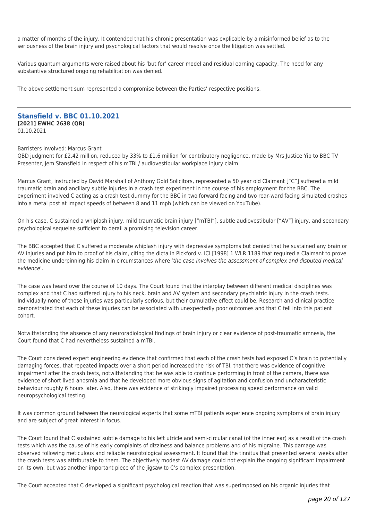a matter of months of the injury. It contended that his chronic presentation was explicable by a misinformed belief as to the seriousness of the brain injury and psychological factors that would resolve once the litigation was settled.

Various quantum arguments were raised about his 'but for' career model and residual earning capacity. The need for any substantive structured ongoing rehabilitation was denied.

The above settlement sum represented a compromise between the Parties' respective positions.

## **Stansfield v. BBC 01.10.2021 [2021] EWHC 2638 (QB)**

01.10.2021

#### Barristers involved: Marcus Grant

QBD judgment for £2.42 million, reduced by 33% to £1.6 million for contributory negligence, made by Mrs Justice Yip to BBC TV Presenter, Jem Stansfield in respect of his mTBI / audiovestibular workplace injury claim.

Marcus Grant, instructed by David Marshall of Anthony Gold Solicitors, represented a 50 year old Claimant ["C"] suffered a mild traumatic brain and ancillary subtle injuries in a crash test experiment in the course of his employment for the BBC. The experiment involved C acting as a crash test dummy for the BBC in two forward facing and two rear-ward facing simulated crashes into a metal post at impact speeds of between 8 and 11 mph (which can be viewed on YouTube).

On his case, C sustained a whiplash injury, mild traumatic brain injury ["mTBI"], subtle audiovestibular ["AV"] injury, and secondary psychological sequelae sufficient to derail a promising television career.

The BBC accepted that C suffered a moderate whiplash injury with depressive symptoms but denied that he sustained any brain or AV injuries and put him to proof of his claim, citing the dicta in Pickford v. ICI [1998] 1 WLR 1189 that required a Claimant to prove the medicine underpinning his claim in circumstances where 'the case involves the assessment of complex and disputed medical evidence'.

The case was heard over the course of 10 days. The Court found that the interplay between different medical disciplines was complex and that C had suffered injury to his neck, brain and AV system and secondary psychiatric injury in the crash tests. Individually none of these injuries was particularly serious, but their cumulative effect could be. Research and clinical practice demonstrated that each of these injuries can be associated with unexpectedly poor outcomes and that C fell into this patient cohort.

Notwithstanding the absence of any neuroradiological findings of brain injury or clear evidence of post-traumatic amnesia, the Court found that C had nevertheless sustained a mTBI.

The Court considered expert engineering evidence that confirmed that each of the crash tests had exposed C's brain to potentially damaging forces, that repeated impacts over a short period increased the risk of TBI, that there was evidence of cognitive impairment after the crash tests, notwithstanding that he was able to continue performing in front of the camera, there was evidence of short lived anosmia and that he developed more obvious signs of agitation and confusion and uncharacteristic behaviour roughly 6 hours later. Also, there was evidence of strikingly impaired processing speed performance on valid neuropsychological testing.

It was common ground between the neurological experts that some mTBI patients experience ongoing symptoms of brain injury and are subject of great interest in focus.

The Court found that C sustained subtle damage to his left utricle and semi-circular canal (of the inner ear) as a result of the crash tests which was the cause of his early complaints of dizziness and balance problems and of his migraine. This damage was observed following meticulous and reliable neurotological assessment. It found that the tinnitus that presented several weeks after the crash tests was attributable to them. The objectively modest AV damage could not explain the ongoing significant impairment on its own, but was another important piece of the jigsaw to C's complex presentation.

The Court accepted that C developed a significant psychological reaction that was superimposed on his organic injuries that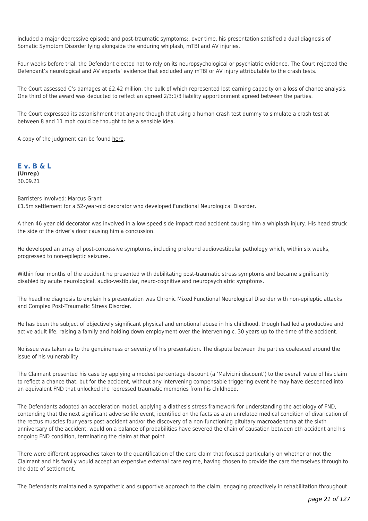included a major depressive episode and post-traumatic symptoms;, over time, his presentation satisfied a dual diagnosis of Somatic Symptom Disorder lying alongside the enduring whiplash, mTBI and AV injuries.

Four weeks before trial, the Defendant elected not to rely on its neuropsychological or psychiatric evidence. The Court rejected the Defendant's neurological and AV experts' evidence that excluded any mTBI or AV injury attributable to the crash tests.

The Court assessed C's damages at £2.42 million, the bulk of which represented lost earning capacity on a loss of chance analysis. One third of the award was deducted to reflect an agreed 2/3:1/3 liability apportionment agreed between the parties.

The Court expressed its astonishment that anyone though that using a human crash test dummy to simulate a crash test at between 8 and 11 mph could be thought to be a sensible idea.

A copy of the judgment can be found [here](https://tgchambers.com/wp-content/uploads/2021/10/Final-Judgment-QB-2018-005820-Stansfield-v-British-Broadcasting-Corporation-1.10.2021.pdf).

**E v. B & L (Unrep)** 30.09.21

Barristers involved: Marcus Grant £1.5m settlement for a 52-year-old decorator who developed Functional Neurological Disorder.

A then 46-year-old decorator was involved in a low-speed side-impact road accident causing him a whiplash injury. His head struck the side of the driver's door causing him a concussion.

He developed an array of post-concussive symptoms, including profound audiovestibular pathology which, within six weeks, progressed to non-epileptic seizures.

Within four months of the accident he presented with debilitating post-traumatic stress symptoms and became significantly disabled by acute neurological, audio-vestibular, neuro-cognitive and neuropsychiatric symptoms.

The headline diagnosis to explain his presentation was Chronic Mixed Functional Neurological Disorder with non-epileptic attacks and Complex Post-Traumatic Stress Disorder.

He has been the subject of objectively significant physical and emotional abuse in his childhood, though had led a productive and active adult life, raising a family and holding down employment over the intervening c. 30 years up to the time of the accident.

No issue was taken as to the genuineness or severity of his presentation. The dispute between the parties coalesced around the issue of his vulnerability.

The Claimant presented his case by applying a modest percentage discount (a 'Malvicini discount') to the overall value of his claim to reflect a chance that, but for the accident, without any intervening compensable triggering event he may have descended into an equivalent FND that unlocked the repressed traumatic memories from his childhood.

The Defendants adopted an acceleration model, applying a diathesis stress framework for understanding the aetiology of FND, contending that the next significant adverse life event, identified on the facts as a an unrelated medical condition of divarication of the rectus muscles four years post-accident and/or the discovery of a non-functioning pituitary macroadenoma at the sixth anniversary of the accident, would on a balance of probabilities have severed the chain of causation between eth accident and his ongoing FND condition, terminating the claim at that point.

There were different approaches taken to the quantification of the care claim that focused particularly on whether or not the Claimant and his family would accept an expensive external care regime, having chosen to provide the care themselves through to the date of settlement.

The Defendants maintained a sympathetic and supportive approach to the claim, engaging proactively in rehabilitation throughout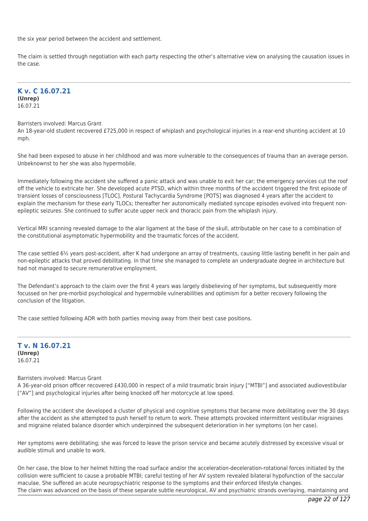the six year period between the accident and settlement.

The claim is settled through negotiation with each party respecting the other's alternative view on analysing the causation issues in the case.

## **K v. C 16.07.21 (Unrep)** 16.07.21

#### Barristers involved: Marcus Grant

An 18-year-old student recovered £725,000 in respect of whiplash and psychological injuries in a rear-end shunting accident at 10 mph.

She had been exposed to abuse in her childhood and was more vulnerable to the consequences of trauma than an average person. Unbeknownst to her she was also hypermobile.

Immediately following the accident she suffered a panic attack and was unable to exit her car; the emergency services cut the roof off the vehicle to extricate her. She developed acute PTSD, which within three months of the accident triggered the first episode of transient losses of consciousness [TLOC]. Postural Tachycardia Syndrome [POTS] was diagnosed 4 years after the accident to explain the mechanism for these early TLOCs; thereafter her autonomically mediated syncope episodes evolved into frequent nonepileptic seizures. She continued to suffer acute upper neck and thoracic pain from the whiplash injury.

Vertical MRI scanning revealed damage to the alar ligament at the base of the skull, attributable on her case to a combination of the constitutional asymptomatic hypermobility and the traumatic forces of the accident.

The case settled 6½ years post-accident, after K had undergone an array of treatments, causing little lasting benefit in her pain and non-epileptic attacks that proved debilitating. In that time she managed to complete an undergraduate degree in architecture but had not managed to secure remunerative employment.

The Defendant's approach to the claim over the first 4 years was largely disbelieving of her symptoms, but subsequently more focussed on her pre-morbid psychological and hypermobile vulnerabilities and optimism for a better recovery following the conclusion of the litigation.

The case settled following ADR with both parties moving away from their best case positions.

**T v. N 16.07.21 (Unrep)** 16.07.21

## Barristers involved: Marcus Grant

A 36-year-old prison officer recovered £430,000 in respect of a mild traumatic brain injury ["MTBI"] and associated audiovestibular ["AV"] and psychological injuries after being knocked off her motorcycle at low speed.

Following the accident she developed a cluster of physical and cognitive symptoms that became more debilitating over the 30 days after the accident as she attempted to push herself to return to work. These attempts provoked intermittent vestibular migraines and migraine related balance disorder which underpinned the subsequent deterioration in her symptoms (on her case).

Her symptoms were debilitating; she was forced to leave the prison service and became acutely distressed by excessive visual or audible stimuli and unable to work.

On her case, the blow to her helmet hitting the road surface and/or the acceleration-deceleration-rotational forces initiated by the collision were sufficient to cause a probable MTBI; careful testing of her AV system revealed bilateral hypofunction of the saccular maculae. She suffered an acute neuropsychiatric response to the symptoms and their enforced lifestyle changes. The claim was advanced on the basis of these separate subtle neurological, AV and psychiatric strands overlaying, maintaining and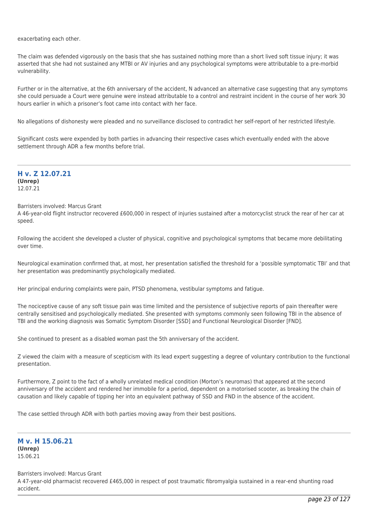exacerbating each other.

The claim was defended vigorously on the basis that she has sustained nothing more than a short lived soft tissue injury; it was asserted that she had not sustained any MTBI or AV injuries and any psychological symptoms were attributable to a pre-morbid vulnerability.

Further or in the alternative, at the 6th anniversary of the accident, N advanced an alternative case suggesting that any symptoms she could persuade a Court were genuine were instead attributable to a control and restraint incident in the course of her work 30 hours earlier in which a prisoner's foot came into contact with her face.

No allegations of dishonesty were pleaded and no surveillance disclosed to contradict her self-report of her restricted lifestyle.

Significant costs were expended by both parties in advancing their respective cases which eventually ended with the above settlement through ADR a few months before trial.

**H v. Z 12.07.21 (Unrep)** 12.07.21

## Barristers involved: Marcus Grant

A 46-year-old flight instructor recovered £600,000 in respect of injuries sustained after a motorcyclist struck the rear of her car at speed.

Following the accident she developed a cluster of physical, cognitive and psychological symptoms that became more debilitating over time.

Neurological examination confirmed that, at most, her presentation satisfied the threshold for a 'possible symptomatic TBI' and that her presentation was predominantly psychologically mediated.

Her principal enduring complaints were pain, PTSD phenomena, vestibular symptoms and fatigue.

The nociceptive cause of any soft tissue pain was time limited and the persistence of subjective reports of pain thereafter were centrally sensitised and psychologically mediated. She presented with symptoms commonly seen following TBI in the absence of TBI and the working diagnosis was Somatic Symptom Disorder [SSD] and Functional Neurological Disorder [FND].

She continued to present as a disabled woman past the 5th anniversary of the accident.

Z viewed the claim with a measure of scepticism with its lead expert suggesting a degree of voluntary contribution to the functional presentation.

Furthermore, Z point to the fact of a wholly unrelated medical condition (Morton's neuromas) that appeared at the second anniversary of the accident and rendered her immobile for a period, dependent on a motorised scooter, as breaking the chain of causation and likely capable of tipping her into an equivalent pathway of SSD and FND in the absence of the accident.

The case settled through ADR with both parties moving away from their best positions.

**M v. H 15.06.21 (Unrep)** 15.06.21

#### Barristers involved: Marcus Grant

A 47-year-old pharmacist recovered £465,000 in respect of post traumatic fibromyalgia sustained in a rear-end shunting road accident.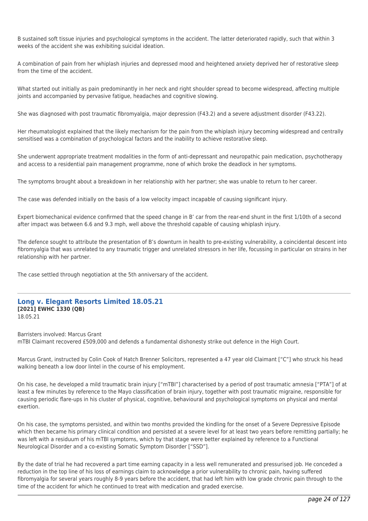B sustained soft tissue injuries and psychological symptoms in the accident. The latter deteriorated rapidly, such that within 3 weeks of the accident she was exhibiting suicidal ideation.

A combination of pain from her whiplash injuries and depressed mood and heightened anxiety deprived her of restorative sleep from the time of the accident.

What started out initially as pain predominantly in her neck and right shoulder spread to become widespread, affecting multiple joints and accompanied by pervasive fatigue, headaches and cognitive slowing.

She was diagnosed with post traumatic fibromyalgia, major depression (F43.2) and a severe adjustment disorder (F43.22).

Her rheumatologist explained that the likely mechanism for the pain from the whiplash injury becoming widespread and centrally sensitised was a combination of psychological factors and the inability to achieve restorative sleep.

She underwent appropriate treatment modalities in the form of anti-depressant and neuropathic pain medication, psychotherapy and access to a residential pain management programme, none of which broke the deadlock in her symptoms.

The symptoms brought about a breakdown in her relationship with her partner; she was unable to return to her career.

The case was defended initially on the basis of a low velocity impact incapable of causing significant injury.

Expert biomechanical evidence confirmed that the speed change in B' car from the rear-end shunt in the first 1/10th of a second after impact was between 6.6 and 9.3 mph, well above the threshold capable of causing whiplash injury.

The defence sought to attribute the presentation of B's downturn in health to pre-existing vulnerability, a coincidental descent into fibromyalgia that was unrelated to any traumatic trigger and unrelated stressors in her life, focussing in particular on strains in her relationship with her partner.

The case settled through negotiation at the 5th anniversary of the accident.

## **Long v. Elegant Resorts Limited 18.05.21 [2021] EWHC 1330 (QB)**

18.05.21

Barristers involved: Marcus Grant mTBI Claimant recovered £509,000 and defends a fundamental dishonesty strike out defence in the High Court.

Marcus Grant, instructed by Colin Cook of Hatch Brenner Solicitors, represented a 47 year old Claimant ["C"] who struck his head walking beneath a low door lintel in the course of his employment.

On his case, he developed a mild traumatic brain injury ["mTBI"] characterised by a period of post traumatic amnesia ["PTA"] of at least a few minutes by reference to the Mayo classification of brain injury, together with post traumatic migraine, responsible for causing periodic flare-ups in his cluster of physical, cognitive, behavioural and psychological symptoms on physical and mental exertion.

On his case, the symptoms persisted, and within two months provided the kindling for the onset of a Severe Depressive Episode which then became his primary clinical condition and persisted at a severe level for at least two years before remitting partially; he was left with a residuum of his mTBI symptoms, which by that stage were better explained by reference to a Functional Neurological Disorder and a co-existing Somatic Symptom Disorder ["SSD"].

By the date of trial he had recovered a part time earning capacity in a less well remunerated and pressurised job. He conceded a reduction in the top line of his loss of earnings claim to acknowledge a prior vulnerability to chronic pain, having suffered fibromyalgia for several years roughly 8-9 years before the accident, that had left him with low grade chronic pain through to the time of the accident for which he continued to treat with medication and graded exercise.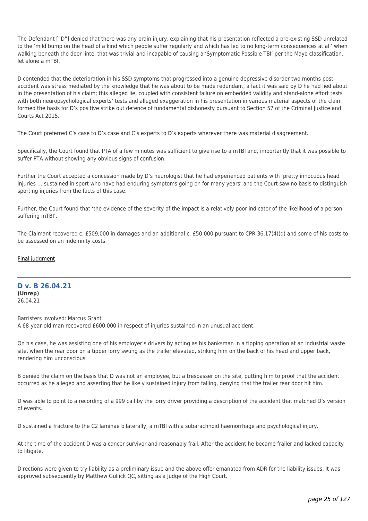The Defendant ["D"] denied that there was any brain injury, explaining that his presentation reflected a pre-existing SSD unrelated to the 'mild bump on the head of a kind which people suffer regularly and which has led to no long-term consequences at all' when walking beneath the door lintel that was trivial and incapable of causing a 'Symptomatic Possible TBI' per the Mayo classification, let alone a mTBI.

D contended that the deterioration in his SSD symptoms that progressed into a genuine depressive disorder two months postaccident was stress mediated by the knowledge that he was about to be made redundant, a fact it was said by D he had lied about in the presentation of his claim; this alleged lie, coupled with consistent failure on embedded validity and stand-alone effort tests with both neuropsychological experts' tests and alleged exaggeration in his presentation in various material aspects of the claim formed the basis for D's positive strike out defence of fundamental dishonesty pursuant to Section 57 of the Criminal Justice and Courts Act 2015.

The Court preferred C's case to D's case and C's experts to D's experts wherever there was material disagreement.

Specifically, the Court found that PTA of a few minutes was sufficient to give rise to a mTBI and, importantly that it was possible to suffer PTA without showing any obvious signs of confusion.

Further the Court accepted a concession made by D's neurologist that he had experienced patients with 'pretty innocuous head injuries … sustained in sport who have had enduring symptoms going on for many years' and the Court saw no basis to distinguish sporting injuries from the facts of this case.

Further, the Court found that 'the evidence of the severity of the impact is a relatively poor indicator of the likelihood of a person suffering mTBI'.

The Claimant recovered c. £509,000 in damages and an additional c. £50,000 pursuant to CPR 36.17(4)(d) and some of his costs to be assessed on an indemnity costs.

## [Final judgment](https://tgchambers.com/wp-content/uploads/2021/05/Final-judgment.docx)

#### **D v. B 26.04.21 (Unrep)** 26.04.21

Barristers involved: Marcus Grant A 68-year-old man recovered £600,000 in respect of injuries sustained in an unusual accident.

On his case, he was assisting one of his employer's drivers by acting as his banksman in a tipping operation at an industrial waste site, when the rear door on a tipper lorry swung as the trailer elevated, striking him on the back of his head and upper back, rendering him unconscious.

B denied the claim on the basis that D was not an employee, but a trespasser on the site, putting him to proof that the accident occurred as he alleged and asserting that he likely sustained injury from falling, denying that the trailer rear door hit him.

D was able to point to a recording of a 999 call by the lorry driver providing a description of the accident that matched D's version of events.

D sustained a fracture to the C2 laminae bilaterally, a mTBI with a subarachnoid haemorrhage and psychological injury.

At the time of the accident D was a cancer survivor and reasonably frail. After the accident he became frailer and lacked capacity to litigate.

Directions were given to try liability as a preliminary issue and the above offer emanated from ADR for the liability issues. It was approved subsequently by Matthew Gullick QC, sitting as a Judge of the High Court.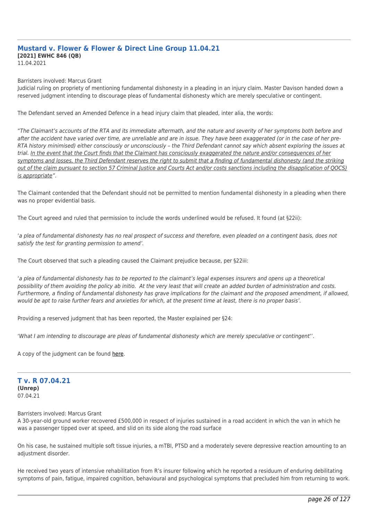# **Mustard v. Flower & Flower & Direct Line Group 11.04.21 [2021] EWHC 846 (QB)**

11.04.2021

Barristers involved: Marcus Grant

Judicial ruling on propriety of mentioning fundamental dishonesty in a pleading in an injury claim. Master Davison handed down a reserved judgment intending to discourage pleas of fundamental dishonesty which are merely speculative or contingent.

The Defendant served an Amended Defence in a head injury claim that pleaded, inter alia, the words:

"The Claimant's accounts of the RTA and its immediate aftermath, and the nature and severity of her symptoms both before and after the accident have varied over time, are unreliable and are in issue. They have been exaggerated (or in the case of her pre-RTA history minimised) either consciously or unconsciously – the Third Defendant cannot say which absent exploring the issues at trial. In the event that the Court finds that the Claimant has consciously exaggerated the nature and/or consequences of her symptoms and losses, the Third Defendant reserves the right to submit that a finding of fundamental dishonesty (and the striking out of the claim pursuant to section 57 Criminal Justice and Courts Act and/or costs sanctions including the disapplication of QOCS) is appropriate".

The Claimant contended that the Defendant should not be permitted to mention fundamental dishonesty in a pleading when there was no proper evidential basis.

The Court agreed and ruled that permission to include the words underlined would be refused. It found (at §22ii):

'a plea of fundamental dishonesty has no real prospect of success and therefore, even pleaded on a contingent basis, does not satisfy the test for granting permission to amend'.

The Court observed that such a pleading caused the Claimant prejudice because, per §22iii:

'a plea of fundamental dishonesty has to be reported to the claimant's legal expenses insurers and opens up a theoretical possibility of them avoiding the policy ab initio. At the very least that will create an added burden of administration and costs. Furthermore, a finding of fundamental dishonesty has grave implications for the claimant and the proposed amendment, if allowed, would be apt to raise further fears and anxieties for which, at the present time at least, there is no proper basis'.

Providing a reserved judgment that has been reported, the Master explained per §24:

'What I am intending to discourage are pleas of fundamental dishonesty which are merely speculative or contingent''.

A copy of the judgment can be found [here](https://tgchambers.com/wp-content/uploads/2021/04/Judgment-Mustard-v-Flower-Ors_No.-2.pdf).

## **T v. R 07.04.21 (Unrep)** 07.04.21

Barristers involved: Marcus Grant

A 30-year-old ground worker recovered £500,000 in respect of injuries sustained in a road accident in which the van in which he was a passenger tipped over at speed, and slid on its side along the road surface

On his case, he sustained multiple soft tissue injuries, a mTBI, PTSD and a moderately severe depressive reaction amounting to an adjustment disorder.

He received two years of intensive rehabilitation from R's insurer following which he reported a residuum of enduring debilitating symptoms of pain, fatigue, impaired cognition, behavioural and psychological symptoms that precluded him from returning to work.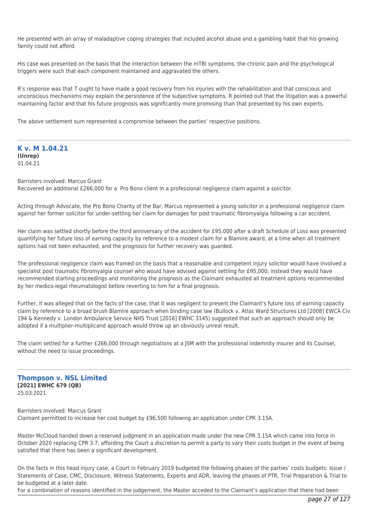He presented with an array of maladaptive coping strategies that included alcohol abuse and a gambling habit that his growing family could not afford.

His case was presented on the basis that the interaction between the mTBI symptoms, the chronic pain and the psychological triggers were such that each component maintained and aggravated the others.

R's response was that T ought to have made a good recovery from his injuries with the rehabilitation and that conscious and unconscious mechanisms may explain the persistence of the subjective symptoms. R pointed out that the litigation was a powerful maintaining factor and that his future prognosis was significantly more promising than that presented by his own experts.

The above settlement sum represented a compromise between the parties' respective positions.

**K v. M 1.04.21 (Unrep)** 01.04.21

Barristers involved: Marcus Grant Recovered an additional £266,000 for a Pro Bono client in a professional negligence claim against a solicitor.

Acting through Advocate, the Pro Bono Charity of the Bar, Marcus represented a young solicitor in a professional negligence claim against her former solicitor for under-settling her claim for damages for post traumatic fibromyalgia following a car accident.

Her claim was settled shortly before the third anniversary of the accident for £95,000 after a draft Schedule of Loss was presented quantifying her future loss of earning capacity by reference to a modest claim for a Blamire award, at a time when all treatment options had not been exhausted, and the prognosis for further recovery was guarded.

The professional negligence claim was framed on the basis that a reasonable and competent injury solicitor would have involved a specialist post traumatic fibromyalgia counsel who would have advised against settling for £95,000; instead they would have recommended starting proceedings and monitoring the prognosis as the Claimant exhausted all treatment options recommended by her medico-legal rheumatologist before reverting to him for a final prognosis.

Further, it was alleged that on the facts of the case, that it was negligent to present the Claimant's future loss of earning capacity claim by reference to a broad brush Blamire approach when binding case law (Bullock v. Atlas Ward Structures Ltd [2008] EWCA Civ 194 & Kennedy v. London Ambulance Service NHS Trust [2016] EWHC 3145) suggested that such an approach should only be adopted if a multiplier-multiplicand approach would throw up an obviously unreal result.

The claim settled for a further £266,000 through negotiations at a JSM with the professional indemnity insurer and its Counsel, without the need to issue proceedings.

**Thompson v. NSL Limited [2021] EWHC 679 (QB)** 25.03.2021

Barristers involved: Marcus Grant Claimant permitted to increase her cost budget by £96,500 following an application under CPR 3.15A.

Master McCloud handed down a reserved judgment in an application made under the new CPR 3.15A which came into force in October 2020 replacing CPR 3.7, affording the Court a discretion to permit a party to vary their costs budget in the event of being satisfied that there has been a significant development.

On the facts in this head injury case, a Court in February 2019 budgeted the following phases of the parties' costs budgets: Issue / Statements of Case, CMC, Disclosure, Witness Statements, Experts and ADR, leaving the phases of PTR, Trial Preparation & Trial to be budgeted at a later date.

For a combination of reasons identified in the judgement, the Master acceded to the Claimant's application that there had been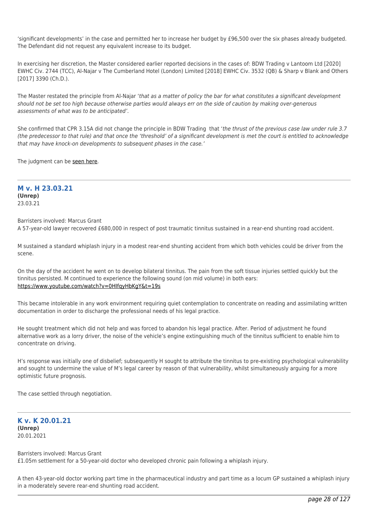'significant developments' in the case and permitted her to increase her budget by £96,500 over the six phases already budgeted. The Defendant did not request any equivalent increase to its budget.

In exercising her discretion, the Master considered earlier reported decisions in the cases of: BDW Trading v Lantoom Ltd [2020] EWHC Civ. 2744 (TCC), Al-Najar v The Cumberland Hotel (London) Limited [2018] EWHC Civ. 3532 (QB) & Sharp v Blank and Others [2017] 3390 (Ch.D.).

The Master restated the principle from Al-Najar 'that as a matter of policy the bar for what constitutes a significant development should not be set too high because otherwise parties would always err on the side of caution by making over-generous assessments of what was to be anticipated'.

She confirmed that CPR 3.15A did not change the principle in BDW Trading that 'the thrust of the previous case law under rule 3.7 (the predecessor to that rule) and that once the 'threshold' of a significant development is met the court is entitled to acknowledge that may have knock-on developments to subsequent phases in the case.'

The judgment can be [seen here.](https://tgchambers.com/wp-content/uploads/2021/03/FINAL-with-EWHC-Thompson-jmt-AS-MG-amended2.pdf)

## **M v. H 23.03.21 (Unrep)** 23.03.21

Barristers involved: Marcus Grant

A 57-year-old lawyer recovered £680,000 in respect of post traumatic tinnitus sustained in a rear-end shunting road accident.

M sustained a standard whiplash injury in a modest rear-end shunting accident from which both vehicles could be driver from the scene.

On the day of the accident he went on to develop bilateral tinnitus. The pain from the soft tissue injuries settled quickly but the tinnitus persisted. M continued to experience the following sound (on mid volume) in both ears: <https://www.youtube.com/watch?v=0HIfqyHbKgY&t=19s>

This became intolerable in any work environment requiring quiet contemplation to concentrate on reading and assimilating written documentation in order to discharge the professional needs of his legal practice.

He sought treatment which did not help and was forced to abandon his legal practice. After. Period of adjustment he found alternative work as a lorry driver, the noise of the vehicle's engine extinguishing much of the tinnitus sufficient to enable him to concentrate on driving.

H's response was initially one of disbelief; subsequently H sought to attribute the tinnitus to pre-existing psychological vulnerability and sought to undermine the value of M's legal career by reason of that vulnerability, whilst simultaneously arguing for a more optimistic future prognosis.

The case settled through negotiation.

## **K v. K 20.01.21 (Unrep)** 20.01.2021

Barristers involved: Marcus Grant £1.05m settlement for a 50-year-old doctor who developed chronic pain following a whiplash injury.

A then 43-year-old doctor working part time in the pharmaceutical industry and part time as a locum GP sustained a whiplash injury in a moderately severe rear-end shunting road accident.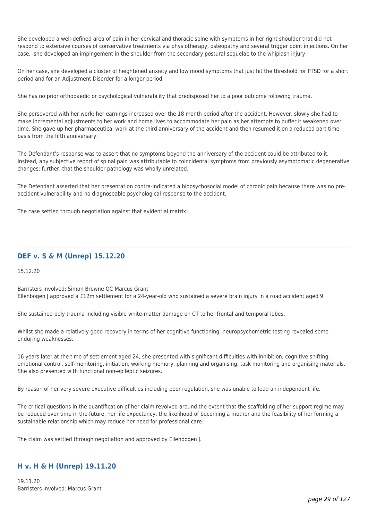She developed a well-defined area of pain in her cervical and thoracic spine with symptoms in her right shoulder that did not respond to extensive courses of conservative treatments via physiotherapy, osteopathy and several trigger point injections. On her case, she developed an impingement in the shoulder from the secondary postural sequelae to the whiplash injury.

On her case, she developed a cluster of heightened anxiety and low mood symptoms that just hit the threshold for PTSD for a short period and for an Adjustment Disorder for a longer period.

She has no prior orthopaedic or psychological vulnerability that predisposed her to a poor outcome following trauma.

She persevered with her work; her earnings increased over the 18 month period after the accident. However, slowly she had to make incremental adjustments to her work and home lives to accommodate her pain as her attempts to buffer it weakened over time. She gave up her pharmaceutical work at the third anniversary of the accident and then resumed it on a reduced part time basis from the fifth anniversary.

The Defendant's response was to assert that no symptoms beyond the anniversary of the accident could be attributed to it. Instead, any subjective report of spinal pain was attributable to coincidental symptoms from previously asymptomatic degenerative changes; further, that the shoulder pathology was wholly unrelated.

The Defendant asserted that her presentation contra-indicated a biopsychosocial model of chronic pain because there was no preaccident vulnerability and no diagnoseable psychological response to the accident.

The case settled through negotiation against that evidential matrix.

## **DEF v. S & M (Unrep) 15.12.20**

15.12.20

Barristers involved: Simon Browne QC Marcus Grant Ellenbogen J approved a £12m settlement for a 24-year-old who sustained a severe brain injury in a road accident aged 9.

She sustained poly trauma including visible white-matter damage on CT to her frontal and temporal lobes.

Whilst she made a relatively good recovery in terms of her cognitive functioning, neuropsychometric testing revealed some enduring weaknesses.

16 years later at the time of settlement aged 24, she presented with significant difficulties with inhibition, cognitive shifting, emotional control, self-monitoring, initiation, working memory, planning and organising, task monitoring and organising materials. She also presented with functional non-epileptic seizures.

By reason of her very severe executive difficulties including poor regulation, she was unable to lead an independent life.

The critical questions in the quantification of her claim revolved around the extent that the scaffolding of her support regime may be reduced over time in the future, her life expectancy, the likelihood of becoming a mother and the feasibility of her forming a sustainable relationship which may reduce her need for professional care.

The claim was settled through negotiation and approved by Ellenbogen J.

## **H v. H & H (Unrep) 19.11.20**

19.11.20 Barristers involved: Marcus Grant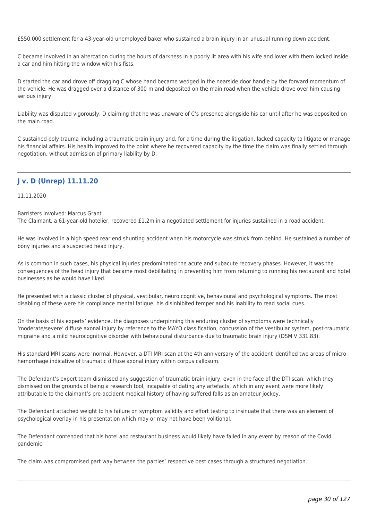£550,000 settlement for a 43-year-old unemployed baker who sustained a brain injury in an unusual running down accident.

C became involved in an altercation during the hours of darkness in a poorly lit area with his wife and lover with them locked inside a car and him hitting the window with his fists.

D started the car and drove off dragging C whose hand became wedged in the nearside door handle by the forward momentum of the vehicle. He was dragged over a distance of 300 m and deposited on the main road when the vehicle drove over him causing serious injury.

Liability was disputed vigorously, D claiming that he was unaware of C's presence alongside his car until after he was deposited on the main road.

C sustained poly trauma including a traumatic brain injury and, for a time during the litigation, lacked capacity to litigate or manage his financial affairs. His health improved to the point where he recovered capacity by the time the claim was finally settled through negotiation, without admission of primary liability by D.

## **J v. D (Unrep) 11.11.20**

11.11.2020

Barristers involved: Marcus Grant

The Claimant, a 61-year-old hotelier, recovered £1.2m in a negotiated settlement for injuries sustained in a road accident.

He was involved in a high speed rear end shunting accident when his motorcycle was struck from behind. He sustained a number of bony injuries and a suspected head injury.

As is common in such cases, his physical injuries predominated the acute and subacute recovery phases. However, it was the consequences of the head injury that became most debilitating in preventing him from returning to running his restaurant and hotel businesses as he would have liked.

He presented with a classic cluster of physical, vestibular, neuro cognitive, behavioural and psychological symptoms. The most disabling of these were his compliance mental fatigue, his disinhibited temper and his inability to read social cues.

On the basis of his experts' evidence, the diagnoses underpinning this enduring cluster of symptoms were technically 'moderate/severe' diffuse axonal injury by reference to the MAYO classification, concussion of the vestibular system, post-traumatic migraine and a mild neurocognitive disorder with behavioural disturbance due to traumatic brain injury (DSM V 331.83).

His standard MRI scans were 'normal. However, a DTI MRI scan at the 4th anniversary of the accident identified two areas of micro hemorrhage indicative of traumatic diffuse axonal injury within corpus callosum.

The Defendant's expert team dismissed any suggestion of traumatic brain injury, even in the face of the DTI scan, which they dismissed on the grounds of being a research tool, incapable of dating any artefacts, which in any event were more likely attributable to the claimant's pre-accident medical history of having suffered falls as an amateur jockey.

The Defendant attached weight to his failure on symptom validity and effort testing to insinuate that there was an element of psychological overlay in his presentation which may or may not have been volitional.

The Defendant contended that his hotel and restaurant business would likely have failed in any event by reason of the Covid pandemic.

The claim was compromised part way between the parties' respective best cases through a structured negotiation.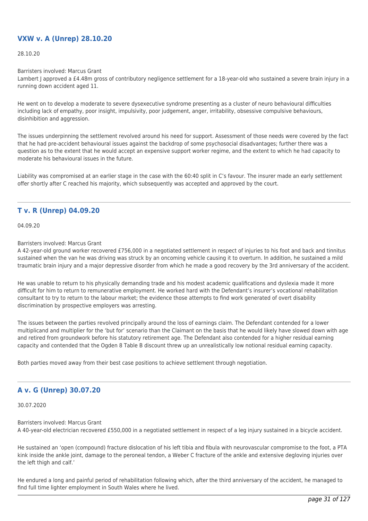## **VXW v. A (Unrep) 28.10.20**

28.10.20

Barristers involved: Marcus Grant

Lambert J approved a £4.48m gross of contributory negligence settlement for a 18-year-old who sustained a severe brain injury in a running down accident aged 11.

He went on to develop a moderate to severe dysexecutive syndrome presenting as a cluster of neuro behavioural difficulties including lack of empathy, poor insight, impulsivity, poor judgement, anger, irritability, obsessive compulsive behaviours, disinhibition and aggression.

The issues underpinning the settlement revolved around his need for support. Assessment of those needs were covered by the fact that he had pre-accident behavioural issues against the backdrop of some psychosocial disadvantages; further there was a question as to the extent that he would accept an expensive support worker regime, and the extent to which he had capacity to moderate his behavioural issues in the future.

Liability was compromised at an earlier stage in the case with the 60:40 split in C's favour. The insurer made an early settlement offer shortly after C reached his majority, which subsequently was accepted and approved by the court.

## **T v. R (Unrep) 04.09.20**

04.09.20

#### Barristers involved: Marcus Grant

A 42-year-old ground worker recovered £756,000 in a negotiated settlement in respect of injuries to his foot and back and tinnitus sustained when the van he was driving was struck by an oncoming vehicle causing it to overturn. In addition, he sustained a mild traumatic brain injury and a major depressive disorder from which he made a good recovery by the 3rd anniversary of the accident.

He was unable to return to his physically demanding trade and his modest academic qualifications and dyslexia made it more difficult for him to return to remunerative employment. He worked hard with the Defendant's insurer's vocational rehabilitation consultant to try to return to the labour market; the evidence those attempts to find work generated of overt disability discrimination by prospective employers was arresting.

The issues between the parties revolved principally around the loss of earnings claim. The Defendant contended for a lower multiplicand and multiplier for the 'but for' scenario than the Claimant on the basis that he would likely have slowed down with age and retired from groundwork before his statutory retirement age. The Defendant also contended for a higher residual earning capacity and contended that the Ogden 8 Table B discount threw up an unrealistically low notional residual earning capacity.

Both parties moved away from their best case positions to achieve settlement through negotiation.

## **A v. G (Unrep) 30.07.20**

30.07.2020

Barristers involved: Marcus Grant A 40-year-old electrician recovered £550,000 in a negotiated settlement in respect of a leg injury sustained in a bicycle accident.

He sustained an 'open (compound) fracture dislocation of his left tibia and fibula with neurovascular compromise to the foot, a PTA kink inside the ankle joint, damage to the peroneal tendon, a Weber C fracture of the ankle and extensive degloving injuries over the left thigh and calf.'

He endured a long and painful period of rehabilitation following which, after the third anniversary of the accident, he managed to find full time lighter employment in South Wales where he lived.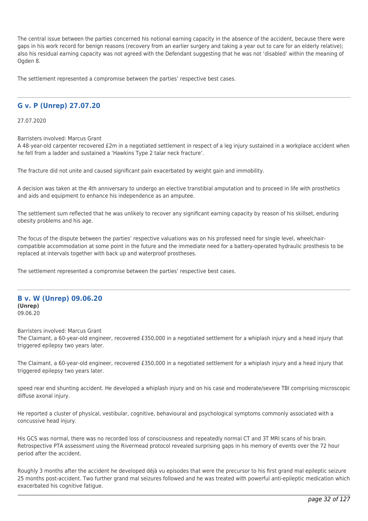The central issue between the parties concerned his notional earning capacity in the absence of the accident, because there were gaps in his work record for benign reasons (recovery from an earlier surgery and taking a year out to care for an elderly relative); also his residual earning capacity was not agreed with the Defendant suggesting that he was not 'disabled' within the meaning of Ogden 8.

The settlement represented a compromise between the parties' respective best cases.

## **G v. P (Unrep) 27.07.20**

27.07.2020

Barristers involved: Marcus Grant

A 48-year-old carpenter recovered £2m in a negotiated settlement in respect of a leg injury sustained in a workplace accident when he fell from a ladder and sustained a 'Hawkins Type 2 talar neck fracture'.

The fracture did not unite and caused significant pain exacerbated by weight gain and immobility.

A decision was taken at the 4th anniversary to undergo an elective transtibial amputation and to proceed in life with prosthetics and aids and equipment to enhance his independence as an amputee.

The settlement sum reflected that he was unlikely to recover any significant earning capacity by reason of his skillset, enduring obesity problems and his age.

The focus of the dispute between the parties' respective valuations was on his professed need for single level, wheelchaircompatible accommodation at some point in the future and the immediate need for a battery-operated hydraulic prosthesis to be replaced at intervals together with back up and waterproof prostheses.

The settlement represented a compromise between the parties' respective best cases.

#### **B v. W (Unrep) 09.06.20 (Unrep)** 09.06.20

Barristers involved: Marcus Grant

The Claimant, a 60-year-old engineer, recovered £350,000 in a negotiated settlement for a whiplash injury and a head injury that triggered epilepsy two years later.

The Claimant, a 60-year-old engineer, recovered £350,000 in a negotiated settlement for a whiplash injury and a head injury that triggered epilepsy two years later.

speed rear end shunting accident. He developed a whiplash injury and on his case and moderate/severe TBI comprising microscopic diffuse axonal injury.

He reported a cluster of physical, vestibular, cognitive, behavioural and psychological symptoms commonly associated with a concussive head injury.

His GCS was normal, there was no recorded loss of consciousness and repeatedly normal CT and 3T MRI scans of his brain. Retrospective PTA assessment using the Rivermead protocol revealed surprising gaps in his memory of events over the 72 hour period after the accident.

Roughly 3 months after the accident he developed déjà vu episodes that were the precursor to his first grand mal epileptic seizure 25 months post-accident. Two further grand mal seizures followed and he was treated with powerful anti-epileptic medication which exacerbated his cognitive fatigue.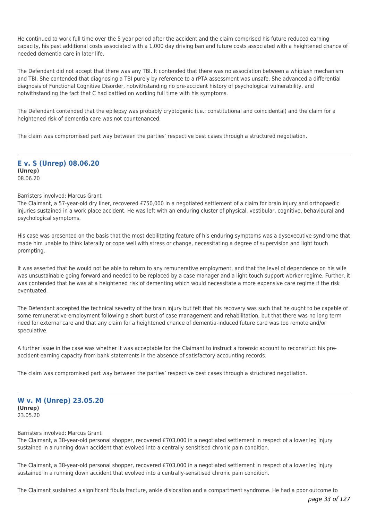He continued to work full time over the 5 year period after the accident and the claim comprised his future reduced earning capacity, his past additional costs associated with a 1,000 day driving ban and future costs associated with a heightened chance of needed dementia care in later life.

The Defendant did not accept that there was any TBI. It contended that there was no association between a whiplash mechanism and TBI. She contended that diagnosing a TBI purely by reference to a rPTA assessment was unsafe. She advanced a differential diagnosis of Functional Cognitive Disorder, notwithstanding no pre-accident history of psychological vulnerability, and notwithstanding the fact that C had battled on working full time with his symptoms.

The Defendant contended that the epilepsy was probably cryptogenic (i.e.: constitutional and coincidental) and the claim for a heightened risk of dementia care was not countenanced.

The claim was compromised part way between the parties' respective best cases through a structured negotiation.

**E v. S (Unrep) 08.06.20 (Unrep)** 08.06.20

#### Barristers involved: Marcus Grant

The Claimant, a 57-year-old dry liner, recovered £750,000 in a negotiated settlement of a claim for brain injury and orthopaedic injuries sustained in a work place accident. He was left with an enduring cluster of physical, vestibular, cognitive, behavioural and psychological symptoms.

His case was presented on the basis that the most debilitating feature of his enduring symptoms was a dysexecutive syndrome that made him unable to think laterally or cope well with stress or change, necessitating a degree of supervision and light touch prompting.

It was asserted that he would not be able to return to any remunerative employment, and that the level of dependence on his wife was unsustainable going forward and needed to be replaced by a case manager and a light touch support worker regime. Further, it was contended that he was at a heightened risk of dementing which would necessitate a more expensive care regime if the risk eventuated.

The Defendant accepted the technical severity of the brain injury but felt that his recovery was such that he ought to be capable of some remunerative employment following a short burst of case management and rehabilitation, but that there was no long term need for external care and that any claim for a heightened chance of dementia-induced future care was too remote and/or speculative.

A further issue in the case was whether it was acceptable for the Claimant to instruct a forensic account to reconstruct his preaccident earning capacity from bank statements in the absence of satisfactory accounting records.

The claim was compromised part way between the parties' respective best cases through a structured negotiation.

**W v. M (Unrep) 23.05.20 (Unrep)** 23.05.20

#### Barristers involved: Marcus Grant

The Claimant, a 38-year-old personal shopper, recovered £703,000 in a negotiated settlement in respect of a lower leg injury sustained in a running down accident that evolved into a centrally-sensitised chronic pain condition.

The Claimant, a 38-year-old personal shopper, recovered £703,000 in a negotiated settlement in respect of a lower leg injury sustained in a running down accident that evolved into a centrally-sensitised chronic pain condition.

The Claimant sustained a significant fibula fracture, ankle dislocation and a compartment syndrome. He had a poor outcome to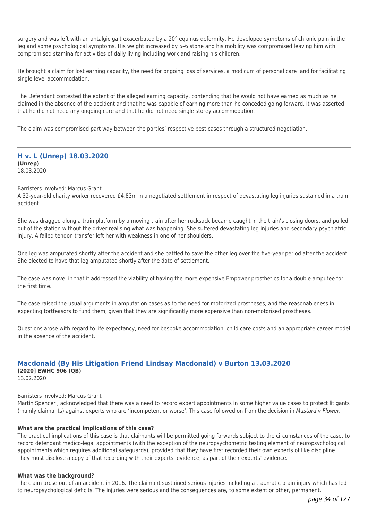surgery and was left with an antalgic gait exacerbated by a 20° equinus deformity. He developed symptoms of chronic pain in the leg and some psychological symptoms. His weight increased by 5–6 stone and his mobility was compromised leaving him with compromised stamina for activities of daily living including work and raising his children.

He brought a claim for lost earning capacity, the need for ongoing loss of services, a modicum of personal care and for facilitating single level accommodation.

The Defendant contested the extent of the alleged earning capacity, contending that he would not have earned as much as he claimed in the absence of the accident and that he was capable of earning more than he conceded going forward. It was asserted that he did not need any ongoing care and that he did not need single storey accommodation.

The claim was compromised part way between the parties' respective best cases through a structured negotiation.

#### **H v. L (Unrep) 18.03.2020 (Unrep)** 18.03.2020

Barristers involved: Marcus Grant

A 32-year-old charity worker recovered £4.83m in a negotiated settlement in respect of devastating leg injuries sustained in a train accident.

She was dragged along a train platform by a moving train after her rucksack became caught in the train's closing doors, and pulled out of the station without the driver realising what was happening. She suffered devastating leg injuries and secondary psychiatric injury. A failed tendon transfer left her with weakness in one of her shoulders.

One leg was amputated shortly after the accident and she battled to save the other leg over the five-year period after the accident. She elected to have that leg amputated shortly after the date of settlement.

The case was novel in that it addressed the viability of having the more expensive Empower prosthetics for a double amputee for the first time.

The case raised the usual arguments in amputation cases as to the need for motorized prostheses, and the reasonableness in expecting tortfeasors to fund them, given that they are significantly more expensive than non-motorised prostheses.

Questions arose with regard to life expectancy, need for bespoke accommodation, child care costs and an appropriate career model in the absence of the accident.

# **Macdonald (By His Litigation Friend Lindsay Macdonald) v Burton 13.03.2020 [2020] EWHC 906 (QB)**

13.02.2020

## Barristers involved: Marcus Grant

Martin Spencer J acknowledged that there was a need to record expert appointments in some higher value cases to protect litigants (mainly claimants) against experts who are 'incompetent or worse'. This case followed on from the decision in Mustard y Flower.

## **What are the practical implications of this case?**

The practical implications of this case is that claimants will be permitted going forwards subject to the circumstances of the case, to record defendant medico-legal appointments (with the exception of the neuropsychometric testing element of neuropsychological appointments which requires additional safeguards), provided that they have first recorded their own experts of like discipline. They must disclose a copy of that recording with their experts' evidence, as part of their experts' evidence.

#### **What was the background?**

The claim arose out of an accident in 2016. The claimant sustained serious injuries including a traumatic brain injury which has led to neuropsychological deficits. The injuries were serious and the consequences are, to some extent or other, permanent.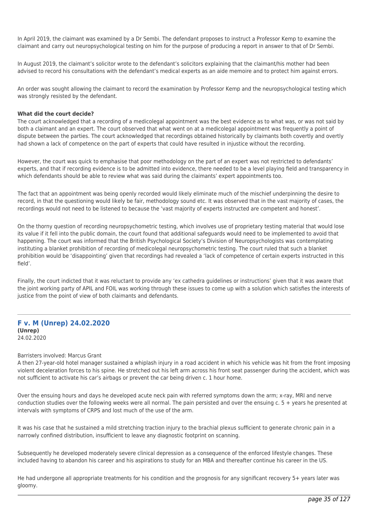In April 2019, the claimant was examined by a Dr Sembi. The defendant proposes to instruct a Professor Kemp to examine the claimant and carry out neuropsychological testing on him for the purpose of producing a report in answer to that of Dr Sembi.

In August 2019, the claimant's solicitor wrote to the defendant's solicitors explaining that the claimant/his mother had been advised to record his consultations with the defendant's medical experts as an aide memoire and to protect him against errors.

An order was sought allowing the claimant to record the examination by Professor Kemp and the neuropsychological testing which was strongly resisted by the defendant.

#### **What did the court decide?**

The court acknowledged that a recording of a medicolegal appointment was the best evidence as to what was, or was not said by both a claimant and an expert. The court observed that what went on at a medicolegal appointment was frequently a point of dispute between the parties. The court acknowledged that recordings obtained historically by claimants both covertly and overtly had shown a lack of competence on the part of experts that could have resulted in injustice without the recording.

However, the court was quick to emphasise that poor methodology on the part of an expert was not restricted to defendants' experts, and that if recording evidence is to be admitted into evidence, there needed to be a level playing field and transparency in which defendants should be able to review what was said during the claimants' expert appointments too.

The fact that an appointment was being openly recorded would likely eliminate much of the mischief underpinning the desire to record, in that the questioning would likely be fair, methodology sound etc. It was observed that in the vast majority of cases, the recordings would not need to be listened to because the 'vast majority of experts instructed are competent and honest'.

On the thorny question of recording neuropsychometric testing, which involves use of proprietary testing material that would lose its value if it fell into the public domain, the court found that additional safeguards would need to be implemented to avoid that happening. The court was informed that the British Psychological Society's Division of Neuropsychologists was contemplating instituting a blanket prohibition of recording of medicolegal neuropsychometric testing. The court ruled that such a blanket prohibition would be 'disappointing' given that recordings had revealed a 'lack of competence of certain experts instructed in this field'.

Finally, the court indicted that it was reluctant to provide any 'ex cathedra guidelines or instructions' given that it was aware that the joint working party of APIL and FOIL was working through these issues to come up with a solution which satisfies the interests of justice from the point of view of both claimants and defendants.

## **F v. M (Unrep) 24.02.2020 (Unrep)** 24.02.2020

#### Barristers involved: Marcus Grant

A then 27-year-old hotel manager sustained a whiplash injury in a road accident in which his vehicle was hit from the front imposing violent deceleration forces to his spine. He stretched out his left arm across his front seat passenger during the accident, which was not sufficient to activate his car's airbags or prevent the car being driven c. 1 hour home.

Over the ensuing hours and days he developed acute neck pain with referred symptoms down the arm; x-ray, MRI and nerve conduction studies over the following weeks were all normal. The pain persisted and over the ensuing  $c. 5 +$  years he presented at intervals with symptoms of CRPS and lost much of the use of the arm.

It was his case that he sustained a mild stretching traction injury to the brachial plexus sufficient to generate chronic pain in a narrowly confined distribution, insufficient to leave any diagnostic footprint on scanning.

Subsequently he developed moderately severe clinical depression as a consequence of the enforced lifestyle changes. These included having to abandon his career and his aspirations to study for an MBA and thereafter continue his career in the US.

He had undergone all appropriate treatments for his condition and the prognosis for any significant recovery 5+ years later was gloomy.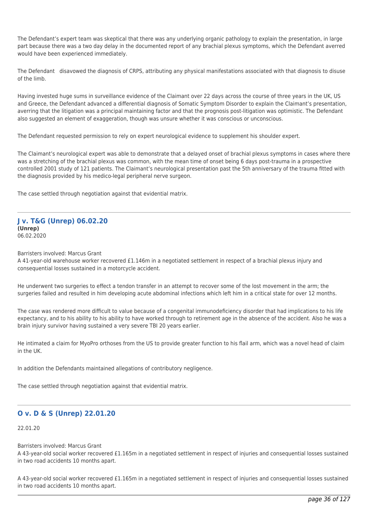The Defendant's expert team was skeptical that there was any underlying organic pathology to explain the presentation, in large part because there was a two day delay in the documented report of any brachial plexus symptoms, which the Defendant averred would have been experienced immediately.

The Defendant disavowed the diagnosis of CRPS, attributing any physical manifestations associated with that diagnosis to disuse of the limb.

Having invested huge sums in surveillance evidence of the Claimant over 22 days across the course of three years in the UK, US and Greece, the Defendant advanced a differential diagnosis of Somatic Symptom Disorder to explain the Claimant's presentation, averring that the litigation was a principal maintaining factor and that the prognosis post-litigation was optimistic. The Defendant also suggested an element of exaggeration, though was unsure whether it was conscious or unconscious.

The Defendant requested permission to rely on expert neurological evidence to supplement his shoulder expert.

The Claimant's neurological expert was able to demonstrate that a delayed onset of brachial plexus symptoms in cases where there was a stretching of the brachial plexus was common, with the mean time of onset being 6 days post-trauma in a prospective controlled 2001 study of 121 patients. The Claimant's neurological presentation past the 5th anniversary of the trauma fitted with the diagnosis provided by his medico-legal peripheral nerve surgeon.

The case settled through negotiation against that evidential matrix.

#### **J v. T&G (Unrep) 06.02.20 (Unrep)** 06.02.2020

Barristers involved: Marcus Grant

A 41-year-old warehouse worker recovered £1.146m in a negotiated settlement in respect of a brachial plexus injury and consequential losses sustained in a motorcycle accident.

He underwent two surgeries to effect a tendon transfer in an attempt to recover some of the lost movement in the arm; the surgeries failed and resulted in him developing acute abdominal infections which left him in a critical state for over 12 months.

The case was rendered more difficult to value because of a congenital immunodeficiency disorder that had implications to his life expectancy, and to his ability to his ability to have worked through to retirement age in the absence of the accident. Also he was a brain injury survivor having sustained a very severe TBI 20 years earlier.

He intimated a claim for MyoPro orthoses from the US to provide greater function to his flail arm, which was a novel head of claim in the UK.

In addition the Defendants maintained allegations of contributory negligence.

The case settled through negotiation against that evidential matrix.

## **O v. D & S (Unrep) 22.01.20**

## 22.01.20

Barristers involved: Marcus Grant

A 43-year-old social worker recovered £1.165m in a negotiated settlement in respect of injuries and consequential losses sustained in two road accidents 10 months apart.

A 43-year-old social worker recovered £1.165m in a negotiated settlement in respect of injuries and consequential losses sustained in two road accidents 10 months apart.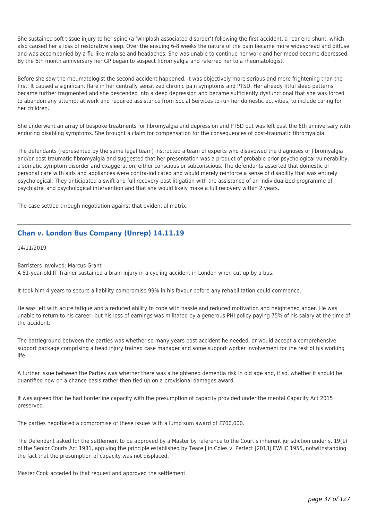She sustained soft tissue injury to her spine (a 'whiplash associated disorder') following the first accident, a rear end shunt, which also caused her a loss of restorative sleep. Over the ensuing 6-8 weeks the nature of the pain became more widespread and diffuse and was accompanied by a flu-like malaise and headaches. She was unable to continue her work and her mood became depressed. By the 6th month anniversary her GP began to suspect fibromyalgia and referred her to a rheumatologist.

Before she saw the rheumatologist the second accident happened. It was objectively more serious and more frightening than the first. It caused a significant flare in her centrally sensitized chronic pain symptoms and PTSD. Her already fitful sleep patterns became further fragmented and she descended into a deep depression and became sufficiently dysfunctional that she was forced to abandon any attempt at work and required assistance from Social Services to run her domestic activities, to include caring for her children.

She underwent an array of bespoke treatments for fibromyalgia and depression and PTSD but was left past the 6th anniversary with enduring disabling symptoms. She brought a claim for compensation for the consequences of post-traumatic fibromyalgia.

The defendants (represented by the same legal team) instructed a team of experts who disavowed the diagnoses of fibromyalgia and/or post traumatic fibromyalgia and suggested that her presentation was a product of probable prior psychological vulnerability, a somatic symptom disorder and exaggeration, either conscious or subconscious. The defendants asserted that domestic or personal care with aids and appliances were contra-indicated and would merely reinforce a sense of disability that was entirely psychological. They anticipated a swift and full recovery post litigation with the assistance of an individualized programme of psychiatric and psychological intervention and that she would likely make a full recovery within 2 years.

The case settled through negotiation against that evidential matrix.

# **Chan v. London Bus Company (Unrep) 14.11.19**

14/11/2019

Barristers involved: Marcus Grant

A 51-year-old IT Trainer sustained a brain injury in a cycling accident in London when cut up by a bus.

It took him 4 years to secure a liability compromise 99% in his favour before any rehabilitation could commence.

He was left with acute fatigue and a reduced ability to cope with hassle and reduced motivation and heightened anger. He was unable to return to his career, but his loss of earnings was militated by a generous PHI policy paying 75% of his salary at the time of the accident.

The battleground between the parties was whether so many years post-accident he needed, or would accept a comprehensive support package comprising a head injury trained case manager and some support worker involvement for the rest of his working life.

A further issue between the Parties was whether there was a heightened dementia risk in old age and, if so, whether it should be quantified now on a chance basis rather then tied up on a provisional damages award.

It was agreed that he had borderline capacity with the presumption of capacity provided under the mental Capacity Act 2015 preserved.

The parties negotiated a compromise of these issues with a lump sum award of £700,000.

The Defendant asked for the settlement to be approved by a Master by reference to the Court's inherent jurisdiction under s. 19(1) of the Senior Courts Act 1981, applying the principle established by Teare J in Coles v. Perfect [2013] EWHC 1955, notwithstanding the fact that the presumption of capacity was not displaced.

Master Cook acceded to that request and approved the settlement.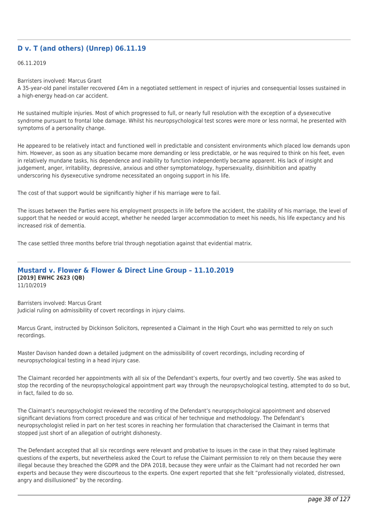# **D v. T (and others) (Unrep) 06.11.19**

#### 06.11.2019

Barristers involved: Marcus Grant

A 35-year-old panel installer recovered £4m in a negotiated settlement in respect of injuries and consequential losses sustained in a high-energy head-on car accident.

He sustained multiple injuries. Most of which progressed to full, or nearly full resolution with the exception of a dysexecutive syndrome pursuant to frontal lobe damage. Whilst his neuropsychological test scores were more or less normal, he presented with symptoms of a personality change.

He appeared to be relatively intact and functioned well in predictable and consistent environments which placed low demands upon him. However, as soon as any situation became more demanding or less predictable, or he was required to think on his feet, even in relatively mundane tasks, his dependence and inability to function independently became apparent. His lack of insight and judgement, anger, irritability, depressive, anxious and other symptomatology, hypersexuality, disinhibition and apathy underscoring his dysexecutive syndrome necessitated an ongoing support in his life.

The cost of that support would be significantly higher if his marriage were to fail.

The issues between the Parties were his employment prospects in life before the accident, the stability of his marriage, the level of support that he needed or would accept, whether he needed larger accommodation to meet his needs, his life expectancy and his increased risk of dementia.

The case settled three months before trial through negotiation against that evidential matrix.

# **Mustard v. Flower & Flower & Direct Line Group – 11.10.2019 [2019] EWHC 2623 (QB)**

11/10/2019

Barristers involved: Marcus Grant Judicial ruling on admissibility of covert recordings in injury claims.

Marcus Grant, instructed by Dickinson Solicitors, represented a Claimant in the High Court who was permitted to rely on such recordings.

Master Davison handed down a detailed judgment on the admissibility of covert recordings, including recording of neuropsychological testing in a head injury case.

The Claimant recorded her appointments with all six of the Defendant's experts, four overtly and two covertly. She was asked to stop the recording of the neuropsychological appointment part way through the neuropsychological testing, attempted to do so but, in fact, failed to do so.

The Claimant's neuropsychologist reviewed the recording of the Defendant's neuropsychological appointment and observed significant deviations from correct procedure and was critical of her technique and methodology. The Defendant's neuropsychologist relied in part on her test scores in reaching her formulation that characterised the Claimant in terms that stopped just short of an allegation of outright dishonesty.

The Defendant accepted that all six recordings were relevant and probative to issues in the case in that they raised legitimate questions of the experts, but nevertheless asked the Court to refuse the Claimant permission to rely on them because they were illegal because they breached the GDPR and the DPA 2018, because they were unfair as the Claimant had not recorded her own experts and because they were discourteous to the experts. One expert reported that she felt "professionally violated, distressed, angry and disillusioned" by the recording.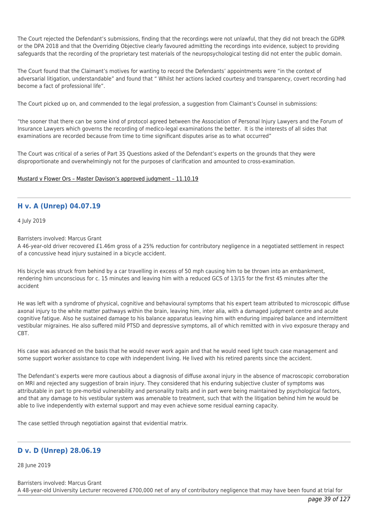The Court rejected the Defendant's submissions, finding that the recordings were not unlawful, that they did not breach the GDPR or the DPA 2018 and that the Overriding Objective clearly favoured admitting the recordings into evidence, subject to providing safeguards that the recording of the proprietary test materials of the neuropsychological testing did not enter the public domain.

The Court found that the Claimant's motives for wanting to record the Defendants' appointments were "in the context of adversarial litigation, understandable" and found that " Whilst her actions lacked courtesy and transparency, covert recording had become a fact of professional life".

The Court picked up on, and commended to the legal profession, a suggestion from Claimant's Counsel in submissions:

"the sooner that there can be some kind of protocol agreed between the Association of Personal Injury Lawyers and the Forum of Insurance Lawyers which governs the recording of medico-legal examinations the better. It is the interests of all sides that examinations are recorded because from time to time significant disputes arise as to what occurred"

The Court was critical of a series of Part 35 Questions asked of the Defendant's experts on the grounds that they were disproportionate and overwhelmingly not for the purposes of clarification and amounted to cross-examination.

### [Mustard v Flower Ors – Master Davison's approved judgment – 11.10.19](http://tgchambers.com/wp-content/uploads/2019/10/Mustard-v-Flower-Ors-Master-Davisons-approved-judgment-11.10.19.docx)

# **H v. A (Unrep) 04.07.19**

4 July 2019

Barristers involved: Marcus Grant

A 46-year-old driver recovered £1.46m gross of a 25% reduction for contributory negligence in a negotiated settlement in respect of a concussive head injury sustained in a bicycle accident.

His bicycle was struck from behind by a car travelling in excess of 50 mph causing him to be thrown into an embankment, rendering him unconscious for c. 15 minutes and leaving him with a reduced GCS of 13/15 for the first 45 minutes after the accident

He was left with a syndrome of physical, cognitive and behavioural symptoms that his expert team attributed to microscopic diffuse axonal injury to the white matter pathways within the brain, leaving him, inter alia, with a damaged judgment centre and acute cognitive fatigue. Also he sustained damage to his balance apparatus leaving him with enduring impaired balance and intermittent vestibular migraines. He also suffered mild PTSD and depressive symptoms, all of which remitted with in vivo exposure therapy and CBT.

His case was advanced on the basis that he would never work again and that he would need light touch case management and some support worker assistance to cope with independent living. He lived with his retired parents since the accident.

The Defendant's experts were more cautious about a diagnosis of diffuse axonal injury in the absence of macroscopic corroboration on MRI and rejected any suggestion of brain injury. They considered that his enduring subjective cluster of symptoms was attributable in part to pre-morbid vulnerability and personality traits and in part were being maintained by psychological factors, and that any damage to his vestibular system was amenable to treatment, such that with the litigation behind him he would be able to live independently with external support and may even achieve some residual earning capacity.

The case settled through negotiation against that evidential matrix.

# **D v. D (Unrep) 28.06.19**

28 June 2019

Barristers involved: Marcus Grant A 48-year-old University Lecturer recovered £700,000 net of any of contributory negligence that may have been found at trial for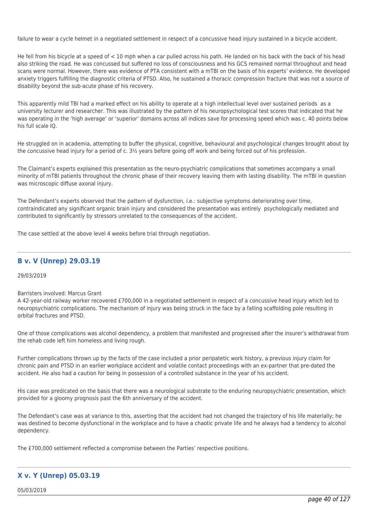failure to wear a cycle helmet in a negotiated settlement in respect of a concussive head injury sustained in a bicycle accident.

He fell from his bicycle at a speed of < 10 mph when a car pulled across his path. He landed on his back with the back of his head also striking the road. He was concussed but suffered no loss of consciousness and his GCS remained normal throughout and head scans were normal. However, there was evidence of PTA consistent with a mTBI on the basis of his experts' evidence. He developed anxiety triggers fulfilling the diagnostic criteria of PTSD. Also, he sustained a thoracic compression fracture that was not a source of disability beyond the sub-acute phase of his recovery.

This apparently mild TBI had a marked effect on his ability to operate at a high intellectual level over sustained periods as a university lecturer and researcher. This was illustrated by the pattern of his neuropsychological test scores that indicated that he was operating in the 'high average' or 'superior' domains across all indices save for processing speed which was c. 40 points below his full scale IQ.

He struggled on in academia, attempting to buffer the physical, cognitive, behavioural and psychological changes brought about by the concussive head injury for a period of c. 3½ years before going off work and being forced out of his profession.

The Claimant's experts explained this presentation as the neuro-psychiatric complications that sometimes accompany a small minority of mTBI patients throughout the chronic phase of their recovery leaving them with lasting disability. The mTBI in question was microscopic diffuse axonal injury.

The Defendant's experts observed that the pattern of dysfunction, i.e.: subjective symptoms deteriorating over time, contraindicated any significant organic brain injury and considered the presentation was entirely psychologically mediated and contributed to significantly by stressors unrelated to the consequences of the accident.

The case settled at the above level 4 weeks before trial through negotiation.

# **B v. V (Unrep) 29.03.19**

### 29/03/2019

### Barristers involved: Marcus Grant

A 42-year-old railway worker recovered £700,000 in a negotiated settlement in respect of a concussive head injury which led to neuropsychiatric complications. The mechanism of injury was being struck in the face by a falling scaffolding pole resulting in orbital fractures and PTSD.

One of those complications was alcohol dependency, a problem that manifested and progressed after the insurer's withdrawal from the rehab code left him homeless and living rough.

Further complications thrown up by the facts of the case included a prior peripatetic work history, a previous injury claim for chronic pain and PTSD in an earlier workplace accident and volatile contact proceedings with an ex-partner that pre-dated the accident. He also had a caution for being in possession of a controlled substance in the year of his accident.

His case was predicated on the basis that there was a neurological substrate to the enduring neuropsychiatric presentation, which provided for a gloomy prognosis past the 6th anniversary of the accident.

The Defendant's case was at variance to this, asserting that the accident had not changed the trajectory of his life materially; he was destined to become dysfunctional in the workplace and to have a chaotic private life and he always had a tendency to alcohol dependency.

The £700,000 settlement reflected a compromise between the Parties' respective positions.

# **X v. Y (Unrep) 05.03.19**

05/03/2019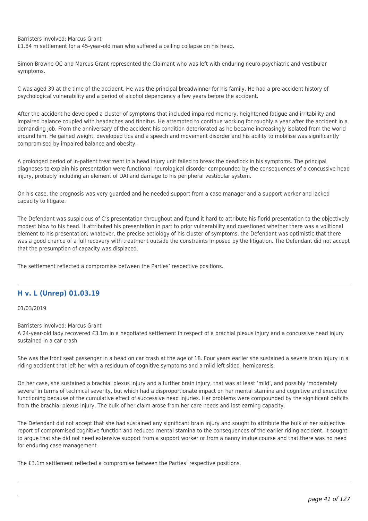Barristers involved: Marcus Grant

£1.84 m settlement for a 45-year-old man who suffered a ceiling collapse on his head.

Simon Browne QC and Marcus Grant represented the Claimant who was left with enduring neuro-psychiatric and vestibular symptoms.

C was aged 39 at the time of the accident. He was the principal breadwinner for his family. He had a pre-accident history of psychological vulnerability and a period of alcohol dependency a few years before the accident.

After the accident he developed a cluster of symptoms that included impaired memory, heightened fatigue and irritability and impaired balance coupled with headaches and tinnitus. He attempted to continue working for roughly a year after the accident in a demanding job. From the anniversary of the accident his condition deteriorated as he became increasingly isolated from the world around him. He gained weight, developed tics and a speech and movement disorder and his ability to mobilise was significantly compromised by impaired balance and obesity.

A prolonged period of in-patient treatment in a head injury unit failed to break the deadlock in his symptoms. The principal diagnoses to explain his presentation were functional neurological disorder compounded by the consequences of a concussive head injury, probably including an element of DAI and damage to his peripheral vestibular system.

On his case, the prognosis was very guarded and he needed support from a case manager and a support worker and lacked capacity to litigate.

The Defendant was suspicious of C's presentation throughout and found it hard to attribute his florid presentation to the objectively modest blow to his head. It attributed his presentation in part to prior vulnerability and questioned whether there was a volitional element to his presentation; whatever, the precise aetiology of his cluster of symptoms, the Defendant was optimistic that there was a good chance of a full recovery with treatment outside the constraints imposed by the litigation. The Defendant did not accept that the presumption of capacity was displaced.

The settlement reflected a compromise between the Parties' respective positions.

# **H v. L (Unrep) 01.03.19**

01/03/2019

Barristers involved: Marcus Grant A 24-year-old lady recovered £3.1m in a negotiated settlement in respect of a brachial plexus injury and a concussive head injury sustained in a car crash

She was the front seat passenger in a head on car crash at the age of 18. Four years earlier she sustained a severe brain injury in a riding accident that left her with a residuum of cognitive symptoms and a mild left sided hemiparesis.

On her case, she sustained a brachial plexus injury and a further brain injury, that was at least 'mild', and possibly 'moderately severe' in terms of technical severity, but which had a disproportionate impact on her mental stamina and cognitive and executive functioning because of the cumulative effect of successive head injuries. Her problems were compounded by the significant deficits from the brachial plexus injury. The bulk of her claim arose from her care needs and lost earning capacity.

The Defendant did not accept that she had sustained any significant brain injury and sought to attribute the bulk of her subjective report of compromised cognitive function and reduced mental stamina to the consequences of the earlier riding accident. It sought to argue that she did not need extensive support from a support worker or from a nanny in due course and that there was no need for enduring case management.

The £3.1m settlement reflected a compromise between the Parties' respective positions.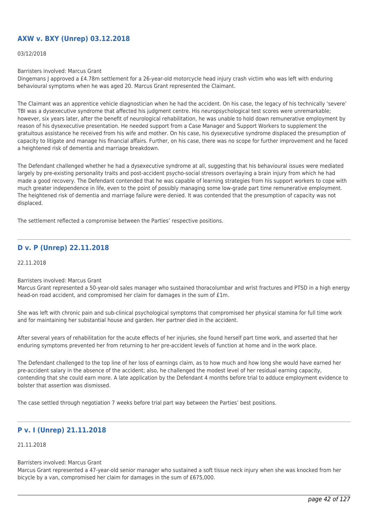# **AXW v. BXY (Unrep) 03.12.2018**

#### 03/12/2018

Barristers involved: Marcus Grant

Dingemans J approved a £4.78m settlement for a 26-year-old motorcycle head injury crash victim who was left with enduring behavioural symptoms when he was aged 20. Marcus Grant represented the Claimant.

The Claimant was an apprentice vehicle diagnostician when he had the accident. On his case, the legacy of his technically 'severe' TBI was a dysexecutive syndrome that affected his judgment centre. His neuropsychological test scores were unremarkable; however, six years later, after the benefit of neurological rehabilitation, he was unable to hold down remunerative employment by reason of his dysexecutive presentation. He needed support from a Case Manager and Support Workers to supplement the gratuitous assistance he received from his wife and mother. On his case, his dysexecutive syndrome displaced the presumption of capacity to litigate and manage his financial affairs. Further, on his case, there was no scope for further improvement and he faced a heightened risk of dementia and marriage breakdown.

The Defendant challenged whether he had a dysexecutive syndrome at all, suggesting that his behavioural issues were mediated largely by pre-existing personality traits and post-accident psycho-social stressors overlaying a brain injury from which he had made a good recovery. The Defendant contended that he was capable of learning strategies from his support workers to cope with much greater independence in life, even to the point of possibly managing some low-grade part time remunerative employment. The heightened risk of dementia and marriage failure were denied. It was contended that the presumption of capacity was not displaced.

The settlement reflected a compromise between the Parties' respective positions.

# **D v. P (Unrep) 22.11.2018**

22.11.2018

Barristers involved: Marcus Grant

Marcus Grant represented a 50-year-old sales manager who sustained thoracolumbar and wrist fractures and PTSD in a high energy head-on road accident, and compromised her claim for damages in the sum of £1m.

She was left with chronic pain and sub-clinical psychological symptoms that compromised her physical stamina for full time work and for maintaining her substantial house and garden. Her partner died in the accident.

After several years of rehabilitation for the acute effects of her injuries, she found herself part time work, and asserted that her enduring symptoms prevented her from returning to her pre-accident levels of function at home and in the work place.

The Defendant challenged to the top line of her loss of earnings claim, as to how much and how long she would have earned her pre-accident salary in the absence of the accident; also, he challenged the modest level of her residual earning capacity, contending that she could earn more. A late application by the Defendant 4 months before trial to adduce employment evidence to bolster that assertion was dismissed.

The case settled through negotiation 7 weeks before trial part way between the Parties' best positions.

# **P v. I (Unrep) 21.11.2018**

21.11.2018

#### Barristers involved: Marcus Grant

Marcus Grant represented a 47-year-old senior manager who sustained a soft tissue neck injury when she was knocked from her bicycle by a van, compromised her claim for damages in the sum of £675,000.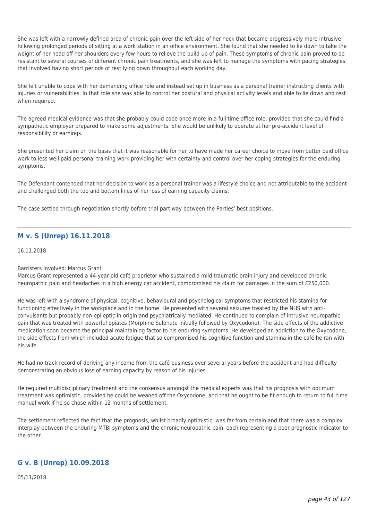She was left with a narrowly defined area of chronic pain over the left side of her neck that became progressively more intrusive following prolonged periods of sitting at a work station in an office environment. She found that she needed to lie down to take the weight of her head off her shoulders every few hours to relieve the build-up of pain. These symptoms of chronic pain proved to be resistant to several courses of different chronic pain treatments, and she was left to manage the symptoms with pacing strategies that involved having short periods of rest lying down throughout each working day.

She felt unable to cope with her demanding office role and instead set up in business as a personal trainer instructing clients with injuries or vulnerabilities. In that role she was able to control her postural and physical activity levels and able to lie down and rest when required.

The agreed medical evidence was that she probably could cope once more in a full time office role, provided that she could find a sympathetic employer prepared to make some adjustments. She would be unlikely to operate at her pre-accident level of responsibility or earnings.

She presented her claim on the basis that it was reasonable for her to have made her career choice to move from better paid office work to less well paid personal training work providing her with certainty and control over her coping strategies for the enduring symptoms.

The Defendant contended that her decision to work as a personal trainer was a lifestyle choice and not attributable to the accident and challenged both the top and bottom lines of her loss of earning capacity claims.

The case settled through negotiation shortly before trial part way between the Parties' best positions.

# **M v. S (Unrep) 16.11.2018**

16.11.2018

### Barristers involved: Marcus Grant

Marcus Grant represented a 44-year-old café proprietor who sustained a mild traumatic brain injury and developed chronic neuropathic pain and headaches in a high energy car accident, compromised his claim for damages in the sum of £250,000.

He was left with a syndrome of physical, cognitive, behavioural and psychological symptoms that restricted his stamina for functioning effectively in the workplace and in the home. He presented with several seizures treated by the NHS with anticonvulsants but probably non-epileptic in origin and psychiatrically mediated. He continued to complain of intrusive neuropathic pain that was treated with powerful opiates (Morphine Sulphate initially followed by Oxycodone). The side effects of the addictive medication soon became the principal maintaining factor to his enduring symptoms. He developed an addiction to the Oxycodone, the side effects from which included acute fatigue that so compromised his cognitive function and stamina in the café he ran with his wife.

He had no track record of deriving any income from the café business over several years before the accident and had difficulty demonstrating an obvious loss of earning capacity by reason of his injuries.

He required multidisciplinary treatment and the consensus amongst the medical experts was that his prognosis with optimum treatment was optimistic, provided he could be weaned off the Oxycodone, and that he ought to be fit enough to return to full time manual work if he so chose within 12 months of settlement.

The settlement reflected the fact that the prognosis, whilst broadly optimistic, was far from certain and that there was a complex interplay between the enduring MTBI symptoms and the chronic neuropathic pain, each representing a poor prognostic indicator to the other.

# **G v. B (Unrep) 10.09.2018**

05/11/2018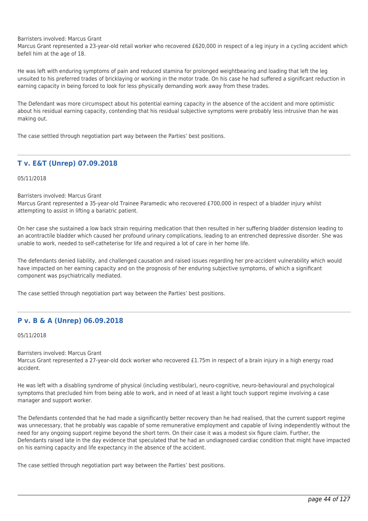Barristers involved: Marcus Grant

Marcus Grant represented a 23-year-old retail worker who recovered £620,000 in respect of a leg injury in a cycling accident which befell him at the age of 18.

He was left with enduring symptoms of pain and reduced stamina for prolonged weightbearing and loading that left the leg unsuited to his preferred trades of bricklaying or working in the motor trade. On his case he had suffered a significant reduction in earning capacity in being forced to look for less physically demanding work away from these trades.

The Defendant was more circumspect about his potential earning capacity in the absence of the accident and more optimistic about his residual earning capacity, contending that his residual subjective symptoms were probably less intrusive than he was making out.

The case settled through negotiation part way between the Parties' best positions.

# **T v. E&T (Unrep) 07.09.2018**

05/11/2018

Barristers involved: Marcus Grant

Marcus Grant represented a 35-year-old Trainee Paramedic who recovered £700,000 in respect of a bladder injury whilst attempting to assist in lifting a bariatric patient.

On her case she sustained a low back strain requiring medication that then resulted in her suffering bladder distension leading to an acontractile bladder which caused her profound urinary complications, leading to an entrenched depressive disorder. She was unable to work, needed to self-catheterise for life and required a lot of care in her home life.

The defendants denied liability, and challenged causation and raised issues regarding her pre-accident vulnerability which would have impacted on her earning capacity and on the prognosis of her enduring subjective symptoms, of which a significant component was psychiatrically mediated.

The case settled through negotiation part way between the Parties' best positions.

## **P v. B & A (Unrep) 06.09.2018**

05/11/2018

Barristers involved: Marcus Grant

Marcus Grant represented a 27-year-old dock worker who recovered £1.75m in respect of a brain injury in a high energy road accident.

He was left with a disabling syndrome of physical (including vestibular), neuro-cognitive, neuro-behavioural and psychological symptoms that precluded him from being able to work, and in need of at least a light touch support regime involving a case manager and support worker.

The Defendants contended that he had made a significantly better recovery than he had realised, that the current support regime was unnecessary, that he probably was capable of some remunerative employment and capable of living independently without the need for any ongoing support regime beyond the short term. On their case it was a modest six figure claim. Further, the Defendants raised late in the day evidence that speculated that he had an undiagnosed cardiac condition that might have impacted on his earning capacity and life expectancy in the absence of the accident.

The case settled through negotiation part way between the Parties' best positions.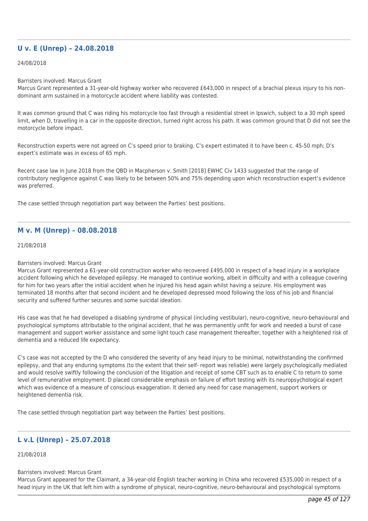## **U v. E (Unrep) – 24.08.2018**

#### 24/08/2018

#### Barristers involved: Marcus Grant

Marcus Grant represented a 31-year-old highway worker who recovered £643,000 in respect of a brachial plexus injury to his nondominant arm sustained in a motorcycle accident where liability was contested.

It was common ground that C was riding his motorcycle too fast through a residential street in Ipswich, subject to a 30 mph speed limit, when D, travelling in a car in the opposite direction, turned right across his path. It was common ground that D did not see the motorcycle before impact.

Reconstruction experts were not agreed on C's speed prior to braking. C's expert estimated it to have been c. 45-50 mph; D's expert's estimate was in excess of 65 mph.

Recent case law in June 2018 from the QBD in Macpherson v. Smith [2018] EWHC Civ 1433 suggested that the range of contributory negligence against C was likely to be between 50% and 75% depending upon which reconstruction expert's evidence was preferred.

The case settled through negotiation part way between the Parties' best positions.

## **M v. M (Unrep) – 08.08.2018**

### 21/08/2018

### Barristers involved: Marcus Grant

Marcus Grant represented a 61-year-old construction worker who recovered £495,000 in respect of a head injury in a workplace accident following which he developed epilepsy. He managed to continue working, albeit in difficulty and with a colleague covering for him for two years after the initial accident when he injured his head again whilst having a seizure. His employment was terminated 18 months after that second incident and he developed depressed mood following the loss of his job and financial security and suffered further seizures and some suicidal ideation.

His case was that he had developed a disabling syndrome of physical (including vestibular), neuro-cognitive, neuro-behavioural and psychological symptoms attributable to the original accident, that he was permanently unfit for work and needed a burst of case management and support worker assistance and some light touch case management thereafter, together with a heightened risk of dementia and a reduced life expectancy.

C's case was not accepted by the D who considered the severity of any head injury to be minimal, notwithstanding the confirmed epilepsy, and that any enduring symptoms (to the extent that their self- report was reliable) were largely psychologically mediated and would resolve swiftly following the conclusion of the litigation and receipt of some CBT such as to enable C to return to some level of remunerative employment. D placed considerable emphasis on failure of effort testing with its neuropsychological expert which was evidence of a measure of conscious exaggeration. It denied any need for case management, support workers or heightened dementia risk.

The case settled through negotiation part way between the Parties' best positions.

## **L v.L (Unrep) – 25.07.2018**

### 21/08/2018

### Barristers involved: Marcus Grant

Marcus Grant appeared for the Claimant, a 34-year-old English teacher working in China who recovered £535,000 in respect of a head injury in the UK that left him with a syndrome of physical, neuro-cognitive, neuro-behavioural and psychological symptoms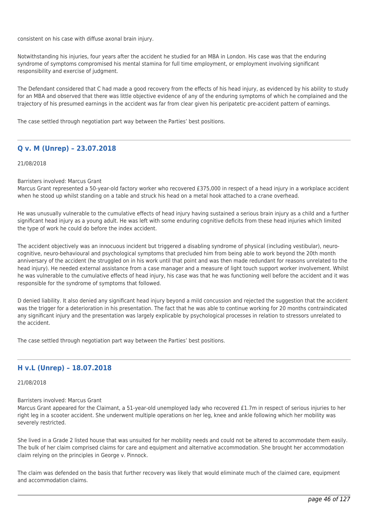consistent on his case with diffuse axonal brain injury.

Notwithstanding his injuries, four years after the accident he studied for an MBA in London. His case was that the enduring syndrome of symptoms compromised his mental stamina for full time employment, or employment involving significant responsibility and exercise of judgment.

The Defendant considered that C had made a good recovery from the effects of his head injury, as evidenced by his ability to study for an MBA and observed that there was little objective evidence of any of the enduring symptoms of which he complained and the trajectory of his presumed earnings in the accident was far from clear given his peripatetic pre-accident pattern of earnings.

The case settled through negotiation part way between the Parties' best positions.

# **Q v. M (Unrep) – 23.07.2018**

21/08/2018

### Barristers involved: Marcus Grant

Marcus Grant represented a 50-year-old factory worker who recovered £375,000 in respect of a head injury in a workplace accident when he stood up whilst standing on a table and struck his head on a metal hook attached to a crane overhead.

He was unusually vulnerable to the cumulative effects of head injury having sustained a serious brain injury as a child and a further significant head injury as a young adult. He was left with some enduring cognitive deficits from these head injuries which limited the type of work he could do before the index accident.

The accident objectively was an innocuous incident but triggered a disabling syndrome of physical (including vestibular), neurocognitive, neuro-behavioural and psychological symptoms that precluded him from being able to work beyond the 20th month anniversary of the accident (he struggled on in his work until that point and was then made redundant for reasons unrelated to the head injury). He needed external assistance from a case manager and a measure of light touch support worker involvement. Whilst he was vulnerable to the cumulative effects of head injury, his case was that he was functioning well before the accident and it was responsible for the syndrome of symptoms that followed.

D denied liability. It also denied any significant head injury beyond a mild concussion and rejected the suggestion that the accident was the trigger for a deterioration in his presentation. The fact that he was able to continue working for 20 months contraindicated any significant injury and the presentation was largely explicable by psychological processes in relation to stressors unrelated to the accident.

The case settled through negotiation part way between the Parties' best positions.

# **H v.L (Unrep) – 18.07.2018**

21/08/2018

Barristers involved: Marcus Grant

Marcus Grant appeared for the Claimant, a 51-year-old unemployed lady who recovered £1.7m in respect of serious injuries to her right leg in a scooter accident. She underwent multiple operations on her leg, knee and ankle following which her mobility was severely restricted.

She lived in a Grade 2 listed house that was unsuited for her mobility needs and could not be altered to accommodate them easily. The bulk of her claim comprised claims for care and equipment and alternative accommodation. She brought her accommodation claim relying on the principles in George v. Pinnock.

The claim was defended on the basis that further recovery was likely that would eliminate much of the claimed care, equipment and accommodation claims.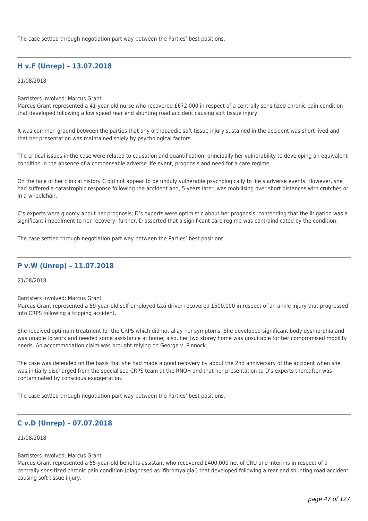The case settled through negotiation part way between the Parties' best positions.

# **H v.F (Unrep) – 13.07.2018**

### 21/08/2018

Barristers involved: Marcus Grant

Marcus Grant represented a 41-year-old nurse who recovered £672,000 in respect of a centrally sensitized chronic pain condition that developed following a low speed rear end shunting road accident causing soft tissue injury.

It was common ground between the parties that any orthopaedic soft tissue injury sustained in the accident was short lived and that her presentation was maintained solely by psychological factors.

The critical issues in the case were related to causation and quantification, principally her vulnerability to developing an equivalent condition in the absence of a compensable adverse life event, prognosis and need for a care regime.

On the face of her clinical history C did not appear to be unduly vulnerable psychologically to life's adverse events. However, she had suffered a catastrophic response following the accident and, 5 years later, was mobilising over short distances with crutches or in a wheelchair.

C's experts were gloomy about her prognosis; D's experts were optimistic about her prognosis, contending that the litigation was a significant impediment to her recovery; further, D asserted that a significant care regime was contraindicated by the condition.

The case settled through negotiation part way between the Parties' best positions.

## **P v.W (Unrep) – 11.07.2018**

## 21/08/2018

Barristers involved: Marcus Grant

Marcus Grant represented a 59-year-old self-employed taxi driver recovered £500,000 in respect of an ankle injury that progressed into CRPS following a tripping accident.

She received optimum treatment for the CRPS which did not allay her symptoms. She developed significant body dysmorphia and was unable to work and needed some assistance at home; also, her two storey home was unsuitable for her compromised mobility needs. An accommodation claim was brought relying on George v. Pinnock.

The case was defended on the basis that she had made a good recovery by about the 2nd anniversary of the accident when she was initially discharged from the specialised CRPS team at the RNOH and that her presentation to D's experts thereafter was contaminated by conscious exaggeration.

The case settled through negotiation part way between the Parties' best positions.

# **C v.D (Unrep) – 07.07.2018**

## 21/08/2018

### Barristers involved: Marcus Grant

Marcus Grant represented a 55-year-old benefits assistant who recovered £400,000 net of CRU and interims in respect of a centrally sensitized chronic pain condition (diagnosed as 'fibromyalgia') that developed following a rear end shunting road accident causing soft tissue injury.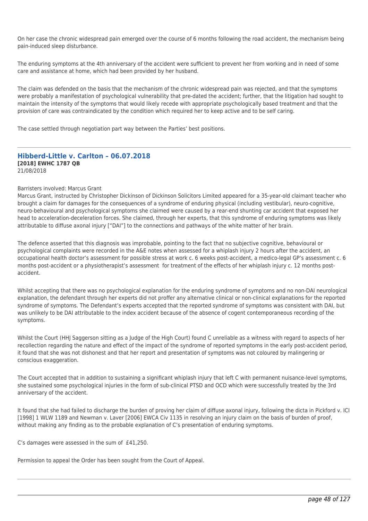On her case the chronic widespread pain emerged over the course of 6 months following the road accident, the mechanism being pain-induced sleep disturbance.

The enduring symptoms at the 4th anniversary of the accident were sufficient to prevent her from working and in need of some care and assistance at home, which had been provided by her husband.

The claim was defended on the basis that the mechanism of the chronic widespread pain was rejected, and that the symptoms were probably a manifestation of psychological vulnerability that pre-dated the accident; further, that the litigation had sought to maintain the intensity of the symptoms that would likely recede with appropriate psychologically based treatment and that the provision of care was contraindicated by the condition which required her to keep active and to be self caring.

The case settled through negotiation part way between the Parties' best positions.

### **Hibberd-Little v. Carlton – 06.07.2018 [2018] EWHC 1787 QB** 21/08/2018

#### Barristers involved: Marcus Grant

Marcus Grant, instructed by Christopher Dickinson of Dickinson Solicitors Limited appeared for a 35-year-old claimant teacher who brought a claim for damages for the consequences of a syndrome of enduring physical (including vestibular), neuro-cognitive, neuro-behavioural and psychological symptoms she claimed were caused by a rear-end shunting car accident that exposed her head to acceleration-deceleration forces. She claimed, through her experts, that this syndrome of enduring symptoms was likely attributable to diffuse axonal injury ["DAI"] to the connections and pathways of the white matter of her brain.

The defence asserted that this diagnosis was improbable, pointing to the fact that no subjective cognitive, behavioural or psychological complaints were recorded in the A&E notes when assessed for a whiplash injury 2 hours after the accident, an occupational health doctor's assessment for possible stress at work c. 6 weeks post-accident, a medico-legal GP's assessment c. 6 months post-accident or a physiotherapist's assessment for treatment of the effects of her whiplash injury c. 12 months postaccident.

Whilst accepting that there was no psychological explanation for the enduring syndrome of symptoms and no non-DAI neurological explanation, the defendant through her experts did not proffer any alternative clinical or non-clinical explanations for the reported syndrome of symptoms. The Defendant's experts accepted that the reported syndrome of symptoms was consistent with DAI, but was unlikely to be DAI attributable to the index accident because of the absence of cogent contemporaneous recording of the symptoms.

Whilst the Court (HHJ Saggerson sitting as a Judge of the High Court) found C unreliable as a witness with regard to aspects of her recollection regarding the nature and effect of the impact of the syndrome of reported symptoms in the early post-accident period, it found that she was not dishonest and that her report and presentation of symptoms was not coloured by malingering or conscious exaggeration.

The Court accepted that in addition to sustaining a significant whiplash injury that left C with permanent nuisance-level symptoms, she sustained some psychological injuries in the form of sub-clinical PTSD and OCD which were successfully treated by the 3rd anniversary of the accident.

It found that she had failed to discharge the burden of proving her claim of diffuse axonal injury, following the dicta in Pickford v. ICI [1998] 1 WLW 1189 and Newman v. Laver [2006] EWCA Civ 1135 in resolving an injury claim on the basis of burden of proof, without making any finding as to the probable explanation of C's presentation of enduring symptoms.

C's damages were assessed in the sum of £41,250.

Permission to appeal the Order has been sought from the Court of Appeal.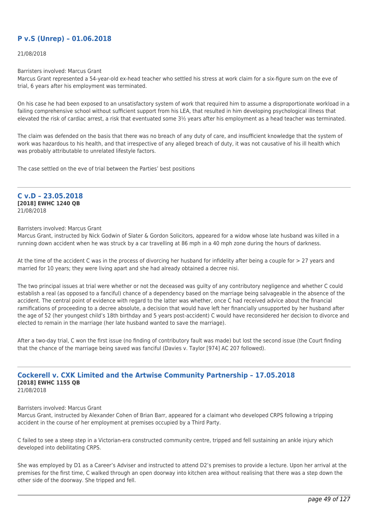# **P v.S (Unrep) – 01.06.2018**

21/08/2018

Barristers involved: Marcus Grant

Marcus Grant represented a 54-year-old ex-head teacher who settled his stress at work claim for a six-figure sum on the eve of trial, 6 years after his employment was terminated.

On his case he had been exposed to an unsatisfactory system of work that required him to assume a disproportionate workload in a failing comprehensive school without sufficient support from his LEA, that resulted in him developing psychological illness that elevated the risk of cardiac arrest, a risk that eventuated some 3½ years after his employment as a head teacher was terminated.

The claim was defended on the basis that there was no breach of any duty of care, and insufficient knowledge that the system of work was hazardous to his health, and that irrespective of any alleged breach of duty, it was not causative of his ill health which was probably attributable to unrelated lifestyle factors.

The case settled on the eve of trial between the Parties' best positions

#### **C v.D – 23.05.2018 [2018] EWHC 1240 QB**

21/08/2018

## Barristers involved: Marcus Grant

Marcus Grant, instructed by Nick Godwin of Slater & Gordon Solicitors, appeared for a widow whose late husband was killed in a running down accident when he was struck by a car travelling at 86 mph in a 40 mph zone during the hours of darkness.

At the time of the accident C was in the process of divorcing her husband for infidelity after being a couple for > 27 years and married for 10 years; they were living apart and she had already obtained a decree nisi.

The two principal issues at trial were whether or not the deceased was guilty of any contributory negligence and whether C could establish a real (as opposed to a fanciful) chance of a dependency based on the marriage being salvageable in the absence of the accident. The central point of evidence with regard to the latter was whether, once C had received advice about the financial ramifications of proceeding to a decree absolute, a decision that would have left her financially unsupported by her husband after the age of 52 (her youngest child's 18th birthday and 5 years post-accident) C would have reconsidered her decision to divorce and elected to remain in the marriage (her late husband wanted to save the marriage).

After a two-day trial, C won the first issue (no finding of contributory fault was made) but lost the second issue (the Court finding that the chance of the marriage being saved was fanciful (Davies v. Taylor [974] AC 207 followed).

#### **Cockerell v. CXK Limited and the Artwise Community Partnership – 17.05.2018 [2018] EWHC 1155 QB** 21/08/2018

Barristers involved: Marcus Grant

Marcus Grant, instructed by Alexander Cohen of Brian Barr, appeared for a claimant who developed CRPS following a tripping accident in the course of her employment at premises occupied by a Third Party.

C failed to see a steep step in a Victorian-era constructed community centre, tripped and fell sustaining an ankle injury which developed into debilitating CRPS.

She was employed by D1 as a Career's Adviser and instructed to attend D2's premises to provide a lecture. Upon her arrival at the premises for the first time, C walked through an open doorway into kitchen area without realising that there was a step down the other side of the doorway. She tripped and fell.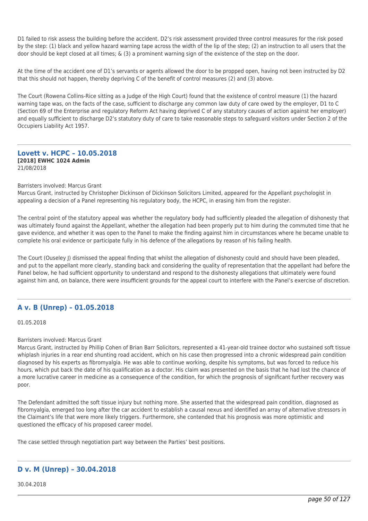D1 failed to risk assess the building before the accident. D2's risk assessment provided three control measures for the risk posed by the step: (1) black and yellow hazard warning tape across the width of the lip of the step; (2) an instruction to all users that the door should be kept closed at all times; & (3) a prominent warning sign of the existence of the step on the door.

At the time of the accident one of D1's servants or agents allowed the door to be propped open, having not been instructed by D2 that this should not happen, thereby depriving C of the benefit of control measures (2) and (3) above.

The Court (Rowena Collins-Rice sitting as a Judge of the High Court) found that the existence of control measure (1) the hazard warning tape was, on the facts of the case, sufficient to discharge any common law duty of care owed by the employer, D1 to C (Section 69 of the Enterprise and regulatory Reform Act having deprived C of any statutory causes of action against her employer) and equally sufficient to discharge D2's statutory duty of care to take reasonable steps to safeguard visitors under Section 2 of the Occupiers Liability Act 1957.

### **Lovett v. HCPC – 10.05.2018 [2018] EWHC 1024 Admin** 21/08/2018

### Barristers involved: Marcus Grant

Marcus Grant, instructed by Christopher Dickinson of Dickinson Solicitors Limited, appeared for the Appellant psychologist in appealing a decision of a Panel representing his regulatory body, the HCPC, in erasing him from the register.

The central point of the statutory appeal was whether the regulatory body had sufficiently pleaded the allegation of dishonesty that was ultimately found against the Appellant, whether the allegation had been properly put to him during the commuted time that he gave evidence, and whether it was open to the Panel to make the finding against him in circumstances where he became unable to complete his oral evidence or participate fully in his defence of the allegations by reason of his failing health.

The Court (Ouseley J) dismissed the appeal finding that whilst the allegation of dishonesty could and should have been pleaded, and put to the appellant more clearly, standing back and considering the quality of representation that the appellant had before the Panel below, he had sufficient opportunity to understand and respond to the dishonesty allegations that ultimately were found against him and, on balance, there were insufficient grounds for the appeal court to interfere with the Panel's exercise of discretion.

## **A v. B (Unrep) – 01.05.2018**

01.05.2018

### Barristers involved: Marcus Grant

Marcus Grant, instructed by Phillip Cohen of Brian Barr Solicitors, represented a 41-year-old trainee doctor who sustained soft tissue whiplash injuries in a rear end shunting road accident, which on his case then progressed into a chronic widespread pain condition diagnosed by his experts as fibromyalgia. He was able to continue working, despite his symptoms, but was forced to reduce his hours, which put back the date of his qualification as a doctor. His claim was presented on the basis that he had lost the chance of a more lucrative career in medicine as a consequence of the condition, for which the prognosis of significant further recovery was poor.

The Defendant admitted the soft tissue injury but nothing more. She asserted that the widespread pain condition, diagnosed as fibromyalgia, emerged too long after the car accident to establish a causal nexus and identified an array of alternative stressors in the Claimant's life that were more likely triggers. Furthermore, she contended that his prognosis was more optimistic and questioned the efficacy of his proposed career model.

The case settled through negotiation part way between the Parties' best positions.

# **D v. M (Unrep) – 30.04.2018**

30.04.2018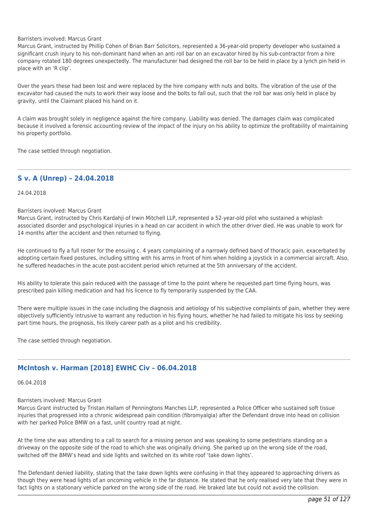#### Barristers involved: Marcus Grant

Marcus Grant, instructed by Phillip Cohen of Brian Barr Solicitors, represented a 36-year-old property developer who sustained a significant crush injury to his non-dominant hand when an anti roll bar on an excavator hired by his sub-contractor from a hire company rotated 180 degrees unexpectedly. The manufacturer had designed the roll bar to be held in place by a lynch pin held in place with an 'R clip'.

Over the years these had been lost and were replaced by the hire company with nuts and bolts. The vibration of the use of the excavator had caused the nuts to work their way loose and the bolts to fall out, such that the roll bar was only held in place by gravity, until the Claimant placed his hand on it.

A claim was brought solely in negligence against the hire company. Liability was denied. The damages claim was complicated because it involved a forensic accounting review of the impact of the injury on his ability to optimize the profitability of maintaining his property portfolio.

The case settled through negotiation.

## **S v. A (Unrep) – 24.04.2018**

24.04.2018

### Barristers involved: Marcus Grant

Marcus Grant, instructed by Chris Kardahji of Irwin Mitchell LLP, represented a 52-year-old pilot who sustained a whiplash associated disorder and psychological injuries in a head on car accident in which the other driver died. He was unable to work for 14 months after the accident and then returned to flying.

He continued to fly a full roster for the ensuing c. 4 years complaining of a narrowly defined band of thoracic pain, exacerbated by adopting certain fixed postures, including sitting with his arms in front of him when holding a joystick in a commercial aircraft. Also, he suffered headaches in the acute post-accident period which returned at the 5th anniversary of the accident.

His ability to tolerate this pain reduced with the passage of time to the point where he requested part time flying hours, was prescribed pain killing medication and had his licence to fly temporarily suspended by the CAA.

There were multiple issues in the case including the diagnosis and aetiology of his subjective complaints of pain, whether they were objectively sufficiently intrusive to warrant any reduction in his flying hours, whether he had failed to mitigate his loss by seeking part time hours, the prognosis, his likely career path as a pilot and his credibility.

The case settled through negotiation.

# **McIntosh v. Harman [2018] EWHC Civ – 06.04.2018**

# 06.04.2018

## Barristers involved: Marcus Grant

Marcus Grant instructed by Tristan Hallam of Penningtons Manches LLP, represented a Police Officer who sustained soft tissue injuries that progressed into a chronic widespread pain condition (fibromyalgia) after the Defendant drove into head on collision with her parked Police BMW on a fast, unlit country road at night.

At the time she was attending to a call to search for a missing person and was speaking to some pedestrians standing on a driveway on the opposite side of the road to which she was originally driving. She parked up on the wrong side of the road, switched off the BMW's head and side lights and switched on its white roof 'take down lights'.

The Defendant denied liability, stating that the take down lights were confusing in that they appeared to approaching drivers as though they were head lights of an oncoming vehicle in the far distance. He stated that he only realised very late that they were in fact lights on a stationary vehicle parked on the wrong side of the road. He braked late but could not avoid the collision.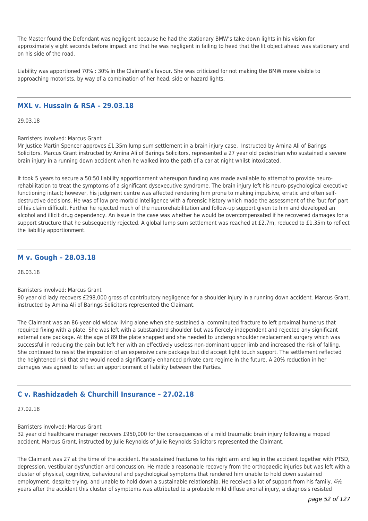The Master found the Defendant was negligent because he had the stationary BMW's take down lights in his vision for approximately eight seconds before impact and that he was negligent in failing to heed that the lit object ahead was stationary and on his side of the road.

Liability was apportioned 70% : 30% in the Claimant's favour. She was criticized for not making the BMW more visible to approaching motorists, by way of a combination of her head, side or hazard lights.

## **MXL v. Hussain & RSA – 29.03.18**

29.03.18

Barristers involved: Marcus Grant

Mr Justice Martin Spencer approves £1.35m lump sum settlement in a brain injury case. Instructed by Amina Ali of Barings Solicitors. Marcus Grant instructed by Amina Ali of Barings Solicitors, represented a 27 year old pedestrian who sustained a severe brain injury in a running down accident when he walked into the path of a car at night whilst intoxicated.

It took 5 years to secure a 50:50 liability apportionment whereupon funding was made available to attempt to provide neurorehabilitation to treat the symptoms of a significant dysexecutive syndrome. The brain injury left his neuro-psychological executive functioning intact; however, his judgment centre was affected rendering him prone to making impulsive, erratic and often selfdestructive decisions. He was of low pre-morbid intelligence with a forensic history which made the assessment of the 'but for' part of his claim difficult. Further he rejected much of the neurorehabilitation and follow-up support given to him and developed an alcohol and illicit drug dependency. An issue in the case was whether he would be overcompensated if he recovered damages for a support structure that he subsequently rejected. A global lump sum settlement was reached at £2.7m, reduced to £1.35m to reflect the liability apportionment.

## **M v. Gough – 28.03.18**

28.03.18

Barristers involved: Marcus Grant

90 year old lady recovers £298,000 gross of contributory negligence for a shoulder injury in a running down accident. Marcus Grant, instructed by Amina Ali of Barings Solicitors represented the Claimant.

The Claimant was an 86-year-old widow living alone when she sustained a comminuted fracture to left proximal humerus that required fixing with a plate. She was left with a substandard shoulder but was fiercely independent and rejected any significant external care package. At the age of 89 the plate snapped and she needed to undergo shoulder replacement surgery which was successful in reducing the pain but left her with an effectively useless non-dominant upper limb and increased the risk of falling. She continued to resist the imposition of an expensive care package but did accept light touch support. The settlement reflected the heightened risk that she would need a significantly enhanced private care regime in the future. A 20% reduction in her damages was agreed to reflect an apportionment of liability between the Parties.

# **C v. Rashidzadeh & Churchill Insurance – 27.02.18**

27.02.18

### Barristers involved: Marcus Grant

32 year old healthcare manager recovers £950,000 for the consequences of a mild traumatic brain injury following a moped accident. Marcus Grant, instructed by Julie Reynolds of Julie Reynolds Solicitors represented the Claimant.

The Claimant was 27 at the time of the accident. He sustained fractures to his right arm and leg in the accident together with PTSD, depression, vestibular dysfunction and concussion. He made a reasonable recovery from the orthopaedic injuries but was left with a cluster of physical, cognitive, behavioural and psychological symptoms that rendered him unable to hold down sustained employment, despite trying, and unable to hold down a sustainable relationship. He received a lot of support from his family.  $4\frac{1}{2}$ years after the accident this cluster of symptoms was attributed to a probable mild diffuse axonal injury, a diagnosis resisted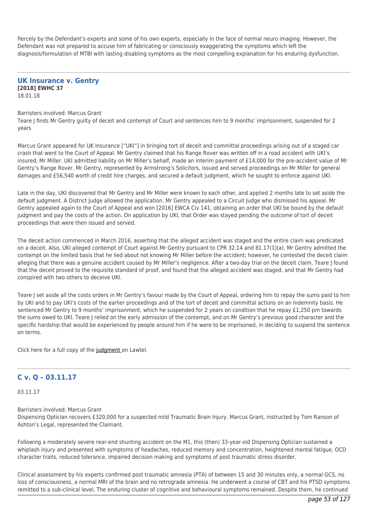fiercely by the Defendant's experts and some of his own experts, especially in the face of normal neuro imaging. However, the Defendant was not prepared to accuse him of fabricating or consciously exaggerating the symptoms which left the diagnosis/formulation of MTBI with lasting disabling symptoms as the most compelling explanation for his enduring dysfunction.

**UK Insurance v. Gentry [2018] EWHC 37** 18.01.18

#### Barristers involved: Marcus Grant

Teare J finds Mr Gentry guilty of deceit and contempt of Court and sentences him to 9 months' imprisonment, suspended for 2 years

Marcus Grant appeared for UK Insurance ["UKI"] in bringing tort of deceit and committal proceedings arising out of a staged car crash that went to the Court of Appeal. Mr Gentry claimed that his Range Rover was written off in a road accident with UKI's insured, Mr Miller. UKI admitted liability on Mr Miller's behalf, made an interim payment of £14,000 for the pre-accident value of Mr Gentry's Range Rover. Mr Gentry, represented by Armstrong's Solicitors, issued and served proceedings on Mr Miller for general damages and £56,540 worth of credit hire charges, and secured a default judgment, which he sought to enforce against UKI.

Late in the day, UKI discovered that Mr Gentry and Mr Miller were known to each other, and applied 2 months late to set aside the default judgment. A District Judge allowed the application. Mr Gentry appealed to a Circuit Judge who dismissed his appeal. Mr Gentry appealed again to the Court of Appeal and won [2016] EWCA Civ 141, obtaining an order that UKI be bound by the default judgment and pay the costs of the action. On application by UKI, that Order was stayed pending the outcome of tort of deceit proceedings that were then issued and served.

The deceit action commenced in March 2016, asserting that the alleged accident was staged and the entire claim was predicated on a deceit. Also, UKI alleged contempt of Court against Mr Gentry pursuant to CPR 32.14 and 81.17(1)(a). Mr Gentry admitted the contempt on the limited basis that he lied about not knowing Mr Miller before the accident; however, he contested the deceit claim alleging that there was a genuine accident caused by Mr Miller's negligence. After a two-day trial on the deceit claim, Teare J found that the deceit proved to the requisite standard of proof, and found that the alleged accident was staged, and that Mr Gentry had conspired with two others to deceive UKI.

Teare J set aside all the costs orders in Mr Gentry's favour made by the Court of Appeal, ordering him to repay the sums paid to him by UKI and to pay UKI's costs of the earlier proceedings and of the tort of deceit and committal actions on an indemnity basis. He sentenced Mr Gentry to 9 months' imprisonment, which he suspended for 2 years on condition that he repay £1,250 pm towards the sums owed to UKI. Teare J relied on the early admission of the contempt, and on Mr Gentry's previous good character and the specific hardship that would be experienced by people around him if he were to be imprisoned, in deciding to suspend the sentence on terms.

Click here for a full copy of the [judgment](http://tgchambers.com/wp-content/uploads/2018/01/Gentry-Judgment.pdf) on Lawtel.

# **C v. Q – 03.11.17**

03.11.17

Barristers involved: Marcus Grant Dispensing Optician recovers £320,000 for a suspected mild Traumatic Brain Injury. Marcus Grant, instructed by Tom Ranson of Ashton's Legal, represented the Claimant.

Following a moderately severe rear-end shunting accident on the M1, this (then) 33-year-old Dispensing Optician sustained a whiplash injury and presented with symptoms of headaches, reduced memory and concentration, heightened mental fatigue, OCD character traits, reduced tolerance, impaired decision making and symptoms of post traumatic stress disorder.

Clinical assessment by his experts confirmed post traumatic amnesia (PTA) of between 15 and 30 minutes only, a normal GCS, no loss of consciousness, a normal MRI of the brain and no retrograde amnesia. He underwent a course of CBT and his PTSD symptoms remitted to a sub-clinical level. The enduring cluster of cognitive and behavioural symptoms remained. Despite them, he continued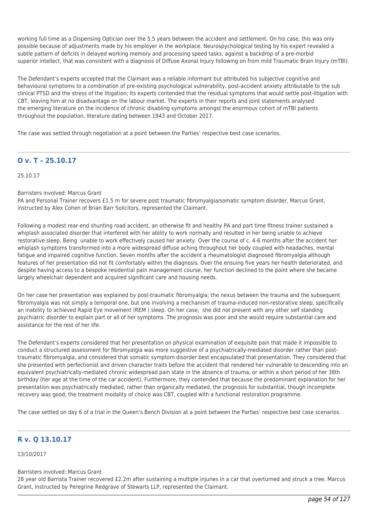working full time as a Dispensing Optician over the 5.5 years between the accident and settlement. On his case, this was only possible because of adjustments made by his employer in the workplace. Neurospychological testing by his expert revealed a subtle pattern of deficits in delayed working memory and processing speed tasks, against a backdrop of a pre-morbid superior intellect, that was consistent with a diagnosis of Diffuse Axonal Injury following on from mild Traumatic Brain Injury (mTBI).

The Defendant's experts accepted that the Claimant was a reliable informant but attributed his subjective cognitive and behavioural symptoms to a combination of pre-existing psychological vulnerability, post-accident anxiety attributable to the sub clinical PTSD and the stress of the litigation; Its experts contended that the residual symptoms that would settle post-litigation with CBT, leaving him at no disadvantage on the labour market. The experts in their reports and joint statements analysed the emerging literature on the incidence of chronic disabling symptoms amongst the enormous cohort of mTBI patients throughout the population, literature dating between 1943 and October 2017.

The case was settled through negotiation at a point between the Parties' respective best case scenarios.

# **O v. T – 25.10.17**

25.10.17

### Barristers involved: Marcus Grant

PA and Personal Trainer recovers £1.5 m for severe post traumatic fibromyalgia/somatic symptom disorder. Marcus Grant, instructed by Alex Cohen of Brian Barr Solicitors, represented the Claimant.

Following a modest rear-end shunting road accident, an otherwise fit and healthy PA and part time fitness trainer sustained a whiplash associated disorder that interfered with her ability to work normally and resulted in her being unable to achieve restorative sleep. Being unable to work effectively caused her anxiety. Over the course of c. 4-6 months after the accident her whiplash symptoms transformed into a more widespread diffuse aching throughout her body coupled with headaches, mental fatigue and impaired cognitive function. Seven months after the accident a rheumatologist diagnosed fibromyalgia although features of her presentation did not fit comfortably within the diagnosis. Over the ensuing five years her health deteriorated, and despite having access to a bespoke residential pain management course, her function declined to the point where she became largely wheelchair dependent and acquired significant care and housing needs.

On her case her presentation was explained by post-traumatic fibromyalgia; the nexus between the trauma and the subsequent fibromyalgia was not simply a temporal one, but one involving a mechanism of trauma-induced non-restorative sleep, specifically an inability to achieved Rapid Eye movement (REM ) sleep. On her case, she did not present with any other self standing psychiatric disorder to explain part or all of her symptoms. The prognosis was poor and she would require substantial care and assistance for the rest of her life.

The Defendant's experts considered that her presentation on physical examination of exquisite pain that made it impossible to conduct a structured assessment for fibromyalgia was more suggestive of a psychiatrically-mediated disorder rather than posttraumatic fibromyalgia, and considered that somatic symptom disorder best encapsulated that presentation. They considered that she presented with perfectionist and driven character traits before the accident that rendered her vulnerable to descending into an equivalent psychiatrically-mediated chronic widespread pain state in the absence of trauma, or within a short period of her 38th birthday (her age at the time of the car accident). Furthermore, they contended that because the predominant explanation for her presentation was psychiatrically mediated, rather than organically mediated, the prognosis for substantial, though incomplete recovery was good; the treatment modality of choice was CBT, coupled with a functional restoration programme.

The case settled on day 6 of a trial in the Queen's Bench Division at a point between the Parties' respective best case scenarios.

# **R v. Q 13.10.17**

13/10/2017

## Barristers involved: Marcus Grant

28 year old Barrista Trainer recovered £2.2m after sustaining a multiple injuries in a car that overturned and struck a tree. Marcus Grant, instructed by Peregrine Redgrave of Stewarts LLP, represented the Claimant.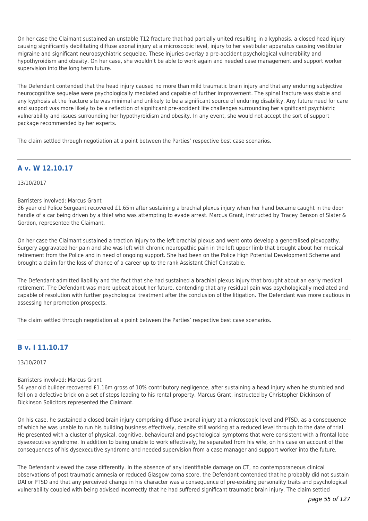On her case the Claimant sustained an unstable T12 fracture that had partially united resulting in a kyphosis, a closed head injury causing significantly debilitating diffuse axonal injury at a microscopic level, injury to her vestibular apparatus causing vestibular migraine and significant neuropsychiatric sequelae. These injuries overlay a pre-accident psychological vulnerability and hypothyroidism and obesity. On her case, she wouldn't be able to work again and needed case management and support worker supervision into the long term future.

The Defendant contended that the head injury caused no more than mild traumatic brain injury and that any enduring subjective neurocognitive sequelae were psychologically mediated and capable of further improvement. The spinal fracture was stable and any kyphosis at the fracture site was minimal and unlikely to be a significant source of enduring disability. Any future need for care and support was more likely to be a reflection of significant pre-accident life challenges surrounding her significant psychiatric vulnerability and issues surrounding her hypothyroidism and obesity. In any event, she would not accept the sort of support package recommended by her experts.

The claim settled through negotiation at a point between the Parties' respective best case scenarios.

# **A v. W 12.10.17**

## 13/10/2017

### Barristers involved: Marcus Grant

36 year old Police Sergeant recovered £1.65m after sustaining a brachial plexus injury when her hand became caught in the door handle of a car being driven by a thief who was attempting to evade arrest. Marcus Grant, instructed by Tracey Benson of Slater & Gordon, represented the Claimant.

On her case the Claimant sustained a traction injury to the left brachial plexus and went onto develop a generalised plexopathy. Surgery aggravated her pain and she was left with chronic neuropathic pain in the left upper limb that brought about her medical retirement from the Police and in need of ongoing support. She had been on the Police High Potential Development Scheme and brought a claim for the loss of chance of a career up to the rank Assistant Chief Constable.

The Defendant admitted liability and the fact that she had sustained a brachial plexus injury that brought about an early medical retirement. The Defendant was more upbeat about her future, contending that any residual pain was psychologically mediated and capable of resolution with further psychological treatment after the conclusion of the litigation. The Defendant was more cautious in assessing her promotion prospects.

The claim settled through negotiation at a point between the Parties' respective best case scenarios.

# **B v. I 11.10.17**

## 13/10/2017

### Barristers involved: Marcus Grant

54 year old builder recovered £1.16m gross of 10% contributory negligence, after sustaining a head injury when he stumbled and fell on a defective brick on a set of steps leading to his rental property. Marcus Grant, instructed by Christopher Dickinson of Dickinson Solicitors represented the Claimant.

On his case, he sustained a closed brain injury comprising diffuse axonal injury at a microscopic level and PTSD, as a consequence of which he was unable to run his building business effectively, despite still working at a reduced level through to the date of trial. He presented with a cluster of physical, cognitive, behavioural and psychological symptoms that were consistent with a frontal lobe dysexecutive syndrome. In addition to being unable to work effectively, he separated from his wife, on his case on account of the consequences of his dysexecutive syndrome and needed supervision from a case manager and support worker into the future.

The Defendant viewed the case differently. In the absence of any identifiable damage on CT, no contemporaneous clinical observations of post traumatic amnesia or reduced Glasgow coma score, the Defendant contended that he probably did not sustain DAI or PTSD and that any perceived change in his character was a consequence of pre-existing personality traits and psychological vulnerability coupled with being advised incorrectly that he had suffered significant traumatic brain injury. The claim settled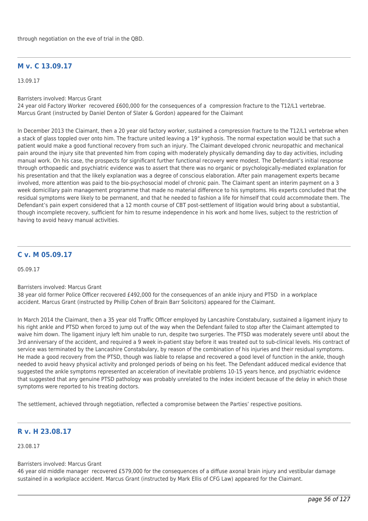# **M v. C 13.09.17**

13.09.17

Barristers involved: Marcus Grant

24 year old Factory Worker recovered £600,000 for the consequences of a compression fracture to the T12/L1 vertebrae. Marcus Grant (instructed by Daniel Denton of Slater & Gordon) appeared for the Claimant

In December 2013 the Claimant, then a 20 year old factory worker, sustained a compression fracture to the T12/L1 vertebrae when a stack of glass toppled over onto him. The fracture united leaving a 19° kyphosis. The normal expectation would be that such a patient would make a good functional recovery from such an injury. The Claimant developed chronic neuropathic and mechanical pain around the injury site that prevented him from coping with moderately physically demanding day to day activities, including manual work. On his case, the prospects for significant further functional recovery were modest. The Defendant's initial response through orthopaedic and psychiatric evidence was to assert that there was no organic or psychologically-mediated explanation for his presentation and that the likely explanation was a degree of conscious elaboration. After pain management experts became involved, more attention was paid to the bio-psychosocial model of chronic pain. The Claimant spent an interim payment on a 3 week domicillary pain management programme that made no material difference to his symptoms. His experts concluded that the residual symptoms were likely to be permanent, and that he needed to fashion a life for himself that could accommodate them. The Defendant's pain expert considered that a 12 month course of CBT post-settlement of litigation would bring about a substantial, though incomplete recovery, sufficient for him to resume independence in his work and home lives, subject to the restriction of having to avoid heavy manual activities.

# **C v. M 05.09.17**

05.09.17

### Barristers involved: Marcus Grant

38 year old former Police Officer recovered £492,000 for the consequences of an ankle injury and PTSD in a workplace accident. Marcus Grant (instructed by Phillip Cohen of Brain Barr Solicitors) appeared for the Claimant.

In March 2014 the Claimant, then a 35 year old Traffic Officer employed by Lancashire Constabulary, sustained a ligament injury to his right ankle and PTSD when forced to jump out of the way when the Defendant failed to stop after the Claimant attempted to waive him down. The ligament injury left him unable to run, despite two surgeries. The PTSD was moderately severe until about the 3rd anniversary of the accident, and required a 9 week in-patient stay before it was treated out to sub-clinical levels. His contract of service was terminated by the Lancashire Constabulary, by reason of the combination of his injuries and their residual symptoms. He made a good recovery from the PTSD, though was liable to relapse and recovered a good level of function in the ankle, though needed to avoid heavy physical activity and prolonged periods of being on his feet. The Defendant adduced medical evidence that suggested the ankle symptoms represented an acceleration of inevitable problems 10-15 years hence, and psychiatric evidence that suggested that any genuine PTSD pathology was probably unrelated to the index incident because of the delay in which those symptoms were reported to his treating doctors.

The settlement, achieved through negotiation, reflected a compromise between the Parties' respective positions.

# **R v. H 23.08.17**

23.08.17

#### Barristers involved: Marcus Grant

46 year old middle manager recovered £579,000 for the consequences of a diffuse axonal brain injury and vestibular damage sustained in a workplace accident. Marcus Grant (instructed by Mark Ellis of CFG Law) appeared for the Claimant.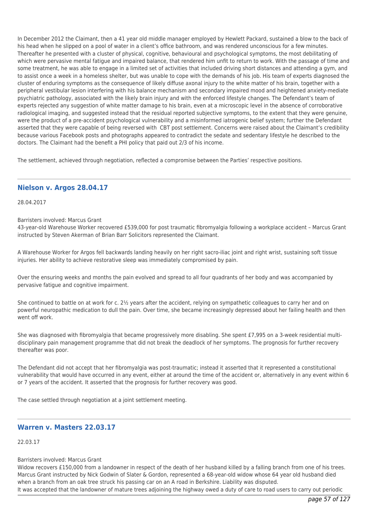In December 2012 the Claimant, then a 41 year old middle manager employed by Hewlett Packard, sustained a blow to the back of his head when he slipped on a pool of water in a client's office bathroom, and was rendered unconscious for a few minutes. Thereafter he presented with a cluster of physical, cognitive, behavioural and psychological symptoms, the most debilitating of which were pervasive mental fatigue and impaired balance, that rendered him unfit to return to work. With the passage of time and some treatment, he was able to engage in a limited set of activities that included driving short distances and attending a gym, and to assist once a week in a homeless shelter, but was unable to cope with the demands of his job. His team of experts diagnosed the cluster of enduring symptoms as the consequence of likely diffuse axonal injury to the white matter of his brain, together with a peripheral vestibular lesion interfering with his balance mechanism and secondary impaired mood and heightened anxiety-mediate psychiatric pathology, associated with the likely brain injury and with the enforced lifestyle changes. The Defendant's team of experts rejected any suggestion of white matter damage to his brain, even at a microscopic level in the absence of corroborative radiological imaging, and suggested instead that the residual reported subjective symptoms, to the extent that they were genuine. were the product of a pre-accident psychological vulnerability and a misinformed iatrogenic belief system; further the Defendant asserted that they were capable of being reversed with CBT post settlement. Concerns were raised about the Claimant's credibility because various Facebook posts and photographs appeared to contradict the sedate and sedentary lifestyle he described to the doctors. The Claimant had the benefit a PHI policy that paid out 2/3 of his income.

The settlement, achieved through negotiation, reflected a compromise between the Parties' respective positions.

## **Nielson v. Argos 28.04.17**

28.04.2017

#### Barristers involved: Marcus Grant

43-year-old Warehouse Worker recovered £539,000 for post traumatic fibromyalgia following a workplace accident – Marcus Grant instructed by Steven Akerman of Brian Barr Solicitors represented the Claimant.

A Warehouse Worker for Argos fell backwards landing heavily on her right sacro-iliac joint and right wrist, sustaining soft tissue injuries. Her ability to achieve restorative sleep was immediately compromised by pain.

Over the ensuring weeks and months the pain evolved and spread to all four quadrants of her body and was accompanied by pervasive fatigue and cognitive impairment.

She continued to battle on at work for c. 2½ years after the accident, relying on sympathetic colleagues to carry her and on powerful neuropathic medication to dull the pain. Over time, she became increasingly depressed about her failing health and then went off work.

She was diagnosed with fibromyalgia that became progressively more disabling. She spent £7,995 on a 3-week residential multidisciplinary pain management programme that did not break the deadlock of her symptoms. The prognosis for further recovery thereafter was poor.

The Defendant did not accept that her fibromyalgia was post-traumatic; instead it asserted that it represented a constitutional vulnerability that would have occurred in any event, either at around the time of the accident or, alternatively in any event within 6 or 7 years of the accident. It asserted that the prognosis for further recovery was good.

The case settled through negotiation at a joint settlement meeting.

# **Warren v. Masters 22.03.17**

22.03.17

#### Barristers involved: Marcus Grant

Widow recovers £150,000 from a landowner in respect of the death of her husband killed by a falling branch from one of his trees. Marcus Grant instructed by Nick Godwin of Slater & Gordon, represented a 68-year-old widow whose 64 year old husband died when a branch from an oak tree struck his passing car on an A road in Berkshire. Liability was disputed. It was accepted that the landowner of mature trees adjoining the highway owed a duty of care to road users to carry out periodic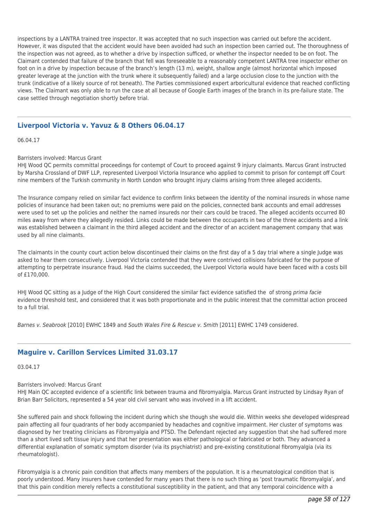inspections by a LANTRA trained tree inspector. It was accepted that no such inspection was carried out before the accident. However, it was disputed that the accident would have been avoided had such an inspection been carried out. The thoroughness of the inspection was not agreed, as to whether a drive by inspection sufficed, or whether the inspector needed to be on foot. The Claimant contended that failure of the branch that fell was foreseeable to a reasonably competent LANTRA tree inspector either on foot on in a drive by inspection because of the branch's length (13 m), weight, shallow angle (almost horizontal which imposed greater leverage at the junction with the trunk where it subsequently failed) and a large occlusion close to the junction with the trunk (indicative of a likely source of rot beneath). The Parties commissioned expert arboricultural evidence that reached conflicting views. The Claimant was only able to run the case at all because of Google Earth images of the branch in its pre-failure state. The case settled through negotiation shortly before trial.

# **Liverpool Victoria v. Yavuz & 8 Others 06.04.17**

06.04.17

### Barristers involved: Marcus Grant

HHJ Wood QC permits committal proceedings for contempt of Court to proceed against 9 injury claimants. Marcus Grant instructed by Marsha Crossland of DWF LLP, represented Liverpool Victoria Insurance who applied to commit to prison for contempt off Court nine members of the Turkish community in North London who brought injury claims arising from three alleged accidents.

The Insurance company relied on similar fact evidence to confirm links between the identity of the nominal insureds in whose name policies of insurance had been taken out; no premiums were paid on the policies, connected bank accounts and email addresses were used to set up the policies and neither the named insureds nor their cars could be traced. The alleged accidents occurred 80 miles away from where they allegedly resided. Links could be made between the occupants in two of the three accidents and a link was established between a claimant in the third alleged accident and the director of an accident management company that was used by all nine claimants.

The claimants in the county court action below discontinued their claims on the first day of a 5 day trial where a single Judge was asked to hear them consecutively. Liverpool Victoria contended that they were contrived collisions fabricated for the purpose of attempting to perpetrate insurance fraud. Had the claims succeeded, the Liverpool Victoria would have been faced with a costs bill of £170,000.

HHJ Wood QC sitting as a Judge of the High Court considered the similar fact evidence satisfied the of strong prima facie evidence threshold test, and considered that it was both proportionate and in the public interest that the committal action proceed to a full trial.

Barnes v. Seabrook [2010] EWHC 1849 and South Wales Fire & Rescue v. Smith [2011] EWHC 1749 considered.

## **Maguire v. Carillon Services Limited 31.03.17**

03.04.17

Barristers involved: Marcus Grant

HHJ Main QC accepted evidence of a scientific link between trauma and fibromyalgia. Marcus Grant instructed by Lindsay Ryan of Brian Barr Solicitors, represented a 54 year old civil servant who was involved in a lift accident.

She suffered pain and shock following the incident during which she though she would die. Within weeks she developed widespread pain affecting all four quadrants of her body accompanied by headaches and cognitive impairment. Her cluster of symptoms was diagnosed by her treating clinicians as Fibromyalgia and PTSD. The Defendant rejected any suggestion that she had suffered more than a short lived soft tissue injury and that her presentation was either pathological or fabricated or both. They advanced a differential explanation of somatic symptom disorder (via its psychiatrist) and pre-existing constitutional fibromyalgia (via its rheumatologist).

Fibromyalgia is a chronic pain condition that affects many members of the population. It is a rheumatological condition that is poorly understood. Many insurers have contended for many years that there is no such thing as 'post traumatic fibromyalgia', and that this pain condition merely reflects a constitutional susceptibility in the patient, and that any temporal coincidence with a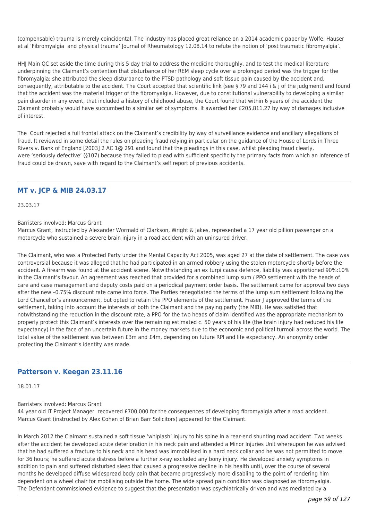(compensable) trauma is merely coincidental. The industry has placed great reliance on a 2014 academic paper by Wolfe, Hauser et al 'Fibromyalgia and physical trauma' Journal of Rheumatology 12.08.14 to refute the notion of 'post traumatic fibromyalgia'.

HHJ Main QC set aside the time during this 5 day trial to address the medicine thoroughly, and to test the medical literature underpinning the Claimant's contention that disturbance of her REM sleep cycle over a prolonged period was the trigger for the fibromyalgia; she attributed the sleep disturbance to the PTSD pathology and soft tissue pain caused by the accident and, consequently, attributable to the accident. The Court accepted that scientific link (see § 79 and 144 i & j of the judgment) and found that the accident was the material trigger of the fibromyalgia. However, due to constitutional vulnerability to developing a similar pain disorder in any event, that included a history of childhood abuse, the Court found that within 6 years of the accident the Claimant probably would have succumbed to a similar set of symptoms. It awarded her £205,811.27 by way of damages inclusive of interest.

The Court rejected a full frontal attack on the Claimant's credibility by way of surveillance evidence and ancillary allegations of fraud. It reviewed in some detail the rules on pleading fraud relying in particular on the guidance of the House of Lords in Three Rivers v. Bank of England [2003] 2 AC 1@ 291 and found that the pleadings in this case, whilst pleading fraud clearly, were 'seriously defective' (§107) because they failed to plead with sufficient specificity the primary facts from which an inference of fraud could be drawn, save with regard to the Claimant's self report of previous accidents.

## **MT v. JCP & MIB 24.03.17**

23.03.17

### Barristers involved: Marcus Grant

Marcus Grant, instructed by Alexander Wormald of Clarkson, Wright & Jakes, represented a 17 year old pillion passenger on a motorcycle who sustained a severe brain injury in a road accident with an uninsured driver.

The Claimant, who was a Protected Party under the Mental Capacity Act 2005, was aged 27 at the date of settlement. The case was controversial because it was alleged that he had participated in an armed robbery using the stolen motorcycle shortly before the accident. A firearm was found at the accident scene. Notwithstanding an ex turpi causa defence, liability was apportioned 90%:10% in the Claimant's favour. An agreement was reached that provided for a combined lump sum / PPO settlement with the heads of care and case management and deputy costs paid on a periodical payment order basis. The settlement came for approval two days after the new –0.75% discount rate came into force. The Parties renegotiated the terms of the lump sum settlement following the Lord Chancellor's announcement, but opted to retain the PPO elements of the settlement. Fraser J approved the terms of the settlement, taking into account the interests of both the Claimant and the paying party (the MIB). He was satisfied that notwithstanding the reduction in the discount rate, a PPO for the two heads of claim identified was the appropriate mechanism to properly protect this Claimant's interests over the remaining estimated c. 50 years of his life (the brain injury had reduced his life expectancy) in the face of an uncertain future in the money markets due to the economic and political turmoil across the world. The total value of the settlement was between £3m and £4m, depending on future RPI and life expectancy. An anonymity order protecting the Claimant's identity was made.

## **Patterson v. Keegan 23.11.16**

18.01.17

### Barristers involved: Marcus Grant

44 year old IT Project Manager recovered £700,000 for the consequences of developing fibromyalgia after a road accident. Marcus Grant (instructed by Alex Cohen of Brian Barr Solicitors) appeared for the Claimant.

In March 2012 the Claimant sustained a soft tissue 'whiplash' injury to his spine in a rear-end shunting road accident. Two weeks after the accident he developed acute deterioration in his neck pain and attended a Minor Injuries Unit whereupon he was advised that he had suffered a fracture to his neck and his head was immobilised in a hard neck collar and he was not permitted to move for 36 hours; he suffered acute distress before a further x-ray excluded any bony injury. He developed anxiety symptoms in addition to pain and suffered disturbed sleep that caused a progressive decline in his health until, over the course of several months he developed diffuse widespread body pain that became progressively more disabling to the point of rendering him dependent on a wheel chair for mobilising outside the home. The wide spread pain condition was diagnosed as fibromyalgia. The Defendant commissioned evidence to suggest that the presentation was psychiatrically driven and was mediated by a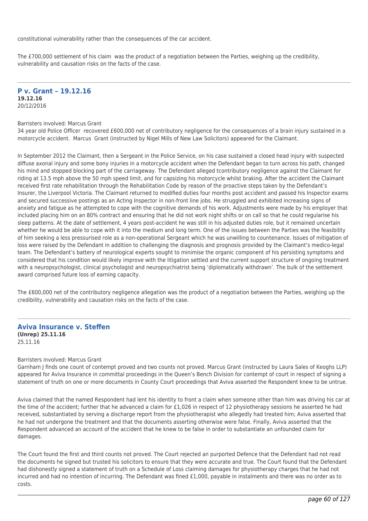constitutional vulnerability rather than the consequences of the car accident.

The £700,000 settlement of his claim was the product of a negotiation between the Parties, weighing up the credibility, vulnerability and causation risks on the facts of the case.

### **P v. Grant – 19.12.16 19.12.16** 20/12/2016

#### Barristers involved: Marcus Grant

34 year old Police Officer recovered £600,000 net of contributory negligence for the consequences of a brain injury sustained in a motorcycle accident. Marcus Grant (instructed by Nigel Mills of New Law Solicitors) appeared for the Claimant.

In September 2012 the Claimant, then a Sergeant in the Police Service, on his case sustained a closed head injury with suspected diffuse axonal injury and some bony injuries in a motorcycle accident when the Defendant began to turn across his path, changed his mind and stopped blocking part of the carriageway. The Defendant alleged tcontributory negligence against the Claimant for riding at 13.5 mph above the 50 mph speed limit, and for capsizing his motorcycle whilst braking. After the accident the Claimant received first rate rehabilitation through the Rehabilitation Code by reason of the proactive steps taken by the Defendant's Insurer, the Liverpool Victoria. The Claimant returned to modified duties four months post accident and passed his Inspector exams and secured successive postings as an Acting Inspector in non-front line jobs. He struggled and exhibited increasing signs of anxiety and fatigue as he attempted to cope with the cognitive demands of his work. Adjustments were made by his employer that included placing him on an 80% contract and ensuring that he did not work night shifts or on call so that he could regularise his sleep patterns. At the date of settlement, 4 years post-accident he was still in his adjusted duties role, but it remained uncertain whether he would be able to cope with it into the medium and long term. One of the issues between the Parties was the feasibility of him seeking a less pressurised role as a non-operational Sergeant which he was unwilling to countenance. Issues of mitigation of loss were raised by the Defendant in addition to challenging the diagnosis and prognosis provided by the Claimant's medico-legal team. The Defendant's battery of neurological experts sought to minimise the organic component of his persisting symptoms and considered that his condition would likely improve with the litigation settled and the current support structure of ongoing treatment with a neuropsychologist, clinical psychologist and neuropsychiatrist being 'diplomatically withdrawn'. The bulk of the settlement award comprised future loss of earning capacity.

The £600,000 net of the contributory negligence allegation was the product of a negotiation between the Parties, weighing up the credibility, vulnerability and causation risks on the facts of the case.

### **Aviva Insurance v. Steffen (Unrep) 25.11.16** 25.11.16

### Barristers involved: Marcus Grant

Garnham J finds one count of contempt proved and two counts not proved. Marcus Grant (instructed by Laura Sales of Keoghs LLP) appeared for Aviva Insurance in committal proceedings in the Queen's Bench Division for contempt of court in respect of signing a statement of truth on one or more documents in County Court proceedings that Aviva asserted the Respondent knew to be untrue.

Aviva claimed that the named Respondent had lent his identity to front a claim when someone other than him was driving his car at the time of the accident; further that he advanced a claim for £1,026 in respect of 12 physiotherapy sessions he asserted he had received, substantiated by serving a discharge report from the physiotherapist who allegedly had treated him; Aviva asserted that he had not undergone the treatment and that the documents asserting otherwise were false. Finally, Aviva asserted that the Respondent advanced an account of the accident that he knew to be false in order to substantiate an unfounded claim for damages.

The Court found the first and third counts not proved. The Court rejected an purported Defence that the Defendant had not read the documents he signed but trusted his solicitors to ensure that they were accurate and true. The Court found that the Defendant had dishonestly signed a statement of truth on a Schedule of Loss claiming damages for physiotherapy charges that he had not incurred and had no intention of incurring. The Defendant was fined £1,000, payable in instalments and there was no order as to costs.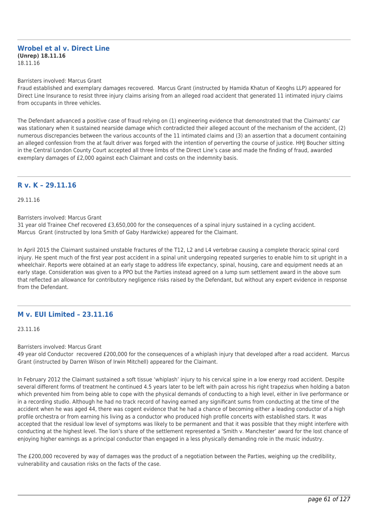#### **Wrobel et al v. Direct Line (Unrep) 18.11.16** 18.11.16

#### Barristers involved: Marcus Grant

Fraud established and exemplary damages recovered. Marcus Grant (instructed by Hamida Khatun of Keoghs LLP) appeared for Direct Line Insurance to resist three injury claims arising from an alleged road accident that generated 11 intimated injury claims from occupants in three vehicles.

The Defendant advanced a positive case of fraud relying on (1) engineering evidence that demonstrated that the Claimants' car was stationary when it sustained nearside damage which contradicted their alleged account of the mechanism of the accident, (2) numerous discrepancies between the various accounts of the 11 intimated claims and (3) an assertion that a document containing an alleged confession from the at fault driver was forged with the intention of perverting the course of justice. HHJ Boucher sitting in the Central London County Court accepted all three limbs of the Direct Line's case and made the finding of fraud, awarded exemplary damages of £2,000 against each Claimant and costs on the indemnity basis.

## **R v. K – 29.11.16**

29.11.16

Barristers involved: Marcus Grant

31 year old Trainee Chef recovered £3,650,000 for the consequences of a spinal injury sustained in a cycling accident. Marcus Grant (instructed by Iona Smith of Gaby Hardwicke) appeared for the Claimant.

In April 2015 the Claimant sustained unstable fractures of the T12, L2 and L4 vertebrae causing a complete thoracic spinal cord injury. He spent much of the first year post accident in a spinal unit undergoing repeated surgeries to enable him to sit upright in a wheelchair. Reports were obtained at an early stage to address life expectancy, spinal, housing, care and equipment needs at an early stage. Consideration was given to a PPO but the Parties instead agreed on a lump sum settlement award in the above sum that reflected an allowance for contributory negligence risks raised by the Defendant, but without any expert evidence in response from the Defendant.

## **M v. EUI Limited – 23.11.16**

23.11.16

#### Barristers involved: Marcus Grant

49 year old Conductor recovered £200,000 for the consequences of a whiplash injury that developed after a road accident. Marcus Grant (instructed by Darren Wilson of Irwin Mitchell) appeared for the Claimant.

In February 2012 the Claimant sustained a soft tissue 'whiplash' injury to his cervical spine in a low energy road accident. Despite several different forms of treatment he continued 4.5 years later to be left with pain across his right trapezius when holding a baton which prevented him from being able to cope with the physical demands of conducting to a high level, either in live performance or in a recording studio. Although he had no track record of having earned any significant sums from conducting at the time of the accident when he was aged 44, there was cogent evidence that he had a chance of becoming either a leading conductor of a high profile orchestra or from earning his living as a conductor who produced high profile concerts with established stars. It was accepted that the residual low level of symptoms was likely to be permanent and that it was possible that they might interfere with conducting at the highest level. The lion's share of the settlement represented a 'Smith v. Manchester' award for the lost chance of enjoying higher earnings as a principal conductor than engaged in a less physically demanding role in the music industry.

The £200,000 recovered by way of damages was the product of a negotiation between the Parties, weighing up the credibility, vulnerability and causation risks on the facts of the case.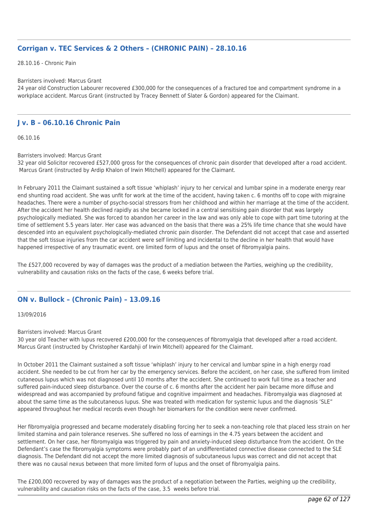# **Corrigan v. TEC Services & 2 Others – (CHRONIC PAIN) – 28.10.16**

28.10.16 - Chronic Pain

### Barristers involved: Marcus Grant

24 year old Construction Labourer recovered £300,000 for the consequences of a fractured toe and compartment syndrome in a workplace accident. Marcus Grant (instructed by Tracey Bennett of Slater & Gordon) appeared for the Claimant.

## **J v. B – 06.10.16 Chronic Pain**

06.10.16

Barristers involved: Marcus Grant

32 year old Solicitor recovered £527,000 gross for the consequences of chronic pain disorder that developed after a road accident. Marcus Grant (instructed by Ardip Khalon of Irwin Mitchell) appeared for the Claimant.

In February 2011 the Claimant sustained a soft tissue 'whiplash' injury to her cervical and lumbar spine in a moderate energy rear end shunting road accident. She was unfit for work at the time of the accident, having taken c. 6 months off to cope with migraine headaches. There were a number of psycho-social stressors from her childhood and within her marriage at the time of the accident. After the accident her health declined rapidly as she became locked in a central sensitising pain disorder that was largely psychologically mediated. She was forced to abandon her career in the law and was only able to cope with part time tutoring at the time of settlement 5.5 years later. Her case was advanced on the basis that there was a 25% life time chance that she would have descended into an equivalent psychologically-mediated chronic pain disorder. The Defendant did not accept that case and asserted that the soft tissue injuries from the car accident were self limiting and incidental to the decline in her health that would have happened irrespective of any traumatic event. ore limited form of lupus and the onset of fibromyalgia pains.

The £527,000 recovered by way of damages was the product of a mediation between the Parties, weighing up the credibility, vulnerability and causation risks on the facts of the case, 6 weeks before trial.

## **ON v. Bullock – (Chronic Pain) – 13.09.16**

### 13/09/2016

Barristers involved: Marcus Grant

30 year old Teacher with lupus recovered £200,000 for the consequences of fibromyalgia that developed after a road accident. Marcus Grant (instructed by Christopher Kardahji of Irwin Mitchell) appeared for the Claimant.

In October 2011 the Claimant sustained a soft tissue 'whiplash' injury to her cervical and lumbar spine in a high energy road accident. She needed to be cut from her car by the emergency services. Before the accident, on her case, she suffered from limited cutaneous lupus which was not diagnosed until 10 months after the accident. She continued to work full time as a teacher and suffered pain-induced sleep disturbance. Over the course of c. 6 months after the accident her pain became more diffuse and widespread and was accompanied by profound fatigue and cognitive impairment and headaches. Fibromyalgia was diagnosed at about the same time as the subcutaneous lupus. She was treated with medication for systemic lupus and the diagnosis 'SLE" appeared throughout her medical records even though her biomarkers for the condition were never confirmed.

Her fibromyalgia progressed and became moderately disabling forcing her to seek a non-teaching role that placed less strain on her limited stamina and pain tolerance reserves. She suffered no loss of earnings in the 4.75 years between the accident and settlement. On her case, her fibromyalgia was triggered by pain and anxiety-induced sleep disturbance from the accident. On the Defendant's case the fibromyalgia symptoms were probably part of an undifferentiated connective disease connected to the SLE diagnosis. The Defendant did not accept the more limited diagnosis of subcutaneous lupus was correct and did not accept that there was no causal nexus between that more limited form of lupus and the onset of fibromyalgia pains.

The £200,000 recovered by way of damages was the product of a negotiation between the Parties, weighing up the credibility, vulnerability and causation risks on the facts of the case, 3.5 weeks before trial.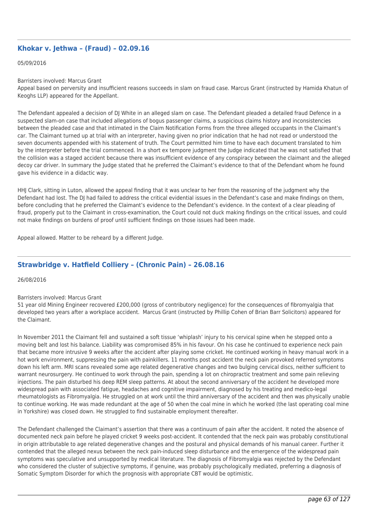# **Khokar v. Jethwa – (Fraud) – 02.09.16**

#### 05/09/2016

#### Barristers involved: Marcus Grant

Appeal based on perversity and insufficient reasons succeeds in slam on fraud case. Marcus Grant (instructed by Hamida Khatun of Keoghs LLP) appeared for the Appellant.

The Defendant appealed a decision of DJ White in an alleged slam on case. The Defendant pleaded a detailed fraud Defence in a suspected slam-on case that included allegations of bogus passenger claims, a suspicious claims history and inconsistencies between the pleaded case and that intimated in the Claim Notification Forms from the three alleged occupants in the Claimant's car. The Claimant turned up at trial with an interpreter, having given no prior indication that he had not read or understood the seven documents appended with his statement of truth. The Court permitted him time to have each document translated to him by the interpreter before the trial commenced. In a short ex tempore judgment the Judge indicated that he was not satisfied that the collision was a staged accident because there was insufficient evidence of any conspiracy between the claimant and the alleged decoy car driver. In summary the Judge stated that he preferred the Claimant's evidence to that of the Defendant whom he found gave his evidence in a didactic way.

HHJ Clark, sitting in Luton, allowed the appeal finding that it was unclear to her from the reasoning of the judgment why the Defendant had lost. The DJ had failed to address the critical evidential issues in the Defendant's case and make findings on them, before concluding that he preferred the Claimant's evidence to the Defendant's evidence. In the context of a clear pleading of fraud, properly put to the Claimant in cross-examination, the Court could not duck making findings on the critical issues, and could not make findings on burdens of proof until sufficient findings on those issues had been made.

Appeal allowed. Matter to be reheard by a different Judge.

# **Strawbridge v. Hatfield Colliery – (Chronic Pain) – 26.08.16**

#### 26/08/2016

### Barristers involved: Marcus Grant

51 year old Mining Engineer recovered £200,000 (gross of contributory negligence) for the consequences of fibromyalgia that developed two years after a workplace accident. Marcus Grant (instructed by Phillip Cohen of Brian Barr Solicitors) appeared for the Claimant.

In November 2011 the Claimant fell and sustained a soft tissue 'whiplash' injury to his cervical spine when he stepped onto a moving belt and lost his balance. Liability was compromised 85% in his favour. On his case he continued to experience neck pain that became more intrusive 9 weeks after the accident after playing some cricket. He continued working in heavy manual work in a hot work environment, suppressing the pain with painkillers. 11 months post accident the neck pain provoked referred symptoms down his left arm. MRI scans revealed some age related degenerative changes and two bulging cervical discs, neither sufficient to warrant neurosurgery. He continued to work through the pain, spending a lot on chiropractic treatment and some pain relieving injections. The pain disturbed his deep REM sleep patterns. At about the second anniversary of the accident he developed more widespread pain with associated fatigue, headaches and cognitive impairment, diagnosed by his treating and medico-legal rheumatologists as Fibromyalgia. He struggled on at work until the third anniversary of the accident and then was physically unable to continue working. He was made redundant at the age of 50 when the coal mine in which he worked (the last operating coal mine in Yorkshire) was closed down. He struggled to find sustainable employment thereafter.

The Defendant challenged the Claimant's assertion that there was a continuum of pain after the accident. It noted the absence of documented neck pain before he played cricket 9 weeks post-accident. It contended that the neck pain was probably constitutional in origin attributable to age related degenerative changes and the postural and physical demands of his manual career. Further it contended that the alleged nexus between the neck pain-induced sleep disturbance and the emergence of the widespread pain symptoms was speculative and unsupported by medical literature. The diagnosis of Fibromyalgia was rejected by the Defendant who considered the cluster of subjective symptoms, if genuine, was probably psychologically mediated, preferring a diagnosis of Somatic Symptom Disorder for which the prognosis with appropriate CBT would be optimistic.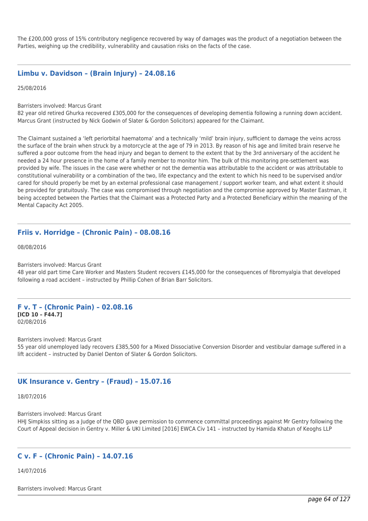The £200,000 gross of 15% contributory negligence recovered by way of damages was the product of a negotiation between the Parties, weighing up the credibility, vulnerability and causation risks on the facts of the case.

## **Limbu v. Davidson – (Brain Injury) – 24.08.16**

25/08/2016

Barristers involved: Marcus Grant

82 year old retired Ghurka recovered £305,000 for the consequences of developing dementia following a running down accident. Marcus Grant (instructed by Nick Godwin of Slater & Gordon Solicitors) appeared for the Claimant.

The Claimant sustained a 'left periorbital haematoma' and a technically 'mild' brain injury, sufficient to damage the veins across the surface of the brain when struck by a motorcycle at the age of 79 in 2013. By reason of his age and limited brain reserve he suffered a poor outcome from the head injury and began to dement to the extent that by the 3rd anniversary of the accident he needed a 24 hour presence in the home of a family member to monitor him. The bulk of this monitoring pre-settlement was provided by wife. The issues in the case were whether or not the dementia was attributable to the accident or was attributable to constitutional vulnerability or a combination of the two, life expectancy and the extent to which his need to be supervised and/or cared for should properly be met by an external professional case management / support worker team, and what extent it should be provided for gratuitously. The case was compromised through negotiation and the compromise approved by Master Eastman, it being accepted between the Parties that the Claimant was a Protected Party and a Protected Beneficiary within the meaning of the Mental Capacity Act 2005.

## **Friis v. Horridge – (Chronic Pain) – 08.08.16**

08/08/2016

Barristers involved: Marcus Grant

48 year old part time Care Worker and Masters Student recovers £145,000 for the consequences of fibromyalgia that developed following a road accident – instructed by Phillip Cohen of Brian Barr Solicitors.

### **F v. T – (Chronic Pain) – 02.08.16 [ICD 10 – F44.7]**

02/08/2016

Barristers involved: Marcus Grant

55 year old unemployed lady recovers £385,500 for a Mixed Dissociative Conversion Disorder and vestibular damage suffered in a lift accident – instructed by Daniel Denton of Slater & Gordon Solicitors.

## **UK Insurance v. Gentry – (Fraud) – 15.07.16**

18/07/2016

Barristers involved: Marcus Grant HHJ Simpkiss sitting as a Judge of the QBD gave permission to commence committal proceedings against Mr Gentry following the Court of Appeal decision in Gentry v. Miller & UKI Limited [2016] EWCA Civ 141 – instructed by Hamida Khatun of Keoghs LLP

## **C v. F – (Chronic Pain) – 14.07.16**

14/07/2016

Barristers involved: Marcus Grant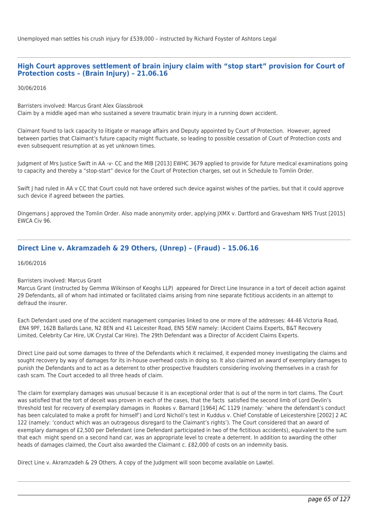Unemployed man settles his crush injury for £539,000 – instructed by Richard Foyster of Ashtons Legal

## **High Court approves settlement of brain injury claim with "stop start" provision for Court of Protection costs – (Brain Injury) – 21.06.16**

30/06/2016

Barristers involved: Marcus Grant Alex Glassbrook Claim by a middle aged man who sustained a severe traumatic brain injury in a running down accident.

Claimant found to lack capacity to litigate or manage affairs and Deputy appointed by Court of Protection. However, agreed between parties that Claimant's future capacity might fluctuate, so leading to possible cessation of Court of Protection costs and even subsequent resumption at as yet unknown times.

Judgment of Mrs Justice Swift in AA -v- CC and the MIB [2013] EWHC 3679 applied to provide for future medical examinations going to capacity and thereby a "stop-start" device for the Court of Protection charges, set out in Schedule to Tomlin Order.

Swift | had ruled in AA v CC that Court could not have ordered such device against wishes of the parties, but that it could approve such device if agreed between the parties.

Dingemans J approved the Tomlin Order. Also made anonymity order, applying JXMX v. Dartford and Gravesham NHS Trust [2015] EWCA Civ 96.

# **Direct Line v. Akramzadeh & 29 Others, (Unrep) – (Fraud) – 15.06.16**

16/06/2016

### Barristers involved: Marcus Grant

Marcus Grant (instructed by Gemma Wilkinson of Keoghs LLP) appeared for Direct Line Insurance in a tort of deceit action against 29 Defendants, all of whom had intimated or facilitated claims arising from nine separate fictitious accidents in an attempt to defraud the insurer.

Each Defendant used one of the accident management companies linked to one or more of the addresses: 44-46 Victoria Road, EN4 9PF, 162B Ballards Lane, N2 8EN and 41 Leicester Road, EN5 5EW namely: (Accident Claims Experts, B&T Recovery Limited, Celebrity Car Hire, UK Crystal Car Hire). The 29th Defendant was a Director of Accident Claims Experts.

Direct Line paid out some damages to three of the Defendants which it reclaimed, it expended money investigating the claims and sought recovery by way of damages for its in-house overhead costs in doing so. It also claimed an award of exemplary damages to punish the Defendants and to act as a deterrent to other prospective fraudsters considering involving themselves in a crash for cash scam. The Court acceded to all three heads of claim.

The claim for exemplary damages was unusual because it is an exceptional order that is out of the norm in tort claims. The Court was satisfied that the tort of deceit was proven in each of the cases, that the facts satisfied the second limb of Lord Devlin's threshold test for recovery of exemplary damages in Rookes v. Barnard [1964] AC 1129 (namely: 'where the defendant's conduct has been calculated to make a profit for himself') and Lord Nicholl's test in Kuddus v. Chief Constable of Leicestershire [2002] 2 AC 122 (namely: 'conduct which was an outrageous disregard to the Claimant's rights'). The Court considered that an award of exemplary damages of £2,500 per Defendant (one Defendant participated in two of the fictitious accidents), equivalent to the sum that each might spend on a second hand car, was an appropriate level to create a deterrent. In addition to awarding the other heads of damages claimed, the Court also awarded the Claimant c. £82,000 of costs on an indemnity basis.

Direct Line v. Akramzadeh & 29 Others. A copy of the Judgment will soon become available on Lawtel.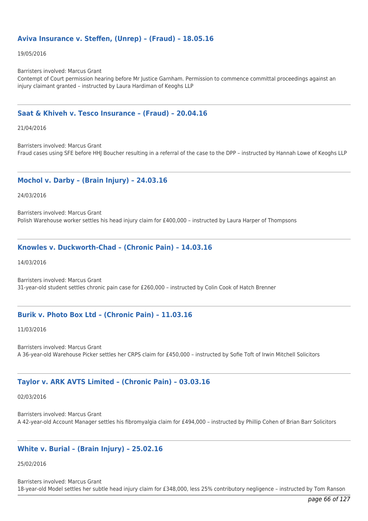# **Aviva Insurance v. Steffen, (Unrep) – (Fraud) – 18.05.16**

19/05/2016

Barristers involved: Marcus Grant

Contempt of Court permission hearing before Mr Justice Garnham. Permission to commence committal proceedings against an injury claimant granted – instructed by Laura Hardiman of Keoghs LLP

## **Saat & Khiveh v. Tesco Insurance – (Fraud) – 20.04.16**

21/04/2016

Barristers involved: Marcus Grant Fraud cases using SFE before HHJ Boucher resulting in a referral of the case to the DPP – instructed by Hannah Lowe of Keoghs LLP

## **Mochol v. Darby – (Brain Injury) – 24.03.16**

24/03/2016

Barristers involved: Marcus Grant Polish Warehouse worker settles his head injury claim for £400,000 – instructed by Laura Harper of Thompsons

## **Knowles v. Duckworth-Chad – (Chronic Pain) – 14.03.16**

14/03/2016

Barristers involved: Marcus Grant 31-year-old student settles chronic pain case for £260,000 – instructed by Colin Cook of Hatch Brenner

## **Burik v. Photo Box Ltd – (Chronic Pain) – 11.03.16**

11/03/2016

Barristers involved: Marcus Grant A 36-year-old Warehouse Picker settles her CRPS claim for £450,000 – instructed by Sofie Toft of Irwin Mitchell Solicitors

# **Taylor v. ARK AVTS Limited – (Chronic Pain) – 03.03.16**

02/03/2016

Barristers involved: Marcus Grant A 42-year-old Account Manager settles his fibromyalgia claim for £494,000 – instructed by Phillip Cohen of Brian Barr Solicitors

# **White v. Burial – (Brain Injury) – 25.02.16**

25/02/2016

Barristers involved: Marcus Grant 18-year-old Model settles her subtle head injury claim for £348,000, less 25% contributory negligence – instructed by Tom Ranson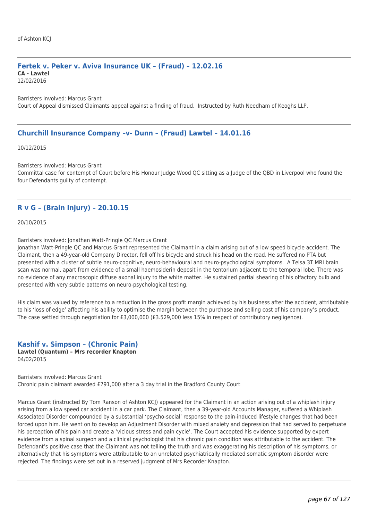# **Fertek v. Peker v. Aviva Insurance UK – (Fraud) – 12.02.16 CA - Lawtel**

12/02/2016

Barristers involved: Marcus Grant Court of Appeal dismissed Claimants appeal against a finding of fraud. Instructed by Ruth Needham of Keoghs LLP.

## **Churchill Insurance Company –v- Dunn – (Fraud) Lawtel – 14.01.16**

10/12/2015

Barristers involved: Marcus Grant

Committal case for contempt of Court before His Honour Judge Wood QC sitting as a Judge of the QBD in Liverpool who found the four Defendants guilty of contempt.

# **R v G – (Brain Injury) – 20.10.15**

20/10/2015

Barristers involved: Jonathan Watt-Pringle QC Marcus Grant

Jonathan Watt-Pringle QC and Marcus Grant represented the Claimant in a claim arising out of a low speed bicycle accident. The Claimant, then a 49-year-old Company Director, fell off his bicycle and struck his head on the road. He suffered no PTA but presented with a cluster of subtle neuro-cognitive, neuro-behavioural and neuro-psychological symptoms. A Telsa 3T MRI brain scan was normal, apart from evidence of a small haemosiderin deposit in the tentorium adjacent to the temporal lobe. There was no evidence of any macroscopic diffuse axonal injury to the white matter. He sustained partial shearing of his olfactory bulb and presented with very subtle patterns on neuro-psychological testing.

His claim was valued by reference to a reduction in the gross profit margin achieved by his business after the accident, attributable to his 'loss of edge' affecting his ability to optimise the margin between the purchase and selling cost of his company's product. The case settled through negotiation for £3,000,000 (£3.529,000 less 15% in respect of contributory negligence).

### **Kashif v. Simpson – (Chronic Pain) Lawtel (Quantum) – Mrs recorder Knapton** 04/02/2015

Barristers involved: Marcus Grant Chronic pain claimant awarded £791,000 after a 3 day trial in the Bradford County Court

Marcus Grant (instructed By Tom Ranson of Ashton KCJ) appeared for the Claimant in an action arising out of a whiplash injury arising from a low speed car accident in a car park. The Claimant, then a 39-year-old Accounts Manager, suffered a Whiplash Associated Disorder compounded by a substantial 'psycho-social' response to the pain-induced lifestyle changes that had been forced upon him. He went on to develop an Adjustment Disorder with mixed anxiety and depression that had served to perpetuate his perception of his pain and create a 'vicious stress and pain cycle'. The Court accepted his evidence supported by expert evidence from a spinal surgeon and a clinical psychologist that his chronic pain condition was attributable to the accident. The Defendant's positive case that the Claimant was not telling the truth and was exaggerating his description of his symptoms, or alternatively that his symptoms were attributable to an unrelated psychiatrically mediated somatic symptom disorder were rejected. The findings were set out in a reserved judgment of Mrs Recorder Knapton.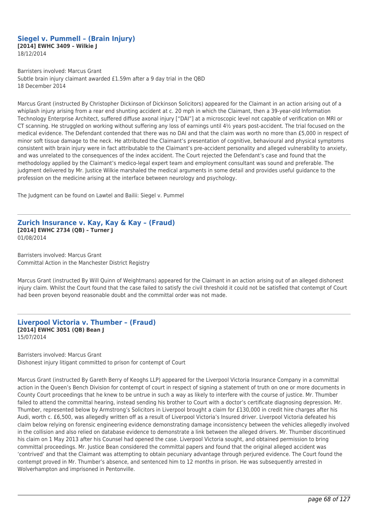### **Siegel v. Pummell – (Brain Injury) [2014] EWHC 3409 – Wilkie J** 18/12/2014

Barristers involved: Marcus Grant Subtle brain injury claimant awarded £1.59m after a 9 day trial in the QBD 18 December 2014

Marcus Grant (instructed By Christopher Dickinson of Dickinson Solicitors) appeared for the Claimant in an action arising out of a whiplash injury arising from a rear end shunting accident at c. 20 mph in which the Claimant, then a 39-year-old Information Technology Enterprise Architect, suffered diffuse axonal injury ["DAI"] at a microscopic level not capable of verification on MRI or CT scanning. He struggled on working without suffering any loss of earnings until  $4\frac{1}{2}$  years post-accident. The trial focused on the medical evidence. The Defendant contended that there was no DAI and that the claim was worth no more than £5,000 in respect of minor soft tissue damage to the neck. He attributed the Claimant's presentation of cognitive, behavioural and physical symptoms consistent with brain injury were in fact attributable to the Claimant's pre-accident personality and alleged vulnerability to anxiety, and was unrelated to the consequences of the index accident. The Court rejected the Defendant's case and found that the methodology applied by the Claimant's medico-legal expert team and employment consultant was sound and preferable. The judgment delivered by Mr. Justice Wilkie marshaled the medical arguments in some detail and provides useful guidance to the profession on the medicine arising at the interface between neurology and psychology.

The Judgment can be found on Lawtel and Bailii: Siegel v. Pummel

### **Zurich Insurance v. Kay, Kay & Kay – (Fraud) [2014] EWHC 2734 (QB) – Turner J** 01/08/2014

Barristers involved: Marcus Grant Committal Action in the Manchester District Registry

Marcus Grant (instructed By Will Quinn of Weightmans) appeared for the Claimant in an action arising out of an alleged dishonest injury claim. Whilst the Court found that the case failed to satisfy the civil threshold it could not be satisfied that contempt of Court had been proven beyond reasonable doubt and the committal order was not made.

# **Liverpool Victoria v. Thumber – (Fraud) [2014] EWHC 3051 (QB) Bean J** 15/07/2014

Barristers involved: Marcus Grant Dishonest injury litigant committed to prison for contempt of Court

Marcus Grant (instructed By Gareth Berry of Keoghs LLP) appeared for the Liverpool Victoria Insurance Company in a committal action in the Queen's Bench Division for contempt of court in respect of signing a statement of truth on one or more documents in County Court proceedings that he knew to be untrue in such a way as likely to interfere with the course of justice. Mr. Thumber failed to attend the committal hearing, instead sending his brother to Court with a doctor's certificate diagnosing depression. Mr. Thumber, represented below by Armstrong's Solicitors in Liverpool brought a claim for £130,000 in credit hire charges after his Audi, worth c. £6,500, was allegedly written off as a result of Liverpool Victoria's Insured driver. Liverpool Victoria defeated his claim below relying on forensic engineering evidence demonstrating damage inconsistency between the vehicles allegedly involved in the collision and also relied on database evidence to demonstrate a link between the alleged drivers. Mr. Thumber discontinued his claim on 1 May 2013 after his Counsel had opened the case. Liverpool Victoria sought, and obtained permission to bring committal proceedings. Mr. Justice Bean considered the committal papers and found that the original alleged accident was 'contrived' and that the Claimant was attempting to obtain pecuniary advantage through perjured evidence. The Court found the contempt proved in Mr. Thumber's absence, and sentenced him to 12 months in prison. He was subsequently arrested in Wolverhampton and imprisoned in Pentonville.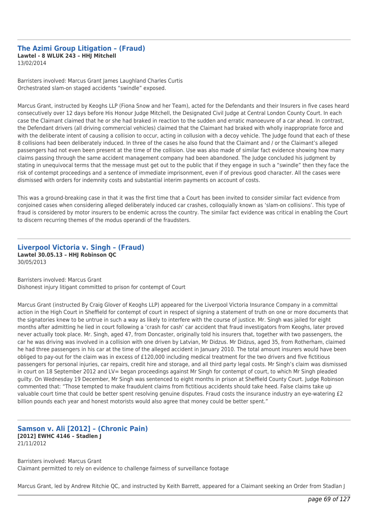#### **The Azimi Group Litigation – (Fraud) Lawtel - 8 WLUK 243 – HHJ Mitchell** 13/02/2014

Barristers involved: Marcus Grant James Laughland Charles Curtis Orchestrated slam-on staged accidents "swindle" exposed.

Marcus Grant, instructed by Keoghs LLP (Fiona Snow and her Team), acted for the Defendants and their Insurers in five cases heard consecutively over 12 days before His Honour Judge Mitchell, the Designated Civil Judge at Central London County Court. In each case the Claimant claimed that he or she had braked in reaction to the sudden and erratic manoeuvre of a car ahead. In contrast, the Defendant drivers (all driving commercial vehicles) claimed that the Claimant had braked with wholly inappropriate force and with the deliberate intent of causing a collision to occur, acting in collusion with a decoy vehicle. The Judge found that each of these 8 collisions had been deliberately induced. In three of the cases he also found that the Claimant and / or the Claimant's alleged passengers had not even been present at the time of the collision. Use was also made of similar fact evidence showing how many claims passing through the same accident management company had been abandoned. The Judge concluded his judgment by stating in unequivocal terms that the message must get out to the public that if they engage in such a "swindle" then they face the risk of contempt proceedings and a sentence of immediate imprisonment, even if of previous good character. All the cases were dismissed with orders for indemnity costs and substantial interim payments on account of costs.

This was a ground-breaking case in that it was the first time that a Court has been invited to consider similar fact evidence from conjoined cases when considering alleged deliberately induced car crashes, colloquially known as 'slam-on collisions'. This type of fraud is considered by motor insurers to be endemic across the country. The similar fact evidence was critical in enabling the Court to discern recurring themes of the modus operandi of the fraudsters.

### **Liverpool Victoria v. Singh – (Fraud) Lawtel 30.05.13 – HHJ Robinson QC** 30/05/2013

Barristers involved: Marcus Grant Dishonest injury litigant committed to prison for contempt of Court

Marcus Grant (instructed By Craig Glover of Keoghs LLP) appeared for the Liverpool Victoria Insurance Company in a committal action in the High Court in Sheffield for contempt of court in respect of signing a statement of truth on one or more documents that the signatories knew to be untrue in such a way as likely to interfere with the course of justice. Mr. Singh was jailed for eight months after admitting he lied in court following a 'crash for cash' car accident that fraud investigators from Keoghs, later proved never actually took place. Mr. Singh, aged 47, from Doncaster, originally told his insurers that, together with two passengers, the car he was driving was involved in a collision with one driven by Latvian, Mr Didzus. Mr Didzus, aged 35, from Rotherham, claimed he had three passengers in his car at the time of the alleged accident in January 2010. The total amount insurers would have been obliged to pay-out for the claim was in excess of £120,000 including medical treatment for the two drivers and five fictitious passengers for personal injuries, car repairs, credit hire and storage, and all third party legal costs. Mr Singh's claim was dismissed in court on 18 September 2012 and LV= began proceedings against Mr Singh for contempt of court, to which Mr Singh pleaded guilty. On Wednesday 19 December, Mr Singh was sentenced to eight months in prison at Sheffield County Court. Judge Robinson commented that: "Those tempted to make fraudulent claims from fictitious accidents should take heed. False claims take up valuable court time that could be better spent resolving genuine disputes. Fraud costs the insurance industry an eye-watering £2 billion pounds each year and honest motorists would also agree that money could be better spent."

## **Samson v. Ali [2012] – (Chronic Pain) [2012] EWHC 4146 – Stadlen J** 21/11/2012

Barristers involved: Marcus Grant Claimant permitted to rely on evidence to challenge fairness of surveillance footage

Marcus Grant, led by Andrew Ritchie QC, and instructed by Keith Barrett, appeared for a Claimant seeking an Order from Stadlan J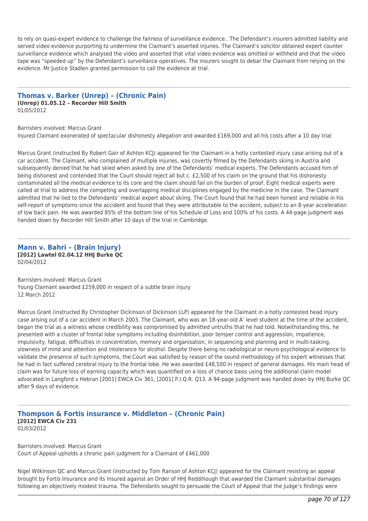to rely on quasi-expert evidence to challenge the fairness of surveillance evidence.. The Defendant's insurers admitted liability and served video evidence purporting to undermine the Claimant's asserted injuries. The Claimant's solicitor obtained expert counter surveillance evidence which analysed the video and asserted that vital video evidence was omitted or withheld and that the video tape was "speeded up" by the Defendant's surveillance operatives. The insurers sought to debar the Claimant from relying on the evidence. Mr Justice Stadlen granted permission to call the evidence at trial.

### **Thomas v. Barker (Unrep) – (Chronic Pain) (Unrep) 01.05.12 – Recorder Hill Smith** 01/05/2012

Barristers involved: Marcus Grant Injured Claimant exonerated of spectacular dishonesty allegation and awarded £169,000 and all his costs after a 10 day trial

Marcus Grant (instructed By Robert Gair of Ashton KCJ) appeared for the Claimant in a hotly contested injury case arising out of a car accident. The Claimant, who complained of multiple injuries, was covertly filmed by the Defendants skiing in Austria and subsequently denied that he had skied when asked by one of the Defendants' medical experts. The Defendants accused him of being dishonest and contended that the Court should reject all but c. £2,500 of his claim on the ground that his dishonesty contaminated all the medical evidence to its core and the claim should fail on the burden of proof. Eight medical experts were called at trial to address the competing and overlapping medical disciplines engaged by the medicine in the case. The Claimant admitted that he lied to the Defendants' medical expert about skiing. The Court found that he had been honest and reliable in his self-report of symptoms since the accident and found that they were attributable to the accident, subject to an 8-year acceleration of low back pain. He was awarded 85% of the bottom line of his Schedule of Loss and 100% of his costs. A 44-page judgment was handed down by Recorder Hill Smith after 10 days of the trial in Cambridge.

### **Mann v. Bahri – (Brain Injury) [2012] Lawtel 02.04.12 HHJ Burke QC** 02/04/2012

Barristers involved: Marcus Grant Young Claimant awarded £259,000 in respect of a subtle brain injury 12 March 2012

Marcus Grant (instructed By Christopher Dickinson of Dickinson LLP) appeared for the Claimant in a hotly contested head injury case arising out of a car accident in March 2003. The Claimant, who was an 18-year-old A' level student at the time of the accident, began the trial as a witness whose credibility was compromised by admitted untruths that he had told. Notwithstanding this, he presented with a cluster of frontal lobe symptoms including disinhibition, poor temper control and aggression, impatience, impulsivity, fatigue, difficulties in concentration, memory and organisation, in sequencing and planning and in multi-tasking, slowness of mind and attention and intolerance for alcohol. Despite there being no radiological or neuro-psychological evidence to validate the presence of such symptoms, the Court was satisfied by reason of the sound methodology of his expert witnesses that he had in fact suffered cerebral injury to the frontal lobe. He was awarded £48,500 in respect of general damages. His main head of claim was for future loss of earning capacity which was quantified on a loss of chance basis using the additional claim model advocated in Langford v Hebran [2001] EWCA Civ 361, [2001] P.I.Q.R. Q13. A 94-page judgment was handed down by HHJ Burke QC after 9 days of evidence.

### **Thompson & Fortis insurance v. Middleton – (Chronic Pain) [2012] EWCA Civ 231** 01/03/2012

Barristers involved: Marcus Grant Court of Appeal upholds a chronic pain judgment for a Claimant of £461,000

Nigel Wilkinson QC and Marcus Grant (instructed by Tom Ranson of Ashton KCJ) appeared for the Claimant resisting an appeal brought by Fortis Insurance and its Insured against an Order of HHJ Reddihough that awarded the Claimant substantial damages following an objectively modest trauma. The Defendants sought to persuade the Court of Appeal that the Judge's findings were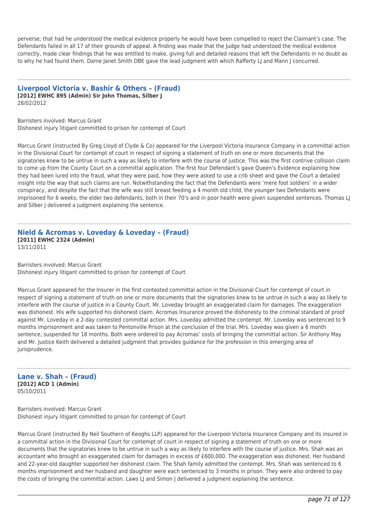perverse; that had he understood the medical evidence properly he would have been compelled to reject the Claimant's case. The Defendants failed in all 17 of their grounds of appeal. A finding was made that the Judge had understood the medical evidence correctly, made clear findings that he was entitled to make, giving full and detailed reasons that left the Defendants in no doubt as to why he had found them. Dame Janet Smith DBE gave the lead judgment with which Rafferty LJ and Mann J concurred.

**Liverpool Victoria v. Bashir & Others – (Fraud) [2012] EWHC 895 (Admin) Sir John Thomas, Silber J** 28/02/2012

Barristers involved: Marcus Grant Dishonest injury litigant committed to prison for contempt of Court

Marcus Grant (instructed By Greg Lloyd of Clyde & Co) appeared for the Liverpool Victoria Insurance Company in a committal action in the Divisional Court for contempt of court in respect of signing a statement of truth on one or more documents that the signatories knew to be untrue in such a way as likely to interfere with the course of justice. This was the first contrive collision claim to come up from the County Court on a committal application. The first four Defendant's gave Queen's Evidence explaining how they had been lured into the fraud, what they were paid, how they were asked to use a crib sheet and gave the Court a detailed insight into the way that such claims are run. Notwithstanding the fact that the Defendants were 'mere foot soldiers' in a wider conspiracy, and despite the fact that the wife was still breast feeding a 4 month old child, the younger two Defendants were imprisoned for 6 weeks; the elder two defendants, both in their 70's and in poor health were given suspended sentences. Thomas LJ and Silber J delivered a judgment explaining the sentence.

### **Nield & Acromas v. Loveday & Loveday – (Fraud) [2011] EWHC 2324 (Admin)** 13/11/2011

Barristers involved: Marcus Grant Dishonest injury litigant committed to prison for contempt of Court

Marcus Grant appeared for the Insurer in the first contested committal action in the Divisional Court for contempt of court in respect of signing a statement of truth on one or more documents that the signatories knew to be untrue in such a way as likely to interfere with the course of justice in a County Court. Mr. Loveday brought an exaggerated claim for damages. The exaggeration was dishonest. His wife supported his dishonest claim. Acromas Insurance proved the dishonesty to the criminal standard of proof against Mr. Loveday in a 2-day contested committal action. Mrs. Loveday admitted the contempt. Mr. Loveday was sentenced to 9 months imprisonment and was taken to Pentonville Prison at the conclusion of the trial. Mrs. Loveday was given a 6 month sentence, suspended for 18 months. Both were ordered to pay Acromas' costs of bringing the committal action. Sir Anthony May and Mr. Justice Keith delivered a detailed judgment that provides guidance for the profession in this emerging area of jurisprudence.

**Lane v. Shah – (Fraud) [2012] ACD 1 (Admin)** 05/10/2011

Barristers involved: Marcus Grant Dishonest injury litigant committed to prison for contempt of Court

Marcus Grant (instructed By Neil Southern of Keoghs LLP) appeared for the Liverpool Victoria Insurance Company and its insured in a committal action in the Divisional Court for contempt of court in respect of signing a statement of truth on one or more documents that the signatories knew to be untrue in such a way as likely to interfere with the course of justice. Mrs. Shah was an accountant who brought an exaggerated claim for damages in excess of £600,000. The exaggeration was dishonest. Her husband and 22-year-old daughter supported her dishonest claim. The Shah family admitted the contempt. Mrs. Shah was sentenced to 6 months imprisonment and her husband and daughter were each sentenced to 3 months in prison. They were also ordered to pay the costs of bringing the committal action. Laws LJ and Simon J delivered a judgment explaining the sentence.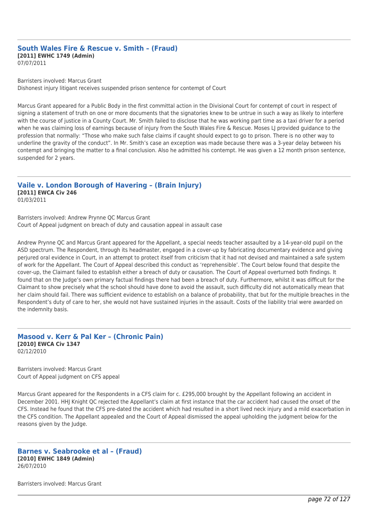#### **South Wales Fire & Rescue v. Smith – (Fraud) [2011] EWHC 1749 (Admin)** 07/07/2011

Barristers involved: Marcus Grant

Dishonest injury litigant receives suspended prison sentence for contempt of Court

Marcus Grant appeared for a Public Body in the first committal action in the Divisional Court for contempt of court in respect of signing a statement of truth on one or more documents that the signatories knew to be untrue in such a way as likely to interfere with the course of justice in a County Court. Mr. Smith failed to disclose that he was working part time as a taxi driver for a period when he was claiming loss of earnings because of injury from the South Wales Fire & Rescue. Moses LJ provided guidance to the profession that normally: "Those who make such false claims if caught should expect to go to prison. There is no other way to underline the gravity of the conduct". In Mr. Smith's case an exception was made because there was a 3-year delay between his contempt and bringing the matter to a final conclusion. Also he admitted his contempt. He was given a 12 month prison sentence, suspended for 2 years.

### **Vaile v. London Borough of Havering – (Brain Injury) [2011] EWCA Civ 246** 01/03/2011

Barristers involved: Andrew Prynne QC Marcus Grant Court of Appeal judgment on breach of duty and causation appeal in assault case

Andrew Prynne QC and Marcus Grant appeared for the Appellant, a special needs teacher assaulted by a 14-year-old pupil on the ASD spectrum. The Respondent, through its headmaster, engaged in a cover-up by fabricating documentary evidence and giving perjured oral evidence in Court, in an attempt to protect itself from criticism that it had not devised and maintained a safe system of work for the Appellant. The Court of Appeal described this conduct as 'reprehensible'. The Court below found that despite the cover-up, the Claimant failed to establish either a breach of duty or causation. The Court of Appeal overturned both findings. It found that on the Judge's own primary factual findings there had been a breach of duty. Furthermore, whilst it was difficult for the Claimant to show precisely what the school should have done to avoid the assault, such difficulty did not automatically mean that her claim should fail. There was sufficient evidence to establish on a balance of probability, that but for the multiple breaches in the Respondent's duty of care to her, she would not have sustained injuries in the assault. Costs of the liability trial were awarded on the indemnity basis.

**Masood v. Kerr & Pal Ker – (Chronic Pain) [2010] EWCA Civ 1347** 02/12/2010

Barristers involved: Marcus Grant Court of Appeal judgment on CFS appeal

Marcus Grant appeared for the Respondents in a CFS claim for c. £295,000 brought by the Appellant following an accident in December 2001. HHJ Knight QC rejected the Appellant's claim at first instance that the car accident had caused the onset of the CFS. Instead he found that the CFS pre-dated the accident which had resulted in a short lived neck injury and a mild exacerbation in the CFS condition. The Appellant appealed and the Court of Appeal dismissed the appeal upholding the judgment below for the reasons given by the Judge.

## **Barnes v. Seabrooke et al – (Fraud) [2010] EWHC 1849 (Admin)** 26/07/2010

Barristers involved: Marcus Grant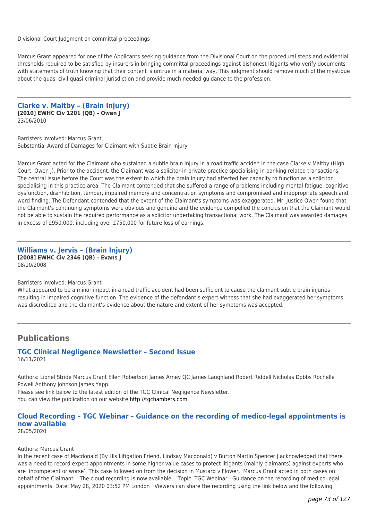Divisional Court Judgment on committal proceedings

Marcus Grant appeared for one of the Applicants seeking guidance from the Divisional Court on the procedural steps and evidential thresholds required to be satisfied by insurers in bringing committal proceedings against dishonest litigants who verify documents with statements of truth knowing that their content is untrue in a material way. This judgment should remove much of the mystique about the quasi civil quasi criminal jurisdiction and provide much needed guidance to the profession.

**Clarke v. Maltby – (Brain Injury) [2010] EWHC Civ 1201 (QB) – Owen J** 23/06/2010

Barristers involved: Marcus Grant Substantial Award of Damages for Claimant with Subtle Brain Injury

Marcus Grant acted for the Claimant who sustained a subtle brain injury in a road traffic acciden in the case Clarke v Maltby (High Court, Owen J). Prior to the accident, the Claimant was a solicitor in private practice specialising in banking related transactions. The central issue before the Court was the extent to which the brain injury had affected her capacity to function as a solicitor specialising in this practice area. The Claimant contended that she suffered a range of problems including mental fatigue, cognitive dysfunction, disinhibition, temper, impaired memory and concentration symptoms and compromised and inappropriate speech and word finding. The Defendant contended that the extent of the Claimant's symptoms was exaggerated. Mr. Justice Owen found that the Claimant's continuing symptoms were obvious and genuine and the evidence compelled the conclusion that the Claimant would not be able to sustain the required performance as a solicitor undertaking transactional work. The Claimant was awarded damages in excess of £950,000, including over £750,000 for future loss of earnings.

# **Williams v. Jervis – (Brain Injury) [2008] EWHC Civ 2346 (QB) – Evans J** 08/10/2008

#### Barristers involved: Marcus Grant

What appeared to be a minor impact in a road traffic accident had been sufficient to cause the claimant subtle brain injuries resulting in impaired cognitive function. The evidence of the defendant's expert witness that she had exaggerated her symptoms was discredited and the claimant's evidence about the nature and extent of her symptoms was accepted.

# **Publications**

#### **TGC Clinical Negligence Newsletter – Second Issue** 16/11/2021

Authors: Lionel Stride Marcus Grant Ellen Robertson James Arney QC James Laughland Robert Riddell Nicholas Dobbs Rochelle Powell Anthony Johnson James Yapp Please see link below to the latest edition of the TGC Clinical Negligence Newsletter. You can view the publication on our website [http://tgchambers.com](https://tgchambers.com/wp-content/uploads/2021/11/TGC073_Clin_Neg_Newsletter_Issue2_v3.pdf)

# **Cloud Recording – TGC Webinar – Guidance on the recording of medico-legal appointments is now available**

28/05/2020

## Authors: Marcus Grant

In the recent case of Macdonald (By His Litigation Friend, Lindsay Macdonald) v Burton Martin Spencer J acknowledged that there was a need to record expert appointments in some higher value cases to protect litigants (mainly claimants) against experts who are 'incompetent or worse'. This case followed on from the decision in Mustard v Flower, Marcus Grant acted in both cases on behalf of the Claimant. The cloud recording is now available. Topic: TGC Webinar - Guidance on the recording of medico-legal appointments. Date: May 28, 2020 03:52 PM London Viewers can share the recording using the link below and the following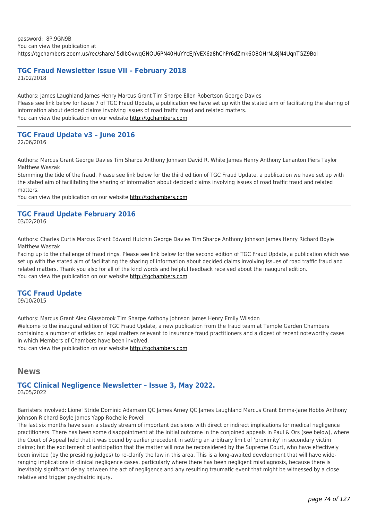# **TGC Fraud Newsletter Issue VII – February 2018** 21/02/2018

Authors: James Laughland James Henry Marcus Grant Tim Sharpe Ellen Robertson George Davies Please see link below for Issue 7 of TGC Fraud Update, a publication we have set up with the stated aim of facilitating the sharing of information about decided claims involving issues of road traffic fraud and related matters. You can view the publication on our website [http://tgchambers.com](https://tgchambers.com/wp-content/uploads/2018/02/TGC032_Newsletter_Fraud_issue7_v2.pdf)

# **TGC Fraud Update v3 – June 2016**

22/06/2016

Authors: Marcus Grant George Davies Tim Sharpe Anthony Johnson David R. White James Henry Anthony Lenanton Piers Taylor Matthew Waszak

Stemming the tide of the fraud. Please see link below for the third edition of TGC Fraud Update, a publication we have set up with the stated aim of facilitating the sharing of information about decided claims involving issues of road traffic fraud and related matters.

You can view the publication on our website [http://tgchambers.com](https://tgchambers.com/wp-content/uploads/2016/06/TGC016_Newsletter_v3-3.pdf)

# **TGC Fraud Update February 2016**

03/02/2016

Authors: Charles Curtis Marcus Grant Edward Hutchin George Davies Tim Sharpe Anthony Johnson James Henry Richard Boyle Matthew Waszak

Facing up to the challenge of fraud rings. Please see link below for the second edition of TGC Fraud Update, a publication which was set up with the stated aim of facilitating the sharing of information about decided claims involving issues of road traffic fraud and related matters. Thank you also for all of the kind words and helpful feedback received about the inaugural edition. You can view the publication on our website [http://tgchambers.com](https://tgchambers.com/wp-content/uploads/2016/03/TGC-Fraud-Update-Feb-2016.pdf)

# **TGC Fraud Update** 09/10/2015

Authors: Marcus Grant Alex Glassbrook Tim Sharpe Anthony Johnson James Henry Emily Wilsdon Welcome to the inaugural edition of TGC Fraud Update, a new publication from the fraud team at Temple Garden Chambers containing a number of articles on legal matters relevant to insurance fraud practitioners and a digest of recent noteworthy cases in which Members of Chambers have been involved.

You can view the publication on our website [http://tgchambers.com](https://tgchambers.com/wp-content/uploads/2016/12/TGC-Fraud-Update-October-2015.pdf)

# **News**

# **TGC Clinical Negligence Newsletter – Issue 3, May 2022.** 03/05/2022

Barristers involved: Lionel Stride Dominic Adamson QC James Arney QC James Laughland Marcus Grant Emma-Jane Hobbs Anthony Johnson Richard Boyle James Yapp Rochelle Powell

The last six months have seen a steady stream of important decisions with direct or indirect implications for medical negligence practitioners. There has been some disappointment at the initial outcome in the conjoined appeals in Paul & Ors (see below), where the Court of Appeal held that it was bound by earlier precedent in setting an arbitrary limit of 'proximity' in secondary victim claims; but the excitement of anticipation that the matter will now be reconsidered by the Supreme Court, who have effectively been invited (by the presiding judges) to re-clarify the law in this area. This is a long-awaited development that will have wideranging implications in clinical negligence cases, particularly where there has been negligent misdiagnosis, because there is inevitably significant delay between the act of negligence and any resulting traumatic event that might be witnessed by a close relative and trigger psychiatric injury.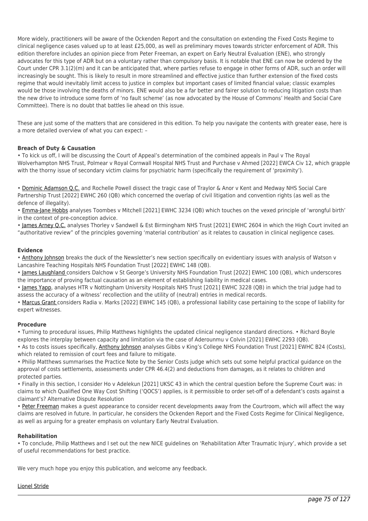More widely, practitioners will be aware of the Ockenden Report and the consultation on extending the Fixed Costs Regime to clinical negligence cases valued up to at least £25,000, as well as preliminary moves towards stricter enforcement of ADR. This edition therefore includes an opinion piece from Peter Freeman, an expert on Early Neutral Evaluation (ENE), who strongly advocates for this type of ADR but on a voluntary rather than compulsory basis. It is notable that ENE can now be ordered by the Court under CPR 3.1(2)(m) and it can be anticipated that, where parties refuse to engage in other forms of ADR, such an order will increasingly be sought. This is likely to result in more streamlined and effective justice than further extension of the fixed costs regime that would inevitably limit access to justice in complex but important cases of limited financial value; classic examples would be those involving the deaths of minors. ENE would also be a far better and fairer solution to reducing litigation costs than the new drive to introduce some form of 'no fault scheme' (as now advocated by the House of Commons' Health and Social Care Committee). There is no doubt that battles lie ahead on this issue.

These are just some of the matters that are considered in this edition. To help you navigate the contents with greater ease, here is a more detailed overview of what you can expect: –

# **Breach of Duty & Causation**

• To kick us off, I will be discussing the Court of Appeal's determination of the combined appeals in Paul v The Royal Wolverhampton NHS Trust, Polmear v Royal Cornwall Hospital NHS Trust and Purchase v Ahmed [2022] EWCA Civ 12, which grapple with the thorny issue of secondary victim claims for psychiatric harm (specifically the requirement of 'proximity').

• [Dominic Adamson Q.C.](https://tgchambers.com/member-profile/dominic-adamson/) and Rochelle Powell dissect the tragic case of Traylor & Anor v Kent and Medway NHS Social Care Partnership Trust [2022] EWHC 260 (QB) which concerned the overlap of civil litigation and convention rights (as well as the defence of illegality).

• [Emma-Jane Hobbs](https://tgchambers.com/member-profile/emma-jane-hobbs/) analyses Toombes v Mitchell [2021] EWHC 3234 (QB) which touches on the vexed principle of 'wrongful birth' in the context of pre-conception advice.

• [James Arney Q.C.](https://tgchambers.com/member-profile/james-arney/) analyses Thorley v Sandwell & Est Birmingham NHS Trust [2021] EWHC 2604 in which the High Court invited an "authoritative review" of the principles governing 'material contribution' as it relates to causation in clinical negligence cases.

# **Evidence**

• [Anthony Johnson](https://tgchambers.com/member-profile/anthony-johnson/) breaks the duck of the Newsletter's new section specifically on evidentiary issues with analysis of Watson v Lancashire Teaching Hospitals NHS Foundation Trust [2022] EWHC 148 (QB).

• [James Laughland c](https://tgchambers.com/member-profile/james-laughland/)onsiders Dalchow v St George's University NHS Foundation Trust [2022] EWHC 100 (QB), which underscores the importance of proving factual causation as an element of establishing liability in medical cases.

• [James Yapp,](https://tgchambers.com/member-profile/james-yapp/) analyses HTR v Nottingham University Hospitals NHS Trust [2021] EWHC 3228 (QB) in which the trial judge had to assess the accuracy of a witness' recollection and the utility of (neutral) entries in medical records.

• [Marcus Grant c](https://tgchambers.com/member-profile/marcus-grant/)onsiders Radia v. Marks [2022] EWHC 145 (QB), a professional liability case pertaining to the scope of liability for expert witnesses.

## **Procedure**

• Turning to procedural issues, Philip Matthews highlights the updated clinical negligence standard directions. • Richard Boyle explores the interplay between capacity and limitation via the case of Aderounmu v Colvin [2021] EWHC 2293 (QB).

• As to costs issues specifically, [Anthony Johnson](https://tgchambers.com/member-profile/anthony-johnson/) analyses Gibbs v King's College NHS Foundation Trust [2021] EWHC B24 (Costs), which related to remission of court fees and failure to mitigate.

• Philip Matthews summarises the Practice Note by the Senior Costs judge which sets out some helpful practical guidance on the approval of costs settlements, assessments under CPR 46.4(2) and deductions from damages, as it relates to children and protected parties.

• Finally in this section, I consider Ho v Adelekun [2021] UKSC 43 in which the central question before the Supreme Court was: in claims to which Qualified One Way Cost Shifting ('QOCS') applies, is it permissible to order set-off of a defendant's costs against a claimant's? Alternative Dispute Resolution

• [Peter Freeman](https://tgchambers.com/member-profile/peter-freeman/) makes a guest appearance to consider recent developments away from the Courtroom, which will affect the way claims are resolved in future. In particular, he considers the Ockenden Report and the Fixed Costs Regime for Clinical Negligence, as well as arguing for a greater emphasis on voluntary Early Neutral Evaluation.

## **Rehabilitation**

• To conclude, Philip Matthews and I set out the new NICE guidelines on 'Rehabilitation After Traumatic Injury', which provide a set of useful recommendations for best practice.

We very much hope you enjoy this publication, and welcome any feedback.

## [Lionel Stride](https://tgchambers.com/member-profile/lionel-stride/)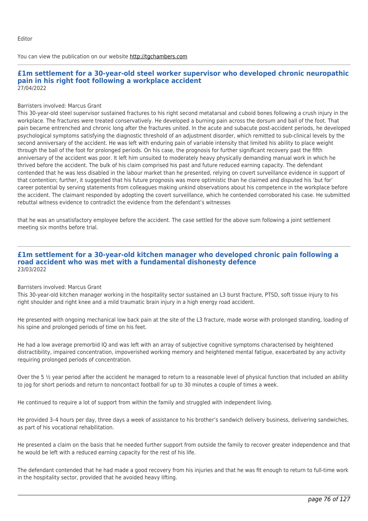You can view the publication on our website [http://tgchambers.com](https://tgchambers.com/wp-content/uploads/2022/05/TGC_Clin_Neg_Newsletter_Issue3_v3b.pdf)

## **£1m settlement for a 30-year-old steel worker supervisor who developed chronic neuropathic pain in his right foot following a workplace accident** 27/04/2022

#### Barristers involved: Marcus Grant

This 30-year-old steel supervisor sustained fractures to his right second metatarsal and cuboid bones following a crush injury in the workplace. The fractures were treated conservatively. He developed a burning pain across the dorsum and ball of the foot. That pain became entrenched and chronic long after the fractures united. In the acute and subacute post-accident periods, he developed psychological symptoms satisfying the diagnostic threshold of an adjustment disorder, which remitted to sub-clinical levels by the second anniversary of the accident. He was left with enduring pain of variable intensity that limited his ability to place weight through the ball of the foot for prolonged periods. On his case, the prognosis for further significant recovery past the fifth anniversary of the accident was poor. It left him unsuited to moderately heavy physically demanding manual work in which he thrived before the accident. The bulk of his claim comprised his past and future reduced earning capacity. The defendant contended that he was less disabled in the labour market than he presented, relying on covert surveillance evidence in support of that contention; further, it suggested that his future prognosis was more optimistic than he claimed and disputed his 'but for' career potential by serving statements from colleagues making unkind observations about his competence in the workplace before the accident. The claimant responded by adopting the covert surveillance, which he contended corroborated his case. He submitted rebuttal witness evidence to contradict the evidence from the defendant's witnesses

that he was an unsatisfactory employee before the accident. The case settled for the above sum following a joint settlement meeting six months before trial.

# **£1m settlement for a 30-year-old kitchen manager who developed chronic pain following a road accident who was met with a fundamental dishonesty defence** 23/03/2022

#### Barristers involved: Marcus Grant

This 30-year-old kitchen manager working in the hospitality sector sustained an L3 burst fracture, PTSD, soft tissue injury to his right shoulder and right knee and a mild traumatic brain injury in a high energy road accident.

He presented with ongoing mechanical low back pain at the site of the L3 fracture, made worse with prolonged standing, loading of his spine and prolonged periods of time on his feet.

He had a low average premorbid IQ and was left with an array of subjective cognitive symptoms characterised by heightened distractibility, impaired concentration, impoverished working memory and heightened mental fatigue, exacerbated by any activity requiring prolonged periods of concentration.

Over the 5 ½ year period after the accident he managed to return to a reasonable level of physical function that included an ability to jog for short periods and return to noncontact football for up to 30 minutes a couple of times a week.

He continued to require a lot of support from within the family and struggled with independent living.

He provided 3–4 hours per day, three days a week of assistance to his brother's sandwich delivery business, delivering sandwiches, as part of his vocational rehabilitation.

He presented a claim on the basis that he needed further support from outside the family to recover greater independence and that he would be left with a reduced earning capacity for the rest of his life.

The defendant contended that he had made a good recovery from his injuries and that he was fit enough to return to full-time work in the hospitality sector, provided that he avoided heavy lifting.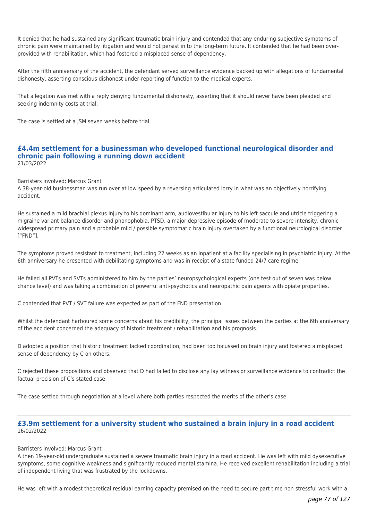It denied that he had sustained any significant traumatic brain injury and contended that any enduring subjective symptoms of chronic pain were maintained by litigation and would not persist in to the long-term future. It contended that he had been overprovided with rehabilitation, which had fostered a misplaced sense of dependency.

After the fifth anniversary of the accident, the defendant served surveillance evidence backed up with allegations of fundamental dishonesty, asserting conscious dishonest under-reporting of function to the medical experts.

That allegation was met with a reply denying fundamental dishonesty, asserting that it should never have been pleaded and seeking indemnity costs at trial.

The case is settled at a JSM seven weeks before trial.

## **£4.4m settlement for a businessman who developed functional neurological disorder and chronic pain following a running down accident** 21/03/2022

#### Barristers involved: Marcus Grant

A 38-year-old businessman was run over at low speed by a reversing articulated lorry in what was an objectively horrifying accident.

He sustained a mild brachial plexus injury to his dominant arm, audiovestibular injury to his left saccule and utricle triggering a migraine variant balance disorder and phonophobia, PTSD, a major depressive episode of moderate to severe intensity, chronic widespread primary pain and a probable mild / possible symptomatic brain injury overtaken by a functional neurological disorder ["FND"].

The symptoms proved resistant to treatment, including 22 weeks as an inpatient at a facility specialising in psychiatric injury. At the 6th anniversary he presented with debilitating symptoms and was in receipt of a state funded 24/7 care regime.

He failed all PVTs and SVTs administered to him by the parties' neuropsychological experts (one test out of seven was below chance level) and was taking a combination of powerful anti-psychotics and neuropathic pain agents with opiate properties.

C contended that PVT / SVT failure was expected as part of the FND presentation.

Whilst the defendant harboured some concerns about his credibility, the principal issues between the parties at the 6th anniversary of the accident concerned the adequacy of historic treatment / rehabilitation and his prognosis.

D adopted a position that historic treatment lacked coordination, had been too focussed on brain injury and fostered a misplaced sense of dependency by C on others.

C rejected these propositions and observed that D had failed to disclose any lay witness or surveillance evidence to contradict the factual precision of C's stated case.

The case settled through negotiation at a level where both parties respected the merits of the other's case.

# **£3.9m settlement for a university student who sustained a brain injury in a road accident** 16/02/2022

#### Barristers involved: Marcus Grant

A then 19-year-old undergraduate sustained a severe traumatic brain injury in a road accident. He was left with mild dysexecutive symptoms, some cognitive weakness and significantly reduced mental stamina. He received excellent rehabilitation including a trial of independent living that was frustrated by the lockdowns.

He was left with a modest theoretical residual earning capacity premised on the need to secure part time non-stressful work with a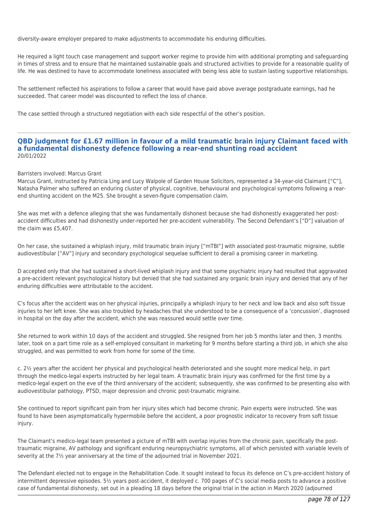diversity-aware employer prepared to make adjustments to accommodate his enduring difficulties.

He required a light touch case management and support worker regime to provide him with additional prompting and safeguarding in times of stress and to ensure that he maintained sustainable goals and structured activities to provide for a reasonable quality of life. He was destined to have to accommodate loneliness associated with being less able to sustain lasting supportive relationships.

The settlement reflected his aspirations to follow a career that would have paid above average postgraduate earnings, had he succeeded. That career model was discounted to reflect the loss of chance.

The case settled through a structured negotiation with each side respectful of the other's position.

# **QBD judgment for £1.67 million in favour of a mild traumatic brain injury Claimant faced with a fundamental dishonesty defence following a rear-end shunting road accident** 20/01/2022

#### Barristers involved: Marcus Grant

Marcus Grant, instructed by Patricia Ling and Lucy Walpole of Garden House Solicitors, represented a 34-year-old Claimant ["C"], Natasha Palmer who suffered an enduring cluster of physical, cognitive, behavioural and psychological symptoms following a rearend shunting accident on the M25. She brought a seven-figure compensation claim.

She was met with a defence alleging that she was fundamentally dishonest because she had dishonestly exaggerated her postaccident difficulties and had dishonestly under-reported her pre-accident vulnerability. The Second Defendant's ["D"] valuation of the claim was £5,407.

On her case, she sustained a whiplash injury, mild traumatic brain injury ["mTBI"] with associated post-traumatic migraine, subtle audiovestibular ["AV"] injury and secondary psychological sequelae sufficient to derail a promising career in marketing.

D accepted only that she had sustained a short-lived whiplash injury and that some psychiatric injury had resulted that aggravated a pre-accident relevant psychological history but denied that she had sustained any organic brain injury and denied that any of her enduring difficulties were attributable to the accident.

C's focus after the accident was on her physical injuries, principally a whiplash injury to her neck and low back and also soft tissue injuries to her left knee. She was also troubled by headaches that she understood to be a consequence of a 'concussion', diagnosed in hospital on the day after the accident, which she was reassured would settle over time.

She returned to work within 10 days of the accident and struggled. She resigned from her job 5 months later and then, 3 months later, took on a part time role as a self-employed consultant in marketing for 9 months before starting a third job, in which she also struggled, and was permitted to work from home for some of the time.

c. 2½ years after the accident her physical and psychological health deteriorated and she sought more medical help, in part through the medico-legal experts instructed by her legal team. A traumatic brain injury was confirmed for the first time by a medico-legal expert on the eve of the third anniversary of the accident; subsequently, she was confirmed to be presenting also with audiovestibular pathology, PTSD, major depression and chronic post-traumatic migraine.

She continued to report significant pain from her injury sites which had become chronic. Pain experts were instructed. She was found to have been asymptomatically hypermobile before the accident, a poor prognostic indicator to recovery from soft tissue injury.

The Claimant's medico-legal team presented a picture of mTBI with overlap injuries from the chronic pain, specifically the posttraumatic migraine, AV pathology and significant enduring neuropsychiatric symptoms, all of which persisted with variable levels of severity at the 7½ year anniversary at the time of the adjourned trial in November 2021.

The Defendant elected not to engage in the Rehabilitation Code. It sought instead to focus its defence on C's pre-accident history of intermittent depressive episodes. 5½ years post-accident, it deployed c. 700 pages of C's social media posts to advance a positive case of fundamental dishonesty, set out in a pleading 18 days before the original trial in the action in March 2020 (adjourned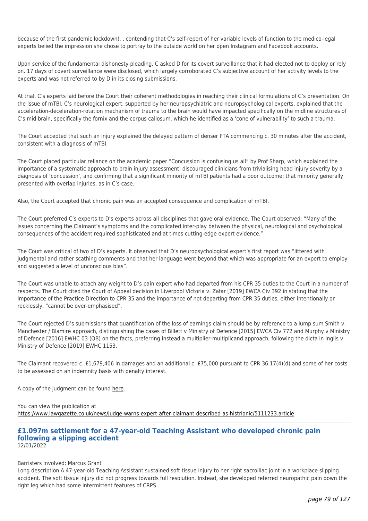because of the first pandemic lockdown), , contending that C's self-report of her variable levels of function to the medico-legal experts belied the impression she chose to portray to the outside world on her open Instagram and Facebook accounts.

Upon service of the fundamental dishonesty pleading, C asked D for its covert surveillance that it had elected not to deploy or rely on. 17 days of covert surveillance were disclosed, which largely corroborated C's subjective account of her activity levels to the experts and was not referred to by D in its closing submissions.

At trial, C's experts laid before the Court their coherent methodologies in reaching their clinical formulations of C's presentation. On the issue of mTBI, C's neurological expert, supported by her neuropsychiatric and neuropsychological experts, explained that the acceleration-deceleration-rotation mechanism of trauma to the brain would have impacted specifically on the midline structures of C's mid brain, specifically the fornix and the corpus callosum, which he identified as a 'cone of vulnerability' to such a trauma.

The Court accepted that such an injury explained the delayed pattern of denser PTA commencing c. 30 minutes after the accident, consistent with a diagnosis of mTBI.

The Court placed particular reliance on the academic paper "Concussion is confusing us all" by Prof Sharp, which explained the importance of a systematic approach to brain injury assessment, discouraged clinicians from trivialising head injury severity by a diagnosis of 'concussion', and confirming that a significant minority of mTBI patients had a poor outcome; that minority generally presented with overlap injuries, as in C's case.

Also, the Court accepted that chronic pain was an accepted consequence and complication of mTBI.

The Court preferred C's experts to D's experts across all disciplines that gave oral evidence. The Court observed: "Many of the issues concerning the Claimant's symptoms and the complicated inter-play between the physical, neurological and psychological consequences of the accident required sophisticated and at times cutting-edge expert evidence."

The Court was critical of two of D's experts. It observed that D's neuropsychological expert's first report was "littered with judgmental and rather scathing comments and that her language went beyond that which was appropriate for an expert to employ and suggested a level of unconscious bias".

The Court was unable to attach any weight to D's pain expert who had departed from his CPR 35 duties to the Court in a number of respects. The Court cited the Court of Appeal decision in Liverpool Victoria v. Zafar [2019] EWCA Civ 392 in stating that the importance of the Practice Direction to CPR 35 and the importance of not departing from CPR 35 duties, either intentionally or recklessly, "cannot be over-emphasised".

The Court rejected D's submissions that quantification of the loss of earnings claim should be by reference to a lump sum Smith v. Manchester / Blamire approach, distinguishing the cases of Billett v Ministry of Defence [2015] EWCA Civ 772 and Murphy v Ministry of Defence [2016] EWHC 03 (QB) on the facts, preferring instead a multiplier-multiplicand approach, following the dicta in Inglis v Ministry of Defence [2019] EWHC 1153.

The Claimant recovered c. £1,679,406 in damages and an additional c. £75,000 pursuant to CPR 36.17(4)(d) and some of her costs to be assessed on an indemnity basis with penalty interest.

A copy of the judgment can be found [here](https://tgchambers.com/wp-content/uploads/2022/01/Palmer-v.-Mantas-and-Liverpool-Victoria-Insurance-2022-EWHC-90-QB.pdf).

You can view the publication at <https://www.lawgazette.co.uk/news/judge-warns-expert-after-claimant-described-as-histrionic/5111233.article>

#### **£1.097m settlement for a 47-year-old Teaching Assistant who developed chronic pain following a slipping accident** 12/01/2022

## Barristers involved: Marcus Grant

Long description A 47-year-old Teaching Assistant sustained soft tissue injury to her right sacroiliac joint in a workplace slipping accident. The soft tissue injury did not progress towards full resolution. Instead, she developed referred neuropathic pain down the right leg which had some intermittent features of CRPS.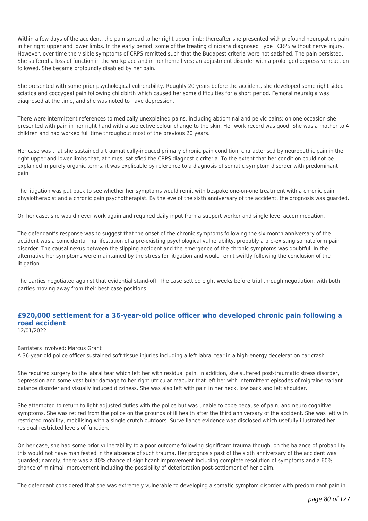Within a few days of the accident, the pain spread to her right upper limb; thereafter she presented with profound neuropathic pain in her right upper and lower limbs. In the early period, some of the treating clinicians diagnosed Type I CRPS without nerve injury. However, over time the visible symptoms of CRPS remitted such that the Budapest criteria were not satisfied. The pain persisted. She suffered a loss of function in the workplace and in her home lives; an adjustment disorder with a prolonged depressive reaction followed. She became profoundly disabled by her pain.

She presented with some prior psychological vulnerability. Roughly 20 years before the accident, she developed some right sided sciatica and coccygeal pain following childbirth which caused her some difficulties for a short period. Femoral neuralgia was diagnosed at the time, and she was noted to have depression.

There were intermittent references to medically unexplained pains, including abdominal and pelvic pains; on one occasion she presented with pain in her right hand with a subjective colour change to the skin. Her work record was good. She was a mother to 4 children and had worked full time throughout most of the previous 20 years.

Her case was that she sustained a traumatically-induced primary chronic pain condition, characterised by neuropathic pain in the right upper and lower limbs that, at times, satisfied the CRPS diagnostic criteria. To the extent that her condition could not be explained in purely organic terms, it was explicable by reference to a diagnosis of somatic symptom disorder with predominant pain.

The litigation was put back to see whether her symptoms would remit with bespoke one-on-one treatment with a chronic pain physiotherapist and a chronic pain psychotherapist. By the eve of the sixth anniversary of the accident, the prognosis was guarded.

On her case, she would never work again and required daily input from a support worker and single level accommodation.

The defendant's response was to suggest that the onset of the chronic symptoms following the six-month anniversary of the accident was a coincidental manifestation of a pre-existing psychological vulnerability, probably a pre-existing somatoform pain disorder. The causal nexus between the slipping accident and the emergence of the chronic symptoms was doubtful. In the alternative her symptoms were maintained by the stress for litigation and would remit swiftly following the conclusion of the litigation.

The parties negotiated against that evidential stand-off. The case settled eight weeks before trial through negotiation, with both parties moving away from their best-case positions.

#### **£920,000 settlement for a 36-year-old police officer who developed chronic pain following a road accident** 12/01/2022

Barristers involved: Marcus Grant

A 36-year-old police officer sustained soft tissue injuries including a left labral tear in a high-energy deceleration car crash.

She required surgery to the labral tear which left her with residual pain. In addition, she suffered post-traumatic stress disorder, depression and some vestibular damage to her right utricular macular that left her with intermittent episodes of migraine-variant balance disorder and visually induced dizziness. She was also left with pain in her neck, low back and left shoulder.

She attempted to return to light adjusted duties with the police but was unable to cope because of pain, and neuro cognitive symptoms. She was retired from the police on the grounds of ill health after the third anniversary of the accident. She was left with restricted mobility, mobilising with a single crutch outdoors. Surveillance evidence was disclosed which usefully illustrated her residual restricted levels of function.

On her case, she had some prior vulnerability to a poor outcome following significant trauma though, on the balance of probability, this would not have manifested in the absence of such trauma. Her prognosis past of the sixth anniversary of the accident was guarded; namely, there was a 40% chance of significant improvement including complete resolution of symptoms and a 60% chance of minimal improvement including the possibility of deterioration post-settlement of her claim.

The defendant considered that she was extremely vulnerable to developing a somatic symptom disorder with predominant pain in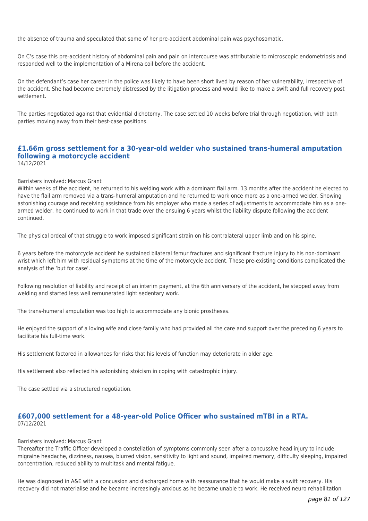the absence of trauma and speculated that some of her pre-accident abdominal pain was psychosomatic.

On C's case this pre-accident history of abdominal pain and pain on intercourse was attributable to microscopic endometriosis and responded well to the implementation of a Mirena coil before the accident.

On the defendant's case her career in the police was likely to have been short lived by reason of her vulnerability, irrespective of the accident. She had become extremely distressed by the litigation process and would like to make a swift and full recovery post settlement.

The parties negotiated against that evidential dichotomy. The case settled 10 weeks before trial through negotiation, with both parties moving away from their best-case positions.

#### **£1.66m gross settlement for a 30-year-old welder who sustained trans-humeral amputation following a motorcycle accident** 14/12/2021

#### Barristers involved: Marcus Grant

Within weeks of the accident, he returned to his welding work with a dominant flail arm. 13 months after the accident he elected to have the flail arm removed via a trans-humeral amputation and he returned to work once more as a one-armed welder. Showing astonishing courage and receiving assistance from his employer who made a series of adjustments to accommodate him as a onearmed welder, he continued to work in that trade over the ensuing 6 years whilst the liability dispute following the accident continued.

The physical ordeal of that struggle to work imposed significant strain on his contralateral upper limb and on his spine.

6 years before the motorcycle accident he sustained bilateral femur fractures and significant fracture injury to his non-dominant wrist which left him with residual symptoms at the time of the motorcycle accident. These pre-existing conditions complicated the analysis of the 'but for case'.

Following resolution of liability and receipt of an interim payment, at the 6th anniversary of the accident, he stepped away from welding and started less well remunerated light sedentary work.

The trans-humeral amputation was too high to accommodate any bionic prostheses.

He enjoyed the support of a loving wife and close family who had provided all the care and support over the preceding 6 years to facilitate his full-time work.

His settlement factored in allowances for risks that his levels of function may deteriorate in older age.

His settlement also reflected his astonishing stoicism in coping with catastrophic injury.

The case settled via a structured negotiation.

# **£607,000 settlement for a 48-year-old Police Officer who sustained mTBI in a RTA.** 07/12/2021

#### Barristers involved: Marcus Grant

Thereafter the Traffic Officer developed a constellation of symptoms commonly seen after a concussive head injury to include migraine headache, dizziness, nausea, blurred vision, sensitivity to light and sound, impaired memory, difficulty sleeping, impaired concentration, reduced ability to multitask and mental fatigue.

He was diagnosed in A&E with a concussion and discharged home with reassurance that he would make a swift recovery. His recovery did not materialise and he became increasingly anxious as he became unable to work. He received neuro rehabilitation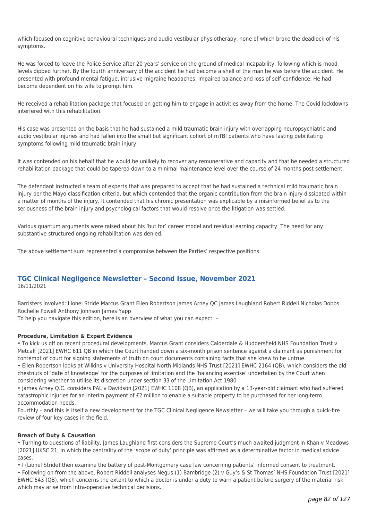which focused on cognitive behavioural techniques and audio vestibular physiotherapy, none of which broke the deadlock of his symptoms.

He was forced to leave the Police Service after 20 years' service on the ground of medical incapability, following which is mood levels dipped further. By the fourth anniversary of the accident he had become a shell of the man he was before the accident. He presented with profound mental fatigue, intrusive migraine headaches, impaired balance and loss of self-confidence. He had become dependent on his wife to prompt him.

He received a rehabilitation package that focused on getting him to engage in activities away from the home. The Covid lockdowns interfered with this rehabilitation.

His case was presented on the basis that he had sustained a mild traumatic brain injury with overlapping neuropsychiatric and audio vestibular injuries and had fallen into the small but significant cohort of mTBI patients who have lasting debilitating symptoms following mild traumatic brain injury.

It was contended on his behalf that he would be unlikely to recover any remunerative and capacity and that he needed a structured rehabilitation package that could be tapered down to a minimal maintenance level over the course of 24 months post settlement.

The defendant instructed a team of experts that was prepared to accept that he had sustained a technical mild traumatic brain injury per the Mayo classification criteria, but which contended that the organic contribution from the brain injury dissipated within a matter of months of the injury. It contended that his chronic presentation was explicable by a misinformed belief as to the seriousness of the brain injury and psychological factors that would resolve once the litigation was settled.

Various quantum arguments were raised about his 'but for' career model and residual earning capacity. The need for any substantive structured ongoing rehabilitation was denied.

The above settlement sum represented a compromise between the Parties' respective positions.

# **TGC Clinical Negligence Newsletter – Second Issue, November 2021** 16/11/2021

Barristers involved: Lionel Stride Marcus Grant Ellen Robertson James Arney QC James Laughland Robert Riddell Nicholas Dobbs Rochelle Powell Anthony Johnson James Yapp

To help you navigate this edition, here is an overview of what you can expect: –

## **Procedure, Limitation & Expert Evidence**

• To kick us off on recent procedural developments, Marcus Grant considers Calderdale & Huddersfield NHS Foundation Trust v Metcalf [2021] EWHC 611 QB in which the Court handed down a six-month prison sentence against a claimant as punishment for contempt of court for signing statements of truth on court documents containing facts that she knew to be untrue.

• Ellen Robertson looks at Wilkins v University Hospital North Midlands NHS Trust [2021] EWHC 2164 (QB), which considers the old chestnuts of 'date of knowledge' for the purposes of limitation and the 'balancing exercise' undertaken by the Court when considering whether to utilise its discretion under section 33 of the Limitation Act 1980

• James Arney Q.C. considers PAL v Davidson [2021] EWHC 1108 (QB), an application by a 13-year-old claimant who had suffered catastrophic injuries for an interim payment of £2 million to enable a suitable property to be purchased for her long-term accommodation needs.

Fourthly – and this is itself a new development for the TGC Clinical Negligence Newsletter – we will take you through a quick-fire review of four key cases in the field.

## **Breach of Duty & Causation**

• Turning to questions of liability, James Laughland first considers the Supreme Court's much awaited judgment in Khan v Meadows [2021] UKSC 21, in which the centrality of the 'scope of duty' principle was affirmed as a determinative factor in medical advice cases.

• I (Lionel Stride) then examine the battery of post-Montgomery case law concerning patients' informed consent to treatment.

• Following on from the above, Robert Riddell analyses Negus (1) Bambridge (2) v Guy's & St Thomas' NHS Foundation Trust [2021] EWHC 643 (QB), which concerns the extent to which a doctor is under a duty to warn a patient before surgery of the material risk which may arise from intra-operative technical decisions.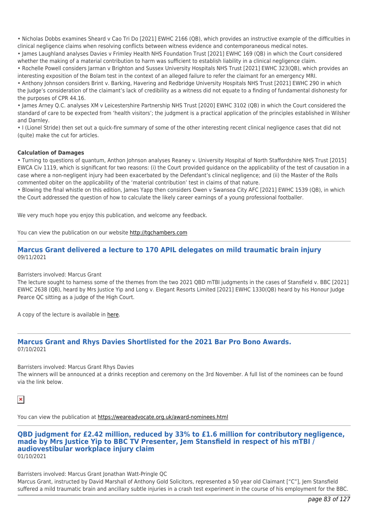• Nicholas Dobbs examines Sheard v Cao Tri Do [2021] EWHC 2166 (QB), which provides an instructive example of the difficulties in clinical negligence claims when resolving conflicts between witness evidence and contemporaneous medical notes.

• James Laughland analyses Davies v Frimley Health NHS Foundation Trust [2021] EWHC 169 (QB) in which the Court considered whether the making of a material contribution to harm was sufficient to establish liability in a clinical negligence claim.

• Rochelle Powell considers Jarman v Brighton and Sussex University Hospitals NHS Trust [2021] EWHC 323(QB), which provides an interesting exposition of the Bolam test in the context of an alleged failure to refer the claimant for an emergency MRI.

• Anthony Johnson considers Brint v. Barking, Havering and Redbridge University Hospitals NHS Trust [2021] EWHC 290 in which the Judge's consideration of the claimant's lack of credibility as a witness did not equate to a finding of fundamental dishonesty for the purposes of CPR 44.16.

• James Arney Q.C. analyses XM v Leicestershire Partnership NHS Trust [2020] EWHC 3102 (QB) in which the Court considered the standard of care to be expected from 'health visitors'; the judgment is a practical application of the principles established in Wilsher and Darnley.

• I (Lionel Stride) then set out a quick-fire summary of some of the other interesting recent clinical negligence cases that did not (quite) make the cut for articles.

## **Calculation of Damages**

• Turning to questions of quantum, Anthon Johnson analyses Reaney v. University Hospital of North Staffordshire NHS Trust [2015] EWCA Civ 1119, which is significant for two reasons: (i) the Court provided guidance on the applicability of the test of causation in a case where a non-negligent injury had been exacerbated by the Defendant's clinical negligence; and (ii) the Master of the Rolls commented obiter on the applicability of the 'material contribution' test in claims of that nature.

• Blowing the final whistle on this edition, James Yapp then considers Owen v Swansea City AFC [2021] EWHC 1539 (QB), in which the Court addressed the question of how to calculate the likely career earnings of a young professional footballer.

We very much hope you enjoy this publication, and welcome any feedback.

You can view the publication on our website [http://tgchambers.com](https://tgchambers.com/wp-content/uploads/2021/11/TGC073_Clin_Neg_Newsletter_Issue2_v3.pdf)

# **Marcus Grant delivered a lecture to 170 APIL delegates on mild traumatic brain injury** 09/11/2021

## Barristers involved: Marcus Grant

The lecture sought to harness some of the themes from the two 2021 QBD mTBI judgments in the cases of Stansfield v. BBC [2021] EWHC 2638 (QB), heard by Mrs Justice Yip and Long v. Elegant Resorts Limited [2021] EWHC 1330(QB) heard by his Honour Judge Pearce QC sitting as a judge of the High Court.

A copy of the lecture is available in [here](https://tgchambers.com/wp-content/uploads/2021/11/Talk-on-Mild-Traumatic-Brain-Injury-Marcus-Grant-09.11.21.pdf).

# **Marcus Grant and Rhys Davies Shortlisted for the 2021 Bar Pro Bono Awards.** 07/10/2021

Barristers involved: Marcus Grant Rhys Davies

The winners will be announced at a drinks reception and ceremony on the 3rd November. A full list of the nominees can be found via the link below.

```
\pmb{\times}
```
You can view the publication at<https://weareadvocate.org.uk/award-nominees.html>

**QBD judgment for £2.42 million, reduced by 33% to £1.6 million for contributory negligence, made by Mrs Justice Yip to BBC TV Presenter, Jem Stansfield in respect of his mTBI / audiovestibular workplace injury claim** 01/10/2021

Barristers involved: Marcus Grant Jonathan Watt-Pringle QC Marcus Grant, instructed by David Marshall of Anthony Gold Solicitors, represented a 50 year old Claimant ["C"], Jem Stansfield suffered a mild traumatic brain and ancillary subtle injuries in a crash test experiment in the course of his employment for the BBC.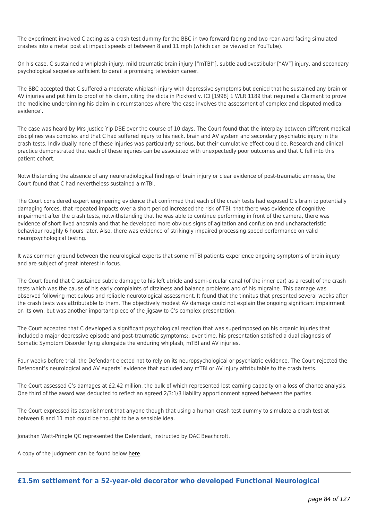The experiment involved C acting as a crash test dummy for the BBC in two forward facing and two rear-ward facing simulated crashes into a metal post at impact speeds of between 8 and 11 mph (which can be viewed on YouTube).

On his case, C sustained a whiplash injury, mild traumatic brain injury ["mTBI"], subtle audiovestibular ["AV"] injury, and secondary psychological sequelae sufficient to derail a promising television career.

The BBC accepted that C suffered a moderate whiplash injury with depressive symptoms but denied that he sustained any brain or AV injuries and put him to proof of his claim, citing the dicta in Pickford v. ICI [1998] 1 WLR 1189 that required a Claimant to prove the medicine underpinning his claim in circumstances where 'the case involves the assessment of complex and disputed medical evidence'.

The case was heard by Mrs Justice Yip DBE over the course of 10 days. The Court found that the interplay between different medical disciplines was complex and that C had suffered injury to his neck, brain and AV system and secondary psychiatric injury in the crash tests. Individually none of these injuries was particularly serious, but their cumulative effect could be. Research and clinical practice demonstrated that each of these injuries can be associated with unexpectedly poor outcomes and that C fell into this patient cohort.

Notwithstanding the absence of any neuroradiological findings of brain injury or clear evidence of post-traumatic amnesia, the Court found that C had nevertheless sustained a mTBI.

The Court considered expert engineering evidence that confirmed that each of the crash tests had exposed C's brain to potentially damaging forces, that repeated impacts over a short period increased the risk of TBI, that there was evidence of cognitive impairment after the crash tests, notwithstanding that he was able to continue performing in front of the camera, there was evidence of short lived anosmia and that he developed more obvious signs of agitation and confusion and uncharacteristic behaviour roughly 6 hours later. Also, there was evidence of strikingly impaired processing speed performance on valid neuropsychological testing.

It was common ground between the neurological experts that some mTBI patients experience ongoing symptoms of brain injury and are subject of great interest in focus.

The Court found that C sustained subtle damage to his left utricle and semi-circular canal (of the inner ear) as a result of the crash tests which was the cause of his early complaints of dizziness and balance problems and of his migraine. This damage was observed following meticulous and reliable neurotological assessment. It found that the tinnitus that presented several weeks after the crash tests was attributable to them. The objectively modest AV damage could not explain the ongoing significant impairment on its own, but was another important piece of the jigsaw to C's complex presentation.

The Court accepted that C developed a significant psychological reaction that was superimposed on his organic injuries that included a major depressive episode and post-traumatic symptoms;, over time, his presentation satisfied a dual diagnosis of Somatic Symptom Disorder lying alongside the enduring whiplash, mTBI and AV injuries.

Four weeks before trial, the Defendant elected not to rely on its neuropsychological or psychiatric evidence. The Court rejected the Defendant's neurological and AV experts' evidence that excluded any mTBI or AV injury attributable to the crash tests.

The Court assessed C's damages at £2.42 million, the bulk of which represented lost earning capacity on a loss of chance analysis. One third of the award was deducted to reflect an agreed 2/3:1/3 liability apportionment agreed between the parties.

The Court expressed its astonishment that anyone though that using a human crash test dummy to simulate a crash test at between 8 and 11 mph could be thought to be a sensible idea.

Jonathan Watt-Pringle QC represented the Defendant, instructed by DAC Beachcroft.

A copy of the judgment can be found below [here.](https://tgchambers.com/wp-content/uploads/2021/10/Final-Judgment-QB-2018-005820-Stansfield-v-British-Broadcasting-Corporation-1.10.2021.pdf)

# **£1.5m settlement for a 52-year-old decorator who developed Functional Neurological**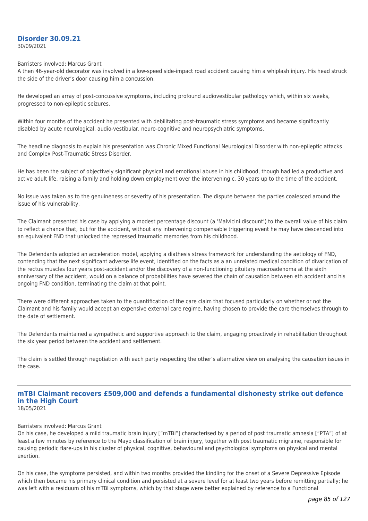## **Disorder 30.09.21** 30/09/2021

#### Barristers involved: Marcus Grant

A then 46-year-old decorator was involved in a low-speed side-impact road accident causing him a whiplash injury. His head struck the side of the driver's door causing him a concussion.

He developed an array of post-concussive symptoms, including profound audiovestibular pathology which, within six weeks, progressed to non-epileptic seizures.

Within four months of the accident he presented with debilitating post-traumatic stress symptoms and became significantly disabled by acute neurological, audio-vestibular, neuro-cognitive and neuropsychiatric symptoms.

The headline diagnosis to explain his presentation was Chronic Mixed Functional Neurological Disorder with non-epileptic attacks and Complex Post-Traumatic Stress Disorder.

He has been the subject of objectively significant physical and emotional abuse in his childhood, though had led a productive and active adult life, raising a family and holding down employment over the intervening c. 30 years up to the time of the accident.

No issue was taken as to the genuineness or severity of his presentation. The dispute between the parties coalesced around the issue of his vulnerability.

The Claimant presented his case by applying a modest percentage discount (a 'Malvicini discount') to the overall value of his claim to reflect a chance that, but for the accident, without any intervening compensable triggering event he may have descended into an equivalent FND that unlocked the repressed traumatic memories from his childhood.

The Defendants adopted an acceleration model, applying a diathesis stress framework for understanding the aetiology of FND, contending that the next significant adverse life event, identified on the facts as a an unrelated medical condition of divarication of the rectus muscles four years post-accident and/or the discovery of a non-functioning pituitary macroadenoma at the sixth anniversary of the accident, would on a balance of probabilities have severed the chain of causation between eth accident and his ongoing FND condition, terminating the claim at that point.

There were different approaches taken to the quantification of the care claim that focused particularly on whether or not the Claimant and his family would accept an expensive external care regime, having chosen to provide the care themselves through to the date of settlement.

The Defendants maintained a sympathetic and supportive approach to the claim, engaging proactively in rehabilitation throughout the six year period between the accident and settlement.

The claim is settled through negotiation with each party respecting the other's alternative view on analysing the causation issues in the case.

# **mTBI Claimant recovers £509,000 and defends a fundamental dishonesty strike out defence in the High Court**

18/05/2021

# Barristers involved: Marcus Grant

On his case, he developed a mild traumatic brain injury ["mTBI"] characterised by a period of post traumatic amnesia ["PTA"] of at least a few minutes by reference to the Mayo classification of brain injury, together with post traumatic migraine, responsible for causing periodic flare-ups in his cluster of physical, cognitive, behavioural and psychological symptoms on physical and mental exertion.

On his case, the symptoms persisted, and within two months provided the kindling for the onset of a Severe Depressive Episode which then became his primary clinical condition and persisted at a severe level for at least two years before remitting partially; he was left with a residuum of his mTBI symptoms, which by that stage were better explained by reference to a Functional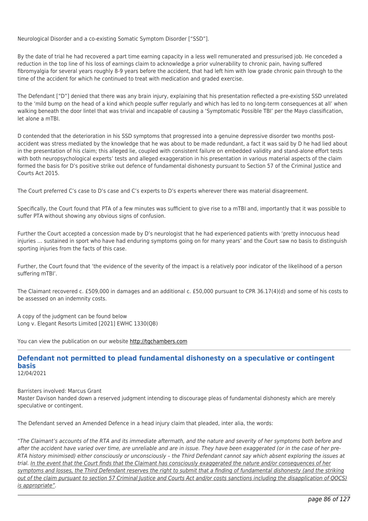Neurological Disorder and a co-existing Somatic Symptom Disorder ["SSD"].

By the date of trial he had recovered a part time earning capacity in a less well remunerated and pressurised job. He conceded a reduction in the top line of his loss of earnings claim to acknowledge a prior vulnerability to chronic pain, having suffered fibromyalgia for several years roughly 8-9 years before the accident, that had left him with low grade chronic pain through to the time of the accident for which he continued to treat with medication and graded exercise.

The Defendant ["D"] denied that there was any brain injury, explaining that his presentation reflected a pre-existing SSD unrelated to the 'mild bump on the head of a kind which people suffer regularly and which has led to no long-term consequences at all' when walking beneath the door lintel that was trivial and incapable of causing a 'Symptomatic Possible TBI' per the Mayo classification, let alone a mTBI.

D contended that the deterioration in his SSD symptoms that progressed into a genuine depressive disorder two months postaccident was stress mediated by the knowledge that he was about to be made redundant, a fact it was said by D he had lied about in the presentation of his claim; this alleged lie, coupled with consistent failure on embedded validity and stand-alone effort tests with both neuropsychological experts' tests and alleged exaggeration in his presentation in various material aspects of the claim formed the basis for D's positive strike out defence of fundamental dishonesty pursuant to Section 57 of the Criminal Justice and Courts Act 2015.

The Court preferred C's case to D's case and C's experts to D's experts wherever there was material disagreement.

Specifically, the Court found that PTA of a few minutes was sufficient to give rise to a mTBI and, importantly that it was possible to suffer PTA without showing any obvious signs of confusion.

Further the Court accepted a concession made by D's neurologist that he had experienced patients with 'pretty innocuous head injuries … sustained in sport who have had enduring symptoms going on for many years' and the Court saw no basis to distinguish sporting injuries from the facts of this case.

Further, the Court found that 'the evidence of the severity of the impact is a relatively poor indicator of the likelihood of a person suffering mTBI'.

The Claimant recovered c. £509,000 in damages and an additional c. £50,000 pursuant to CPR 36.17(4)(d) and some of his costs to be assessed on an indemnity costs.

A copy of the judgment can be found below Long v. Elegant Resorts Limited [2021] EWHC 1330(QB)

You can view the publication on our website [http://tgchambers.com](https://tgchambers.com/wp-content/uploads/2021/05/Final-judgment.docx)

## **Defendant not permitted to plead fundamental dishonesty on a speculative or contingent basis** 12/04/2021

Barristers involved: Marcus Grant

Master Davison handed down a reserved judgment intending to discourage pleas of fundamental dishonesty which are merely speculative or contingent.

The Defendant served an Amended Defence in a head injury claim that pleaded, inter alia, the words:

"The Claimant's accounts of the RTA and its immediate aftermath, and the nature and severity of her symptoms both before and after the accident have varied over time, are unreliable and are in issue. They have been exaggerated (or in the case of her pre-RTA history minimised) either consciously or unconsciously – the Third Defendant cannot say which absent exploring the issues at trial. In the event that the Court finds that the Claimant has consciously exaggerated the nature and/or consequences of her symptoms and losses, the Third Defendant reserves the right to submit that a finding of fundamental dishonesty (and the striking out of the claim pursuant to section 57 Criminal Justice and Courts Act and/or costs sanctions including the disapplication of QOCS) is appropriate".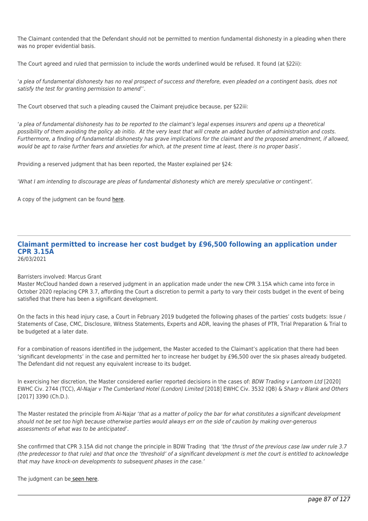The Claimant contended that the Defendant should not be permitted to mention fundamental dishonesty in a pleading when there was no proper evidential basis.

The Court agreed and ruled that permission to include the words underlined would be refused. It found (at §22ii):

'a plea of fundamental dishonesty has no real prospect of success and therefore, even pleaded on a contingent basis, does not satisfy the test for granting permission to amend''.

The Court observed that such a pleading caused the Claimant prejudice because, per §22iii:

'a plea of fundamental dishonesty has to be reported to the claimant's legal expenses insurers and opens up a theoretical possibility of them avoiding the policy ab initio. At the very least that will create an added burden of administration and costs. Furthermore, a finding of fundamental dishonesty has grave implications for the claimant and the proposed amendment, if allowed, would be apt to raise further fears and anxieties for which, at the present time at least, there is no proper basis'.

Providing a reserved judgment that has been reported, the Master explained per §24:

'What I am intending to discourage are pleas of fundamental dishonesty which are merely speculative or contingent'.

A copy of the judgment can be found [here](https://tgchambers.com/wp-content/uploads/2021/04/Judgment-Mustard-v-Flower-Ors_No.-2.pdf).

# **Claimant permitted to increase her cost budget by £96,500 following an application under CPR 3.15A**

26/03/2021

## Barristers involved: Marcus Grant

Master McCloud handed down a reserved judgment in an application made under the new CPR 3.15A which came into force in October 2020 replacing CPR 3.7, affording the Court a discretion to permit a party to vary their costs budget in the event of being satisfied that there has been a significant development.

On the facts in this head injury case, a Court in February 2019 budgeted the following phases of the parties' costs budgets: Issue / Statements of Case, CMC, Disclosure, Witness Statements, Experts and ADR, leaving the phases of PTR, Trial Preparation & Trial to be budgeted at a later date.

For a combination of reasons identified in the judgement, the Master acceded to the Claimant's application that there had been 'significant developments' in the case and permitted her to increase her budget by £96,500 over the six phases already budgeted. The Defendant did not request any equivalent increase to its budget.

In exercising her discretion, the Master considered earlier reported decisions in the cases of: BDW Trading v Lantoom Ltd [2020] EWHC Civ. 2744 (TCC), Al-Najar v The Cumberland Hotel (London) Limited [2018] EWHC Civ. 3532 (QB) & Sharp v Blank and Others [2017] 3390 (Ch.D.).

The Master restated the principle from Al-Najar 'that as a matter of policy the bar for what constitutes a significant development should not be set too high because otherwise parties would always err on the side of caution by making over-generous assessments of what was to be anticipated'.

She confirmed that CPR 3.15A did not change the principle in BDW Trading that 'the thrust of the previous case law under rule 3.7 (the predecessor to that rule) and that once the 'threshold' of a significant development is met the court is entitled to acknowledge that may have knock-on developments to subsequent phases in the case.'

## The judgment can be [seen here.](https://tgchambers.com/wp-content/uploads/2021/03/FINAL-with-EWHC-Thompson-jmt-AS-MG-amended2.pdf)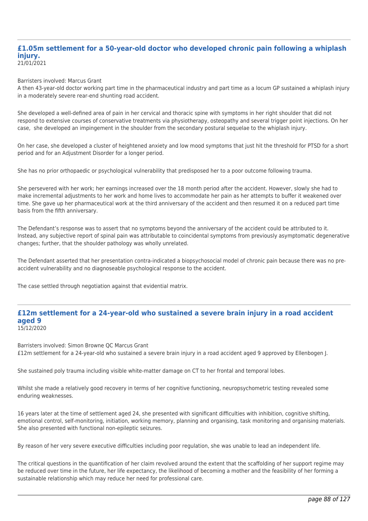# **£1.05m settlement for a 50-year-old doctor who developed chronic pain following a whiplash injury.**

21/01/2021

Barristers involved: Marcus Grant

A then 43-year-old doctor working part time in the pharmaceutical industry and part time as a locum GP sustained a whiplash injury in a moderately severe rear-end shunting road accident.

She developed a well-defined area of pain in her cervical and thoracic spine with symptoms in her right shoulder that did not respond to extensive courses of conservative treatments via physiotherapy, osteopathy and several trigger point injections. On her case, she developed an impingement in the shoulder from the secondary postural sequelae to the whiplash injury.

On her case, she developed a cluster of heightened anxiety and low mood symptoms that just hit the threshold for PTSD for a short period and for an Adjustment Disorder for a longer period.

She has no prior orthopaedic or psychological vulnerability that predisposed her to a poor outcome following trauma.

She persevered with her work; her earnings increased over the 18 month period after the accident. However, slowly she had to make incremental adjustments to her work and home lives to accommodate her pain as her attempts to buffer it weakened over time. She gave up her pharmaceutical work at the third anniversary of the accident and then resumed it on a reduced part time basis from the fifth anniversary.

The Defendant's response was to assert that no symptoms beyond the anniversary of the accident could be attributed to it. Instead, any subjective report of spinal pain was attributable to coincidental symptoms from previously asymptomatic degenerative changes; further, that the shoulder pathology was wholly unrelated.

The Defendant asserted that her presentation contra-indicated a biopsychosocial model of chronic pain because there was no preaccident vulnerability and no diagnoseable psychological response to the accident.

The case settled through negotiation against that evidential matrix.

#### **£12m settlement for a 24-year-old who sustained a severe brain injury in a road accident aged 9** 15/12/2020

Barristers involved: Simon Browne QC Marcus Grant £12m settlement for a 24-year-old who sustained a severe brain injury in a road accident aged 9 approved by Ellenbogen J.

She sustained poly trauma including visible white-matter damage on CT to her frontal and temporal lobes.

Whilst she made a relatively good recovery in terms of her cognitive functioning, neuropsychometric testing revealed some enduring weaknesses.

16 years later at the time of settlement aged 24, she presented with significant difficulties with inhibition, cognitive shifting, emotional control, self-monitoring, initiation, working memory, planning and organising, task monitoring and organising materials. She also presented with functional non-epileptic seizures.

By reason of her very severe executive difficulties including poor regulation, she was unable to lead an independent life.

The critical questions in the quantification of her claim revolved around the extent that the scaffolding of her support regime may be reduced over time in the future, her life expectancy, the likelihood of becoming a mother and the feasibility of her forming a sustainable relationship which may reduce her need for professional care.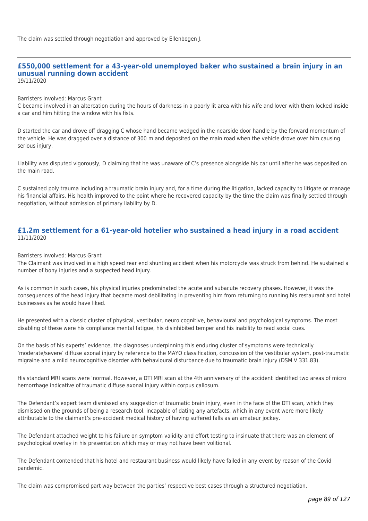# **£550,000 settlement for a 43-year-old unemployed baker who sustained a brain injury in an unusual running down accident**

19/11/2020

## Barristers involved: Marcus Grant

C became involved in an altercation during the hours of darkness in a poorly lit area with his wife and lover with them locked inside a car and him hitting the window with his fists.

D started the car and drove off dragging C whose hand became wedged in the nearside door handle by the forward momentum of the vehicle. He was dragged over a distance of 300 m and deposited on the main road when the vehicle drove over him causing serious injury.

Liability was disputed vigorously, D claiming that he was unaware of C's presence alongside his car until after he was deposited on the main road.

C sustained poly trauma including a traumatic brain injury and, for a time during the litigation, lacked capacity to litigate or manage his financial affairs. His health improved to the point where he recovered capacity by the time the claim was finally settled through negotiation, without admission of primary liability by D.

# **£1.2m settlement for a 61-year-old hotelier who sustained a head injury in a road accident** 11/11/2020

# Barristers involved: Marcus Grant

The Claimant was involved in a high speed rear end shunting accident when his motorcycle was struck from behind. He sustained a number of bony injuries and a suspected head injury.

As is common in such cases, his physical injuries predominated the acute and subacute recovery phases. However, it was the consequences of the head injury that became most debilitating in preventing him from returning to running his restaurant and hotel businesses as he would have liked.

He presented with a classic cluster of physical, vestibular, neuro cognitive, behavioural and psychological symptoms. The most disabling of these were his compliance mental fatigue, his disinhibited temper and his inability to read social cues.

On the basis of his experts' evidence, the diagnoses underpinning this enduring cluster of symptoms were technically 'moderate/severe' diffuse axonal injury by reference to the MAYO classification, concussion of the vestibular system, post-traumatic migraine and a mild neurocognitive disorder with behavioural disturbance due to traumatic brain injury (DSM V 331.83).

His standard MRI scans were 'normal. However, a DTI MRI scan at the 4th anniversary of the accident identified two areas of micro hemorrhage indicative of traumatic diffuse axonal injury within corpus callosum.

The Defendant's expert team dismissed any suggestion of traumatic brain injury, even in the face of the DTI scan, which they dismissed on the grounds of being a research tool, incapable of dating any artefacts, which in any event were more likely attributable to the claimant's pre-accident medical history of having suffered falls as an amateur jockey.

The Defendant attached weight to his failure on symptom validity and effort testing to insinuate that there was an element of psychological overlay in his presentation which may or may not have been volitional.

The Defendant contended that his hotel and restaurant business would likely have failed in any event by reason of the Covid pandemic.

The claim was compromised part way between the parties' respective best cases through a structured negotiation.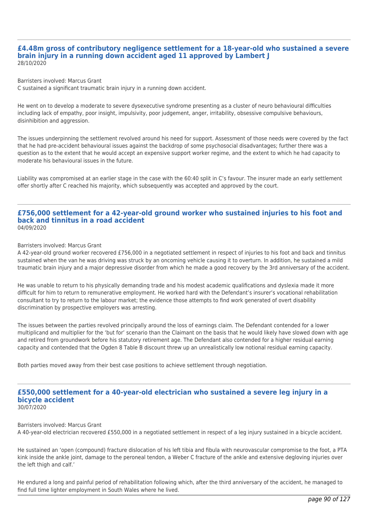## **£4.48m gross of contributory negligence settlement for a 18-year-old who sustained a severe brain injury in a running down accident aged 11 approved by Lambert J** 28/10/2020

Barristers involved: Marcus Grant

C sustained a significant traumatic brain injury in a running down accident.

He went on to develop a moderate to severe dysexecutive syndrome presenting as a cluster of neuro behavioural difficulties including lack of empathy, poor insight, impulsivity, poor judgement, anger, irritability, obsessive compulsive behaviours, disinhibition and aggression.

The issues underpinning the settlement revolved around his need for support. Assessment of those needs were covered by the fact that he had pre-accident behavioural issues against the backdrop of some psychosocial disadvantages; further there was a question as to the extent that he would accept an expensive support worker regime, and the extent to which he had capacity to moderate his behavioural issues in the future.

Liability was compromised at an earlier stage in the case with the 60:40 split in C's favour. The insurer made an early settlement offer shortly after C reached his majority, which subsequently was accepted and approved by the court.

## **£756,000 settlement for a 42-year-old ground worker who sustained injuries to his foot and back and tinnitus in a road accident** 04/09/2020

#### Barristers involved: Marcus Grant

A 42-year-old ground worker recovered £756,000 in a negotiated settlement in respect of injuries to his foot and back and tinnitus sustained when the van he was driving was struck by an oncoming vehicle causing it to overturn. In addition, he sustained a mild traumatic brain injury and a major depressive disorder from which he made a good recovery by the 3rd anniversary of the accident.

He was unable to return to his physically demanding trade and his modest academic qualifications and dyslexia made it more difficult for him to return to remunerative employment. He worked hard with the Defendant's insurer's vocational rehabilitation consultant to try to return to the labour market; the evidence those attempts to find work generated of overt disability discrimination by prospective employers was arresting.

The issues between the parties revolved principally around the loss of earnings claim. The Defendant contended for a lower multiplicand and multiplier for the 'but for' scenario than the Claimant on the basis that he would likely have slowed down with age and retired from groundwork before his statutory retirement age. The Defendant also contended for a higher residual earning capacity and contended that the Ogden 8 Table B discount threw up an unrealistically low notional residual earning capacity.

Both parties moved away from their best case positions to achieve settlement through negotiation.

#### **£550,000 settlement for a 40-year-old electrician who sustained a severe leg injury in a bicycle accident** 30/07/2020

Barristers involved: Marcus Grant A 40-year-old electrician recovered £550,000 in a negotiated settlement in respect of a leg injury sustained in a bicycle accident.

He sustained an 'open (compound) fracture dislocation of his left tibia and fibula with neurovascular compromise to the foot, a PTA kink inside the ankle joint, damage to the peroneal tendon, a Weber C fracture of the ankle and extensive degloving injuries over the left thigh and calf.'

He endured a long and painful period of rehabilitation following which, after the third anniversary of the accident, he managed to find full time lighter employment in South Wales where he lived.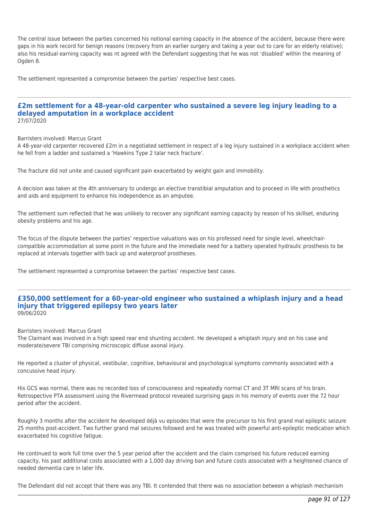The central issue between the parties concerned his notional earning capacity in the absence of the accident, because there were gaps in his work record for benign reasons (recovery from an earlier surgery and taking a year out to care for an elderly relative); also his residual earning capacity was nt agreed with the Defendant suggesting that he was not 'disabled' within the meaning of Ogden 8.

The settlement represented a compromise between the parties' respective best cases.

#### **£2m settlement for a 48-year-old carpenter who sustained a severe leg injury leading to a delayed amputation in a workplace accident** 27/07/2020

Barristers involved: Marcus Grant

A 48-year-old carpenter recovered £2m in a negotiated settlement in respect of a leg injury sustained in a workplace accident when he fell from a ladder and sustained a 'Hawkins Type 2 talar neck fracture'.

The fracture did not unite and caused significant pain exacerbated by weight gain and immobility.

A decision was taken at the 4th anniversary to undergo an elective transtibial amputation and to proceed in life with prosthetics and aids and equipment to enhance his independence as an amputee.

The settlement sum reflected that he was unlikely to recover any significant earning capacity by reason of his skillset, enduring obesity problems and his age.

The focus of the dispute between the parties' respective valuations was on his professed need for single level, wheelchaircompatible accommodation at some point in the future and the immediate need for a battery operated hydraulic prosthesis to be replaced at intervals together with back up and waterproof prostheses.

The settlement represented a compromise between the parties' respective best cases.

# **£350,000 settlement for a 60-year-old engineer who sustained a whiplash injury and a head injury that triggered epilepsy two years later** 09/06/2020

Barristers involved: Marcus Grant

The Claimant was involved in a high speed rear end shunting accident. He developed a whiplash injury and on his case and moderate/severe TBI comprising microscopic diffuse axonal injury.

He reported a cluster of physical, vestibular, cognitive, behavioural and psychological symptoms commonly associated with a concussive head injury.

His GCS was normal, there was no recorded loss of consciousness and repeatedly normal CT and 3T MRI scans of his brain. Retrospective PTA assessment using the Rivermead protocol revealed surprising gaps in his memory of events over the 72 hour period after the accident.

Roughly 3 months after the accident he developed déjà vu episodes that were the precursor to his first grand mal epileptic seizure 25 months post-accident. Two further grand mal seizures followed and he was treated with powerful anti-epileptic medication which exacerbated his cognitive fatigue.

He continued to work full time over the 5 year period after the accident and the claim comprised his future reduced earning capacity, his past additional costs associated with a 1,000 day driving ban and future costs associated with a heightened chance of needed dementia care in later life.

The Defendant did not accept that there was any TBI. It contended that there was no association between a whiplash mechanism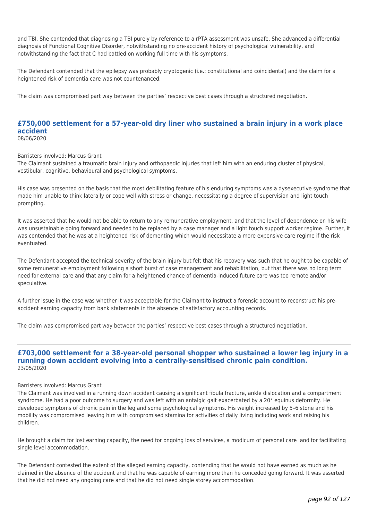and TBI. She contended that diagnosing a TBI purely by reference to a rPTA assessment was unsafe. She advanced a differential diagnosis of Functional Cognitive Disorder, notwithstanding no pre-accident history of psychological vulnerability, and notwithstanding the fact that C had battled on working full time with his symptoms.

The Defendant contended that the epilepsy was probably cryptogenic (i.e.: constitutional and coincidental) and the claim for a heightened risk of dementia care was not countenanced.

The claim was compromised part way between the parties' respective best cases through a structured negotiation.

#### **£750,000 settlement for a 57-year-old dry liner who sustained a brain injury in a work place accident** 08/06/2020

Barristers involved: Marcus Grant

The Claimant sustained a traumatic brain injury and orthopaedic injuries that left him with an enduring cluster of physical, vestibular, cognitive, behavioural and psychological symptoms.

His case was presented on the basis that the most debilitating feature of his enduring symptoms was a dysexecutive syndrome that made him unable to think laterally or cope well with stress or change, necessitating a degree of supervision and light touch prompting.

It was asserted that he would not be able to return to any remunerative employment, and that the level of dependence on his wife was unsustainable going forward and needed to be replaced by a case manager and a light touch support worker regime. Further, it was contended that he was at a heightened risk of dementing which would necessitate a more expensive care regime if the risk eventuated.

The Defendant accepted the technical severity of the brain injury but felt that his recovery was such that he ought to be capable of some remunerative employment following a short burst of case management and rehabilitation, but that there was no long term need for external care and that any claim for a heightened chance of dementia-induced future care was too remote and/or speculative.

A further issue in the case was whether it was acceptable for the Claimant to instruct a forensic account to reconstruct his preaccident earning capacity from bank statements in the absence of satisfactory accounting records.

The claim was compromised part way between the parties' respective best cases through a structured negotiation.

## **£703,000 settlement for a 38-year-old personal shopper who sustained a lower leg injury in a running down accident evolving into a centrally-sensitised chronic pain condition.** 23/05/2020

#### Barristers involved: Marcus Grant

The Claimant was involved in a running down accident causing a significant fibula fracture, ankle dislocation and a compartment syndrome. He had a poor outcome to surgery and was left with an antalgic gait exacerbated by a 20° equinus deformity. He developed symptoms of chronic pain in the leg and some psychological symptoms. His weight increased by 5–6 stone and his mobility was compromised leaving him with compromised stamina for activities of daily living including work and raising his children.

He brought a claim for lost earning capacity, the need for ongoing loss of services, a modicum of personal care and for facilitating single level accommodation.

The Defendant contested the extent of the alleged earning capacity, contending that he would not have earned as much as he claimed in the absence of the accident and that he was capable of earning more than he conceded going forward. It was asserted that he did not need any ongoing care and that he did not need single storey accommodation.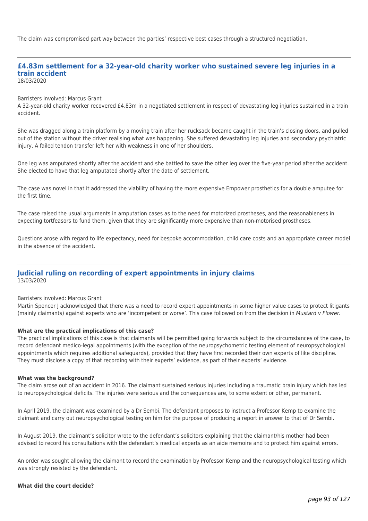The claim was compromised part way between the parties' respective best cases through a structured negotiation.

# **£4.83m settlement for a 32-year-old charity worker who sustained severe leg injuries in a train accident**

18/03/2020

#### Barristers involved: Marcus Grant

A 32-year-old charity worker recovered £4.83m in a negotiated settlement in respect of devastating leg injuries sustained in a train accident.

She was dragged along a train platform by a moving train after her rucksack became caught in the train's closing doors, and pulled out of the station without the driver realising what was happening. She suffered devastating leg injuries and secondary psychiatric injury. A failed tendon transfer left her with weakness in one of her shoulders.

One leg was amputated shortly after the accident and she battled to save the other leg over the five-year period after the accident. She elected to have that leg amputated shortly after the date of settlement.

The case was novel in that it addressed the viability of having the more expensive Empower prosthetics for a double amputee for the first time.

The case raised the usual arguments in amputation cases as to the need for motorized prostheses, and the reasonableness in expecting tortfeasors to fund them, given that they are significantly more expensive than non-motorised prostheses.

Questions arose with regard to life expectancy, need for bespoke accommodation, child care costs and an appropriate career model in the absence of the accident.

## **Judicial ruling on recording of expert appointments in injury claims** 13/03/2020

#### Barristers involved: Marcus Grant

Martin Spencer J acknowledged that there was a need to record expert appointments in some higher value cases to protect litigants (mainly claimants) against experts who are 'incompetent or worse'. This case followed on from the decision in Mustard y Flower.

## **What are the practical implications of this case?**

The practical implications of this case is that claimants will be permitted going forwards subject to the circumstances of the case, to record defendant medico-legal appointments (with the exception of the neuropsychometric testing element of neuropsychological appointments which requires additional safeguards), provided that they have first recorded their own experts of like discipline. They must disclose a copy of that recording with their experts' evidence, as part of their experts' evidence.

#### **What was the background?**

The claim arose out of an accident in 2016. The claimant sustained serious injuries including a traumatic brain injury which has led to neuropsychological deficits. The injuries were serious and the consequences are, to some extent or other, permanent.

In April 2019, the claimant was examined by a Dr Sembi. The defendant proposes to instruct a Professor Kemp to examine the claimant and carry out neuropsychological testing on him for the purpose of producing a report in answer to that of Dr Sembi.

In August 2019, the claimant's solicitor wrote to the defendant's solicitors explaining that the claimant/his mother had been advised to record his consultations with the defendant's medical experts as an aide memoire and to protect him against errors.

An order was sought allowing the claimant to record the examination by Professor Kemp and the neuropsychological testing which was strongly resisted by the defendant.

## **What did the court decide?**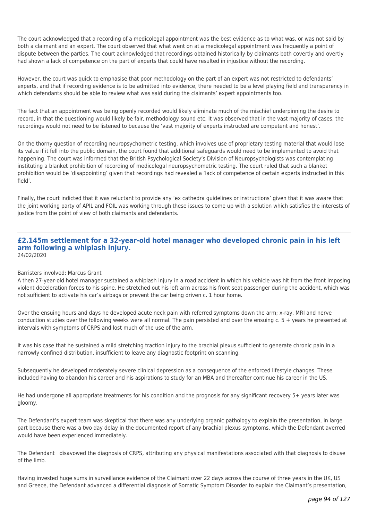The court acknowledged that a recording of a medicolegal appointment was the best evidence as to what was, or was not said by both a claimant and an expert. The court observed that what went on at a medicolegal appointment was frequently a point of dispute between the parties. The court acknowledged that recordings obtained historically by claimants both covertly and overtly had shown a lack of competence on the part of experts that could have resulted in injustice without the recording.

However, the court was quick to emphasise that poor methodology on the part of an expert was not restricted to defendants' experts, and that if recording evidence is to be admitted into evidence, there needed to be a level playing field and transparency in which defendants should be able to review what was said during the claimants' expert appointments too.

The fact that an appointment was being openly recorded would likely eliminate much of the mischief underpinning the desire to record, in that the questioning would likely be fair, methodology sound etc. It was observed that in the vast majority of cases, the recordings would not need to be listened to because the 'vast majority of experts instructed are competent and honest'.

On the thorny question of recording neuropsychometric testing, which involves use of proprietary testing material that would lose its value if it fell into the public domain, the court found that additional safeguards would need to be implemented to avoid that happening. The court was informed that the British Psychological Society's Division of Neuropsychologists was contemplating instituting a blanket prohibition of recording of medicolegal neuropsychometric testing. The court ruled that such a blanket prohibition would be 'disappointing' given that recordings had revealed a 'lack of competence of certain experts instructed in this field'.

Finally, the court indicted that it was reluctant to provide any 'ex cathedra guidelines or instructions' given that it was aware that the joint working party of APIL and FOIL was working through these issues to come up with a solution which satisfies the interests of justice from the point of view of both claimants and defendants.

## **£2.145m settlement for a 32-year-old hotel manager who developed chronic pain in his left arm following a whiplash injury.** 24/02/2020

# Barristers involved: Marcus Grant

A then 27-year-old hotel manager sustained a whiplash injury in a road accident in which his vehicle was hit from the front imposing violent deceleration forces to his spine. He stretched out his left arm across his front seat passenger during the accident, which was not sufficient to activate his car's airbags or prevent the car being driven c. 1 hour home.

Over the ensuing hours and days he developed acute neck pain with referred symptoms down the arm; x-ray, MRI and nerve conduction studies over the following weeks were all normal. The pain persisted and over the ensuing c. 5 + years he presented at intervals with symptoms of CRPS and lost much of the use of the arm.

It was his case that he sustained a mild stretching traction injury to the brachial plexus sufficient to generate chronic pain in a narrowly confined distribution, insufficient to leave any diagnostic footprint on scanning.

Subsequently he developed moderately severe clinical depression as a consequence of the enforced lifestyle changes. These included having to abandon his career and his aspirations to study for an MBA and thereafter continue his career in the US.

He had undergone all appropriate treatments for his condition and the prognosis for any significant recovery 5+ years later was gloomy.

The Defendant's expert team was skeptical that there was any underlying organic pathology to explain the presentation, in large part because there was a two day delay in the documented report of any brachial plexus symptoms, which the Defendant averred would have been experienced immediately.

The Defendant disavowed the diagnosis of CRPS, attributing any physical manifestations associated with that diagnosis to disuse of the limb.

Having invested huge sums in surveillance evidence of the Claimant over 22 days across the course of three years in the UK, US and Greece, the Defendant advanced a differential diagnosis of Somatic Symptom Disorder to explain the Claimant's presentation,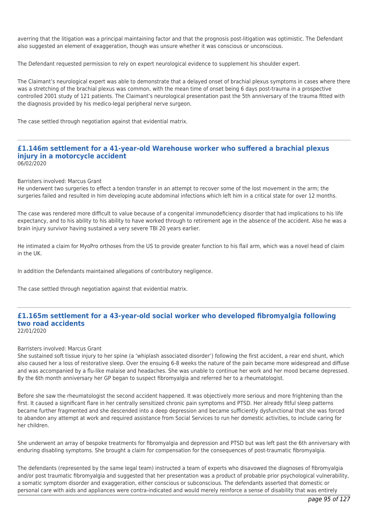averring that the litigation was a principal maintaining factor and that the prognosis post-litigation was optimistic. The Defendant also suggested an element of exaggeration, though was unsure whether it was conscious or unconscious.

The Defendant requested permission to rely on expert neurological evidence to supplement his shoulder expert.

The Claimant's neurological expert was able to demonstrate that a delayed onset of brachial plexus symptoms in cases where there was a stretching of the brachial plexus was common, with the mean time of onset being 6 days post-trauma in a prospective controlled 2001 study of 121 patients. The Claimant's neurological presentation past the 5th anniversary of the trauma fitted with the diagnosis provided by his medico-legal peripheral nerve surgeon.

The case settled through negotiation against that evidential matrix.

#### **£1.146m settlement for a 41-year-old Warehouse worker who suffered a brachial plexus injury in a motorcycle accident** 06/02/2020

Barristers involved: Marcus Grant

He underwent two surgeries to effect a tendon transfer in an attempt to recover some of the lost movement in the arm; the surgeries failed and resulted in him developing acute abdominal infections which left him in a critical state for over 12 months.

The case was rendered more difficult to value because of a congenital immunodeficiency disorder that had implications to his life expectancy, and to his ability to his ability to have worked through to retirement age in the absence of the accident. Also he was a brain injury survivor having sustained a very severe TBI 20 years earlier.

He intimated a claim for MyoPro orthoses from the US to provide greater function to his flail arm, which was a novel head of claim in the UK.

In addition the Defendants maintained allegations of contributory negligence.

The case settled through negotiation against that evidential matrix.

#### **£1.165m settlement for a 43-year-old social worker who developed fibromyalgia following two road accidents** 22/01/2020

# Barristers involved: Marcus Grant

She sustained soft tissue injury to her spine (a 'whiplash associated disorder') following the first accident, a rear end shunt, which also caused her a loss of restorative sleep. Over the ensuing 6-8 weeks the nature of the pain became more widespread and diffuse and was accompanied by a flu-like malaise and headaches. She was unable to continue her work and her mood became depressed. By the 6th month anniversary her GP began to suspect fibromyalgia and referred her to a rheumatologist.

Before she saw the rheumatologist the second accident happened. It was objectively more serious and more frightening than the first. It caused a significant flare in her centrally sensitized chronic pain symptoms and PTSD. Her already fitful sleep patterns became further fragmented and she descended into a deep depression and became sufficiently dysfunctional that she was forced to abandon any attempt at work and required assistance from Social Services to run her domestic activities, to include caring for her children.

She underwent an array of bespoke treatments for fibromyalgia and depression and PTSD but was left past the 6th anniversary with enduring disabling symptoms. She brought a claim for compensation for the consequences of post-traumatic fibromyalgia.

The defendants (represented by the same legal team) instructed a team of experts who disavowed the diagnoses of fibromyalgia and/or post traumatic fibromyalgia and suggested that her presentation was a product of probable prior psychological vulnerability, a somatic symptom disorder and exaggeration, either conscious or subconscious. The defendants asserted that domestic or personal care with aids and appliances were contra-indicated and would merely reinforce a sense of disability that was entirely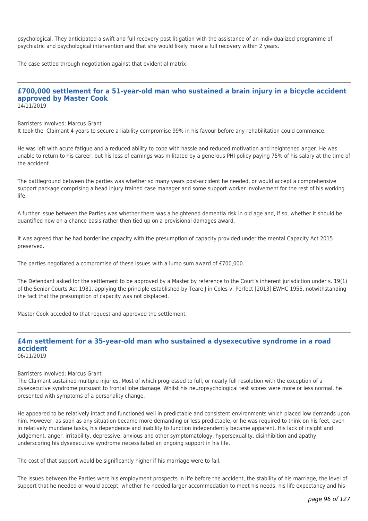psychological. They anticipated a swift and full recovery post litigation with the assistance of an individualized programme of psychiatric and psychological intervention and that she would likely make a full recovery within 2 years.

The case settled through negotiation against that evidential matrix.

#### **£700,000 settlement for a 51-year-old man who sustained a brain injury in a bicycle accident approved by Master Cook** 14/11/2019

Barristers involved: Marcus Grant

It took the Claimant 4 years to secure a liability compromise 99% in his favour before any rehabilitation could commence.

He was left with acute fatigue and a reduced ability to cope with hassle and reduced motivation and heightened anger. He was unable to return to his career, but his loss of earnings was militated by a generous PHI policy paying 75% of his salary at the time of the accident.

The battleground between the parties was whether so many years post-accident he needed, or would accept a comprehensive support package comprising a head injury trained case manager and some support worker involvement for the rest of his working life.

A further issue between the Parties was whether there was a heightened dementia risk in old age and, if so, whether it should be quantified now on a chance basis rather then tied up on a provisional damages award.

It was agreed that he had borderline capacity with the presumption of capacity provided under the mental Capacity Act 2015 preserved.

The parties negotiated a compromise of these issues with a lump sum award of £700,000.

The Defendant asked for the settlement to be approved by a Master by reference to the Court's inherent jurisdiction under s. 19(1) of the Senior Courts Act 1981, applying the principle established by Teare J in Coles v. Perfect [2013] EWHC 1955, notwithstanding the fact that the presumption of capacity was not displaced.

Master Cook acceded to that request and approved the settlement.

#### **£4m settlement for a 35-year-old man who sustained a dysexecutive syndrome in a road accident** 06/11/2019

Barristers involved: Marcus Grant

The Claimant sustained multiple injuries. Most of which progressed to full, or nearly full resolution with the exception of a dysexecutive syndrome pursuant to frontal lobe damage. Whilst his neuropsychological test scores were more or less normal, he presented with symptoms of a personality change.

He appeared to be relatively intact and functioned well in predictable and consistent environments which placed low demands upon him. However, as soon as any situation became more demanding or less predictable, or he was required to think on his feet, even in relatively mundane tasks, his dependence and inability to function independently became apparent. His lack of insight and judgement, anger, irritability, depressive, anxious and other symptomatology, hypersexuality, disinhibition and apathy underscoring his dysexecutive syndrome necessitated an ongoing support in his life.

The cost of that support would be significantly higher if his marriage were to fail.

The issues between the Parties were his employment prospects in life before the accident, the stability of his marriage, the level of support that he needed or would accept, whether he needed larger accommodation to meet his needs, his life expectancy and his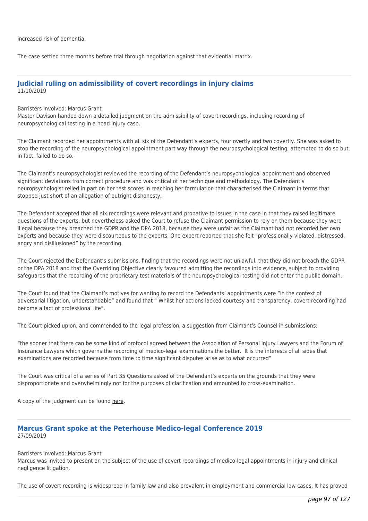increased risk of dementia.

The case settled three months before trial through negotiation against that evidential matrix.

# **Judicial ruling on admissibility of covert recordings in injury claims** 11/10/2019

Barristers involved: Marcus Grant

Master Davison handed down a detailed judgment on the admissibility of covert recordings, including recording of neuropsychological testing in a head injury case.

The Claimant recorded her appointments with all six of the Defendant's experts, four overtly and two covertly. She was asked to stop the recording of the neuropsychological appointment part way through the neuropsychological testing, attempted to do so but, in fact, failed to do so.

The Claimant's neuropsychologist reviewed the recording of the Defendant's neuropsychological appointment and observed significant deviations from correct procedure and was critical of her technique and methodology. The Defendant's neuropsychologist relied in part on her test scores in reaching her formulation that characterised the Claimant in terms that stopped just short of an allegation of outright dishonesty.

The Defendant accepted that all six recordings were relevant and probative to issues in the case in that they raised legitimate questions of the experts, but nevertheless asked the Court to refuse the Claimant permission to rely on them because they were illegal because they breached the GDPR and the DPA 2018, because they were unfair as the Claimant had not recorded her own experts and because they were discourteous to the experts. One expert reported that she felt "professionally violated, distressed, angry and disillusioned" by the recording.

The Court rejected the Defendant's submissions, finding that the recordings were not unlawful, that they did not breach the GDPR or the DPA 2018 and that the Overriding Objective clearly favoured admitting the recordings into evidence, subject to providing safeguards that the recording of the proprietary test materials of the neuropsychological testing did not enter the public domain.

The Court found that the Claimant's motives for wanting to record the Defendants' appointments were "in the context of adversarial litigation, understandable" and found that " Whilst her actions lacked courtesy and transparency, covert recording had become a fact of professional life".

The Court picked up on, and commended to the legal profession, a suggestion from Claimant's Counsel in submissions:

"the sooner that there can be some kind of protocol agreed between the Association of Personal Injury Lawyers and the Forum of Insurance Lawyers which governs the recording of medico-legal examinations the better. It is the interests of all sides that examinations are recorded because from time to time significant disputes arise as to what occurred"

The Court was critical of a series of Part 35 Questions asked of the Defendant's experts on the grounds that they were disproportionate and overwhelmingly not for the purposes of clarification and amounted to cross-examination.

A copy of the judgment can be found [here](http://tgchambers.com/wp-content/uploads/2019/10/Mustard-v-Flower-Ors-Master-Davisons-approved-judgment-11.10.19.docx).

# **Marcus Grant spoke at the Peterhouse Medico-legal Conference 2019** 27/09/2019

Barristers involved: Marcus Grant

Marcus was invited to present on the subject of the use of covert recordings of medico-legal appointments in injury and clinical negligence litigation.

The use of covert recording is widespread in family law and also prevalent in employment and commercial law cases. It has proved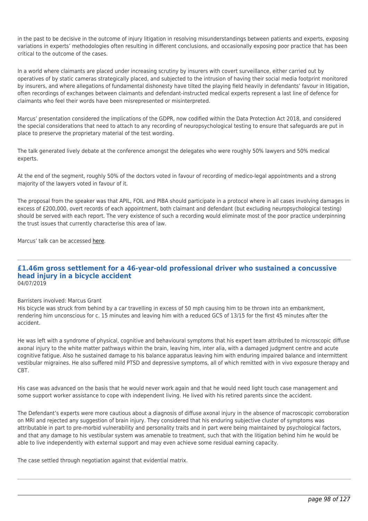in the past to be decisive in the outcome of injury litigation in resolving misunderstandings between patients and experts, exposing variations in experts' methodologies often resulting in different conclusions, and occasionally exposing poor practice that has been critical to the outcome of the cases.

In a world where claimants are placed under increasing scrutiny by insurers with covert surveillance, either carried out by operatives of by static cameras strategically placed, and subjected to the intrusion of having their social media footprint monitored by insurers, and where allegations of fundamental dishonesty have tilted the playing field heavily in defendants' favour in litigation, often recordings of exchanges between claimants and defendant-instructed medical experts represent a last line of defence for claimants who feel their words have been misrepresented or misinterpreted.

Marcus' presentation considered the implications of the GDPR, now codified within the Data Protection Act 2018, and considered the special considerations that need to attach to any recording of neuropsychological testing to ensure that safeguards are put in place to preserve the proprietary material of the test wording.

The talk generated lively debate at the conference amongst the delegates who were roughly 50% lawyers and 50% medical experts.

At the end of the segment, roughly 50% of the doctors voted in favour of recording of medico-legal appointments and a strong majority of the lawyers voted in favour of it.

The proposal from the speaker was that APIL, FOIL and PIBA should participate in a protocol where in all cases involving damages in excess of £200,000, overt records of each appointment, both claimant and defendant (but excluding neuropsychological testing) should be served with each report. The very existence of such a recording would eliminate most of the poor practice underpinning the trust issues that currently characterise this area of law.

Marcus' talk can be accessed [here](http://tgchambers.com/wp-content/uploads/2019/09/Marcus-Grant-Use-of-recordings-of-medical-appointments-in-injury-litigation-24.09.19.pdf).

#### **£1.46m gross settlement for a 46-year-old professional driver who sustained a concussive head injury in a bicycle accident** 04/07/2019

# Barristers involved: Marcus Grant

His bicycle was struck from behind by a car travelling in excess of 50 mph causing him to be thrown into an embankment, rendering him unconscious for c. 15 minutes and leaving him with a reduced GCS of 13/15 for the first 45 minutes after the accident.

He was left with a syndrome of physical, cognitive and behavioural symptoms that his expert team attributed to microscopic diffuse axonal injury to the white matter pathways within the brain, leaving him, inter alia, with a damaged judgment centre and acute cognitive fatigue. Also he sustained damage to his balance apparatus leaving him with enduring impaired balance and intermittent vestibular migraines. He also suffered mild PTSD and depressive symptoms, all of which remitted with in vivo exposure therapy and CBT.

His case was advanced on the basis that he would never work again and that he would need light touch case management and some support worker assistance to cope with independent living. He lived with his retired parents since the accident.

The Defendant's experts were more cautious about a diagnosis of diffuse axonal injury in the absence of macroscopic corroboration on MRI and rejected any suggestion of brain injury. They considered that his enduring subjective cluster of symptoms was attributable in part to pre-morbid vulnerability and personality traits and in part were being maintained by psychological factors, and that any damage to his vestibular system was amenable to treatment, such that with the litigation behind him he would be able to live independently with external support and may even achieve some residual earning capacity.

The case settled through negotiation against that evidential matrix.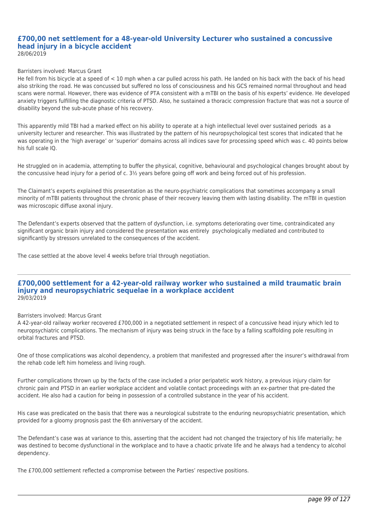#### **£700,00 net settlement for a 48-year-old University Lecturer who sustained a concussive head injury in a bicycle accident** 28/06/2019

#### Barristers involved: Marcus Grant

He fell from his bicycle at a speed of  $< 10$  mph when a car pulled across his path. He landed on his back with the back of his head also striking the road. He was concussed but suffered no loss of consciousness and his GCS remained normal throughout and head scans were normal. However, there was evidence of PTA consistent with a mTBI on the basis of his experts' evidence. He developed anxiety triggers fulfilling the diagnostic criteria of PTSD. Also, he sustained a thoracic compression fracture that was not a source of disability beyond the sub-acute phase of his recovery.

This apparently mild TBI had a marked effect on his ability to operate at a high intellectual level over sustained periods as a university lecturer and researcher. This was illustrated by the pattern of his neuropsychological test scores that indicated that he was operating in the 'high average' or 'superior' domains across all indices save for processing speed which was c. 40 points below his full scale IQ.

He struggled on in academia, attempting to buffer the physical, cognitive, behavioural and psychological changes brought about by the concussive head injury for a period of c. 3½ years before going off work and being forced out of his profession.

The Claimant's experts explained this presentation as the neuro-psychiatric complications that sometimes accompany a small minority of mTBI patients throughout the chronic phase of their recovery leaving them with lasting disability. The mTBI in question was microscopic diffuse axonal injury.

The Defendant's experts observed that the pattern of dysfunction, i.e. symptoms deteriorating over time, contraindicated any significant organic brain injury and considered the presentation was entirely psychologically mediated and contributed to significantly by stressors unrelated to the consequences of the accident.

The case settled at the above level 4 weeks before trial through negotiation.

## **£700,000 settlement for a 42-year-old railway worker who sustained a mild traumatic brain injury and neuropsychiatric sequelae in a workplace accident** 29/03/2019

## Barristers involved: Marcus Grant

A 42-year-old railway worker recovered £700,000 in a negotiated settlement in respect of a concussive head injury which led to neuropsychiatric complications. The mechanism of injury was being struck in the face by a falling scaffolding pole resulting in orbital fractures and PTSD.

One of those complications was alcohol dependency, a problem that manifested and progressed after the insurer's withdrawal from the rehab code left him homeless and living rough.

Further complications thrown up by the facts of the case included a prior peripatetic work history, a previous injury claim for chronic pain and PTSD in an earlier workplace accident and volatile contact proceedings with an ex-partner that pre-dated the accident. He also had a caution for being in possession of a controlled substance in the year of his accident.

His case was predicated on the basis that there was a neurological substrate to the enduring neuropsychiatric presentation, which provided for a gloomy prognosis past the 6th anniversary of the accident.

The Defendant's case was at variance to this, asserting that the accident had not changed the trajectory of his life materially; he was destined to become dysfunctional in the workplace and to have a chaotic private life and he always had a tendency to alcohol dependency.

The £700,000 settlement reflected a compromise between the Parties' respective positions.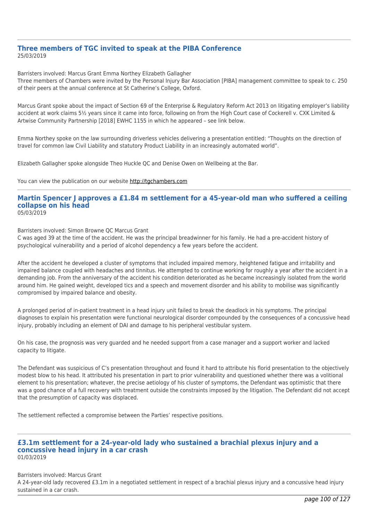# **Three members of TGC invited to speak at the PIBA Conference** 25/03/2019

Barristers involved: Marcus Grant Emma Northey Elizabeth Gallagher

Three members of Chambers were invited by the Personal Injury Bar Association [PIBA] management committee to speak to c. 250 of their peers at the annual conference at St Catherine's College, Oxford.

Marcus Grant spoke about the impact of Section 69 of the Enterprise & Regulatory Reform Act 2013 on litigating employer's liability accident at work claims 5½ years since it came into force, following on from the High Court case of Cockerell v. CXK Limited & Artwise Community Partnership [2018] EWHC 1155 in which he appeared – see link below.

Emma Northey spoke on the law surrounding driverless vehicles delivering a presentation entitled: "Thoughts on the direction of travel for common law Civil Liability and statutory Product Liability in an increasingly automated world".

Elizabeth Gallagher spoke alongside Theo Huckle QC and Denise Owen on Wellbeing at the Bar.

You can view the publication on our website [http://tgchambers.com](https://tgchambers.com/wp-content/uploads/2019/03/MGs-PIBA-2019-Talk_FINAL.pdf)

# **Martin Spencer J approves a £1.84 m settlement for a 45-year-old man who suffered a ceiling collapse on his head**

05/03/2019

Barristers involved: Simon Browne QC Marcus Grant

C was aged 39 at the time of the accident. He was the principal breadwinner for his family. He had a pre-accident history of psychological vulnerability and a period of alcohol dependency a few years before the accident.

After the accident he developed a cluster of symptoms that included impaired memory, heightened fatigue and irritability and impaired balance coupled with headaches and tinnitus. He attempted to continue working for roughly a year after the accident in a demanding job. From the anniversary of the accident his condition deteriorated as he became increasingly isolated from the world around him. He gained weight, developed tics and a speech and movement disorder and his ability to mobilise was significantly compromised by impaired balance and obesity.

A prolonged period of in-patient treatment in a head injury unit failed to break the deadlock in his symptoms. The principal diagnoses to explain his presentation were functional neurological disorder compounded by the consequences of a concussive head injury, probably including an element of DAI and damage to his peripheral vestibular system.

On his case, the prognosis was very guarded and he needed support from a case manager and a support worker and lacked capacity to litigate.

The Defendant was suspicious of C's presentation throughout and found it hard to attribute his florid presentation to the objectively modest blow to his head. It attributed his presentation in part to prior vulnerability and questioned whether there was a volitional element to his presentation; whatever, the precise aetiology of his cluster of symptoms, the Defendant was optimistic that there was a good chance of a full recovery with treatment outside the constraints imposed by the litigation. The Defendant did not accept that the presumption of capacity was displaced.

The settlement reflected a compromise between the Parties' respective positions.

## **£3.1m settlement for a 24-year-old lady who sustained a brachial plexus injury and a concussive head injury in a car crash** 01/03/2019

Barristers involved: Marcus Grant

A 24-year-old lady recovered £3.1m in a negotiated settlement in respect of a brachial plexus injury and a concussive head injury sustained in a car crash.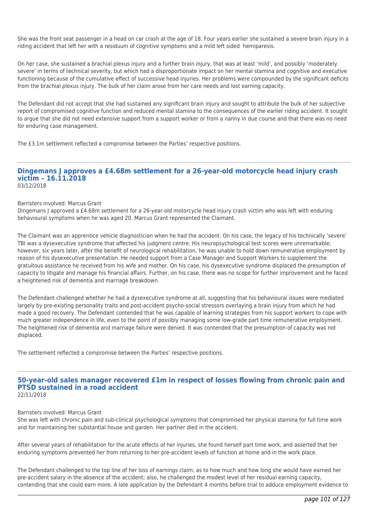She was the front seat passenger in a head on car crash at the age of 18. Four years earlier she sustained a severe brain injury in a riding accident that left her with a residuum of cognitive symptoms and a mild left sided hemiparesis.

On her case, she sustained a brachial plexus injury and a further brain injury, that was at least 'mild', and possibly 'moderately severe' in terms of technical severity, but which had a disproportionate impact on her mental stamina and cognitive and executive functioning because of the cumulative effect of successive head injuries. Her problems were compounded by the significant deficits from the brachial plexus injury. The bulk of her claim arose from her care needs and lost earning capacity.

The Defendant did not accept that she had sustained any significant brain injury and sought to attribute the bulk of her subjective report of compromised cognitive function and reduced mental stamina to the consequences of the earlier riding accident. It sought to argue that she did not need extensive support from a support worker or from a nanny in due course and that there was no need for enduring case management.

The £3.1m settlement reflected a compromise between the Parties' respective positions.

#### **Dingemans J approves a £4.68m settlement for a 26-year-old motorcycle head injury crash victim – 16.11.2018** 03/12/2018

Barristers involved: Marcus Grant

Dingemans J approved a £4.68m settlement for a 26-year-old motorcycle head injury crash victim who was left with enduring behavioural symptoms when he was aged 20. Marcus Grant represented the Claimant.

The Claimant was an apprentice vehicle diagnostician when he had the accident. On his case, the legacy of his technically 'severe' TBI was a dysexecutive syndrome that affected his judgment centre. His neuropsychological test scores were unremarkable; however, six years later, after the benefit of neurological rehabilitation, he was unable to hold down remunerative employment by reason of his dysexecutive presentation. He needed support from a Case Manager and Support Workers to supplement the gratuitous assistance he received from his wife and mother. On his case, his dysexecutive syndrome displaced the presumption of capacity to litigate and manage his financial affairs. Further, on his case, there was no scope for further improvement and he faced a heightened risk of dementia and marriage breakdown.

The Defendant challenged whether he had a dysexecutive syndrome at all, suggesting that his behavioural issues were mediated largely by pre-existing personality traits and post-accident psycho-social stressors overlaying a brain injury from which he had made a good recovery. The Defendant contended that he was capable of learning strategies from his support workers to cope with much greater independence in life, even to the point of possibly managing some low-grade part time remunerative employment. The heightened risk of dementia and marriage failure were denied. It was contended that the presumption of capacity was not displaced.

The settlement reflected a compromise between the Parties' respective positions.

#### **50-year-old sales manager recovered £1m in respect of losses flowing from chronic pain and PTSD sustained in a road accident** 22/11/2018

Barristers involved: Marcus Grant

She was left with chronic pain and sub-clinical psychological symptoms that compromised her physical stamina for full time work and for maintaining her substantial house and garden. Her partner died in the accident.

After several years of rehabilitation for the acute effects of her injuries, she found herself part time work, and asserted that her enduring symptoms prevented her from returning to her pre-accident levels of function at home and in the work place.

The Defendant challenged to the top line of her loss of earnings claim, as to how much and how long she would have earned her pre-accident salary in the absence of the accident; also, he challenged the modest level of her residual earning capacity, contending that she could earn more. A late application by the Defendant 4 months before trial to adduce employment evidence to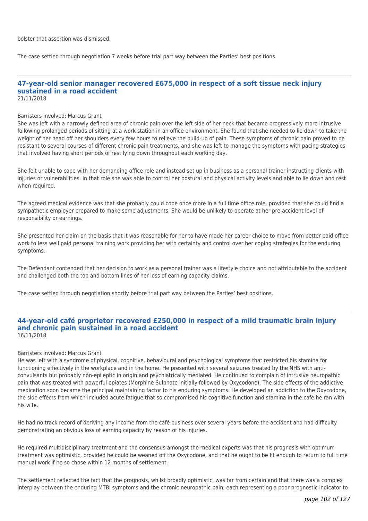bolster that assertion was dismissed.

The case settled through negotiation 7 weeks before trial part way between the Parties' best positions.

#### **47-year-old senior manager recovered £675,000 in respect of a soft tissue neck injury sustained in a road accident** 21/11/2018

#### Barristers involved: Marcus Grant

She was left with a narrowly defined area of chronic pain over the left side of her neck that became progressively more intrusive following prolonged periods of sitting at a work station in an office environment. She found that she needed to lie down to take the weight of her head off her shoulders every few hours to relieve the build-up of pain. These symptoms of chronic pain proved to be resistant to several courses of different chronic pain treatments, and she was left to manage the symptoms with pacing strategies that involved having short periods of rest lying down throughout each working day.

She felt unable to cope with her demanding office role and instead set up in business as a personal trainer instructing clients with injuries or vulnerabilities. In that role she was able to control her postural and physical activity levels and able to lie down and rest when required.

The agreed medical evidence was that she probably could cope once more in a full time office role, provided that she could find a sympathetic employer prepared to make some adjustments. She would be unlikely to operate at her pre-accident level of responsibility or earnings.

She presented her claim on the basis that it was reasonable for her to have made her career choice to move from better paid office work to less well paid personal training work providing her with certainty and control over her coping strategies for the enduring symptoms.

The Defendant contended that her decision to work as a personal trainer was a lifestyle choice and not attributable to the accident and challenged both the top and bottom lines of her loss of earning capacity claims.

The case settled through negotiation shortly before trial part way between the Parties' best positions.

## **44-year-old café proprietor recovered £250,000 in respect of a mild traumatic brain injury and chronic pain sustained in a road accident** 16/11/2018

#### Barristers involved: Marcus Grant

He was left with a syndrome of physical, cognitive, behavioural and psychological symptoms that restricted his stamina for functioning effectively in the workplace and in the home. He presented with several seizures treated by the NHS with anticonvulsants but probably non-epileptic in origin and psychiatrically mediated. He continued to complain of intrusive neuropathic pain that was treated with powerful opiates (Morphine Sulphate initially followed by Oxycodone). The side effects of the addictive medication soon became the principal maintaining factor to his enduring symptoms. He developed an addiction to the Oxycodone, the side effects from which included acute fatigue that so compromised his cognitive function and stamina in the café he ran with his wife.

He had no track record of deriving any income from the café business over several years before the accident and had difficulty demonstrating an obvious loss of earning capacity by reason of his injuries.

He required multidisciplinary treatment and the consensus amongst the medical experts was that his prognosis with optimum treatment was optimistic, provided he could be weaned off the Oxycodone, and that he ought to be fit enough to return to full time manual work if he so chose within 12 months of settlement.

The settlement reflected the fact that the prognosis, whilst broadly optimistic, was far from certain and that there was a complex interplay between the enduring MTBI symptoms and the chronic neuropathic pain, each representing a poor prognostic indicator to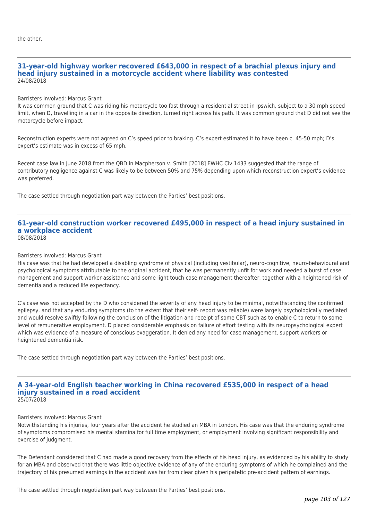#### **31-year-old highway worker recovered £643,000 in respect of a brachial plexus injury and head injury sustained in a motorcycle accident where liability was contested** 24/08/2018

Barristers involved: Marcus Grant

It was common ground that C was riding his motorcycle too fast through a residential street in Ipswich, subject to a 30 mph speed limit, when D, travelling in a car in the opposite direction, turned right across his path. It was common ground that D did not see the motorcycle before impact.

Reconstruction experts were not agreed on C's speed prior to braking. C's expert estimated it to have been c. 45-50 mph; D's expert's estimate was in excess of 65 mph.

Recent case law in June 2018 from the QBD in Macpherson v. Smith [2018] EWHC Civ 1433 suggested that the range of contributory negligence against C was likely to be between 50% and 75% depending upon which reconstruction expert's evidence was preferred.

The case settled through negotiation part way between the Parties' best positions.

#### **61-year-old construction worker recovered £495,000 in respect of a head injury sustained in a workplace accident** 08/08/2018

# Barristers involved: Marcus Grant

His case was that he had developed a disabling syndrome of physical (including vestibular), neuro-cognitive, neuro-behavioural and psychological symptoms attributable to the original accident, that he was permanently unfit for work and needed a burst of case management and support worker assistance and some light touch case management thereafter, together with a heightened risk of dementia and a reduced life expectancy.

C's case was not accepted by the D who considered the severity of any head injury to be minimal, notwithstanding the confirmed epilepsy, and that any enduring symptoms (to the extent that their self- report was reliable) were largely psychologically mediated and would resolve swiftly following the conclusion of the litigation and receipt of some CBT such as to enable C to return to some level of remunerative employment. D placed considerable emphasis on failure of effort testing with its neuropsychological expert which was evidence of a measure of conscious exaggeration. It denied any need for case management, support workers or heightened dementia risk.

The case settled through negotiation part way between the Parties' best positions.

#### **A 34-year-old English teacher working in China recovered £535,000 in respect of a head injury sustained in a road accident** 25/07/2018

#### Barristers involved: Marcus Grant

Notwithstanding his injuries, four years after the accident he studied an MBA in London. His case was that the enduring syndrome of symptoms compromised his mental stamina for full time employment, or employment involving significant responsibility and exercise of judgment.

The Defendant considered that C had made a good recovery from the effects of his head injury, as evidenced by his ability to study for an MBA and observed that there was little objective evidence of any of the enduring symptoms of which he complained and the trajectory of his presumed earnings in the accident was far from clear given his peripatetic pre-accident pattern of earnings.

The case settled through negotiation part way between the Parties' best positions.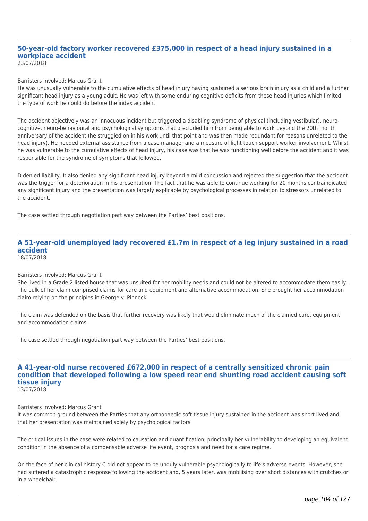#### **50-year-old factory worker recovered £375,000 in respect of a head injury sustained in a workplace accident** 23/07/2018

#### Barristers involved: Marcus Grant

He was unusually vulnerable to the cumulative effects of head injury having sustained a serious brain injury as a child and a further significant head injury as a young adult. He was left with some enduring cognitive deficits from these head injuries which limited the type of work he could do before the index accident.

The accident objectively was an innocuous incident but triggered a disabling syndrome of physical (including vestibular), neurocognitive, neuro-behavioural and psychological symptoms that precluded him from being able to work beyond the 20th month anniversary of the accident (he struggled on in his work until that point and was then made redundant for reasons unrelated to the head injury). He needed external assistance from a case manager and a measure of light touch support worker involvement. Whilst he was vulnerable to the cumulative effects of head injury, his case was that he was functioning well before the accident and it was responsible for the syndrome of symptoms that followed.

D denied liability. It also denied any significant head injury beyond a mild concussion and rejected the suggestion that the accident was the trigger for a deterioration in his presentation. The fact that he was able to continue working for 20 months contraindicated any significant injury and the presentation was largely explicable by psychological processes in relation to stressors unrelated to the accident.

The case settled through negotiation part way between the Parties' best positions.

#### **A 51-year-old unemployed lady recovered £1.7m in respect of a leg injury sustained in a road accident** 18/07/2018

# Barristers involved: Marcus Grant

She lived in a Grade 2 listed house that was unsuited for her mobility needs and could not be altered to accommodate them easily. The bulk of her claim comprised claims for care and equipment and alternative accommodation. She brought her accommodation claim relying on the principles in George v. Pinnock.

The claim was defended on the basis that further recovery was likely that would eliminate much of the claimed care, equipment and accommodation claims.

The case settled through negotiation part way between the Parties' best positions.

#### **A 41-year-old nurse recovered £672,000 in respect of a centrally sensitized chronic pain condition that developed following a low speed rear end shunting road accident causing soft tissue injury** 13/07/2018

#### Barristers involved: Marcus Grant

It was common ground between the Parties that any orthopaedic soft tissue injury sustained in the accident was short lived and that her presentation was maintained solely by psychological factors.

The critical issues in the case were related to causation and quantification, principally her vulnerability to developing an equivalent condition in the absence of a compensable adverse life event, prognosis and need for a care regime.

On the face of her clinical history C did not appear to be unduly vulnerable psychologically to life's adverse events. However, she had suffered a catastrophic response following the accident and, 5 years later, was mobilising over short distances with crutches or in a wheelchair.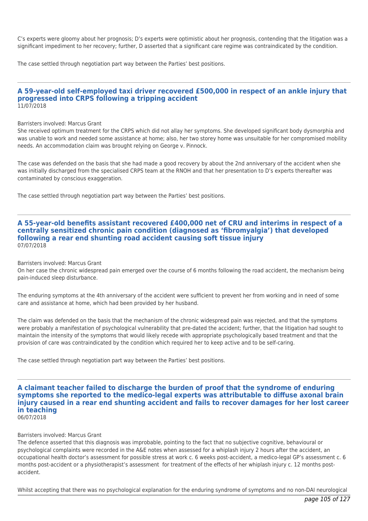C's experts were gloomy about her prognosis; D's experts were optimistic about her prognosis, contending that the litigation was a significant impediment to her recovery; further, D asserted that a significant care regime was contraindicated by the condition.

The case settled through negotiation part way between the Parties' best positions.

## **A 59-year-old self-employed taxi driver recovered £500,000 in respect of an ankle injury that progressed into CRPS following a tripping accident** 11/07/2018

#### Barristers involved: Marcus Grant

She received optimum treatment for the CRPS which did not allay her symptoms. She developed significant body dysmorphia and was unable to work and needed some assistance at home; also, her two storey home was unsuitable for her compromised mobility needs. An accommodation claim was brought relying on George v. Pinnock.

The case was defended on the basis that she had made a good recovery by about the 2nd anniversary of the accident when she was initially discharged from the specialised CRPS team at the RNOH and that her presentation to D's experts thereafter was contaminated by conscious exaggeration.

The case settled through negotiation part way between the Parties' best positions.

# **A 55-year-old benefits assistant recovered £400,000 net of CRU and interims in respect of a centrally sensitized chronic pain condition (diagnosed as 'fibromyalgia') that developed following a rear end shunting road accident causing soft tissue injury** 07/07/2018

#### Barristers involved: Marcus Grant

On her case the chronic widespread pain emerged over the course of 6 months following the road accident, the mechanism being pain-induced sleep disturbance.

The enduring symptoms at the 4th anniversary of the accident were sufficient to prevent her from working and in need of some care and assistance at home, which had been provided by her husband.

The claim was defended on the basis that the mechanism of the chronic widespread pain was rejected, and that the symptoms were probably a manifestation of psychological vulnerability that pre-dated the accident; further, that the litigation had sought to maintain the intensity of the symptoms that would likely recede with appropriate psychologically based treatment and that the provision of care was contraindicated by the condition which required her to keep active and to be self-caring.

The case settled through negotiation part way between the Parties' best positions.

**A claimant teacher failed to discharge the burden of proof that the syndrome of enduring symptoms she reported to the medico-legal experts was attributable to diffuse axonal brain injury caused in a rear end shunting accident and fails to recover damages for her lost career in teaching** 06/07/2018

#### Barristers involved: Marcus Grant

The defence asserted that this diagnosis was improbable, pointing to the fact that no subjective cognitive, behavioural or psychological complaints were recorded in the A&E notes when assessed for a whiplash injury 2 hours after the accident, an occupational health doctor's assessment for possible stress at work c. 6 weeks post-accident, a medico-legal GP's assessment c. 6 months post-accident or a physiotherapist's assessment for treatment of the effects of her whiplash injury c. 12 months postaccident.

Whilst accepting that there was no psychological explanation for the enduring syndrome of symptoms and no non-DAI neurological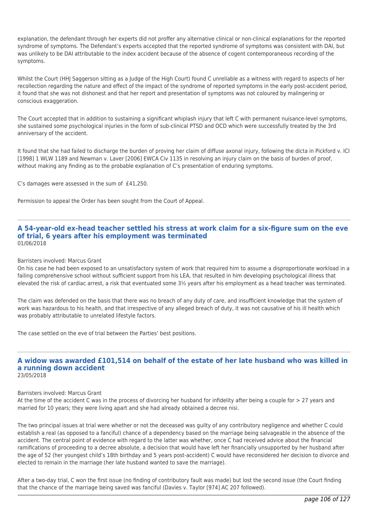explanation, the defendant through her experts did not proffer any alternative clinical or non-clinical explanations for the reported syndrome of symptoms. The Defendant's experts accepted that the reported syndrome of symptoms was consistent with DAI, but was unlikely to be DAI attributable to the index accident because of the absence of cogent contemporaneous recording of the symptoms.

Whilst the Court (HHJ Saggerson sitting as a Judge of the High Court) found C unreliable as a witness with regard to aspects of her recollection regarding the nature and effect of the impact of the syndrome of reported symptoms in the early post-accident period, it found that she was not dishonest and that her report and presentation of symptoms was not coloured by malingering or conscious exaggeration.

The Court accepted that in addition to sustaining a significant whiplash injury that left C with permanent nuisance-level symptoms, she sustained some psychological injuries in the form of sub-clinical PTSD and OCD which were successfully treated by the 3rd anniversary of the accident.

It found that she had failed to discharge the burden of proving her claim of diffuse axonal injury, following the dicta in Pickford v. ICI [1998] 1 WLW 1189 and Newman v. Laver [2006] EWCA Civ 1135 in resolving an injury claim on the basis of burden of proof, without making any finding as to the probable explanation of C's presentation of enduring symptoms.

C's damages were assessed in the sum of £41,250.

Permission to appeal the Order has been sought from the Court of Appeal.

## **A 54-year-old ex-head teacher settled his stress at work claim for a six-figure sum on the eve of trial, 6 years after his employment was terminated** 01/06/2018

## Barristers involved: Marcus Grant

On his case he had been exposed to an unsatisfactory system of work that required him to assume a disproportionate workload in a failing comprehensive school without sufficient support from his LEA, that resulted in him developing psychological illness that elevated the risk of cardiac arrest, a risk that eventuated some 3½ years after his employment as a head teacher was terminated.

The claim was defended on the basis that there was no breach of any duty of care, and insufficient knowledge that the system of work was hazardous to his health, and that irrespective of any alleged breach of duty, it was not causative of his ill health which was probably attributable to unrelated lifestyle factors.

The case settled on the eve of trial between the Parties' best positions.

# **A widow was awarded £101,514 on behalf of the estate of her late husband who was killed in a running down accident**

23/05/2018

## Barristers involved: Marcus Grant

At the time of the accident C was in the process of divorcing her husband for infidelity after being a couple for > 27 years and married for 10 years; they were living apart and she had already obtained a decree nisi.

The two principal issues at trial were whether or not the deceased was guilty of any contributory negligence and whether C could establish a real (as opposed to a fanciful) chance of a dependency based on the marriage being salvageable in the absence of the accident. The central point of evidence with regard to the latter was whether, once C had received advice about the financial ramifications of proceeding to a decree absolute, a decision that would have left her financially unsupported by her husband after the age of 52 (her youngest child's 18th birthday and 5 years post-accident) C would have reconsidered her decision to divorce and elected to remain in the marriage (her late husband wanted to save the marriage).

After a two-day trial, C won the first issue (no finding of contributory fault was made) but lost the second issue (the Court finding that the chance of the marriage being saved was fanciful (Davies v. Taylor [974] AC 207 followed).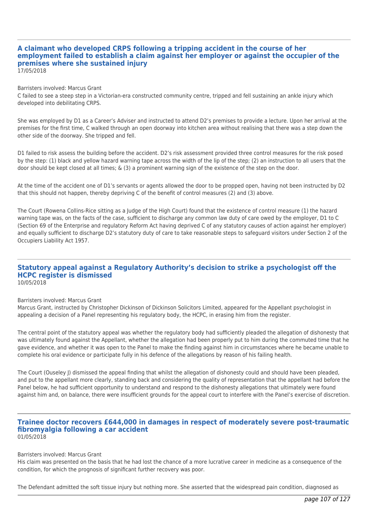#### **A claimant who developed CRPS following a tripping accident in the course of her employment failed to establish a claim against her employer or against the occupier of the premises where she sustained injury** 17/05/2018

Barristers involved: Marcus Grant

C failed to see a steep step in a Victorian-era constructed community centre, tripped and fell sustaining an ankle injury which developed into debilitating CRPS.

She was employed by D1 as a Career's Adviser and instructed to attend D2's premises to provide a lecture. Upon her arrival at the premises for the first time, C walked through an open doorway into kitchen area without realising that there was a step down the other side of the doorway. She tripped and fell.

D1 failed to risk assess the building before the accident. D2's risk assessment provided three control measures for the risk posed by the step: (1) black and yellow hazard warning tape across the width of the lip of the step; (2) an instruction to all users that the door should be kept closed at all times; & (3) a prominent warning sign of the existence of the step on the door.

At the time of the accident one of D1's servants or agents allowed the door to be propped open, having not been instructed by D2 that this should not happen, thereby depriving C of the benefit of control measures (2) and (3) above.

The Court (Rowena Collins-Rice sitting as a Judge of the High Court) found that the existence of control measure (1) the hazard warning tape was, on the facts of the case, sufficient to discharge any common law duty of care owed by the employer, D1 to C (Section 69 of the Enterprise and regulatory Reform Act having deprived C of any statutory causes of action against her employer) and equally sufficient to discharge D2's statutory duty of care to take reasonable steps to safeguard visitors under Section 2 of the Occupiers Liability Act 1957.

#### **Statutory appeal against a Regulatory Authority's decision to strike a psychologist off the HCPC register is dismissed** 10/05/2018

## Barristers involved: Marcus Grant

Marcus Grant, instructed by Christopher Dickinson of Dickinson Solicitors Limited, appeared for the Appellant psychologist in appealing a decision of a Panel representing his regulatory body, the HCPC, in erasing him from the register.

The central point of the statutory appeal was whether the regulatory body had sufficiently pleaded the allegation of dishonesty that was ultimately found against the Appellant, whether the allegation had been properly put to him during the commuted time that he gave evidence, and whether it was open to the Panel to make the finding against him in circumstances where he became unable to complete his oral evidence or participate fully in his defence of the allegations by reason of his failing health.

The Court (Ouseley J) dismissed the appeal finding that whilst the allegation of dishonesty could and should have been pleaded, and put to the appellant more clearly, standing back and considering the quality of representation that the appellant had before the Panel below, he had sufficient opportunity to understand and respond to the dishonesty allegations that ultimately were found against him and, on balance, there were insufficient grounds for the appeal court to interfere with the Panel's exercise of discretion.

#### **Trainee doctor recovers £644,000 in damages in respect of moderately severe post-traumatic fibromyalgia following a car accident** 01/05/2018

#### Barristers involved: Marcus Grant

His claim was presented on the basis that he had lost the chance of a more lucrative career in medicine as a consequence of the condition, for which the prognosis of significant further recovery was poor.

The Defendant admitted the soft tissue injury but nothing more. She asserted that the widespread pain condition, diagnosed as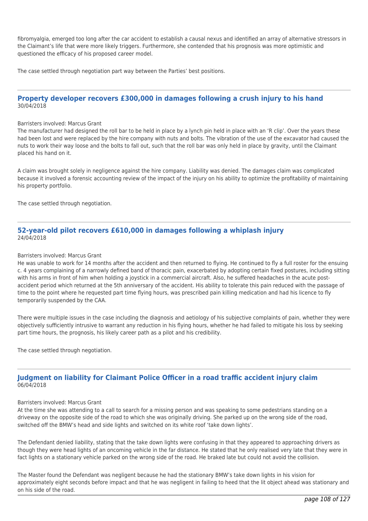fibromyalgia, emerged too long after the car accident to establish a causal nexus and identified an array of alternative stressors in the Claimant's life that were more likely triggers. Furthermore, she contended that his prognosis was more optimistic and questioned the efficacy of his proposed career model.

The case settled through negotiation part way between the Parties' best positions.

# **Property developer recovers £300,000 in damages following a crush injury to his hand** 30/04/2018

#### Barristers involved: Marcus Grant

The manufacturer had designed the roll bar to be held in place by a lynch pin held in place with an 'R clip'. Over the years these had been lost and were replaced by the hire company with nuts and bolts. The vibration of the use of the excavator had caused the nuts to work their way loose and the bolts to fall out, such that the roll bar was only held in place by gravity, until the Claimant placed his hand on it.

A claim was brought solely in negligence against the hire company. Liability was denied. The damages claim was complicated because it involved a forensic accounting review of the impact of the injury on his ability to optimize the profitability of maintaining his property portfolio.

The case settled through negotiation.

# **52-year-old pilot recovers £610,000 in damages following a whiplash injury** 24/04/2018

#### Barristers involved: Marcus Grant

He was unable to work for 14 months after the accident and then returned to flying. He continued to fly a full roster for the ensuing c. 4 years complaining of a narrowly defined band of thoracic pain, exacerbated by adopting certain fixed postures, including sitting with his arms in front of him when holding a joystick in a commercial aircraft. Also, he suffered headaches in the acute postaccident period which returned at the 5th anniversary of the accident. His ability to tolerate this pain reduced with the passage of time to the point where he requested part time flying hours, was prescribed pain killing medication and had his licence to fly temporarily suspended by the CAA.

There were multiple issues in the case including the diagnosis and aetiology of his subjective complaints of pain, whether they were objectively sufficiently intrusive to warrant any reduction in his flying hours, whether he had failed to mitigate his loss by seeking part time hours, the prognosis, his likely career path as a pilot and his credibility.

The case settled through negotiation.

# **Judgment on liability for Claimant Police Officer in a road traffic accident injury claim** 06/04/2018

#### Barristers involved: Marcus Grant

At the time she was attending to a call to search for a missing person and was speaking to some pedestrians standing on a driveway on the opposite side of the road to which she was originally driving. She parked up on the wrong side of the road, switched off the BMW's head and side lights and switched on its white roof 'take down lights'.

The Defendant denied liability, stating that the take down lights were confusing in that they appeared to approaching drivers as though they were head lights of an oncoming vehicle in the far distance. He stated that he only realised very late that they were in fact lights on a stationary vehicle parked on the wrong side of the road. He braked late but could not avoid the collision.

The Master found the Defendant was negligent because he had the stationary BMW's take down lights in his vision for approximately eight seconds before impact and that he was negligent in failing to heed that the lit object ahead was stationary and on his side of the road.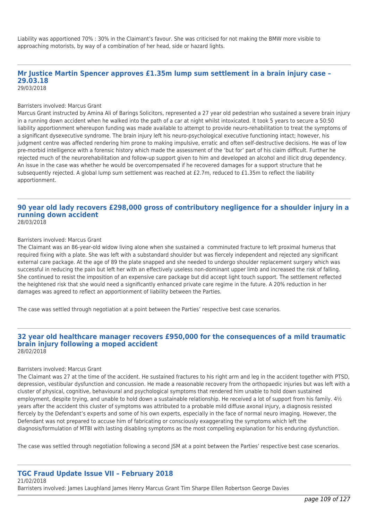Liability was apportioned 70% : 30% in the Claimant's favour. She was criticised for not making the BMW more visible to approaching motorists, by way of a combination of her head, side or hazard lights.

## **Mr Justice Martin Spencer approves £1.35m lump sum settlement in a brain injury case – 29.03.18**

29/03/2018

### Barristers involved: Marcus Grant

Marcus Grant instructed by Amina Ali of Barings Solicitors, represented a 27 year old pedestrian who sustained a severe brain injury in a running down accident when he walked into the path of a car at night whilst intoxicated. It took 5 years to secure a 50:50 liability apportionment whereupon funding was made available to attempt to provide neuro-rehabilitation to treat the symptoms of a significant dysexecutive syndrome. The brain injury left his neuro-psychological executive functioning intact; however, his judgment centre was affected rendering him prone to making impulsive, erratic and often self-destructive decisions. He was of low pre-morbid intelligence with a forensic history which made the assessment of the 'but for' part of his claim difficult. Further he rejected much of the neurorehabilitation and follow-up support given to him and developed an alcohol and illicit drug dependency. An issue in the case was whether he would be overcompensated if he recovered damages for a support structure that he subsequently rejected. A global lump sum settlement was reached at £2.7m, reduced to £1.35m to reflect the liability apportionment.

### **90 year old lady recovers £298,000 gross of contributory negligence for a shoulder injury in a running down accident** 28/03/2018

#### Barristers involved: Marcus Grant

The Claimant was an 86-year-old widow living alone when she sustained a comminuted fracture to left proximal humerus that required fixing with a plate. She was left with a substandard shoulder but was fiercely independent and rejected any significant external care package. At the age of 89 the plate snapped and she needed to undergo shoulder replacement surgery which was successful in reducing the pain but left her with an effectively useless non-dominant upper limb and increased the risk of falling. She continued to resist the imposition of an expensive care package but did accept light touch support. The settlement reflected the heightened risk that she would need a significantly enhanced private care regime in the future. A 20% reduction in her damages was agreed to reflect an apportionment of liability between the Parties.

The case was settled through negotiation at a point between the Parties' respective best case scenarios.

### **32 year old healthcare manager recovers £950,000 for the consequences of a mild traumatic brain injury following a moped accident** 28/02/2018

### Barristers involved: Marcus Grant

The Claimant was 27 at the time of the accident. He sustained fractures to his right arm and leg in the accident together with PTSD, depression, vestibular dysfunction and concussion. He made a reasonable recovery from the orthopaedic injuries but was left with a cluster of physical, cognitive, behavioural and psychological symptoms that rendered him unable to hold down sustained employment, despite trying, and unable to hold down a sustainable relationship. He received a lot of support from his family.  $4\frac{1}{2}$ years after the accident this cluster of symptoms was attributed to a probable mild diffuse axonal injury, a diagnosis resisted fiercely by the Defendant's experts and some of his own experts, especially in the face of normal neuro imaging. However, the Defendant was not prepared to accuse him of fabricating or consciously exaggerating the symptoms which left the diagnosis/formulation of MTBI with lasting disabling symptoms as the most compelling explanation for his enduring dysfunction.

The case was settled through negotiation following a second JSM at a point between the Parties' respective best case scenarios.

#### **TGC Fraud Update Issue VII – February 2018** 21/02/2018

Barristers involved: James Laughland James Henry Marcus Grant Tim Sharpe Ellen Robertson George Davies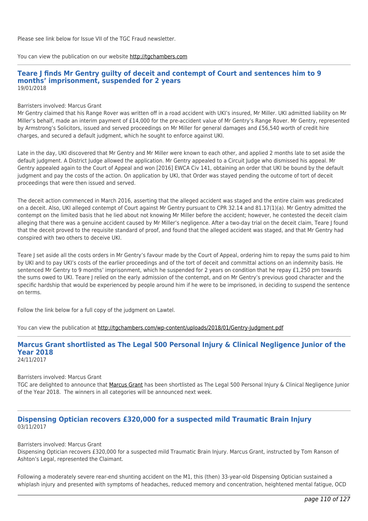Please see link below for Issue VII of the TGC Fraud newsletter.

You can view the publication on our website [http://tgchambers.com](https://tgchambers.com/wp-content/uploads/2018/02/TGC032_Newsletter_Fraud_issue7_v2.pdf)

### **Teare J finds Mr Gentry guilty of deceit and contempt of Court and sentences him to 9 months' imprisonment, suspended for 2 years** 19/01/2018

### Barristers involved: Marcus Grant

Mr Gentry claimed that his Range Rover was written off in a road accident with UKI's insured, Mr Miller. UKI admitted liability on Mr Miller's behalf, made an interim payment of £14,000 for the pre-accident value of Mr Gentry's Range Rover. Mr Gentry, represented by Armstrong's Solicitors, issued and served proceedings on Mr Miller for general damages and £56,540 worth of credit hire charges, and secured a default judgment, which he sought to enforce against UKI.

Late in the day, UKI discovered that Mr Gentry and Mr Miller were known to each other, and applied 2 months late to set aside the default judgment. A District Judge allowed the application. Mr Gentry appealed to a Circuit Judge who dismissed his appeal. Mr Gentry appealed again to the Court of Appeal and won [2016] EWCA Civ 141, obtaining an order that UKI be bound by the default judgment and pay the costs of the action. On application by UKI, that Order was stayed pending the outcome of tort of deceit proceedings that were then issued and served.

The deceit action commenced in March 2016, asserting that the alleged accident was staged and the entire claim was predicated on a deceit. Also, UKI alleged contempt of Court against Mr Gentry pursuant to CPR 32.14 and 81.17(1)(a). Mr Gentry admitted the contempt on the limited basis that he lied about not knowing Mr Miller before the accident; however, he contested the deceit claim alleging that there was a genuine accident caused by Mr Miller's negligence. After a two-day trial on the deceit claim, Teare J found that the deceit proved to the requisite standard of proof, and found that the alleged accident was staged, and that Mr Gentry had conspired with two others to deceive UKI.

Teare J set aside all the costs orders in Mr Gentry's favour made by the Court of Appeal, ordering him to repay the sums paid to him by UKI and to pay UKI's costs of the earlier proceedings and of the tort of deceit and committal actions on an indemnity basis. He sentenced Mr Gentry to 9 months' imprisonment, which he suspended for 2 years on condition that he repay £1,250 pm towards the sums owed to UKI. Teare J relied on the early admission of the contempt, and on Mr Gentry's previous good character and the specific hardship that would be experienced by people around him if he were to be imprisoned, in deciding to suspend the sentence on terms.

Follow the link below for a full copy of the judgment on Lawtel.

You can view the publication at<http://tgchambers.com/wp-content/uploads/2018/01/Gentry-Judgment.pdf>

### **Marcus Grant shortlisted as The Legal 500 Personal Injury & Clinical Negligence Junior of the Year 2018** 24/11/2017

### Barristers involved: Marcus Grant

TGC are delighted to announce that [Marcus Grant](http://tgchambers.com/member-profile/marcus-grant/) has been shortlisted as The Legal 500 Personal Injury & Clinical Negligence Junior of the Year 2018. The winners in all categories will be announced next week.

## **Dispensing Optician recovers £320,000 for a suspected mild Traumatic Brain Injury** 03/11/2017

Barristers involved: Marcus Grant

Dispensing Optician recovers £320,000 for a suspected mild Traumatic Brain Injury. Marcus Grant, instructed by Tom Ranson of Ashton's Legal, represented the Claimant.

Following a moderately severe rear-end shunting accident on the M1, this (then) 33-year-old Dispensing Optician sustained a whiplash injury and presented with symptoms of headaches, reduced memory and concentration, heightened mental fatigue, OCD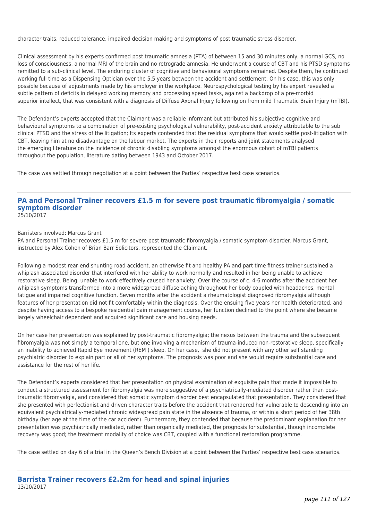character traits, reduced tolerance, impaired decision making and symptoms of post traumatic stress disorder.

Clinical assessment by his experts confirmed post traumatic amnesia (PTA) of between 15 and 30 minutes only, a normal GCS, no loss of consciousness, a normal MRI of the brain and no retrograde amnesia. He underwent a course of CBT and his PTSD symptoms remitted to a sub-clinical level. The enduring cluster of cognitive and behavioural symptoms remained. Despite them, he continued working full time as a Dispensing Optician over the 5.5 years between the accident and settlement. On his case, this was only possible because of adjustments made by his employer in the workplace. Neurospychological testing by his expert revealed a subtle pattern of deficits in delayed working memory and processing speed tasks, against a backdrop of a pre-morbid superior intellect, that was consistent with a diagnosis of Diffuse Axonal Injury following on from mild Traumatic Brain Injury (mTBI).

The Defendant's experts accepted that the Claimant was a reliable informant but attributed his subjective cognitive and behavioural symptoms to a combination of pre-existing psychological vulnerability, post-accident anxiety attributable to the sub clinical PTSD and the stress of the litigation; Its experts contended that the residual symptoms that would settle post-litigation with CBT, leaving him at no disadvantage on the labour market. The experts in their reports and joint statements analysed the emerging literature on the incidence of chronic disabling symptoms amongst the enormous cohort of mTBI patients throughout the population, literature dating between 1943 and October 2017.

The case was settled through negotiation at a point between the Parties' respective best case scenarios.

### **PA and Personal Trainer recovers £1.5 m for severe post traumatic fibromyalgia / somatic symptom disorder** 25/10/2017

Barristers involved: Marcus Grant

PA and Personal Trainer recovers £1.5 m for severe post traumatic fibromyalgia / somatic symptom disorder. Marcus Grant, instructed by Alex Cohen of Brian Barr Solicitors, represented the Claimant.

Following a modest rear-end shunting road accident, an otherwise fit and healthy PA and part time fitness trainer sustained a whiplash associated disorder that interfered with her ability to work normally and resulted in her being unable to achieve restorative sleep. Being unable to work effectively caused her anxiety. Over the course of c. 4-6 months after the accident her whiplash symptoms transformed into a more widespread diffuse aching throughout her body coupled with headaches, mental fatigue and impaired cognitive function. Seven months after the accident a rheumatologist diagnosed fibromyalgia although features of her presentation did not fit comfortably within the diagnosis. Over the ensuing five years her health deteriorated, and despite having access to a bespoke residential pain management course, her function declined to the point where she became largely wheelchair dependent and acquired significant care and housing needs.

On her case her presentation was explained by post-traumatic fibromyalgia; the nexus between the trauma and the subsequent fibromyalgia was not simply a temporal one, but one involving a mechanism of trauma-induced non-restorative sleep, specifically an inability to achieved Rapid Eye movement (REM ) sleep. On her case, she did not present with any other self standing psychiatric disorder to explain part or all of her symptoms. The prognosis was poor and she would require substantial care and assistance for the rest of her life.

The Defendant's experts considered that her presentation on physical examination of exquisite pain that made it impossible to conduct a structured assessment for fibromyalgia was more suggestive of a psychiatrically-mediated disorder rather than posttraumatic fibromyalgia, and considered that somatic symptom disorder best encapsulated that presentation. They considered that she presented with perfectionist and driven character traits before the accident that rendered her vulnerable to descending into an equivalent psychiatrically-mediated chronic widespread pain state in the absence of trauma, or within a short period of her 38th birthday (her age at the time of the car accident). Furthermore, they contended that because the predominant explanation for her presentation was psychiatrically mediated, rather than organically mediated, the prognosis for substantial, though incomplete recovery was good; the treatment modality of choice was CBT, coupled with a functional restoration programme.

The case settled on day 6 of a trial in the Queen's Bench Division at a point between the Parties' respective best case scenarios.

### **Barrista Trainer recovers £2.2m for head and spinal injuries** 13/10/2017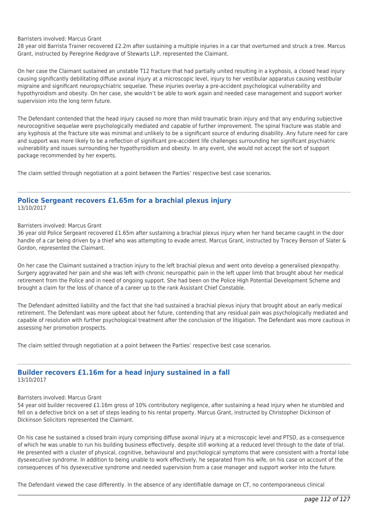### Barristers involved: Marcus Grant

28 year old Barrista Trainer recovered £2.2m after sustaining a multiple injuries in a car that overturned and struck a tree. Marcus Grant, instructed by Peregrine Redgrave of Stewarts LLP, represented the Claimant.

On her case the Claimant sustained an unstable T12 fracture that had partially united resulting in a kyphosis, a closed head injury causing significantly debilitating diffuse axonal injury at a microscopic level, injury to her vestibular apparatus causing vestibular migraine and significant neuropsychiatric sequelae. These injuries overlay a pre-accident psychological vulnerability and hypothyroidism and obesity. On her case, she wouldn't be able to work again and needed case management and support worker supervision into the long term future.

The Defendant contended that the head injury caused no more than mild traumatic brain injury and that any enduring subjective neurocognitive sequelae were psychologically mediated and capable of further improvement. The spinal fracture was stable and any kyphosis at the fracture site was minimal and unlikely to be a significant source of enduring disability. Any future need for care and support was more likely to be a reflection of significant pre-accident life challenges surrounding her significant psychiatric vulnerability and issues surrounding her hypothyroidism and obesity. In any event, she would not accept the sort of support package recommended by her experts.

The claim settled through negotiation at a point between the Parties' respective best case scenarios.

### **Police Sergeant recovers £1.65m for a brachial plexus injury** 13/10/2017

### Barristers involved: Marcus Grant

36 year old Police Sergeant recovered £1.65m after sustaining a brachial plexus injury when her hand became caught in the door handle of a car being driven by a thief who was attempting to evade arrest. Marcus Grant, instructed by Tracey Benson of Slater & Gordon, represented the Claimant.

On her case the Claimant sustained a traction injury to the left brachial plexus and went onto develop a generalised plexopathy. Surgery aggravated her pain and she was left with chronic neuropathic pain in the left upper limb that brought about her medical retirement from the Police and in need of ongoing support. She had been on the Police High Potential Development Scheme and brought a claim for the loss of chance of a career up to the rank Assistant Chief Constable.

The Defendant admitted liability and the fact that she had sustained a brachial plexus injury that brought about an early medical retirement. The Defendant was more upbeat about her future, contending that any residual pain was psychologically mediated and capable of resolution with further psychological treatment after the conclusion of the litigation. The Defendant was more cautious in assessing her promotion prospects.

The claim settled through negotiation at a point between the Parties' respective best case scenarios.

# **Builder recovers £1.16m for a head injury sustained in a fall**

13/10/2017

### Barristers involved: Marcus Grant

54 year old builder recovered £1.16m gross of 10% contributory negligence, after sustaining a head injury when he stumbled and fell on a defective brick on a set of steps leading to his rental property. Marcus Grant, instructed by Christopher Dickinson of Dickinson Solicitors represented the Claimant.

On his case he sustained a closed brain injury comprising diffuse axonal injury at a microscopic level and PTSD, as a consequence of which he was unable to run his building business effectively, despite still working at a reduced level through to the date of trial. He presented with a cluster of physical, cognitive, behavioural and psychological symptoms that were consistent with a frontal lobe dysexecutive syndrome. In addition to being unable to work effectively, he separated from his wife, on his case on account of the consequences of his dysexecutive syndrome and needed supervision from a case manager and support worker into the future.

The Defendant viewed the case differently. In the absence of any identifiable damage on CT, no contemporaneous clinical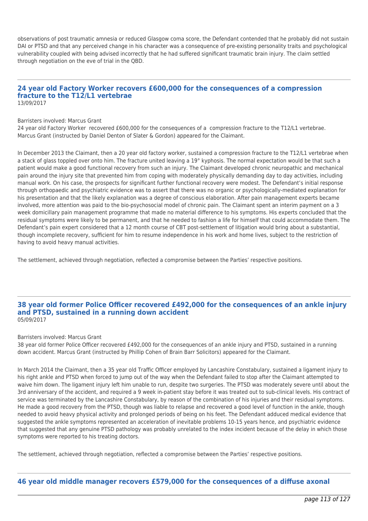observations of post traumatic amnesia or reduced Glasgow coma score, the Defendant contended that he probably did not sustain DAI or PTSD and that any perceived change in his character was a consequence of pre-existing personality traits and psychological vulnerability coupled with being advised incorrectly that he had suffered significant traumatic brain injury. The claim settled through negotiation on the eve of trial in the QBD.

### **24 year old Factory Worker recovers £600,000 for the consequences of a compression fracture to the T12/L1 vertebrae** 13/09/2017

#### Barristers involved: Marcus Grant

24 year old Factory Worker recovered £600,000 for the consequences of a compression fracture to the T12/L1 vertebrae. Marcus Grant (instructed by Daniel Denton of Slater & Gordon) appeared for the Claimant.

In December 2013 the Claimant, then a 20 year old factory worker, sustained a compression fracture to the T12/L1 vertebrae when a stack of glass toppled over onto him. The fracture united leaving a 19° kyphosis. The normal expectation would be that such a patient would make a good functional recovery from such an injury. The Claimant developed chronic neuropathic and mechanical pain around the injury site that prevented him from coping with moderately physically demanding day to day activities, including manual work. On his case, the prospects for significant further functional recovery were modest. The Defendant's initial response through orthopaedic and psychiatric evidence was to assert that there was no organic or psychologically-mediated explanation for his presentation and that the likely explanation was a degree of conscious elaboration. After pain management experts became involved, more attention was paid to the bio-psychosocial model of chronic pain. The Claimant spent an interim payment on a 3 week domicillary pain management programme that made no material difference to his symptoms. His experts concluded that the residual symptoms were likely to be permanent, and that he needed to fashion a life for himself that could accommodate them. The Defendant's pain expert considered that a 12 month course of CBT post-settlement of litigation would bring about a substantial, though incomplete recovery, sufficient for him to resume independence in his work and home lives, subject to the restriction of having to avoid heavy manual activities.

The settlement, achieved through negotiation, reflected a compromise between the Parties' respective positions.

### **38 year old former Police Officer recovered £492,000 for the consequences of an ankle injury and PTSD, sustained in a running down accident** 05/09/2017

#### Barristers involved: Marcus Grant

38 year old former Police Officer recovered £492,000 for the consequences of an ankle injury and PTSD, sustained in a running down accident. Marcus Grant (instructed by Phillip Cohen of Brain Barr Solicitors) appeared for the Claimant.

In March 2014 the Claimant, then a 35 year old Traffic Officer employed by Lancashire Constabulary, sustained a ligament injury to his right ankle and PTSD when forced to jump out of the way when the Defendant failed to stop after the Claimant attempted to waive him down. The ligament injury left him unable to run, despite two surgeries. The PTSD was moderately severe until about the 3rd anniversary of the accident, and required a 9 week in-patient stay before it was treated out to sub-clinical levels. His contract of service was terminated by the Lancashire Constabulary, by reason of the combination of his injuries and their residual symptoms. He made a good recovery from the PTSD, though was liable to relapse and recovered a good level of function in the ankle, though needed to avoid heavy physical activity and prolonged periods of being on his feet. The Defendant adduced medical evidence that suggested the ankle symptoms represented an acceleration of inevitable problems 10-15 years hence, and psychiatric evidence that suggested that any genuine PTSD pathology was probably unrelated to the index incident because of the delay in which those symptoms were reported to his treating doctors.

The settlement, achieved through negotiation, reflected a compromise between the Parties' respective positions.

### **46 year old middle manager recovers £579,000 for the consequences of a diffuse axonal**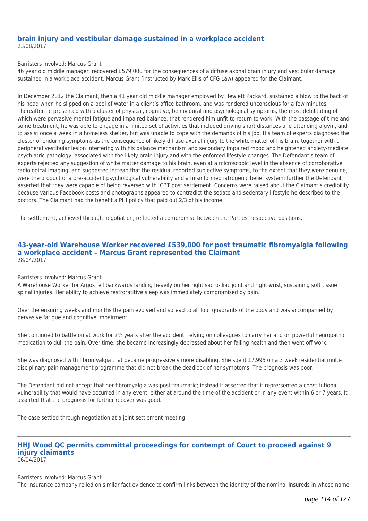### **brain injury and vestibular damage sustained in a workplace accident** 23/08/2017

### Barristers involved: Marcus Grant

46 year old middle manager recovered £579,000 for the consequences of a diffuse axonal brain injury and vestibular damage sustained in a workplace accident. Marcus Grant (instructed by Mark Ellis of CFG Law) appeared for the Claimant.

In December 2012 the Claimant, then a 41 year old middle manager employed by Hewlett Packard, sustained a blow to the back of his head when he slipped on a pool of water in a client's office bathroom, and was rendered unconscious for a few minutes. Thereafter he presented with a cluster of physical, cognitive, behavioural and psychological symptoms, the most debilitating of which were pervasive mental fatigue and impaired balance, that rendered him unfit to return to work. With the passage of time and some treatment, he was able to engage in a limited set of activities that included driving short distances and attending a gym, and to assist once a week in a homeless shelter, but was unable to cope with the demands of his job. His team of experts diagnosed the cluster of enduring symptoms as the consequence of likely diffuse axonal injury to the white matter of his brain, together with a peripheral vestibular lesion interfering with his balance mechanism and secondary impaired mood and heightened anxiety-mediate psychiatric pathology, associated with the likely brain injury and with the enforced lifestyle changes. The Defendant's team of experts rejected any suggestion of white matter damage to his brain, even at a microscopic level in the absence of corroborative radiological imaging, and suggested instead that the residual reported subjective symptoms, to the extent that they were genuine, were the product of a pre-accident psychological vulnerability and a misinformed iatrogenic belief system; further the Defendant asserted that they were capable of being reversed with CBT post settlement. Concerns were raised about the Claimant's credibility because various Facebook posts and photographs appeared to contradict the sedate and sedentary lifestyle he described to the doctors. The Claimant had the benefit a PHI policy that paid out 2/3 of his income.

The settlement, achieved through negotiation, reflected a compromise between the Parties' respective positions.

### **43-year-old Warehouse Worker recovered £539,000 for post traumatic fibromyalgia following a workplace accident – Marcus Grant represented the Claimant** 28/04/2017

### Barristers involved: Marcus Grant

A Warehouse Worker for Argos fell backwards landing heavily on her right sacro-iliac joint and right wrist, sustaining soft tissue spinal injuries. Her ability to achieve restroratitive sleep was immediately compromised by pain.

Over the ensuring weeks and months the pain evolved and spread to all four quadrants of the body and was accompanied by pervasive fatigue and cognitive impairment.

She continued to battle on at work for 2½ years after the accident, relying on colleagues to carry her and on powerful neuropathic medication to dull the pain. Over time, she became increasingly depressed about her failing health and then went off work.

She was diagnosed with fibromyalgia that became progressively more disabling. She spent £7,995 on a 3 week residential multidisciplinary pain management programme that did not break the deadlock of her symptoms. The prognosis was poor.

The Defendant did not accept that her fibromyalgia was post-traumatic; instead it asserted that it reprersented a constitutional vulnerability that would have occurred in any event, either at around the time of the accident or in any event within 6 or 7 years. It asserted that the prognosis for further recover was good.

The case settled through negotiation at a joint settlement meeting.

### **HHJ Wood QC permits committal proceedings for contempt of Court to proceed against 9 injury claimants** 06/04/2017

Barristers involved: Marcus Grant The Insurance company relied on similar fact evidence to confirm links between the identity of the nominal insureds in whose name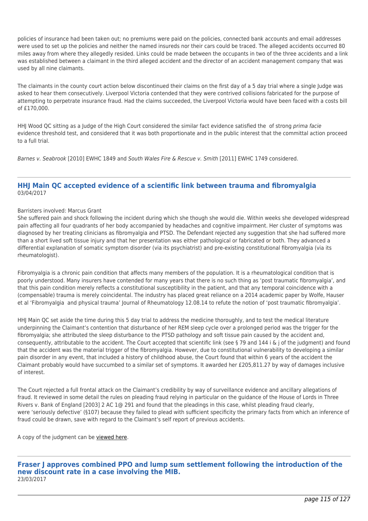policies of insurance had been taken out; no premiums were paid on the policies, connected bank accounts and email addresses were used to set up the policies and neither the named insureds nor their cars could be traced. The alleged accidents occurred 80 miles away from where they allegedly resided. Links could be made between the occupants in two of the three accidents and a link was established between a claimant in the third alleged accident and the director of an accident management company that was used by all nine claimants.

The claimants in the county court action below discontinued their claims on the first day of a 5 day trial where a single Judge was asked to hear them consecutively. Liverpool Victoria contended that they were contrived collisions fabricated for the purpose of attempting to perpetrate insurance fraud. Had the claims succeeded, the Liverpool Victoria would have been faced with a costs bill of £170,000.

HHJ Wood QC sitting as a Judge of the High Court considered the similar fact evidence satisfied the of strong prima facie evidence threshold test, and considered that it was both proportionate and in the public interest that the committal action proceed to a full trial.

Barnes v. Seabrook [2010] EWHC 1849 and South Wales Fire & Rescue v. Smith [2011] EWHC 1749 considered.

### **HHJ Main QC accepted evidence of a scientific link between trauma and fibromyalgia** 03/04/2017

### Barristers involved: Marcus Grant

She suffered pain and shock following the incident during which she though she would die. Within weeks she developed widespread pain affecting all four quadrants of her body accompanied by headaches and cognitive impairment. Her cluster of symptoms was diagnosed by her treating clinicians as fibromyalgia and PTSD. The Defendant rejected any suggestion that she had suffered more than a short lived soft tissue injury and that her presentation was either pathological or fabricated or both. They advanced a differential explanation of somatic symptom disorder (via its psychiatrist) and pre-existing constitutional fibromyalgia (via its rheumatologist).

Fibromyalgia is a chronic pain condition that affects many members of the population. It is a rheumatological condition that is poorly understood. Many insurers have contended for many years that there is no such thing as 'post traumatic fibromyalgia', and that this pain condition merely reflects a constitutional susceptibility in the patient, and that any temporal coincidence with a (compensable) trauma is merely coincidental. The industry has placed great reliance on a 2014 academic paper by Wolfe, Hauser et al 'Fibromyalgia and physical trauma' Journal of Rheumatology 12.08.14 to refute the notion of 'post traumatic fibromyalgia'.

HHJ Main QC set aside the time during this 5 day trial to address the medicine thoroughly, and to test the medical literature underpinning the Claimant's contention that disturbance of her REM sleep cycle over a prolonged period was the trigger for the fibromyalgia; she attributed the sleep disturbance to the PTSD pathology and soft tissue pain caused by the accident and, consequently, attributable to the accident. The Court accepted that scientific link (see § 79 and 144 i & j of the judgment) and found that the accident was the material trigger of the fibromyalgia. However, due to constitutional vulnerability to developing a similar pain disorder in any event, that included a history of childhood abuse, the Court found that within 6 years of the accident the Claimant probably would have succumbed to a similar set of symptoms. It awarded her £205,811.27 by way of damages inclusive of interest.

The Court rejected a full frontal attack on the Claimant's credibility by way of surveillance evidence and ancillary allegations of fraud. It reviewed in some detail the rules on pleading fraud relying in particular on the guidance of the House of Lords in Three Rivers v. Bank of England [2003] 2 AC 1@ 291 and found that the pleadings in this case, whilst pleading fraud clearly, were 'seriously defective' (§107) because they failed to plead with sufficient specificity the primary facts from which an inference of fraud could be drawn, save with regard to the Claimant's self report of previous accidents.

A copy of the judgment can be [viewed here.](http://tgchambers.com/wp-content/uploads/2017/04/Maguire-Judgment-31.03.17.pdf)

**Fraser J approves combined PPO and lump sum settlement following the introduction of the new discount rate in a case involving the MIB.** 23/03/2017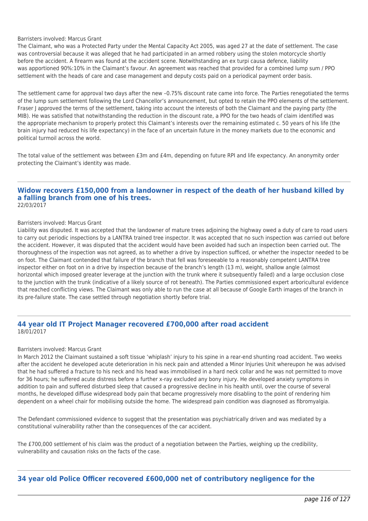### Barristers involved: Marcus Grant

The Claimant, who was a Protected Party under the Mental Capacity Act 2005, was aged 27 at the date of settlement. The case was controversial because it was alleged that he had participated in an armed robbery using the stolen motorcycle shortly before the accident. A firearm was found at the accident scene. Notwithstanding an ex turpi causa defence, liability was apportioned 90%:10% in the Claimant's favour. An agreement was reached that provided for a combined lump sum / PPO settlement with the heads of care and case management and deputy costs paid on a periodical payment order basis.

The settlement came for approval two days after the new –0.75% discount rate came into force. The Parties renegotiated the terms of the lump sum settlement following the Lord Chancellor's announcement, but opted to retain the PPO elements of the settlement. Fraser J approved the terms of the settlement, taking into account the interests of both the Claimant and the paying party (the MIB). He was satisfied that notwithstanding the reduction in the discount rate, a PPO for the two heads of claim identified was the appropriate mechanism to properly protect this Claimant's interests over the remaining estimated c. 50 years of his life (the brain injury had reduced his life expectancy) in the face of an uncertain future in the money markets due to the economic and political turmoil across the world.

The total value of the settlement was between £3m and £4m, depending on future RPI and life expectancy. An anonymity order protecting the Claimant's identity was made.

### **Widow recovers £150,000 from a landowner in respect of the death of her husband killed by a falling branch from one of his trees.** 22/03/2017

#### Barristers involved: Marcus Grant

Liability was disputed. It was accepted that the landowner of mature trees adjoining the highway owed a duty of care to road users to carry out periodic inspections by a LANTRA trained tree inspector. It was accepted that no such inspection was carried out before the accident. However, it was disputed that the accident would have been avoided had such an inspection been carried out. The thoroughness of the inspection was not agreed, as to whether a drive by inspection sufficed, or whether the inspector needed to be on foot. The Claimant contended that failure of the branch that fell was foreseeable to a reasonably competent LANTRA tree inspector either on foot on in a drive by inspection because of the branch's length (13 m), weight, shallow angle (almost horizontal which imposed greater leverage at the junction with the trunk where it subsequently failed) and a large occlusion close to the junction with the trunk (indicative of a likely source of rot beneath). The Parties commissioned expert arboricultural evidence that reached conflicting views. The Claimant was only able to run the case at all because of Google Earth images of the branch in its pre-failure state. The case settled through negotiation shortly before trial.

### **44 year old IT Project Manager recovered £700,000 after road accident** 18/01/2017

### Barristers involved: Marcus Grant

In March 2012 the Claimant sustained a soft tissue 'whiplash' injury to his spine in a rear-end shunting road accident. Two weeks after the accident he developed acute deterioration in his neck pain and attended a Minor Injuries Unit whereupon he was advised that he had suffered a fracture to his neck and his head was immobilised in a hard neck collar and he was not permitted to move for 36 hours; he suffered acute distress before a further x-ray excluded any bony injury. He developed anxiety symptoms in addition to pain and suffered disturbed sleep that caused a progressive decline in his health until, over the course of several months, he developed diffuse widespread body pain that became progressively more disabling to the point of rendering him dependent on a wheel chair for mobilising outside the home. The widespread pain condition was diagnosed as fibromyalgia.

The Defendant commissioned evidence to suggest that the presentation was psychiatrically driven and was mediated by a constitutional vulnerability rather than the consequences of the car accident.

The £700,000 settlement of his claim was the product of a negotiation between the Parties, weighing up the credibility, vulnerability and causation risks on the facts of the case.

**34 year old Police Officer recovered £600,000 net of contributory negligence for the**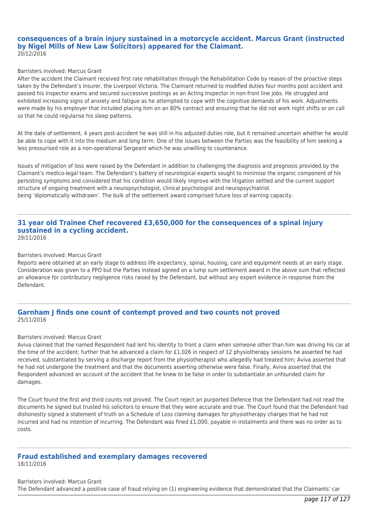### **consequences of a brain injury sustained in a motorcycle accident. Marcus Grant (instructed by Nigel Mills of New Law Solicitors) appeared for the Claimant.** 20/12/2016

### Barristers involved: Marcus Grant

After the accident the Claimant received first rate rehabilitation through the Rehabilitation Code by reason of the proactive steps taken by the Defendant's Insurer, the Liverpool Victoria. The Claimant returned to modified duties four months post accident and passed his Inspector exams and secured successive postings as an Acting Inspector in non-front line jobs. He struggled and exhibited increasing signs of anxiety and fatigue as he attempted to cope with the cognitive demands of his work. Adjustments were made by his employer that included placing him on an 80% contract and ensuring that he did not work night shifts or on call so that he could regularise his sleep patterns.

At the date of settlement, 4 years post-accident he was still in his adjusted duties role, but it remained uncertain whether he would be able to cope with it into the medium and long term. One of the issues between the Parties was the feasibility of him seeking a less pressurised role as a non-operational Sergeant which he was unwilling to countenance.

Issues of mitigation of loss were raised by the Defendant in addition to challenging the diagnosis and prognosis provided by the Claimant's medico-legal team. The Defendant's battery of neurological experts sought to minimise the organic component of his persisting symptoms and considered that his condition would likely improve with the litigation settled and the current support structure of ongoing treatment with a neuropsychologist, clinical psychologist and neuropsychiatrist being 'diplomatically withdrawn'. The bulk of the settlement award comprised future loss of earning capacity.

### **31 year old Trainee Chef recovered £3,650,000 for the consequences of a spinal injury sustained in a cycling accident.** 29/11/2016

Barristers involved: Marcus Grant

Reports were obtained at an early stage to address life expectancy, spinal, housing, care and equipment needs at an early stage. Consideration was given to a PPO but the Parties instead agreed on a lump sum settlement award in the above sum that reflected an allowance for contributory negligence risks raised by the Defendant, but without any expert evidence in response from the Defendant.

### **Garnham J finds one count of contempt proved and two counts not proved** 25/11/2016

### Barristers involved: Marcus Grant

Aviva claimed that the named Respondent had lent his identity to front a claim when someone other than him was driving his car at the time of the accident; further that he advanced a claim for £1,026 in respect of 12 physiotherapy sessions he asserted he had received, substantiated by serving a discharge report from the physiotherapist who allegedly had treated him; Aviva asserted that he had not undergone the treatment and that the documents asserting otherwise were false. Finally, Aviva asserted that the Respondent advanced an account of the accident that he knew to be false in order to substantiate an unfounded claim for damages.

The Court found the first and third counts not proved. The Court reject an purported Defence that the Defendant had not read the documents he signed but trusted his solicitors to ensure that they were accurate and true. The Court found that the Defendant had dishonestly signed a statement of truth on a Schedule of Loss claiming damages for physiotherapy charges that he had not incurred and had no intention of incurring. The Defendant was fined £1,000, payable in instalments and there was no order as to costs.

#### **Fraud established and exemplary damages recovered** 18/11/2016

Barristers involved: Marcus Grant The Defendant advanced a positive case of fraud relying on (1) engineering evidence that demonstrated that the Claimants' car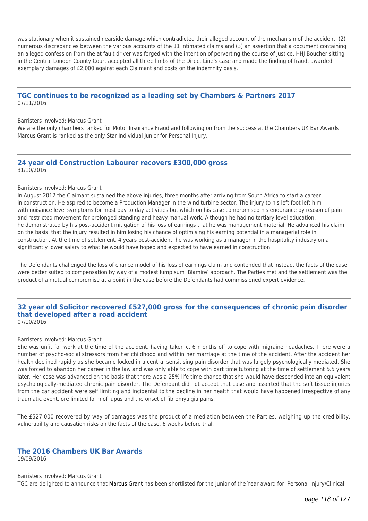was stationary when it sustained nearside damage which contradicted their alleged account of the mechanism of the accident, (2) numerous discrepancies between the various accounts of the 11 intimated claims and (3) an assertion that a document containing an alleged confession from the at fault driver was forged with the intention of perverting the course of justice. HHJ Boucher sitting in the Central London County Court accepted all three limbs of the Direct Line's case and made the finding of fraud, awarded exemplary damages of £2,000 against each Claimant and costs on the indemnity basis.

### **TGC continues to be recognized as a leading set by Chambers & Partners 2017** 07/11/2016

### Barristers involved: Marcus Grant

We are the only chambers ranked for Motor Insurance Fraud and following on from the success at the Chambers UK Bar Awards Marcus Grant is ranked as the only Star Individual junior for Personal Injury.

### **24 year old Construction Labourer recovers £300,000 gross** 31/10/2016

### Barristers involved: Marcus Grant

In August 2012 the Claimant sustained the above injuries, three months after arriving from South Africa to start a career in construction. He aspired to become a Production Manager in the wind turbine sector. The injury to his left foot left him with nuisance level symptoms for most day to day activities but which on his case compromised his endurance by reason of pain and restricted movement for prolonged standing and heavy manual work. Although he had no tertiary level education, he demonstrated by his post-accident mitigation of his loss of earnings that he was management material. He advanced his claim on the basis that the injury resulted in him losing his chance of optimising his earning potential in a managerial role in construction. At the time of settlement, 4 years post-accident, he was working as a manager in the hospitality industry on a significantly lower salary to what he would have hoped and expected to have earned in construction.

The Defendants challenged the loss of chance model of his loss of earnings claim and contended that instead, the facts of the case were better suited to compensation by way of a modest lump sum 'Blamire' approach. The Parties met and the settlement was the product of a mutual compromise at a point in the case before the Defendants had commissioned expert evidence.

### **32 year old Solicitor recovered £527,000 gross for the consequences of chronic pain disorder that developed after a road accident** 07/10/2016

#### Barristers involved: Marcus Grant

She was unfit for work at the time of the accident, having taken c. 6 months off to cope with migraine headaches. There were a number of psycho-social stressors from her childhood and within her marriage at the time of the accident. After the accident her health declined rapidly as she became locked in a central sensitising pain disorder that was largely psychologically mediated. She was forced to abandon her career in the law and was only able to cope with part time tutoring at the time of settlement 5.5 years later. Her case was advanced on the basis that there was a 25% life time chance that she would have descended into an equivalent psychologically-mediated chronic pain disorder. The Defendant did not accept that case and asserted that the soft tissue injuries from the car accident were self limiting and incidental to the decline in her health that would have happened irrespective of any traumatic event. ore limited form of lupus and the onset of fibromyalgia pains.

The £527,000 recovered by way of damages was the product of a mediation between the Parties, weighing up the credibility, vulnerability and causation risks on the facts of the case, 6 weeks before trial.

# **The 2016 Chambers UK Bar Awards**

19/09/2016

Barristers involved: Marcus Grant TGC are delighted to announce that [Marcus Grant h](http://tgchambers.com/member-profile/marcus-grant/)as been shortlisted for the Junior of the Year award for Personal Injury/Clinical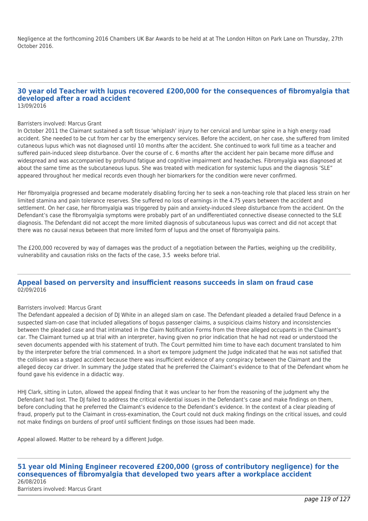Negligence at the forthcoming 2016 Chambers UK Bar Awards to be held at at The London Hilton on Park Lane on Thursday, 27th October 2016.

### **30 year old Teacher with lupus recovered £200,000 for the consequences of fibromyalgia that developed after a road accident** 13/09/2016

#### Barristers involved: Marcus Grant

In October 2011 the Claimant sustained a soft tissue 'whiplash' injury to her cervical and lumbar spine in a high energy road accident. She needed to be cut from her car by the emergency services. Before the accident, on her case, she suffered from limited cutaneous lupus which was not diagnosed until 10 months after the accident. She continued to work full time as a teacher and suffered pain-induced sleep disturbance. Over the course of c. 6 months after the accident her pain became more diffuse and widespread and was accompanied by profound fatigue and cognitive impairment and headaches. Fibromyalgia was diagnosed at about the same time as the subcutaneous lupus. She was treated with medication for systemic lupus and the diagnosis 'SLE" appeared throughout her medical records even though her biomarkers for the condition were never confirmed.

Her fibromyalgia progressed and became moderately disabling forcing her to seek a non-teaching role that placed less strain on her limited stamina and pain tolerance reserves. She suffered no loss of earnings in the 4.75 years between the accident and settlement. On her case, her fibromyalgia was triggered by pain and anxiety-induced sleep disturbance from the accident. On the Defendant's case the fibromyalgia symptoms were probably part of an undifferentiated connective disease connected to the SLE diagnosis. The Defendant did not accept the more limited diagnosis of subcutaneous lupus was correct and did not accept that there was no causal nexus between that more limited form of lupus and the onset of fibromyalgia pains.

The £200,000 recovered by way of damages was the product of a negotiation between the Parties, weighing up the credibility, vulnerability and causation risks on the facts of the case, 3.5 weeks before trial.

### **Appeal based on perversity and insufficient reasons succeeds in slam on fraud case** 02/09/2016

#### Barristers involved: Marcus Grant

The Defendant appealed a decision of DJ White in an alleged slam on case. The Defendant pleaded a detailed fraud Defence in a suspected slam-on case that included allegations of bogus passenger claims, a suspicious claims history and inconsistencies between the pleaded case and that intimated in the Claim Notification Forms from the three alleged occupants in the Claimant's car. The Claimant turned up at trial with an interpreter, having given no prior indication that he had not read or understood the seven documents appended with his statement of truth. The Court permitted him time to have each document translated to him by the interpreter before the trial commenced. In a short ex tempore judgment the Judge indicated that he was not satisfied that the collision was a staged accident because there was insufficient evidence of any conspiracy between the Claimant and the alleged decoy car driver. In summary the Judge stated that he preferred the Claimant's evidence to that of the Defendant whom he found gave his evidence in a didactic way.

HHJ Clark, sitting in Luton, allowed the appeal finding that it was unclear to her from the reasoning of the judgment why the Defendant had lost. The DI failed to address the critical evidential issues in the Defendant's case and make findings on them. before concluding that he preferred the Claimant's evidence to the Defendant's evidence. In the context of a clear pleading of fraud, properly put to the Claimant in cross-examination, the Court could not duck making findings on the critical issues, and could not make findings on burdens of proof until sufficient findings on those issues had been made.

Appeal allowed. Matter to be reheard by a different Judge.

### **51 year old Mining Engineer recovered £200,000 (gross of contributory negligence) for the consequences of fibromyalgia that developed two years after a workplace accident** 26/08/2016 Barristers involved: Marcus Grant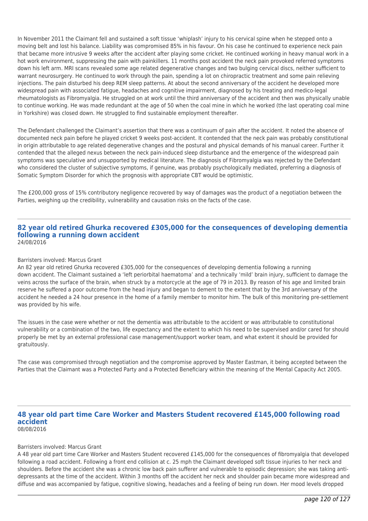In November 2011 the Claimant fell and sustained a soft tissue 'whiplash' injury to his cervical spine when he stepped onto a moving belt and lost his balance. Liability was compromised 85% in his favour. On his case he continued to experience neck pain that became more intrusive 9 weeks after the accident after playing some cricket. He continued working in heavy manual work in a hot work environment, suppressing the pain with painkillers. 11 months post accident the neck pain provoked referred symptoms down his left arm. MRI scans revealed some age related degenerative changes and two bulging cervical discs, neither sufficient to warrant neurosurgery. He continued to work through the pain, spending a lot on chiropractic treatment and some pain relieving injections. The pain disturbed his deep REM sleep patterns. At about the second anniversary of the accident he developed more widespread pain with associated fatigue, headaches and cognitive impairment, diagnosed by his treating and medico-legal rheumatologists as Fibromyalgia. He struggled on at work until the third anniversary of the accident and then was physically unable to continue working. He was made redundant at the age of 50 when the coal mine in which he worked (the last operating coal mine in Yorkshire) was closed down. He struggled to find sustainable employment thereafter.

The Defendant challenged the Claimant's assertion that there was a continuum of pain after the accident. It noted the absence of documented neck pain before he played cricket 9 weeks post-accident. It contended that the neck pain was probably constitutional in origin attributable to age related degenerative changes and the postural and physical demands of his manual career. Further it contended that the alleged nexus between the neck pain-induced sleep disturbance and the emergence of the widespread pain symptoms was speculative and unsupported by medical literature. The diagnosis of Fibromyalgia was rejected by the Defendant who considered the cluster of subjective symptoms, if genuine, was probably psychologically mediated, preferring a diagnosis of Somatic Symptom Disorder for which the prognosis with appropriate CBT would be optimistic.

The £200,000 gross of 15% contributory negligence recovered by way of damages was the product of a negotiation between the Parties, weighing up the credibility, vulnerability and causation risks on the facts of the case.

### **82 year old retired Ghurka recovered £305,000 for the consequences of developing dementia following a running down accident** 24/08/2016

### Barristers involved: Marcus Grant

An 82 year old retired Ghurka recovered £305,000 for the consequences of developing dementia following a running down accident. The Claimant sustained a 'left periorbital haematoma' and a technically 'mild' brain injury, sufficient to damage the veins across the surface of the brain, when struck by a motorcycle at the age of 79 in 2013. By reason of his age and limited brain reserve he suffered a poor outcome from the head injury and began to dement to the extent that by the 3rd anniversary of the accident he needed a 24 hour presence in the home of a family member to monitor him. The bulk of this monitoring pre-settlement was provided by his wife.

The issues in the case were whether or not the dementia was attributable to the accident or was attributable to constitutional vulnerability or a combination of the two, life expectancy and the extent to which his need to be supervised and/or cared for should properly be met by an external professional case management/support worker team, and what extent it should be provided for gratuitously.

The case was compromised through negotiation and the compromise approved by Master Eastman, it being accepted between the Parties that the Claimant was a Protected Party and a Protected Beneficiary within the meaning of the Mental Capacity Act 2005.

### **48 year old part time Care Worker and Masters Student recovered £145,000 following road accident** 08/08/2016

### Barristers involved: Marcus Grant

A 48 year old part time Care Worker and Masters Student recovered £145,000 for the consequences of fibromyalgia that developed following a road accident. Following a front end collision at c. 25 mph the Claimant developed soft tissue injuries to her neck and shoulders. Before the accident she was a chronic low back pain sufferer and vulnerable to episodic depression; she was taking antidepressants at the time of the accident. Within 3 months off the accident her neck and shoulder pain became more widespread and diffuse and was accompanied by fatigue, cognitive slowing, headaches and a feeling of being run down. Her mood levels dropped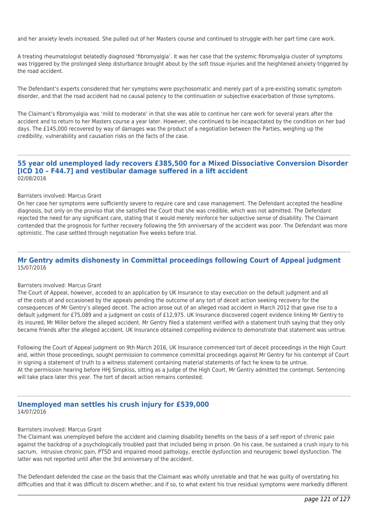and her anxiety levels increased. She pulled out of her Masters course and continued to struggle with her part time care work.

A treating rheumatologist belatedly diagnosed 'fibromyalgia'. It was her case that the systemic fibromyalgia cluster of symptoms was triggered by the prolonged sleep disturbance brought about by the soft tissue injuries and the heightened anxiety triggered by the road accident.

The Defendant's experts considered that her symptoms were psychosomatic and merely part of a pre-existing somatic symptom disorder, and that the road accident had no causal potency to the continuation or subjective exacerbation of those symptoms.

The Claimant's fibromyalgia was 'mild to moderate' in that she was able to continue her care work for several years after the accident and to return to her Masters course a year later. However, she continued to be incapacitated by the condition on her bad days. The £145,000 recovered by way of damages was the product of a negotiation between the Parties, weighing up the credibility, vulnerability and causation risks on the facts of the case.

### **55 year old unemployed lady recovers £385,500 for a Mixed Dissociative Conversion Disorder [ICD 10 – F44.7] and vestibular damage suffered in a lift accident** 02/08/2016

#### Barristers involved: Marcus Grant

On her case her symptoms were sufficiently severe to require care and case management. The Defendant accepted the headline diagnosis, but only on the proviso that she satisfied the Court that she was credible, which was not admitted. The Defendant rejected the need for any significant care, stating that it would merely reinforce her subjective sense of disability. The Claimant contended that the prognosis for further recovery following the 5th anniversary of the accident was poor. The Defendant was more optimistic. The case settled through negotiation five weeks before trial.

### **Mr Gentry admits dishonesty in Committal proceedings following Court of Appeal judgment** 15/07/2016

### Barristers involved: Marcus Grant

The Court of Appeal, however, acceded to an application by UK Insurance to stay execution on the default judgment and all of the costs of and occasioned by the appeals pending the outcome of any tort of deceit action seeking recovery for the consequences of Mr Gentry's alleged deceit. The action arose out of an alleged road accident in March 2012 that gave rise to a default judgment for £75,089 and a judgment on costs of £12,975. UK Insurance discovered cogent evidence linking Mr Gentry to its insured, Mr Miller before the alleged accident. Mr Gentry filed a statement verified with a statement truth saying that they only became friends after the alleged accident. UK Insurance obtained compelling evidence to demonstrate that statement was untrue.

Following the Court of Appeal judgment on 9th March 2016, UK Insurance commenced tort of deceit proceedings in the High Court and, within those proceedings, sought permission to commence committal proceedings against Mr Gentry for his contempt of Court in signing a statement of truth to a witness statement containing material statements of fact he knew to be untrue. At the permission hearing before HHJ Simpkiss, sitting as a Judge of the High Court, Mr Gentry admitted the contempt. Sentencing will take place later this year. The tort of deceit action remains contested.

### **Unemployed man settles his crush injury for £539,000** 14/07/2016

### Barristers involved: Marcus Grant

The Claimant was unemployed before the accident and claiming disability benefits on the basis of a self report of chronic pain against the backdrop of a psychologically troubled past that included being in prison. On his case, he sustained a crush injury to his sacrum, intrusive chronic pain, PTSD and impaired mood pathology, erectile dysfunction and neurogenic bowel dysfunction. The latter was not reported until after the 3rd anniversary of the accident.

The Defendant defended the case on the basis that the Claimant was wholly unreliable and that he was guilty of overstating his difficulties and that it was difficult to discern whether, and if so, to what extent his true residual symptoms were markedly different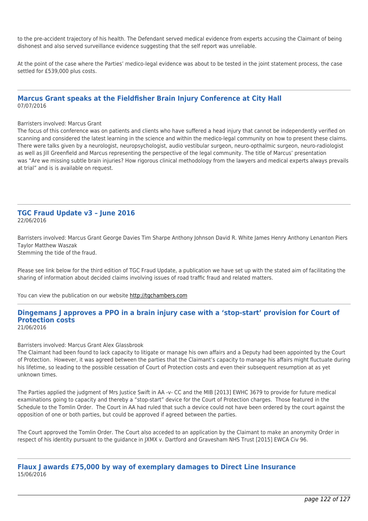to the pre-accident trajectory of his health. The Defendant served medical evidence from experts accusing the Claimant of being dishonest and also served surveillance evidence suggesting that the self report was unreliable.

At the point of the case where the Parties' medico-legal evidence was about to be tested in the joint statement process, the case settled for £539,000 plus costs.

### **Marcus Grant speaks at the Fieldfisher Brain Injury Conference at City Hall** 07/07/2016

#### Barristers involved: Marcus Grant

The focus of this conference was on patients and clients who have suffered a head injury that cannot be independently verified on scanning and considered the latest learning in the science and within the medico-legal community on how to present these claims. There were talks given by a neurologist, neuropsychologist, audio vestibular surgeon, neuro-opthalmic surgeon, neuro-radiologist as well as Jill Greenfield and Marcus representing the perspective of the legal community. The title of Marcus' presentation was "Are we missing subtle brain injuries? How rigorous clinical methodology from the lawyers and medical experts always prevails at trial" and is is available on request.

### **TGC Fraud Update v3 – June 2016** 22/06/2016

Barristers involved: Marcus Grant George Davies Tim Sharpe Anthony Johnson David R. White James Henry Anthony Lenanton Piers Taylor Matthew Waszak Stemming the tide of the fraud.

Please see link below for the third edition of TGC Fraud Update, a publication we have set up with the stated aim of facilitating the sharing of information about decided claims involving issues of road traffic fraud and related matters.

You can view the publication on our website [http://tgchambers.com](https://tgchambers.com/wp-content/uploads/2016/06/TGC016_Newsletter_v3-3.pdf)

#### **Dingemans J approves a PPO in a brain injury case with a 'stop-start' provision for Court of Protection costs** 21/06/2016

Barristers involved: Marcus Grant Alex Glassbrook

The Claimant had been found to lack capacity to litigate or manage his own affairs and a Deputy had been appointed by the Court of Protection. However, it was agreed between the parties that the Claimant's capacity to manage his affairs might fluctuate during his lifetime, so leading to the possible cessation of Court of Protection costs and even their subsequent resumption at as yet unknown times.

The Parties applied the judgment of Mrs Justice Swift in AA -v- CC and the MIB [2013] EWHC 3679 to provide for future medical examinations going to capacity and thereby a "stop-start" device for the Court of Protection charges. Those featured in the Schedule to the Tomlin Order. The Court in AA had ruled that such a device could not have been ordered by the court against the opposition of one or both parties, but could be approved if agreed between the parties.

The Court approved the Tomlin Order. The Court also acceded to an application by the Claimant to make an anonymity Order in respect of his identity pursuant to the guidance in JXMX v. Dartford and Gravesham NHS Trust [2015] EWCA Civ 96.

**Flaux J awards £75,000 by way of exemplary damages to Direct Line Insurance** 15/06/2016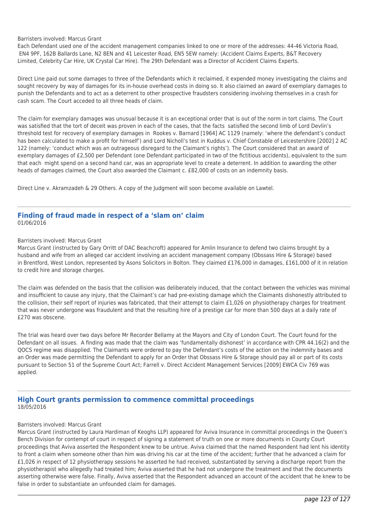### Barristers involved: Marcus Grant

Each Defendant used one of the accident management companies linked to one or more of the addresses: 44-46 Victoria Road, EN4 9PF, 162B Ballards Lane, N2 8EN and 41 Leicester Road, EN5 5EW namely: (Accident Claims Experts, B&T Recovery Limited, Celebrity Car Hire, UK Crystal Car Hire). The 29th Defendant was a Director of Accident Claims Experts.

Direct Line paid out some damages to three of the Defendants which it reclaimed, it expended money investigating the claims and sought recovery by way of damages for its in-house overhead costs in doing so. It also claimed an award of exemplary damages to punish the Defendants and to act as a deterrent to other prospective fraudsters considering involving themselves in a crash for cash scam. The Court acceded to all three heads of claim.

The claim for exemplary damages was unusual because it is an exceptional order that is out of the norm in tort claims. The Court was satisfied that the tort of deceit was proven in each of the cases, that the facts satisfied the second limb of Lord Devlin's threshold test for recovery of exemplary damages in Rookes v. Barnard [1964] AC 1129 (namely: 'where the defendant's conduct has been calculated to make a profit for himself') and Lord Nicholl's test in Kuddus v. Chief Constable of Leicestershire [2002] 2 AC 122 (namely: 'conduct which was an outrageous disregard to the Claimant's rights'). The Court considered that an award of exemplary damages of £2,500 per Defendant (one Defendant participated in two of the fictitious accidents), equivalent to the sum that each might spend on a second hand car, was an appropriate level to create a deterrent. In addition to awarding the other heads of damages claimed, the Court also awarded the Claimant c. £82,000 of costs on an indemnity basis.

Direct Line v. Akramzadeh & 29 Others. A copy of the Judgment will soon become available on Lawtel.

### **Finding of fraud made in respect of a 'slam on' claim** 01/06/2016

### Barristers involved: Marcus Grant

Marcus Grant (instructed by Gary Orritt of DAC Beachcroft) appeared for Amlin Insurance to defend two claims brought by a husband and wife from an alleged car accident involving an accident management company (Obssass Hire & Storage) based in Brentford, West London, represented by Asons Solicitors in Bolton. They claimed £176,000 in damages, £161,000 of it in relation to credit hire and storage charges.

The claim was defended on the basis that the collision was deliberately induced, that the contact between the vehicles was minimal and insufficient to cause any injury, that the Claimant's car had pre-existing damage which the Claimants dishonestly attributed to the collision, their self report of injuries was fabricated, that their attempt to claim £1,026 on physiotherapy charges for treatment that was never undergone was fraudulent and that the resulting hire of a prestige car for more than 500 days at a daily rate of £270 was obscene.

The trial was heard over two days before Mr Recorder Bellamy at the Mayors and City of London Court. The Court found for the Defendant on all issues. A finding was made that the claim was 'fundamentally dishonest' in accordance with CPR 44.16(2) and the QOCS regime was disapplied. The Claimants were ordered to pay the Defendant's costs of the action on the indemnity bases and an Order was made permitting the Defendant to apply for an Order that Obssass Hire & Storage should pay all or part of its costs pursuant to Section 51 of the Supreme Court Act; Farrell v. Direct Accident Management Services [2009] EWCA Civ 769 was applied.

### **High Court grants permission to commence committal proceedings** 18/05/2016

### Barristers involved: Marcus Grant

Marcus Grant (instructed by Laura Hardiman of Keoghs LLP) appeared for Aviva Insurance in committal proceedings in the Queen's Bench Division for contempt of court in respect of signing a statement of truth on one or more documents in County Court proceedings that Aviva asserted the Respondent knew to be untrue. Aviva claimed that the named Respondent had lent his identity to front a claim when someone other than him was driving his car at the time of the accident; further that he advanced a claim for £1,026 in respect of 12 physiotherapy sessions he asserted he had received, substantiated by serving a discharge report from the physiotherapist who allegedly had treated him; Aviva asserted that he had not undergone the treatment and that the documents asserting otherwise were false. Finally, Aviva asserted that the Respondent advanced an account of the accident that he knew to be false in order to substantiate an unfounded claim for damages.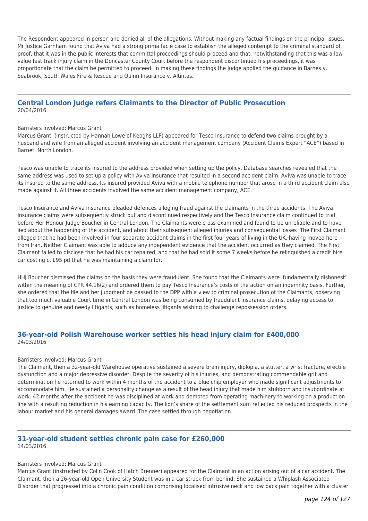The Respondent appeared in person and denied all of the allegations. Without making any factual findings on the principal issues, Mr Justice Garnham found that Aviva had a strong prima facie case to establish the alleged contempt to the criminal standard of proof, that it was in the public interests that committal proceedings should proceed and that, notwithstanding that this was a low value fast track injury claim in the Doncaster County Court before the respondent discontinued his proceedings, it was proportionate that the claim be permitted to proceed. In making these findings the Judge applied the guidance in Barnes v. Seabrook, South Wales Fire & Rescue and Quinn Insurance v. Altintas.

### **Central London Judge refers Claimants to the Director of Public Prosecution** 20/04/2016

#### Barristers involved: Marcus Grant

Marcus Grant (instructed by Hannah Lowe of Keoghs LLP) appeared for Tesco Insurance to defend two claims brought by a husband and wife from an alleged accident involving an accident management company (Accident Claims Expert "ACE") based in Barnet, North London.

Tesco was unable to trace its insured to the address provided when setting up the policy. Database searches revealed that the same address was used to set up a policy with Aviva Insurance that resulted in a second accident claim. Aviva was unable to trace its insured to the same address. Its insured provided Aviva with a mobile telephone number that arose in a third accident claim also made against it. All three accidents involved the same accident management company, ACE.

Tesco Insurance and Aviva Insurance pleaded defences alleging fraud against the claimants in the three accidents. The Aviva Insurance claims were subsequently struck out and discontinued respectively and the Tesco Insurance claim continued to trial before Her Honour Judge Boucher in Central London. The Claimants were cross examined and found to be unreliable and to have lied about the happening of the accident, and about their subsequent alleged injuries and consequential losses The First Claimant alleged that he had been involved in four separate accident claims in the first four years of living in the UK, having moved here from Iran. Neither Claimant was able to adduce any independent evidence that the accident occurred as they claimed. The First Claimant failed to disclose that he had his car repaired, and that he had sold it some 7 weeks before he relinquished a credit hire car costing c. £95 pd that he was maintaining a claim for.

HHJ Boucher dismissed the claims on the basis they were fraudulent. She found that the Claimants were 'fundamentally dishonest' within the meaning of CPR 44.16(2) and ordered them to pay Tesco Insurance's costs of the action on an indemnity basis. Further, she ordered that the file and her judgment be passed to the DPP with a view to criminal prosecution of the Claimants, observing that too much valuable Court time in Central London was being consumed by fraudulent insurance claims, delaying access to justice to genuine and needy litigants, such as homeless litigants wishing to challenge repossession orders.

### **36-year-old Polish Warehouse worker settles his head injury claim for £400,000** 24/03/2016

### Barristers involved: Marcus Grant

The Claimant, then a 32-year-old Warehouse operative sustained a severe brain injury, diplopia, a stutter, a wrist fracture, erectile dysfunction and a major depressive disorder. Despite the severity of his injuries, and demonstrating commendable grit and determination he returned to work within 4 months of the accident to a blue chip employer who made significant adjustments to accommodate him. He sustained a personality change as a result of the head injury that made him stubborn and insubordinate at work. 42 months after the accident he was disciplined at work and demoted from operating machinery to working on a production line with a resulting reduction in his earning capacity. The lion's share of the settlement sum reflected his reduced prospects in the labour market and his general damages award. The case settled through negotiation.

### **31-year-old student settles chronic pain case for £260,000** 14/03/2016

### Barristers involved: Marcus Grant

Marcus Grant (instructed by Colin Cook of Hatch Brenner) appeared for the Claimant in an action arising out of a car accident. The Claimant, then a 26-year-old Open University Student was in a car struck from behind. She sustained a Whiplash Associated Disorder that progressed into a chronic pain condition comprising localised intrusive neck and low back pain together with a cluster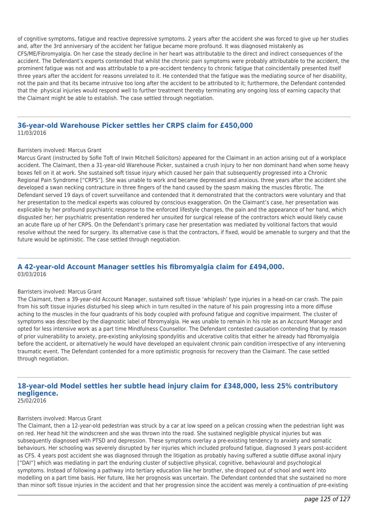of cognitive symptoms, fatigue and reactive depressive symptoms. 2 years after the accident she was forced to give up her studies and, after the 3rd anniversary of the accident her fatigue became more profound. It was diagnosed mistakenly as CFS/ME/Fibromyalgia. On her case the steady decline in her heart was attributable to the direct and indirect consequences of the accident. The Defendant's experts contended that whilst the chronic pain symptoms were probably attributable to the accident, the prominent fatigue was not and was attributable to a pre-accident tendency to chronic fatigue that coincidentally presented itself three years after the accident for reasons unrelated to it. He contended that the fatigue was the mediating source of her disability, not the pain and that its became intrusive too long after the accident to be attributed to it; furthermore, the Defendant contended that the physical injuries would respond well to further treatment thereby terminating any ongoing loss of earning capacity that the Claimant might be able to establish. The case settled through negotiation.

### **36-year-old Warehouse Picker settles her CRPS claim for £450,000** 11/03/2016

### Barristers involved: Marcus Grant

Marcus Grant (instructed by Sofie Toft of Irwin Mitchell Solicitors) appeared for the Claimant in an action arising out of a workplace accident. The Claimant, then a 31-year-old Warehouse Picker, sustained a crush injury to her non dominant hand when some heavy boxes fell on it at work. She sustained soft tissue injury which caused her pain that subsequently progressed into a Chronic Regional Pain Syndrome ["CRPS"]. She was unable to work and became depressed and anxious. three years after the accident she developed a swan necking contracture in three fingers of the hand caused by the spasm making the muscles fibrotic. The Defendant served 19 days of covert surveillance and contended that it demonstrated that the contractors were voluntary and that her presentation to the medical experts was coloured by conscious exaggeration. On the Claimant's case, her presentation was explicable by her profound psychiatric response to the enforced lifestyle changes, the pain and the appearance of her hand, which disgusted her; her psychiatric presentation rendered her unsuited for surgical release of the contractors which would likely cause an acute flare up of her CRPS. On the Defendant's primary case her presentation was mediated by volitional factors that would resolve without the need for surgery. Its alternative case is that the contractors, if fixed, would be amenable to surgery and that the future would be optimistic. The case settled through negotiation.

### **A 42-year-old Account Manager settles his fibromyalgia claim for £494,000.** 03/03/2016

#### Barristers involved: Marcus Grant

The Claimant, then a 39-year-old Account Manager, sustained soft tissue 'whiplash' type injuries in a head-on car crash. The pain from his soft tissue injuries disturbed his sleep which in turn resulted in the nature of his pain progressing into a more diffuse aching to the muscles in the four quadrants of his body coupled with profound fatigue and cognitive impairment. The cluster of symptoms was described by the diagnostic label of fibromyalgia. He was unable to remain in his role as an Account Manager and opted for less intensive work as a part time Mindfulness Counsellor. The Defendant contested causation contending that by reason of prior vulnerability to anxiety, pre-existing ankylosing spondylitis and ulcerative colitis that either he already had fibromyalgia before the accident, or alternatively he would have developed an equivalent chronic pain condition irrespective of any intervening traumatic event. The Defendant contended for a more optimistic prognosis for recovery than the Claimant. The case settled through negotiation.

# **18-year-old Model settles her subtle head injury claim for £348,000, less 25% contributory negligence.**

25/02/2016

### Barristers involved: Marcus Grant

The Claimant, then a 12-year-old pedestrian was struck by a car at low speed on a pelican crossing when the pedestrian light was on red. Her head hit the windscreen and she was thrown into the road. She sustained negligible physical injuries but was subsequently diagnosed with PTSD and depression. These symptoms overlay a pre-existing tendency to anxiety and somatic behaviours. Her schooling was severely disrupted by her injuries which included profound fatigue, diagnosed 3 years post-accident as CFS. 4 years post accident she was diagnosed through the litigation as probably having suffered a subtle diffuse axonal injury ["DAI"] which was mediating in part the enduring cluster of subjective physical, cognitive, behavioural and psychological symptoms. Instead of following a pathway into tertiary education like her brother, she dropped out of school and went into modelling on a part time basis. Her future, like her prognosis was uncertain. The Defendant contended that she sustained no more than minor soft tissue injuries in the accident and that her progression since the accident was merely a continuation of pre-existing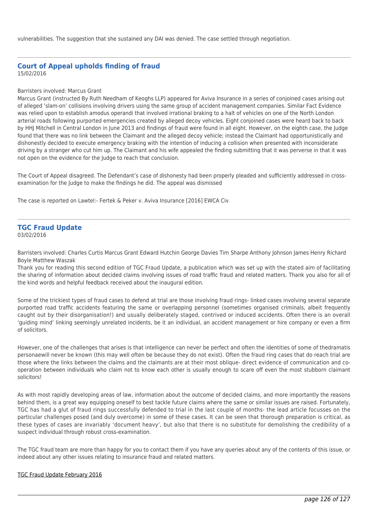vulnerabilities. The suggestion that she sustained any DAI was denied. The case settled through negotiation.

### **Court of Appeal upholds finding of fraud** 15/02/2016

### Barristers involved: Marcus Grant

Marcus Grant (instructed By Ruth Needham of Keoghs LLP) appeared for Aviva Insurance in a series of conjoined cases arising out of alleged 'slam-on' collisions involving drivers using the same group of accident management companies. Similar Fact Evidence was relied upon to establish amodus operandi that involved irrational braking to a halt of vehicles on one of the North London arterial roads following purported emergencies created by alleged decoy vehicles. Eight conjoined cases were heard back to back by HHJ Mitchell in Central London in June 2013 and findings of fraud were found in all eight. However, on the eighth case, the Judge found that there was no link between the Claimant and the alleged decoy vehicle; instead the Claimant had opportunistically and dishonestly decided to execute emergency braking with the intention of inducing a collision when presented with inconsiderate driving by a stranger who cut him up. The Claimant and his wife appealed the finding submitting that it was perverse in that it was not open on the evidence for the Judge to reach that conclusion.

The Court of Appeal disagreed. The Defendant's case of dishonesty had been properly pleaded and sufficiently addressed in crossexamination for the Judge to make the findings he did. The appeal was dismissed

The case is reported on Lawtel:- Fertek & Peker v. Aviva Insurance [2016] EWCA Civ

#### **TGC Fraud Update** 03/02/2016

Barristers involved: Charles Curtis Marcus Grant Edward Hutchin George Davies Tim Sharpe Anthony Johnson James Henry Richard Boyle Matthew Waszak

Thank you for reading this second edition of TGC Fraud Update, a publication which was set up with the stated aim of facilitating the sharing of information about decided claims involving issues of road traffic fraud and related matters. Thank you also for all of the kind words and helpful feedback received about the inaugural edition.

Some of the trickiest types of fraud cases to defend at trial are those involving fraud rings- linked cases involving several separate purported road traffic accidents featuring the same or overlapping personnel (sometimes organised criminals, albeit frequently caught out by their disorganisation!) and usually deliberately staged, contrived or induced accidents. Often there is an overall 'guiding mind' linking seemingly unrelated incidents, be it an individual, an accident management or hire company or even a firm of solicitors.

However, one of the challenges that arises is that intelligence can never be perfect and often the identities of some of thedramatis personaewill never be known (this may well often be because they do not exist). Often the fraud ring cases that do reach trial are those where the links between the claims and the claimants are at their most oblique- direct evidence of communication and cooperation between individuals who claim not to know each other is usually enough to scare off even the most stubborn claimant solicitors!

As with most rapidly developing areas of law, information about the outcome of decided claims, and more importantly the reasons behind them, is a great way equipping oneself to best tackle future claims where the same or similar issues are raised. Fortunately, TGC has had a glut of fraud rings successfully defended to trial in the last couple of months- the lead article focusses on the particular challenges posed (and duly overcome) in some of these cases. It can be seen that thorough preparation is critical, as these types of cases are invariably 'document heavy', but also that there is no substitute for demolishing the credibility of a suspect individual through robust cross-examination.

The TGC fraud team are more than happy for you to contact them if you have any queries about any of the contents of this issue, or indeed about any other issues relating to insurance fraud and related matters.

### [TGC Fraud Update February 2016](http://tgchambers.com/media/107294/tgc_fraud_update_-_feb_16..pdf)